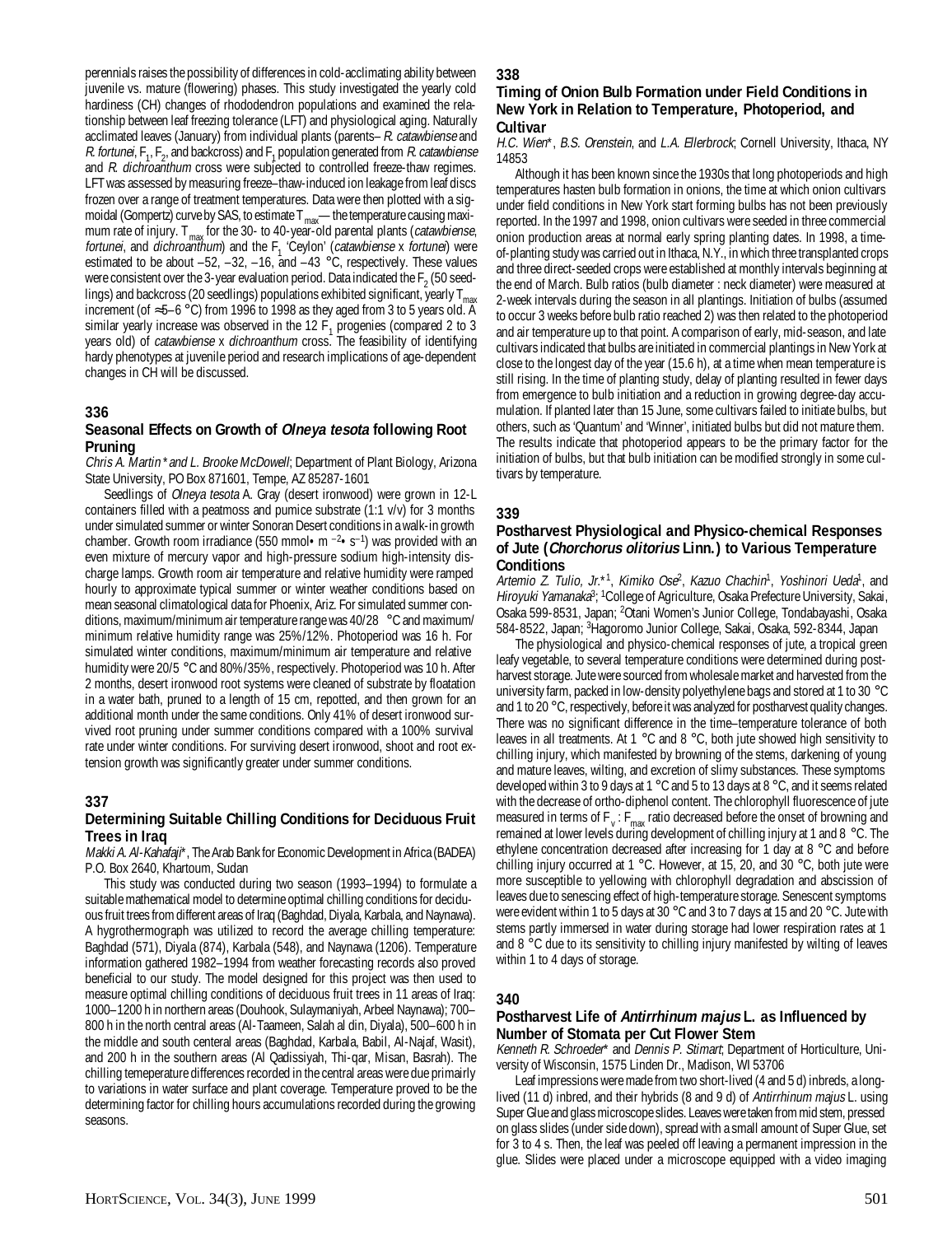perennials raises the possibility of differences in cold-acclimating ability between juvenile vs. mature (flowering) phases. This study investigated the yearly cold hardiness (CH) changes of rhododendron populations and examined the relationship between leaf freezing tolerance (LFT) and physiological aging. Naturally acclimated leaves (January) from individual plants (parents–R. catawbiense and *R. fortunei*,  $F_1$ ,  $F_2$ , and backcross) and  $F_1$  population generated from *R. catawbiense* and R. dichroanthum cross were subjected to controlled freeze-thaw regimes. LFT was assessed by measuring freeze–thaw-induced ion leakage from leaf discs frozen over a range of treatment temperatures. Data were then plotted with a sigmoidal (Gompertz) curve by SAS, to estimate  $T_{\text{max}}$ —the temperature causing maximum rate of injury.  $T_{\text{max}}$  for the 30- to 40-year-old parental plants (*catawbiense*, fortunei, and dichroanthum) and the  $F_1$  'Ceylon' (catawbiense x fortunei) were estimated to be about  $-52$ ,  $-32$ ,  $-16$ , and  $-43$  °C, respectively. These values were consistent over the 3-year evaluation period. Data indicated the  $F_2$  (50 seedlings) and backcross (20 seedlings) populations exhibited significant, yearly  $T_{m}$ increment (of ≈5–6 °C) from 1996 to 1998 as they aged from 3 to 5 years old. A similar yearly increase was observed in the  $12 F<sub>1</sub>$  progenies (compared 2 to 3 years old) of *catawbiense x dichroanthum* cross. The feasibility of identifying hardy phenotypes at juvenile period and research implications of age-dependent changes in CH will be discussed.

#### **336**

### **Seasonal Effects on Growth of Olneya tesota following Root Pruning**

Chris A. Martin \*and L. Brooke McDowell; Department of Plant Biology, Arizona State University, PO Box 871601, Tempe, AZ 85287-1601

Seedlings of Olneya tesota A. Gray (desert ironwood) were grown in 12-L containers filled with a peatmoss and pumice substrate (1:1 v/v) for 3 months under simulated summer or winter Sonoran Desert conditions in a walk-in growth chamber. Growth room irradiance (550 mmol • m  $^{-2}$  • s<sup>-1</sup>) was provided with an even mixture of mercury vapor and high-pressure sodium high-intensity discharge lamps. Growth room air temperature and relative humidity were ramped hourly to approximate typical summer or winter weather conditions based on mean seasonal climatological data for Phoenix, Ariz. For simulated summer conditions, maximum/minimum air temperature range was 40/28 °C and maximum/ minimum relative humidity range was 25%/12%. Photoperiod was 16 h. For simulated winter conditions, maximum/minimum air temperature and relative humidity were 20/5 °C and 80%/35%, respectively. Photoperiod was 10 h. After 2 months, desert ironwood root systems were cleaned of substrate by floatation in a water bath, pruned to a length of 15 cm, repotted, and then grown for an additional month under the same conditions. Only 41% of desert ironwood survived root pruning under summer conditions compared with a 100% survival rate under winter conditions. For surviving desert ironwood, shoot and root extension growth was significantly greater under summer conditions.

#### **337**

## **Determining Suitable Chilling Conditions for Deciduous Fruit Trees in Iraq**

Makki A. Al-Kahafaji\*, The Arab Bank for Economic Development in Africa (BADEA) P.O. Box 2640, Khartoum, Sudan

This study was conducted during two season (1993–1994) to formulate a suitable mathematical model to determine optimal chilling conditions for deciduous fruit trees from different areas of Iraq (Baghdad, Diyala, Karbala, and Naynawa). A hygrothermograph was utilized to record the average chilling temperature: Baghdad (571), Diyala (874), Karbala (548), and Naynawa (1206). Temperature information gathered 1982–1994 from weather forecasting records also proved beneficial to our study. The model designed for this project was then used to measure optimal chilling conditions of deciduous fruit trees in 11 areas of Iraq: 1000–1200 h in northern areas (Douhook, Sulaymaniyah, Arbeel Naynawa); 700– 800 h in the north central areas (Al-Taameen, Salah al din, Diyala), 500–600 h in the middle and south centeral areas (Baghdad, Karbala, Babil, Al-Najaf, Wasit), and 200 h in the southern areas (Al Qadissiyah, Thi-qar, Misan, Basrah). The chilling temeperature differences recorded in the central areas were due primairly to variations in water surface and plant coverage. Temperature proved to be the determining factor for chilling hours accumulations recorded during the growing seasons.

#### **338**

#### **Timing of Onion Bulb Formation under Field Conditions in New York in Relation to Temperature, Photoperiod, and Cultivar**

H.C. Wien\*, B.S. Orenstein, and L.A. Ellerbrock; Cornell University, Ithaca, NY 14853

Although it has been known since the 1930s that long photoperiods and high temperatures hasten bulb formation in onions, the time at which onion cultivars under field conditions in New York start forming bulbs has not been previously reported. In the 1997 and 1998, onion cultivars were seeded in three commercial onion production areas at normal early spring planting dates. In 1998, a timeof-planting study was carried out in Ithaca, N.Y., in which three transplanted crops and three direct-seeded crops were established at monthly intervals beginning at the end of March. Bulb ratios (bulb diameter : neck diameter) were measured at 2-week intervals during the season in all plantings. Initiation of bulbs (assumed to occur 3 weeks before bulb ratio reached 2) was then related to the photoperiod and air temperature up to that point. A comparison of early, mid-season, and late cultivars indicated that bulbs are initiated in commercial plantings in New York at close to the longest day of the year (15.6 h), at a time when mean temperature is still rising. In the time of planting study, delay of planting resulted in fewer days from emergence to bulb initiation and a reduction in growing degree-day accumulation. If planted later than 15 June, some cultivars failed to initiate bulbs, but others, such as 'Quantum' and 'Winner', initiated bulbs but did not mature them. The results indicate that photoperiod appears to be the primary factor for the initiation of bulbs, but that bulb initiation can be modified strongly in some cultivars by temperature.

#### **339**

### **Postharvest Physiological and Physico-chemical Responses of Jute (Chorchorus olitorius Linn.) to Various Temperature Conditions**

Artemio Z. Tulio, Jr.\*1, Kimiko Ose<sup>2</sup>, Kazuo Chachin<sup>1</sup>, Yoshinori Ueda<sup>1</sup>, and *Hiroyuki Yamanaka*<sup>3</sup>; <sup>1</sup>College of Agriculture, Osaka Prefecture University, Sakai, Osaka 599-8531, Japan; <sup>2</sup>Otani Women's Junior College, Tondabayashi, Osaka 584-8522, Japan; <sup>3</sup>Hagoromo Junior College, Sakai, Osaka, 592-8344, Japan

The physiological and physico-chemical responses of jute, a tropical green leafy vegetable, to several temperature conditions were determined during postharvest storage. Jute were sourced from wholesale market and harvested from the university farm, packed in low-density polyethylene bags and stored at 1 to 30 °C and 1 to 20 °C, respectively, before it was analyzed for postharvest quality changes. There was no significant difference in the time–temperature tolerance of both leaves in all treatments. At 1 °C and 8 °C, both jute showed high sensitivity to chilling injury, which manifested by browning of the stems, darkening of young and mature leaves, wilting, and excretion of slimy substances. These symptoms developed within 3 to 9 days at 1 °C and 5 to 13 days at 8 °C, and it seems related with the decrease of ortho-diphenol content. The chlorophyll fluorescence of jute measured in terms of F<sub>v</sub>: F<sub>max</sub> ratio decreased before the onset of browning and remained at lower levels during development of chilling injury at 1 and 8 °C. The ethylene concentration decreased after increasing for 1 day at 8 °C and before chilling injury occurred at 1 °C. However, at 15, 20, and 30 °C, both jute were more susceptible to yellowing with chlorophyll degradation and abscission of leaves due to senescing effect of high-temperature storage. Senescent symptoms were evident within 1 to 5 days at 30 °C and 3 to 7 days at 15 and 20 °C. Jute with stems partly immersed in water during storage had lower respiration rates at 1 and 8 °C due to its sensitivity to chilling injury manifested by wilting of leaves within 1 to 4 days of storage.

#### **340**

#### **Postharvest Life of Antirrhinum majus L. as Influenced by Number of Stomata per Cut Flower Stem**

Kenneth R. Schroeder\* and Dennis P. Stimart; Department of Horticulture, University of Wisconsin, 1575 Linden Dr., Madison, WI 53706

Leaf impressions were made from two short-lived (4 and 5 d) inbreds, a longlived (11 d) inbred, and their hybrids (8 and 9 d) of Antirrhinum majus L. using Super Glue and glass microscope slides. Leaves were taken from mid stem, pressed on glass slides (under side down), spread with a small amount of Super Glue, set for 3 to 4 s. Then, the leaf was peeled off leaving a permanent impression in the glue. Slides were placed under a microscope equipped with a video imaging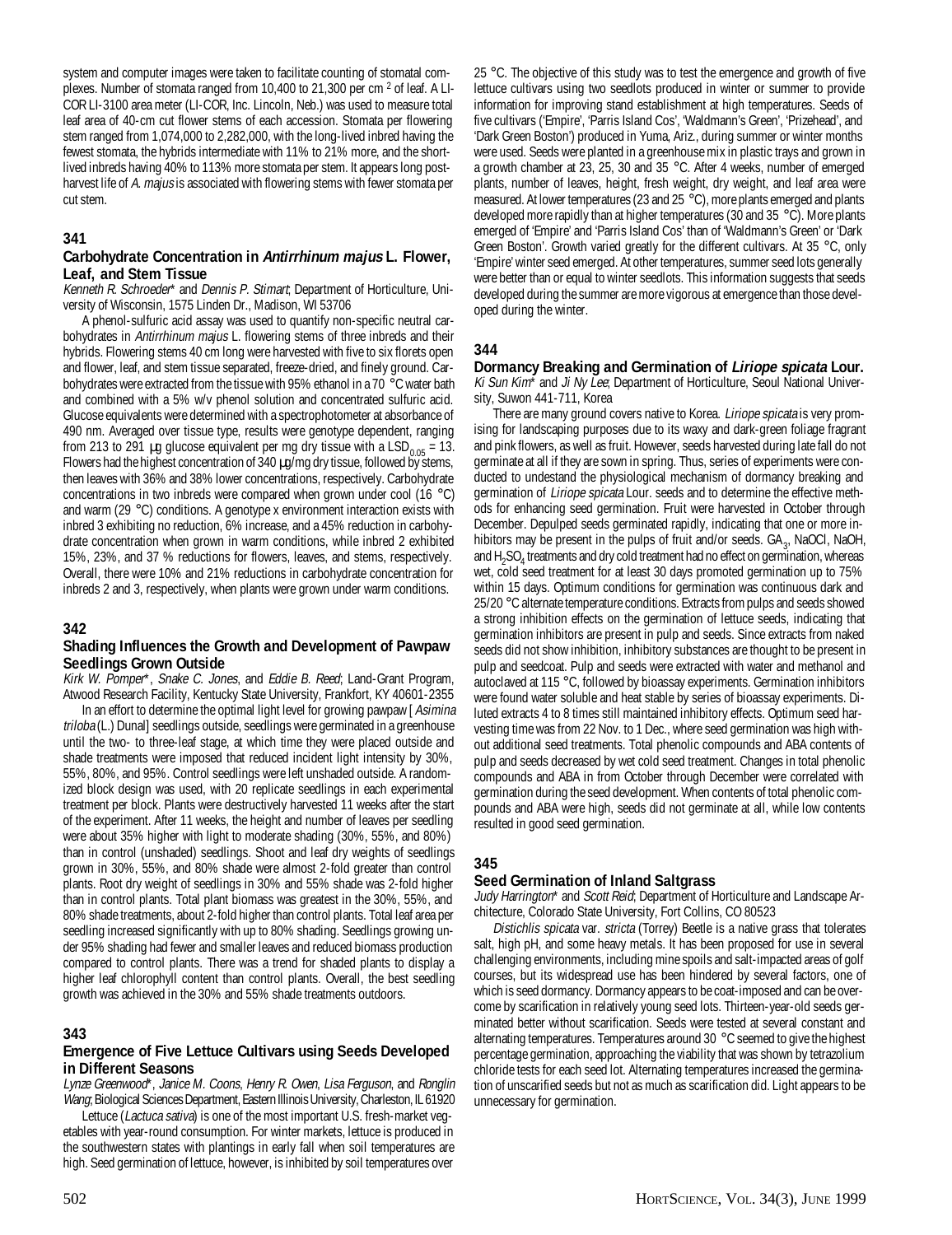system and computer images were taken to facilitate counting of stomatal complexes. Number of stomata ranged from 10,400 to 21,300 per cm<sup>2</sup> of leaf. A LI-COR LI-3100 area meter (LI-COR, Inc. Lincoln, Neb.) was used to measure total leaf area of 40-cm cut flower stems of each accession. Stomata per flowering stem ranged from 1,074,000 to 2,282,000, with the long-lived inbred having the fewest stomata, the hybrids intermediate with 11% to 21% more, and the shortlived inbreds having 40% to 113% more stomata per stem. It appears long postharvest life of A. majus is associated with flowering stems with fewer stomata per cut stem.

#### **341**

#### **Carbohydrate Concentration in Antirrhinum majus L. Flower, Leaf, and Stem Tissue**

Kenneth R. Schroeder\* and Dennis P. Stimart; Department of Horticulture, University of Wisconsin, 1575 Linden Dr., Madison, WI 53706

A phenol-sulfuric acid assay was used to quantify non-specific neutral carbohydrates in *Antirrhinum majus* L. flowering stems of three inbreds and their hybrids. Flowering stems 40 cm long were harvested with five to six florets open and flower, leaf, and stem tissue separated, freeze-dried, and finely ground. Carbohydrates were extracted from the tissue with 95% ethanol in a 70 °C water bath and combined with a 5% w/v phenol solution and concentrated sulfuric acid. Glucose equivalents were determined with a spectrophotometer at absorbance of 490 nm. Averaged over tissue type, results were genotype dependent, ranging from 213 to 291  $\mu$ g glucose equivalent per mg dry tissue with a LSD<sub>0.05</sub> = 13. Flowers had the highest concentration of 340  $\mu$ g/mg dry tissue, followed by stems, then leaves with 36% and 38% lower concentrations, respectively. Carbohydrate concentrations in two inbreds were compared when grown under cool (16 °C) and warm (29 °C) conditions. A genotype x environment interaction exists with inbred 3 exhibiting no reduction, 6% increase, and a 45% reduction in carbohydrate concentration when grown in warm conditions, while inbred 2 exhibited 15%, 23%, and 37 % reductions for flowers, leaves, and stems, respectively. Overall, there were 10% and 21% reductions in carbohydrate concentration for inbreds 2 and 3, respectively, when plants were grown under warm conditions.

#### **342**

#### **Shading Influences the Growth and Development of Pawpaw Seedlings Grown Outside**

Kirk W. Pomper\*, Snake C. Jones, and Eddie B. Reed; Land-Grant Program, Atwood Research Facility, Kentucky State University, Frankfort, KY 40601-2355

In an effort to determine the optimal light level for growing pawpaw [Asimina] triloba (L.) Dunal] seedlings outside, seedlings were germinated in a greenhouse until the two- to three-leaf stage, at which time they were placed outside and shade treatments were imposed that reduced incident light intensity by 30%, 55%, 80%, and 95%. Control seedlings were left unshaded outside. A randomized block design was used, with 20 replicate seedlings in each experimental treatment per block. Plants were destructively harvested 11 weeks after the start of the experiment. After 11 weeks, the height and number of leaves per seedling were about 35% higher with light to moderate shading (30%, 55%, and 80%) than in control (unshaded) seedlings. Shoot and leaf dry weights of seedlings grown in 30%, 55%, and 80% shade were almost 2-fold greater than control plants. Root dry weight of seedlings in 30% and 55% shade was 2-fold higher than in control plants. Total plant biomass was greatest in the 30%, 55%, and 80% shade treatments, about 2-fold higher than control plants. Total leaf area per seedling increased significantly with up to 80% shading. Seedlings growing under 95% shading had fewer and smaller leaves and reduced biomass production compared to control plants. There was a trend for shaded plants to display a higher leaf chlorophyll content than control plants. Overall, the best seedling growth was achieved in the 30% and 55% shade treatments outdoors.

#### **343**

#### **Emergence of Five Lettuce Cultivars using Seeds Developed in Different Seasons**

Lynze Greenwood\*, Janice M. Coons, Henry R. Owen, Lisa Ferguson, and Ronglin Wang; Biological Sciences Department, Eastern Illinois University, Charleston, IL 61920

Lettuce (Lactuca sativa) is one of the most important U.S. fresh-market vegetables with year-round consumption. For winter markets, lettuce is produced in the southwestern states with plantings in early fall when soil temperatures are high. Seed germination of lettuce, however, is inhibited by soil temperatures over

25 °C. The objective of this study was to test the emergence and growth of five lettuce cultivars using two seedlots produced in winter or summer to provide information for improving stand establishment at high temperatures. Seeds of five cultivars ('Empire', 'Parris Island Cos', 'Waldmann's Green', 'Prizehead', and 'Dark Green Boston') produced in Yuma, Ariz., during summer or winter months were used. Seeds were planted in a greenhouse mix in plastic trays and grown in a growth chamber at 23, 25, 30 and 35 °C. After 4 weeks, number of emerged plants, number of leaves, height, fresh weight, dry weight, and leaf area were measured. At lower temperatures (23 and 25 °C), more plants emerged and plants developed more rapidly than at higher temperatures (30 and 35 °C). More plants emerged of 'Empire' and 'Parris Island Cos' than of 'Waldmann's Green' or 'Dark Green Boston'. Growth varied greatly for the different cultivars. At 35 °C, only 'Empire' winter seed emerged. At other temperatures, summer seed lots generally were better than or equal to winter seedlots. This information suggests that seeds developed during the summer are more vigorous at emergence than those developed during the winter.

#### **344**

**Dormancy Breaking and Germination of Liriope spicata Lour.** Ki Sun Kim<sup> $\bar{x}$ </sup> and Ji Ny Lee; Department of Horticulture, Seoul National University, Suwon 441-711, Korea

There are many ground covers native to Korea. Liriope spicata is very promising for landscaping purposes due to its waxy and dark-green foliage fragrant and pink flowers, as well as fruit. However, seeds harvested during late fall do not germinate at all if they are sown in spring. Thus, series of experiments were conducted to undestand the physiological mechanism of dormancy breaking and germination of Liriope spicata Lour. seeds and to determine the effective methods for enhancing seed germination. Fruit were harvested in October through December. Depulped seeds germinated rapidly, indicating that one or more inhibitors may be present in the pulps of fruit and/or seeds.  $GA_{3}$ , NaOCl, NaOH, and  $H_2$ SO<sub>4</sub> treatments and dry cold treatment had no effect on germination, whereas wet, cold seed treatment for at least 30 days promoted germination up to 75% within 15 days. Optimum conditions for germination was continuous dark and 25/20 °C alternate temperature conditions. Extracts from pulps and seeds showed a strong inhibition effects on the germination of lettuce seeds, indicating that germination inhibitors are present in pulp and seeds. Since extracts from naked seeds did not show inhibition, inhibitory substances are thought to be present in pulp and seedcoat. Pulp and seeds were extracted with water and methanol and autoclaved at 115 °C, followed by bioassay experiments. Germination inhibitors were found water soluble and heat stable by series of bioassay experiments. Diluted extracts 4 to 8 times still maintained inhibitory effects. Optimum seed harvesting time was from 22 Nov. to 1 Dec., where seed germination was high without additional seed treatments. Total phenolic compounds and ABA contents of pulp and seeds decreased by wet cold seed treatment. Changes in total phenolic compounds and ABA in from October through December were correlated with germination during the seed development. When contents of total phenolic compounds and ABA were high, seeds did not germinate at all, while low contents resulted in good seed germination.

## **345**

#### **Seed Germination of Inland Saltgrass**

Judy Harrington\* and Scott Reid; Department of Horticulture and Landscape Architecture, Colorado State University, Fort Collins, CO 80523

Distichlis spicata var. stricta (Torrey) Beetle is a native grass that tolerates salt, high pH, and some heavy metals. It has been proposed for use in several challenging environments, including mine spoils and salt-impacted areas of golf courses, but its widespread use has been hindered by several factors, one of which is seed dormancy. Dormancy appears to be coat-imposed and can be overcome by scarification in relatively young seed lots. Thirteen-year-old seeds germinated better without scarification. Seeds were tested at several constant and alternating temperatures. Temperatures around 30 °C seemed to give the highest percentage germination, approaching the viability that was shown by tetrazolium chloride tests for each seed lot. Alternating temperatures increased the germination of unscarified seeds but not as much as scarification did. Light appears to be unnecessary for germination.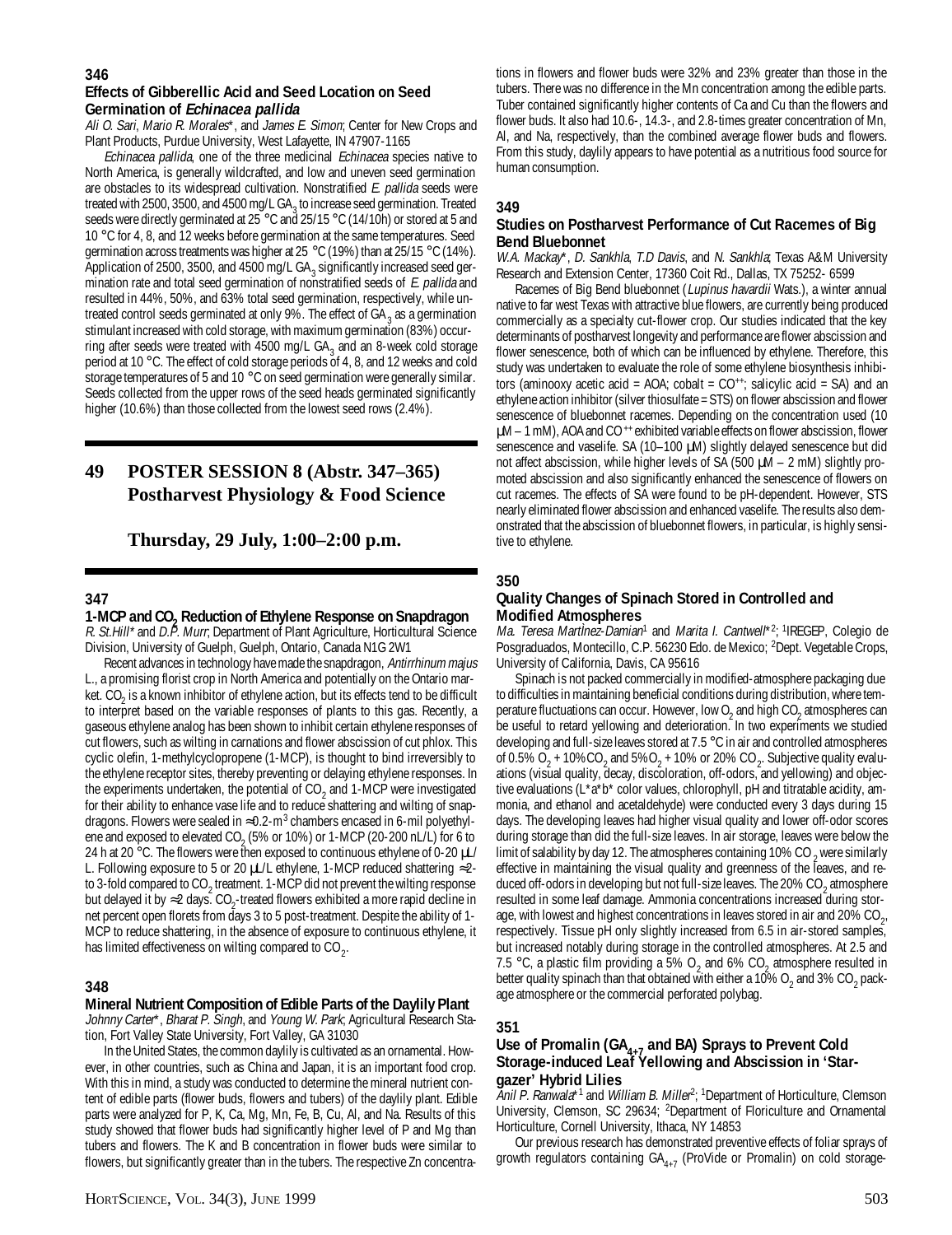#### **346**

#### **Effects of Gibberellic Acid and Seed Location on Seed Germination of Echinacea pallida**

Ali O. Sari, Mario R. Morales\*, and James E. Simon; Center for New Crops and Plant Products, Purdue University, West Lafayette, IN 47907-1165

Echinacea pallida, one of the three medicinal Echinacea species native to North America, is generally wildcrafted, and low and uneven seed germination are obstacles to its widespread cultivation. Nonstratified E. pallida seeds were treated with 2500, 3500, and 4500 mg/L GA<sub>3</sub> to increase seed germination. Treated seeds were directly germinated at 25<sup>-</sup>°C and 25/15 °C (14/10h) or stored at 5 and 10 °C for 4, 8, and 12 weeks before germination at the same temperatures. Seed germination across treatments was higher at 25 °C (19%) than at 25/15 °C (14%). Application of 2500, 3500, and 4500 mg/L GA<sub>3</sub> significantly increased seed germination rate and total seed germination of nonstratified seeds of E. pallida and resulted in 44%, 50%, and 63% total seed germination, respectively, while untreated control seeds germinated at only 9%. The effect of GA<sub>3</sub> as a germination stimulant increased with cold storage, with maximum germination (83%) occurring after seeds were treated with 4500 mg/L  $GA_3$  and an 8-week cold storage period at 10 °C. The effect of cold storage periods of 4, 8, and 12 weeks and cold storage temperatures of 5 and 10 °C on seed germination were generally similar. Seeds collected from the upper rows of the seed heads germinated significantly higher (10.6%) than those collected from the lowest seed rows (2.4%).

## **49 POSTER SESSION 8 (Abstr. 347–365) Postharvest Physiology & Food Science**

## **Thursday, 29 July, 1:00–2:00 p.m.**

#### **347**

**1-MCP and CO2 Reduction of Ethylene Response on Snapdragon** R. St. Hill\* and D.P. Murr; Department of Plant Agriculture, Horticultural Science Division, University of Guelph, Guelph, Ontario, Canada N1G 2W1

Recent advances in technology have made the snapdragon, Antirrhinum majus L., a promising florist crop in North America and potentially on the Ontario market. CO<sub>2</sub> is a known inhibitor of ethylene action, but its effects tend to be difficult to interpret based on the variable responses of plants to this gas. Recently, a gaseous ethylene analog has been shown to inhibit certain ethylene responses of cut flowers, such as wilting in carnations and flower abscission of cut phlox. This cyclic olefin, 1-methylcyclopropene (1-MCP), is thought to bind irreversibly to the ethylene receptor sites, thereby preventing or delaying ethylene responses. In the experiments undertaken, the potential of  $CO_2$  and 1-MCP were investigated for their ability to enhance vase life and to reduce shattering and wilting of snapdragons. Flowers were sealed in ≈0.2-m<sup>3</sup> chambers encased in 6-mil polyethylene and exposed to elevated CO<sub>2</sub> (5% or 10%) or 1-MCP (20-200 nL/L) for 6 to 24 h at 20 °C. The flowers were then exposed to continuous ethylene of 0-20  $\mu$ L/ L. Following exposure to 5 or 20 µL/L ethylene, 1-MCP reduced shattering ≈2 to 3-fold compared to CO<sub>2</sub> treatment. 1-MCP did not prevent the wilting response but delayed it by ≈2 days. CO<sub>2</sub>-treated flowers exhibited a more rapid decline in net percent open florets from days 3 to 5 post-treatment. Despite the ability of 1- MCP to reduce shattering, in the absence of exposure to continuous ethylene, it has limited effectiveness on wilting compared to CO<sub>2</sub>.

#### **348**

## **Mineral Nutrient Composition of Edible Parts of the Daylily Plant**

Johnny Carter\*, Bharat P. Singh, and Young W. Park; Agricultural Research Station, Fort Valley State University, Fort Valley, GA 31030

In the United States, the common daylily is cultivated as an ornamental. However, in other countries, such as China and Japan, it is an important food crop. With this in mind, a study was conducted to determine the mineral nutrient content of edible parts (flower buds, flowers and tubers) of the daylily plant. Edible parts were analyzed for P, K, Ca, Mg, Mn, Fe, B, Cu, Al, and Na. Results of this study showed that flower buds had significantly higher level of P and Mg than tubers and flowers. The K and B concentration in flower buds were similar to flowers, but significantly greater than in the tubers. The respective Zn concentra-

tions in flowers and flower buds were 32% and 23% greater than those in the tubers. There was no difference in the Mn concentration among the edible parts. Tuber contained significantly higher contents of Ca and Cu than the flowers and flower buds. It also had 10.6-, 14.3-, and 2.8-times greater concentration of Mn, Al, and Na, respectively, than the combined average flower buds and flowers. From this study, daylily appears to have potential as a nutritious food source for human consumption.

## **349**

#### **Studies on Postharvest Performance of Cut Racemes of Big Bend Bluebonnet**

W.A. Mackay\*, D. Sankhla, T.D Davis, and N. Sankhla; Texas A&M University Research and Extension Center, 17360 Coit Rd., Dallas, TX 75252- 6599

Racemes of Big Bend bluebonnet (*Lupinus havardii* Wats.), a winter annual native to far west Texas with attractive blue flowers, are currently being produced commercially as a specialty cut-flower crop. Our studies indicated that the key determinants of postharvest longevity and performance are flower abscission and flower senescence, both of which can be influenced by ethylene. Therefore, this study was undertaken to evaluate the role of some ethylene biosynthesis inhibitors (aminooxy acetic acid = AOA; cobalt =  $CO^{++}$ ; salicylic acid = SA) and an ethylene action inhibitor (silver thiosulfate = STS) on flower abscission and flower senescence of bluebonnet racemes. Depending on the concentration used (10 µM – 1 mM), AOA and CO ++ exhibited variable effects on flower abscission, flower senescence and vaselife. SA (10-100 µM) slightly delayed senescence but did not affect abscission, while higher levels of SA (500  $\mu$ M – 2 mM) slightly promoted abscission and also significantly enhanced the senescence of flowers on cut racemes. The effects of SA were found to be pH-dependent. However, STS nearly eliminated flower abscission and enhanced vaselife. The results also demonstrated that the abscission of bluebonnet flowers, in particular, is highly sensitive to ethylene.

#### **350**

#### **Quality Changes of Spinach Stored in Controlled and Modified Atmospheres**

Ma. Teresa Martinez-Damian<sup>1</sup> and Marita I. Cantwell\*<sup>2</sup>; <sup>1</sup>IREGEP, Colegio de Posgraduados, Montecillo, C.P. 56230 Edo. de Mexico; <sup>2</sup>Dept. Vegetable Crops, University of California, Davis, CA 95616

Spinach is not packed commercially in modified-atmosphere packaging due to difficulties in maintaining beneficial conditions during distribution, where temperature fluctuations can occur. However, low  $O_2$  and high  $CO_2$  atmospheres can be useful to retard yellowing and deterioration. In two experiments we studied developing and full-size leaves stored at 7.5 °C in air and controlled atmospheres of 0.5% O<sub>2</sub> + 10%CO<sub>2</sub> and 5%O<sub>2</sub> + 10% or 20% CO<sub>2</sub>. Subjective quality evaluations (visual quality, decay, discoloration, off-odors, and yellowing) and objective evaluations (L\*a\*b\* color values, chlorophyll, pH and titratable acidity, ammonia, and ethanol and acetaldehyde) were conducted every 3 days during 15 days. The developing leaves had higher visual quality and lower off-odor scores during storage than did the full-size leaves. In air storage, leaves were below the limit of salability by day 12. The atmospheres containing 10% CO <sub>2</sub> were similarly effective in maintaining the visual quality and greenness of the leaves, and reduced off-odors in developing but not full-size leaves. The 20% CO<sub>2</sub> atmosphere resulted in some leaf damage. Ammonia concentrations increased during storage, with lowest and highest concentrations in leaves stored in air and 20% CO<sub>2</sub>. respectively. Tissue pH only slightly increased from 6.5 in air-stored samples, but increased notably during storage in the controlled atmospheres. At 2.5 and 7.5 °C, a plastic film providing a 5%  $O_2$  and 6%  $CO_2$  atmosphere resulted in better quality spinach than that obtained with either a 10% O<sub>2</sub> and 3% CO<sub>2</sub> package atmosphere or the commercial perforated polybag.

## **351**

#### Use of Promalin (GA<sub>4+7</sub> and BA) Sprays to Prevent Cold **Storage-induced Leaf Yellowing and Abscission in 'Stargazer' Hybrid Lilies**

Anil P. Ranwala\*<sup>1</sup> and William B. Miller<sup>2</sup>; <sup>1</sup>Department of Horticulture, Clemson University, Clemson, SC 29634; <sup>2</sup>Department of Floriculture and Ornamental Horticulture, Cornell University, Ithaca, NY 14853

Our previous research has demonstrated preventive effects of foliar sprays of growth regulators containing  $GA_{4+7}$  (ProVide or Promalin) on cold storage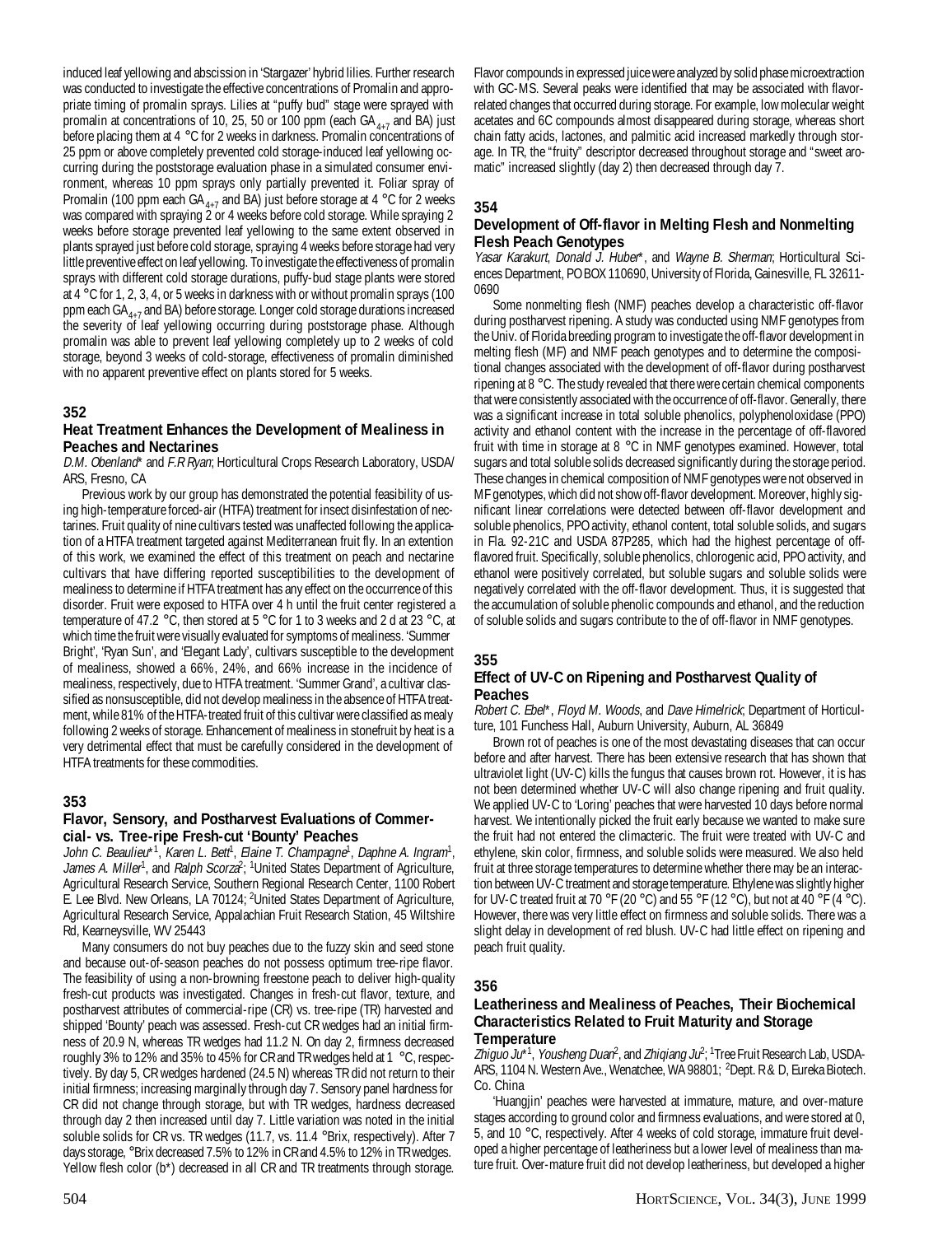induced leaf yellowing and abscission in 'Stargazer' hybrid lilies. Further research was conducted to investigate the effective concentrations of Promalin and appropriate timing of promalin sprays. Lilies at "puffy bud" stage were sprayed with promalin at concentrations of 10, 25, 50 or 100 ppm (each  $GA_{4+7}$  and BA) just before placing them at 4 °C for 2 weeks in darkness. Promalin concentrations of 25 ppm or above completely prevented cold storage-induced leaf yellowing occurring during the poststorage evaluation phase in a simulated consumer environment, whereas 10 ppm sprays only partially prevented it. Foliar spray of Promalin (100 ppm each GA $_{4+7}$  and BA) just before storage at 4 °C for 2 weeks was compared with spraying 2 or 4 weeks before cold storage. While spraying 2 weeks before storage prevented leaf yellowing to the same extent observed in plants sprayed just before cold storage, spraying 4 weeks before storage had very little preventive effect on leaf yellowing. To investigate the effectiveness of promalin sprays with different cold storage durations, puffy-bud stage plants were stored at 4 °C for 1, 2, 3, 4, or 5 weeks in darkness with or without promalin sprays (100 ppm each  $GA_{4+7}$  and BA) before storage. Longer cold storage durations increased the severity of leaf yellowing occurring during poststorage phase. Although promalin was able to prevent leaf yellowing completely up to 2 weeks of cold storage, beyond 3 weeks of cold-storage, effectiveness of promalin diminished with no apparent preventive effect on plants stored for 5 weeks.

## **352**

## **Heat Treatment Enhances the Development of Mealiness in Peaches and Nectarines**

D.M. Obenland\* and F.R Ryan; Horticultural Crops Research Laboratory, USDA/ ARS, Fresno, CA

Previous work by our group has demonstrated the potential feasibility of using high-temperature forced-air (HTFA) treatment for insect disinfestation of nectarines. Fruit quality of nine cultivars tested was unaffected following the application of a HTFA treatment targeted against Mediterranean fruit fly. In an extention of this work, we examined the effect of this treatment on peach and nectarine cultivars that have differing reported susceptibilities to the development of mealiness to determine if HTFA treatment has any effect on the occurrence of this disorder. Fruit were exposed to HTFA over 4 h until the fruit center registered a temperature of 47.2 °C, then stored at 5 °C for 1 to 3 weeks and 2 d at 23 °C, at which time the fruit were visually evaluated for symptoms of mealiness. 'Summer Bright', 'Ryan Sun', and 'Elegant Lady', cultivars susceptible to the development of mealiness, showed a 66%, 24%, and 66% increase in the incidence of mealiness, respectively, due to HTFA treatment. 'Summer Grand', a cultivar classified as nonsusceptible, did not develop mealiness in the absence of HTFA treatment, while 81% of the HTFA-treated fruit of this cultivar were classified as mealy following 2 weeks of storage. Enhancement of mealiness in stonefruit by heat is a very detrimental effect that must be carefully considered in the development of HTFA treatments for these commodities.

## **353**

## **Flavor, Sensory, and Postharvest Evaluations of Commercial- vs. Tree-ripe Fresh-cut 'Bounty' Peaches**

John C. Beaulieu\*1, Karen L. Bett<sup>i</sup>, Elaine T. Champagne<sup>1</sup>, Daphne A. Ingram<sup>1</sup>, James A. Miller<sup>1</sup>, and Ralph Scorza<sup>2</sup>; <sup>1</sup>United States Department of Agriculture, Agricultural Research Service, Southern Regional Research Center, 1100 Robert E. Lee Blvd. New Orleans, LA 70124; 2United States Department of Agriculture, Agricultural Research Service, Appalachian Fruit Research Station, 45 Wiltshire Rd, Kearneysville, WV 25443

Many consumers do not buy peaches due to the fuzzy skin and seed stone and because out-of-season peaches do not possess optimum tree-ripe flavor. The feasibility of using a non-browning freestone peach to deliver high-quality fresh-cut products was investigated. Changes in fresh-cut flavor, texture, and postharvest attributes of commercial-ripe (CR) vs. tree-ripe (TR) harvested and shipped 'Bounty' peach was assessed. Fresh-cut CR wedges had an initial firmness of 20.9 N, whereas TR wedges had 11.2 N. On day 2, firmness decreased roughly 3% to 12% and 35% to 45% for CR and TR wedges held at 1 °C, respectively. By day 5, CR wedges hardened (24.5 N) whereas TR did not return to their initial firmness; increasing marginally through day 7. Sensory panel hardness for CR did not change through storage, but with TR wedges, hardness decreased through day 2 then increased until day 7. Little variation was noted in the initial soluble solids for CR vs. TR wedges (11.7, vs. 11.4 °Brix, respectively). After 7 days storage, °Brix decreased 7.5% to 12% in CR and 4.5% to 12% in TR wedges. Yellow flesh color (b\*) decreased in all CR and TR treatments through storage.

Flavor compounds in expressed juice were analyzed by solid phase microextraction with GC-MS. Several peaks were identified that may be associated with flavorrelated changes that occurred during storage. For example, low molecular weight acetates and 6C compounds almost disappeared during storage, whereas short chain fatty acids, lactones, and palmitic acid increased markedly through storage. In TR, the "fruity" descriptor decreased throughout storage and "sweet aromatic" increased slightly (day 2) then decreased through day 7.

## **354**

### **Development of Off-flavor in Melting Flesh and Nonmelting Flesh Peach Genotypes**

Yasar Karakurt, Donald J. Huber\*, and Wayne B. Sherman; Horticultural Sciences Department, PO BOX 110690, University of Florida, Gainesville, FL 32611- 0690

Some nonmelting flesh (NMF) peaches develop a characteristic off-flavor during postharvest ripening. A study was conducted using NMF genotypes from the Univ. of Florida breeding program to investigate the off-flavor development in melting flesh (MF) and NMF peach genotypes and to determine the compositional changes associated with the development of off-flavor during postharvest ripening at 8 °C. The study revealed that there were certain chemical components that were consistently associated with the occurrence of off-flavor. Generally, there was a significant increase in total soluble phenolics, polyphenoloxidase (PPO) activity and ethanol content with the increase in the percentage of off-flavored fruit with time in storage at 8 °C in NMF genotypes examined. However, total sugars and total soluble solids decreased significantly during the storage period. These changes in chemical composition of NMF genotypes were not observed in MF genotypes, which did not show off-flavor development. Moreover, highly significant linear correlations were detected between off-flavor development and soluble phenolics, PPO activity, ethanol content, total soluble solids, and sugars in Fla. 92-21C and USDA 87P285, which had the highest percentage of offflavored fruit. Specifically, soluble phenolics, chlorogenic acid, PPO activity, and ethanol were positively correlated, but soluble sugars and soluble solids were negatively correlated with the off-flavor development. Thus, it is suggested that the accumulation of soluble phenolic compounds and ethanol, and the reduction of soluble solids and sugars contribute to the of off-flavor in NMF genotypes.

## **355**

## **Effect of UV-C on Ripening and Postharvest Quality of Peaches**

Robert C. Ebel\*, Floyd M. Woods, and Dave Himelrick; Department of Horticulture, 101 Funchess Hall, Auburn University, Auburn, AL 36849

Brown rot of peaches is one of the most devastating diseases that can occur before and after harvest. There has been extensive research that has shown that ultraviolet light (UV-C) kills the fungus that causes brown rot. However, it is has not been determined whether UV-C will also change ripening and fruit quality. We applied UV-C to 'Loring' peaches that were harvested 10 days before normal harvest. We intentionally picked the fruit early because we wanted to make sure the fruit had not entered the climacteric. The fruit were treated with UV-C and ethylene, skin color, firmness, and soluble solids were measured. We also held fruit at three storage temperatures to determine whether there may be an interaction between UV-C treatment and storage temperature. Ethylene was slightly higher for UV-C treated fruit at 70 °F (20 °C) and 55 °F (12 °C), but not at 40 °F (4 °C). However, there was very little effect on firmness and soluble solids. There was a slight delay in development of red blush. UV-C had little effect on ripening and peach fruit quality.

## **356**

#### **Leatheriness and Mealiness of Peaches, Their Biochemical Characteristics Related to Fruit Maturity and Storage Temperature**

Zhiguo Ju\*<sup>1</sup>, Yousheng Duan<sup>2</sup>, and Zhiqiang Ju<sup>2</sup>; <sup>1</sup>Tree Fruit Research Lab, USDA-ARS, 1104 N. Western Ave., Wenatchee, WA 98801; 2Dept. R & D, Eureka Biotech. Co. China

'Huangjin' peaches were harvested at immature, mature, and over-mature stages according to ground color and firmness evaluations, and were stored at 0, 5, and 10 °C, respectively. After 4 weeks of cold storage, immature fruit developed a higher percentage of leatheriness but a lower level of mealiness than mature fruit. Over-mature fruit did not develop leatheriness, but developed a higher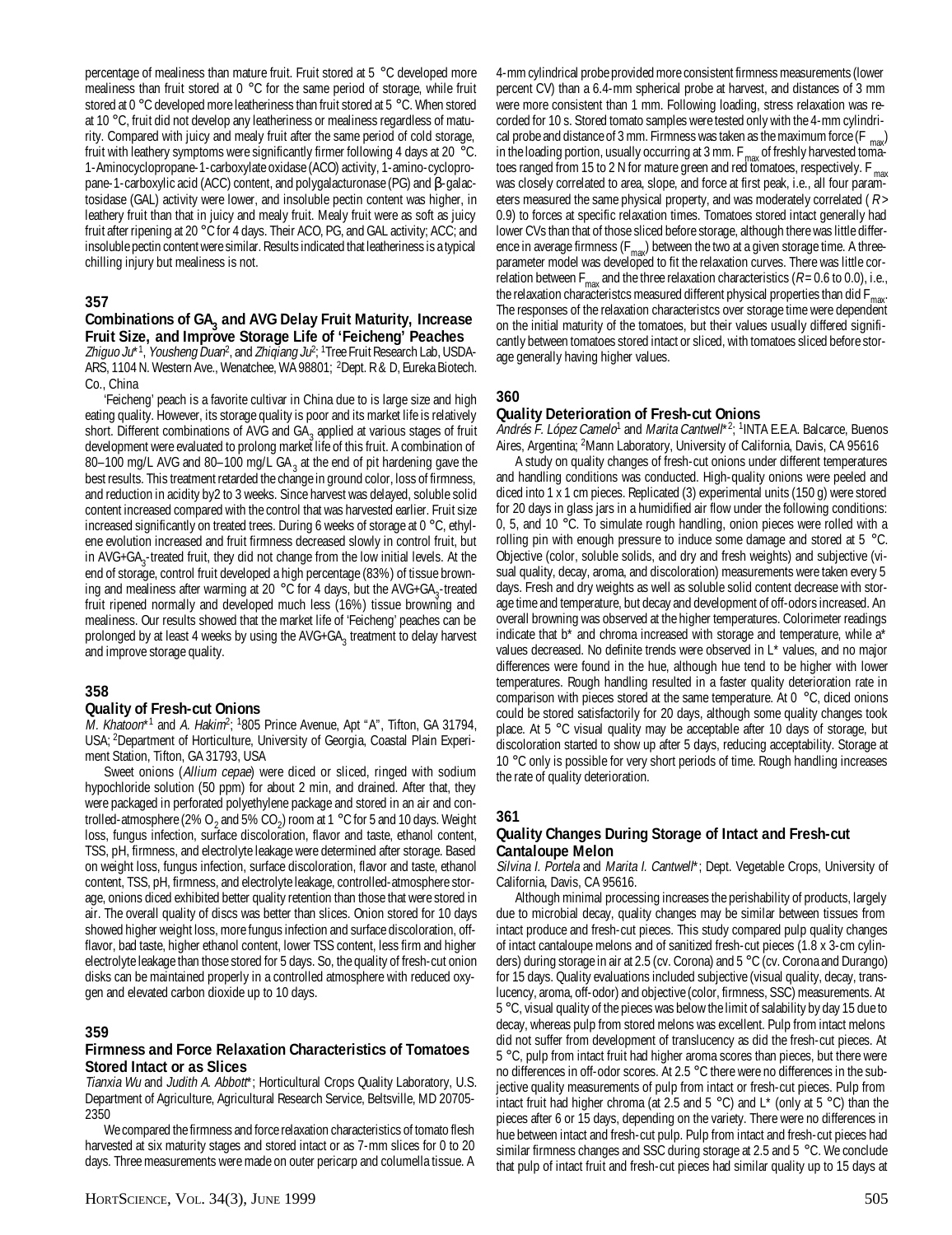percentage of mealiness than mature fruit. Fruit stored at 5 °C developed more mealiness than fruit stored at  $0^{\circ}$ C for the same period of storage, while fruit stored at 0 °C developed more leatheriness than fruit stored at 5 °C. When stored at 10 °C, fruit did not develop any leatheriness or mealiness regardless of maturity. Compared with juicy and mealy fruit after the same period of cold storage, fruit with leathery symptoms were significantly firmer following 4 days at 20 °C. 1-Aminocyclopropane-1-carboxylate oxidase (ACO) activity, 1-amino-cyclopropane-1-carboxylic acid (ACC) content, and polygalacturonase (PG) and β-galactosidase (GAL) activity were lower, and insoluble pectin content was higher, in leathery fruit than that in juicy and mealy fruit. Mealy fruit were as soft as juicy fruit after ripening at 20 °C for 4 days. Their ACO, PG, and GAL activity; ACC; and insoluble pectin content were similar. Results indicated that leatheriness is a typical chilling injury but mealiness is not.

## **357**

#### Combinations of GA<sub>3</sub> and AVG Delay Fruit Maturity, Increase **Fruit Size, and Improve Storage Life of 'Feicheng' Peaches**

Zhiguo Ju\*<sup>1</sup>, Yousheng Duan<sup>2</sup>, and Zhiqiang Ju<sup>2</sup>; <sup>1</sup>Tree Fruit Research Lab, USDA-ARS, 1104 N. Western Ave., Wenatchee, WA 98801; 2Dept. R & D, Eureka Biotech. Co., China

'Feicheng' peach is a favorite cultivar in China due to is large size and high eating quality. However, its storage quality is poor and its market life is relatively short. Different combinations of AVG and  $GA_3$  applied at various stages of fruit development were evaluated to prolong market life of this fruit. A combination of 80–100 mg/L AVG and 80–100 mg/L GA<sub>3</sub> at the end of pit hardening gave the best results. This treatment retarded the change in ground color, loss of firmness, and reduction in acidity by2 to 3 weeks. Since harvest was delayed, soluble solid content increased compared with the control that was harvested earlier. Fruit size increased significantly on treated trees. During 6 weeks of storage at 0 °C, ethylene evolution increased and fruit firmness decreased slowly in control fruit, but in  $AVG+GA_3$ -treated fruit, they did not change from the low initial levels. At the end of storage, control fruit developed a high percentage (83%) of tissue browning and mealiness after warming at 20 °C for 4 days, but the AVG+GA<sub>3</sub>-treated fruit ripened normally and developed much less (16%) tissue browning and mealiness. Our results showed that the market life of 'Feicheng' peaches can be prolonged by at least 4 weeks by using the AVG+GA<sub>3</sub> treatment to delay harvest and improve storage quality.

## **358**

#### **Quality of Fresh-cut Onions**

M. Khatoon\*<sup>1</sup> and A. Hakim<sup>2</sup>; <sup>1</sup>805 Prince Avenue, Apt "A", Tifton, GA 31794, USA; 2Department of Horticulture, University of Georgia, Coastal Plain Experiment Station, Tifton, GA 31793, USA

Sweet onions (Allium cepae) were diced or sliced, ringed with sodium hypochloride solution (50 ppm) for about 2 min, and drained. After that, they were packaged in perforated polyethylene package and stored in an air and controlled-atmosphere (2% O  $_2$  and 5% CO  $_2$ ) room at 1 °C for 5 and 10 days. Weight loss, fungus infection, surface discoloration, flavor and taste, ethanol content, TSS, pH, firmness, and electrolyte leakage were determined after storage. Based on weight loss, fungus infection, surface discoloration, flavor and taste, ethanol content, TSS, pH, firmness, and electrolyte leakage, controlled-atmosphere storage, onions diced exhibited better quality retention than those that were stored in air. The overall quality of discs was better than slices. Onion stored for 10 days showed higher weight loss, more fungus infection and surface discoloration, offflavor, bad taste, higher ethanol content, lower TSS content, less firm and higher electrolyte leakage than those stored for 5 days. So, the quality of fresh-cut onion disks can be maintained properly in a controlled atmosphere with reduced oxygen and elevated carbon dioxide up to 10 days.

## **359**

#### **Firmness and Force Relaxation Characteristics of Tomatoes Stored Intact or as Slices**

Tianxia Wu and Judith A. Abbott\*; Horticultural Crops Quality Laboratory, U.S. Department of Agriculture, Agricultural Research Service, Beltsville, MD 20705- 2350

We compared the firmness and force relaxation characteristics of tomato flesh harvested at six maturity stages and stored intact or as 7-mm slices for 0 to 20 days. Three measurements were made on outer pericarp and columella tissue. A

4-mm cylindrical probe provided more consistent firmness measurements (lower percent CV) than a 6.4-mm spherical probe at harvest, and distances of 3 mm were more consistent than 1 mm. Following loading, stress relaxation was recorded for 10 s. Stored tomato samples were tested only with the 4-mm cylindrical probe and distance of 3 mm. Firmness was taken as the maximum force  $(F_{max})$ in the loading portion, usually occurring at 3 mm.  $F_{\text{max}}$  of freshly harvested tomatoes ranged from 15 to 2 N for mature green and red tomatoes, respectively.  $F_{\text{max}}$ was closely correlated to area, slope, and force at first peak, i.e., all four parameters measured the same physical property, and was moderately correlated ( R > 0.9) to forces at specific relaxation times. Tomatoes stored intact generally had lower CVs than that of those sliced before storage, although there was little difference in average firmness ( $F_{\text{max}}$ ) between the two at a given storage time. A threeparameter model was developed to fit the relaxation curves. There was little correlation between  $F_{\text{max}}$  and the three relaxation characteristics ( $R = 0.6$  to 0.0), i.e., the relaxation characteristcs measured different physical properties than did  $F<sub>r</sub>$ The responses of the relaxation characteristcs over storage time were dependent on the initial maturity of the tomatoes, but their values usually differed significantly between tomatoes stored intact or sliced, with tomatoes sliced before storage generally having higher values.

## **360**

## **Quality Deterioration of Fresh-cut Onions**

Andrés F. López Camelo<sup>1</sup> and Marita Cantwell\*<sup>2</sup>; <sup>1</sup>INTA E.E.A. Balcarce, Buenos Aires, Argentina; <sup>2</sup>Mann Laboratory, University of California, Davis, CA 95616

A study on quality changes of fresh-cut onions under different temperatures and handling conditions was conducted. High-quality onions were peeled and diced into 1 x 1 cm pieces. Replicated (3) experimental units (150 g) were stored for 20 days in glass jars in a humidified air flow under the following conditions: 0, 5, and 10 °C. To simulate rough handling, onion pieces were rolled with a rolling pin with enough pressure to induce some damage and stored at 5 °C. Objective (color, soluble solids, and dry and fresh weights) and subjective (visual quality, decay, aroma, and discoloration) measurements were taken every 5 days. Fresh and dry weights as well as soluble solid content decrease with storage time and temperature, but decay and development of off-odors increased. An overall browning was observed at the higher temperatures. Colorimeter readings indicate that  $b^*$  and chroma increased with storage and temperature, while  $a^*$ values decreased. No definite trends were observed in L\* values, and no major differences were found in the hue, although hue tend to be higher with lower temperatures. Rough handling resulted in a faster quality deterioration rate in comparison with pieces stored at the same temperature. At 0 °C, diced onions could be stored satisfactorily for 20 days, although some quality changes took place. At 5 °C visual quality may be acceptable after 10 days of storage, but discoloration started to show up after 5 days, reducing acceptability. Storage at 10 °C only is possible for very short periods of time. Rough handling increases the rate of quality deterioration.

## **361**

## **Quality Changes During Storage of Intact and Fresh-cut Cantaloupe Melon**

Silvina I. Portela and Marita I. Cantwell\*; Dept. Vegetable Crops, University of California, Davis, CA 95616.

Although minimal processing increases the perishability of products, largely due to microbial decay, quality changes may be similar between tissues from intact produce and fresh-cut pieces. This study compared pulp quality changes of intact cantaloupe melons and of sanitized fresh-cut pieces (1.8 x 3-cm cylinders) during storage in air at 2.5 (cv. Corona) and 5 °C (cv. Corona and Durango) for 15 days. Quality evaluations included subjective (visual quality, decay, translucency, aroma, off-odor) and objective (color, firmness, SSC) measurements. At 5 °C, visual quality of the pieces was below the limit of salability by day 15 due to decay, whereas pulp from stored melons was excellent. Pulp from intact melons did not suffer from development of translucency as did the fresh-cut pieces. At 5 °C, pulp from intact fruit had higher aroma scores than pieces, but there were no differences in off-odor scores. At 2.5 °C there were no differences in the subjective quality measurements of pulp from intact or fresh-cut pieces. Pulp from intact fruit had higher chroma (at 2.5 and 5 °C) and  $L^*$  (only at 5 °C) than the pieces after 6 or 15 days, depending on the variety. There were no differences in hue between intact and fresh-cut pulp. Pulp from intact and fresh-cut pieces had similar firmness changes and SSC during storage at 2.5 and 5 °C. We conclude that pulp of intact fruit and fresh-cut pieces had similar quality up to 15 days at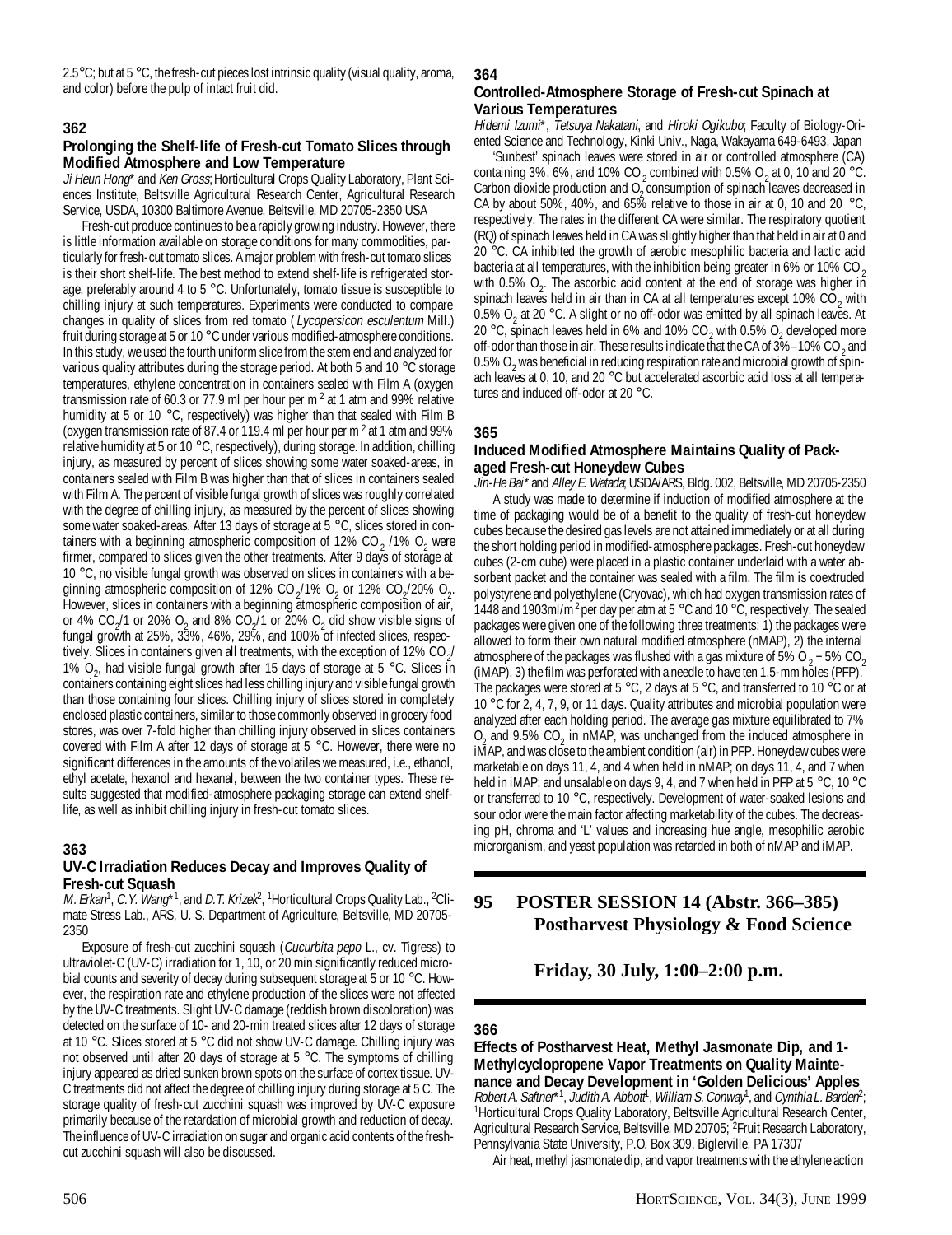$2.5^{\circ}$ C; but at  $5^{\circ}$ C, the fresh-cut pieces lost intrinsic quality (visual quality, aroma, and color) before the pulp of intact fruit did.

## **362**

## **Prolonging the Shelf-life of Fresh-cut Tomato Slices through Modified Atmosphere and Low Temperature**

Ji Heun Hong<sup>\*</sup> and Ken Gross; Horticultural Crops Quality Laboratory, Plant Sciences Institute, Beltsville Agricultural Research Center, Agricultural Research Service, USDA, 10300 Baltimore Avenue, Beltsville, MD 20705-2350 USA

Fresh-cut produce continues to be a rapidly growing industry. However, there is little information available on storage conditions for many commodities, particularly for fresh-cut tomato slices. A major problem with fresh-cut tomato slices is their short shelf-life. The best method to extend shelf-life is refrigerated storage, preferably around 4 to 5 °C. Unfortunately, tomato tissue is susceptible to chilling injury at such temperatures. Experiments were conducted to compare changes in quality of slices from red tomato (Lycopersicon esculentum Mill.) fruit during storage at 5 or 10 °C under various modified-atmosphere conditions. In this study, we used the fourth uniform slice from the stem end and analyzed for various quality attributes during the storage period. At both 5 and 10 °C storage temperatures, ethylene concentration in containers sealed with Film A (oxygen transmission rate of 60.3 or 77.9 ml per hour per m<sup>2</sup> at 1 atm and 99% relative humidity at 5 or 10 °C, respectively) was higher than that sealed with Film B (oxygen transmission rate of 87.4 or 119.4 ml per hour per m  $2$  at 1 atm and 99% relative humidity at 5 or 10 °C, respectively), during storage. In addition, chilling injury, as measured by percent of slices showing some water soaked-areas, in containers sealed with Film B was higher than that of slices in containers sealed with Film A. The percent of visible fungal growth of slices was roughly correlated with the degree of chilling injury, as measured by the percent of slices showing some water soaked-areas. After 13 days of storage at 5 °C, slices stored in containers with a beginning atmospheric composition of 12% CO<sub>2</sub> /1% O<sub>2</sub> were firmer, compared to slices given the other treatments. After 9 days of storage at 10 °C, no visible fungal growth was observed on slices in containers with a beginning atmospheric composition of 12% CO<sub>2</sub>/1% O<sub>2</sub> or 12% CO<sub>2</sub>/20% O<sub>2</sub>. However, slices in containers with a beginning atmospheric composition of air, or 4% CO<sub>2</sub>/1 or 20% O<sub>2</sub> and 8% CO<sub>2</sub>/1 or 20% O<sub>2</sub> did show visible signs of fungal growth at 25%, 33%, 46%, 29%, and 100% of infected slices, respectively. Slices in containers given all treatments, with the exception of 12% CO<sub>2</sub>/ 1%  $O_{2'}$  had visible fungal growth after 15 days of storage at 5 °C. Slices in containers containing eight slices had less chilling injury and visible fungal growth than those containing four slices. Chilling injury of slices stored in completely enclosed plastic containers, similar to those commonly observed in grocery food stores, was over 7-fold higher than chilling injury observed in slices containers covered with Film A after 12 days of storage at 5 °C. However, there were no significant differences in the amounts of the volatiles we measured, i.e., ethanol, ethyl acetate, hexanol and hexanal, between the two container types. These results suggested that modified-atmosphere packaging storage can extend shelflife, as well as inhibit chilling injury in fresh-cut tomato slices.

## **363**

#### **UV-C Irradiation Reduces Decay and Improves Quality of Fresh-cut Squash**

M. Erkan<sup>1</sup>, C.Y. Wang\*1, and D.T. Krizek<sup>2</sup>, <sup>1</sup>Horticultural Crops Quality Lab., <sup>2</sup>Climate Stress Lab., ARS, U. S. Department of Agriculture, Beltsville, MD 20705- 2350

Exposure of fresh-cut zucchini squash (Cucurbita pepo L., cv. Tigress) to ultraviolet-C (UV-C) irradiation for 1, 10, or 20 min significantly reduced microbial counts and severity of decay during subsequent storage at 5 or 10 °C. However, the respiration rate and ethylene production of the slices were not affected by the UV-C treatments. Slight UV-C damage (reddish brown discoloration) was detected on the surface of 10- and 20-min treated slices after 12 days of storage at 10 °C. Slices stored at 5 °C did not show UV-C damage. Chilling injury was not observed until after 20 days of storage at 5 °C. The symptoms of chilling injury appeared as dried sunken brown spots on the surface of cortex tissue. UV-C treatments did not affect the degree of chilling injury during storage at 5 C. The storage quality of fresh-cut zucchini squash was improved by UV-C exposure primarily because of the retardation of microbial growth and reduction of decay. The influence of UV-C irradiation on sugar and organic acid contents of the freshcut zucchini squash will also be discussed.

#### **364**

## **Controlled-Atmosphere Storage of Fresh-cut Spinach at Various Temperatures**

Hidemi Izumi\*, Tetsuya Nakatani, and Hiroki Ogikubo; Faculty of Biology-Oriented Science and Technology, Kinki Univ., Naga, Wakayama 649-6493, Japan

'Sunbest' spinach leaves were stored in air or controlled atmosphere (CA) containing 3%, 6%, and 10% CO<sub>2</sub> combined with 0.5% O<sub>2</sub> at 0, 10 and 20 °C. Carbon dioxide production and  $O<sub>2</sub>$  consumption of spinach leaves decreased in CA by about 50%, 40%, and 65% relative to those in air at 0, 10 and 20 °C, respectively. The rates in the different CA were similar. The respiratory quotient (RQ) of spinach leaves held in CA was slightly higher than that held in air at 0 and 20 °C. CA inhibited the growth of aerobic mesophilic bacteria and lactic acid bacteria at all temperatures, with the inhibition being greater in 6% or 10% CO  $_2$ with 0.5%  $O_2$ . The ascorbic acid content at the end of storage was higher in spinach leaves held in air than in CA at all temperatures except 10%  $CO_2$  with 0.5% O<sub>2</sub> at 20 °C. A slight or no off-odor was emitted by all spinach leaves. At 20 °C, spinach leaves held in 6% and 10% CO<sub>2</sub> with 0.5% O<sub>2</sub> developed more off-odor than those in air. These results indicate that the CA of 3%–10% CO<sub>2</sub> and 0.5% O<sub>2</sub> was beneficial in reducing respiration rate and microbial growth of spinach leaves at 0, 10, and 20 °C but accelerated ascorbic acid loss at all temperatures and induced off-odor at 20 °C.

#### **365**

### **Induced Modified Atmosphere Maintains Quality of Packaged Fresh-cut Honeydew Cubes**

Jin-He Bai\* and Alley E. Watada; USDA/ARS, Bldg. 002, Beltsville, MD 20705-2350 A study was made to determine if induction of modified atmosphere at the time of packaging would be of a benefit to the quality of fresh-cut honeydew cubes because the desired gas levels are not attained immediately or at all during the short holding period in modified-atmosphere packages. Fresh-cut honeydew cubes (2-cm cube) were placed in a plastic container underlaid with a water absorbent packet and the container was sealed with a film. The film is coextruded polystyrene and polyethylene (Cryovac), which had oxygen transmission rates of 1448 and 1903ml/m<sup>2</sup> per day per atm at 5 °C and 10 °C, respectively. The sealed packages were given one of the following three treatments: 1) the packages were allowed to form their own natural modified atmosphere (nMAP), 2) the internal atmosphere of the packages was flushed with a gas mixture of 5%  $O_2 + 5\%$  CO<sub>2</sub> (iMAP), 3) the film was perforated with a needle to have ten 1.5-mm holes (PFP). The packages were stored at 5 °C, 2 days at 5 °C, and transferred to 10 °C or at 10 °C for 2, 4, 7, 9, or 11 days. Quality attributes and microbial population were analyzed after each holding period. The average gas mixture equilibrated to 7%  $O<sub>2</sub>$  and 9.5% CO<sub>2</sub> in nMAP, was unchanged from the induced atmosphere in iMAP, and was close to the ambient condition (air) in PFP. Honeydew cubes were marketable on days 11, 4, and 4 when held in nMAP; on days 11, 4, and 7 when held in iMAP; and unsalable on days 9, 4, and 7 when held in PFP at 5 °C, 10 °C or transferred to 10 °C, respectively. Development of water-soaked lesions and sour odor were the main factor affecting marketability of the cubes. The decreasing pH, chroma and 'L' values and increasing hue angle, mesophilic aerobic microrganism, and yeast population was retarded in both of nMAP and iMAP.

## **95 POSTER SESSION 14 (Abstr. 366–385) Postharvest Physiology & Food Science**

**Friday, 30 July, 1:00–2:00 p.m.**

#### **366**

**Effects of Postharvest Heat, Methyl Jasmonate Dip, and 1- Methylcyclopropene Vapor Treatments on Quality Maintenance and Decay Development in 'Golden Delicious' Apples** Robert A. Saftner\*1, Judith A. Abbott<sup>1</sup>, William S. Conway<sup>1</sup>, and Cynthia L. Barden<sup>2</sup>; <sup>1</sup>Horticultural Crops Quality Laboratory, Beltsville Agricultural Research Center, Agricultural Research Service, Beltsville, MD 20705; <sup>2</sup>Fruit Research Laboratory, Pennsylvania State University, P.O. Box 309, Biglerville, PA 17307

Air heat, methyl jasmonate dip, and vapor treatments with the ethylene action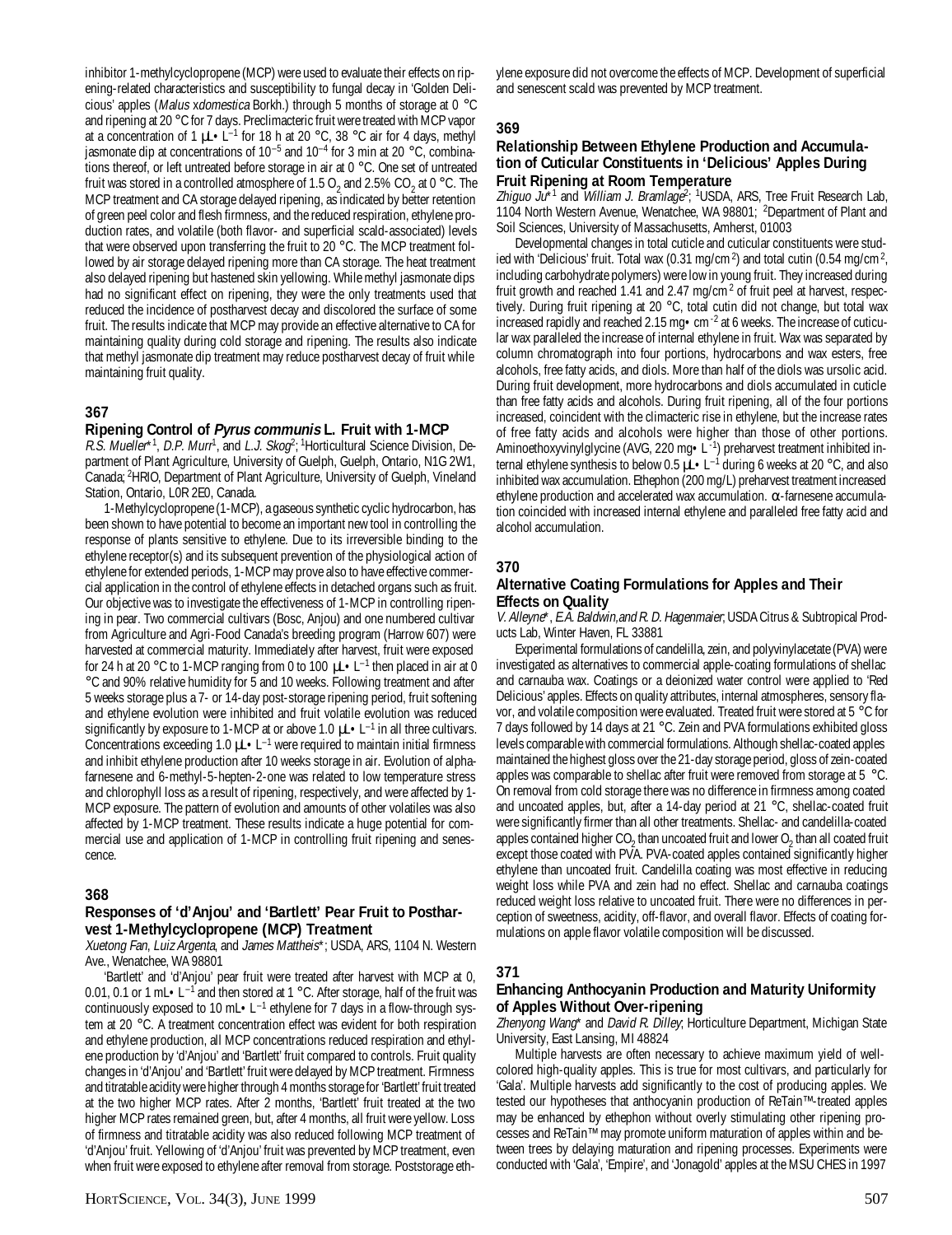inhibitor 1-methylcyclopropene (MCP) were used to evaluate their effects on ripening-related characteristics and susceptibility to fungal decay in 'Golden Delicious' apples (Malus xdomestica Borkh.) through 5 months of storage at 0 °C and ripening at 20 °C for 7 days. Preclimacteric fruit were treated with MCP vapor at a concentration of 1  $\mu$ -L<sup>-1</sup> for 18 h at 20 °C, 38 °C air for 4 days, methyl jasmonate dip at concentrations of  $10^{-5}$  and  $10^{-4}$  for 3 min at 20 °C, combinations thereof, or left untreated before storage in air at 0 °C. One set of untreated fruit was stored in a controlled atmosphere of 1.5 O<sub>2</sub> and 2.5% CO<sub>2</sub> at 0 °C. The MCP treatment and CA storage delayed ripening, as indicated by better retention of green peel color and flesh firmness, and the reduced respiration, ethylene production rates, and volatile (both flavor- and superficial scald-associated) levels that were observed upon transferring the fruit to 20 °C. The MCP treatment followed by air storage delayed ripening more than CA storage. The heat treatment also delayed ripening but hastened skin yellowing. While methyl jasmonate dips had no significant effect on ripening, they were the only treatments used that reduced the incidence of postharvest decay and discolored the surface of some fruit. The results indicate that MCP may provide an effective alternative to CA for maintaining quality during cold storage and ripening. The results also indicate that methyl jasmonate dip treatment may reduce postharvest decay of fruit while maintaining fruit quality.

## **367**

#### **Ripening Control of Pyrus communis L. Fruit with 1-MCP**

R.S. Mueller\*1, D.P. Murr<sup>1</sup>, and L.J. Skog<sup>2</sup>; <sup>1</sup>Horticultural Science Division, Department of Plant Agriculture, University of Guelph, Guelph, Ontario, N1G 2W1, Canada; 2HRIO, Department of Plant Agriculture, University of Guelph, Vineland Station, Ontario, L0R 2E0, Canada.

1-Methylcyclopropene (1-MCP), a gaseous synthetic cyclic hydrocarbon, has been shown to have potential to become an important new tool in controlling the response of plants sensitive to ethylene. Due to its irreversible binding to the ethylene receptor(s) and its subsequent prevention of the physiological action of ethylene for extended periods, 1-MCP may prove also to have effective commercial application in the control of ethylene effects in detached organs such as fruit. Our objective was to investigate the effectiveness of 1-MCP in controlling ripening in pear. Two commercial cultivars (Bosc, Anjou) and one numbered cultivar from Agriculture and Agri-Food Canada's breeding program (Harrow 607) were harvested at commercial maturity. Immediately after harvest, fruit were exposed for 24 h at 20 °C to 1-MCP ranging from 0 to 100  $\mu$ L $\bullet$  L<sup>-1</sup> then placed in air at 0 °C and 90% relative humidity for 5 and 10 weeks. Following treatment and after 5 weeks storage plus a 7- or 14-day post-storage ripening period, fruit softening and ethylene evolution were inhibited and fruit volatile evolution was reduced significantly by exposure to 1-MCP at or above 1.0  $\mu L \cdot L^{-1}$  in all three cultivars. Concentrations exceeding 1.0  $\mu L \cdot L^{-1}$  were required to maintain initial firmness and inhibit ethylene production after 10 weeks storage in air. Evolution of alphafarnesene and 6-methyl-5-hepten-2-one was related to low temperature stress and chlorophyll loss as a result of ripening, respectively, and were affected by 1- MCP exposure. The pattern of evolution and amounts of other volatiles was also affected by 1-MCP treatment. These results indicate a huge potential for commercial use and application of 1-MCP in controlling fruit ripening and senescence.

#### **368**

#### **Responses of 'd'Anjou' and 'Bartlett' Pear Fruit to Postharvest 1-Methylcyclopropene (MCP) Treatment**

Xuetong Fan, Luiz Argenta, and James Mattheis\*; USDA, ARS, 1104 N. Western Ave., Wenatchee, WA 98801

'Bartlett' and 'd'Anjou' pear fruit were treated after harvest with MCP at 0, 0.01, 0.1 or 1 mL $\cdot$ L<sup>-1</sup> and then stored at 1 °C. After storage, half of the fruit was continuously exposed to 10 mL $\bullet$  L<sup>-1</sup> ethylene for 7 days in a flow-through system at 20 °C. A treatment concentration effect was evident for both respiration and ethylene production, all MCP concentrations reduced respiration and ethylene production by 'd'Anjou' and 'Bartlett' fruit compared to controls. Fruit quality changes in 'd'Anjou' and 'Bartlett' fruit were delayed by MCP treatment. Firmness and titratable acidity were higher through 4 months storage for 'Bartlett' fruit treated at the two higher MCP rates. After 2 months, 'Bartlett' fruit treated at the two higher MCP rates remained green, but, after 4 months, all fruit were yellow. Loss of firmness and titratable acidity was also reduced following MCP treatment of 'd'Anjou' fruit. Yellowing of 'd'Anjou' fruit was prevented by MCP treatment, even when fruit were exposed to ethylene after removal from storage. Poststorage eth-

ylene exposure did not overcome the effects of MCP. Development of superficial and senescent scald was prevented by MCP treatment.

## **369**

#### **Relationship Between Ethylene Production and Accumulation of Cuticular Constituents in 'Delicious' Apples During Fruit Ripening at Room Temperature**

Zhiguo Ju<sup>\*1</sup> and *William J. Bramlage*<sup>2</sup>; <sup>1</sup>USDA, ARS, Tree Fruit Research Lab, 1104 North Western Avenue, Wenatchee, WA 98801; 2 Department of Plant and Soil Sciences, University of Massachusetts, Amherst, 01003

Developmental changes in total cuticle and cuticular constituents were studied with 'Delicious' fruit. Total wax (0.31 mg/cm<sup>2</sup>) and total cutin (0.54 mg/cm<sup>2</sup>, including carbohydrate polymers) were low in young fruit. They increased during fruit growth and reached 1.41 and 2.47 mg/cm<sup>2</sup> of fruit peel at harvest, respectively. During fruit ripening at 20 °C, total cutin did not change, but total wax increased rapidly and reached 2.15 mg•cm-2 at 6 weeks. The increase of cuticular wax paralleled the increase of internal ethylene in fruit. Wax was separated by column chromatograph into four portions, hydrocarbons and wax esters, free alcohols, free fatty acids, and diols. More than half of the diols was ursolic acid. During fruit development, more hydrocarbons and diols accumulated in cuticle than free fatty acids and alcohols. During fruit ripening, all of the four portions increased, coincident with the climacteric rise in ethylene, but the increase rates of free fatty acids and alcohols were higher than those of other portions. Aminoethoxyvinylglycine (AVG, 220 mg • L<sup>-1</sup>) preharvest treatment inhibited internal ethylene synthesis to below 0.5  $\mu L \cdot L^{-1}$  during 6 weeks at 20 °C, and also inhibited wax accumulation. Ethephon (200 mg/L) preharvest treatment increased ethylene production and accelerated wax accumulation.  $\alpha$ -farnesene accumulation coincided with increased internal ethylene and paralleled free fatty acid and alcohol accumulation.

## **370**

#### **Alternative Coating Formulations for Apples and Their Effects on Quality**

V. Alleyne\*, E.A. Baldwin,and R. D. Hagenmaier; USDA Citrus & Subtropical Products Lab, Winter Haven, FL 33881

Experimental formulations of candelilla, zein, and polyvinylacetate (PVA) were investigated as alternatives to commercial apple-coating formulations of shellac and carnauba wax. Coatings or a deionized water control were applied to 'Red Delicious' apples. Effects on quality attributes, internal atmospheres, sensory flavor, and volatile composition were evaluated. Treated fruit were stored at 5 °C for 7 days followed by 14 days at 21 °C. Zein and PVA formulations exhibited gloss levels comparable with commercial formulations. Although shellac-coated apples maintained the highest gloss over the 21-day storage period, gloss of zein-coated apples was comparable to shellac after fruit were removed from storage at 5 °C. On removal from cold storage there was no difference in firmness among coated and uncoated apples, but, after a 14-day period at 21 °C, shellac-coated fruit were significantly firmer than all other treatments. Shellac- and candelilla-coated apples contained higher CO<sub>2</sub> than uncoated fruit and lower O<sub>2</sub> than all coated fruit except those coated with PVA. PVA-coated apples contained significantly higher ethylene than uncoated fruit. Candelilla coating was most effective in reducing weight loss while PVA and zein had no effect. Shellac and carnauba coatings reduced weight loss relative to uncoated fruit. There were no differences in perception of sweetness, acidity, off-flavor, and overall flavor. Effects of coating formulations on apple flavor volatile composition will be discussed.

## **371**

## **Enhancing Anthocyanin Production and Maturity Uniformity of Apples Without Over-ripening**

Zhenyong Wang\* and David R. Dilley; Horticulture Department, Michigan State University, East Lansing, MI 48824

Multiple harvests are often necessary to achieve maximum yield of wellcolored high-quality apples. This is true for most cultivars, and particularly for 'Gala'. Multiple harvests add significantly to the cost of producing apples. We tested our hypotheses that anthocyanin production of ReTain™-treated apples may be enhanced by ethephon without overly stimulating other ripening processes and ReTain™ may promote uniform maturation of apples within and between trees by delaying maturation and ripening processes. Experiments were conducted with 'Gala', 'Empire', and 'Jonagold' apples at the MSU CHES in 1997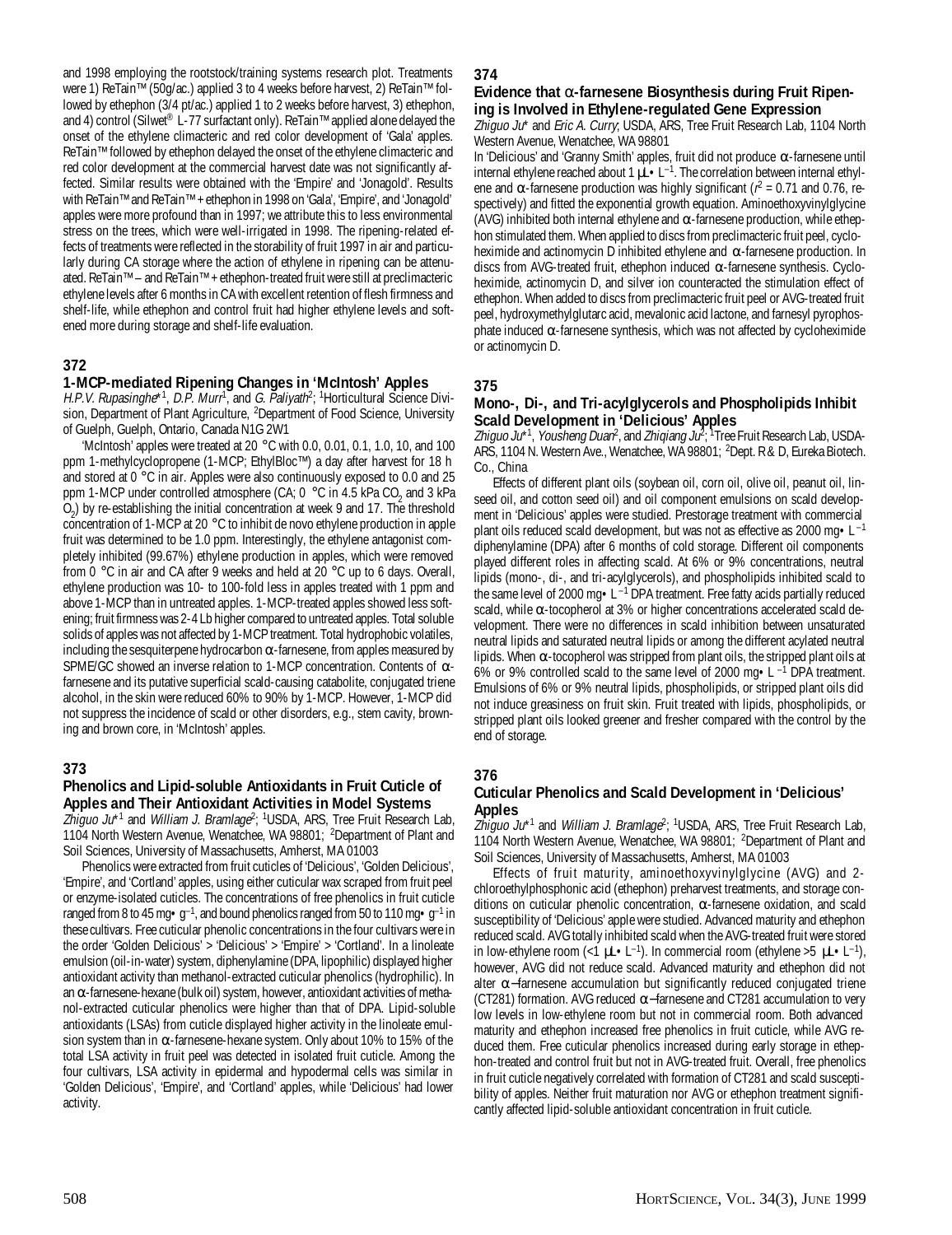and 1998 employing the rootstock/training systems research plot. Treatments were 1) ReTain™ (50g/ac.) applied 3 to 4 weeks before harvest, 2) ReTain™ followed by ethephon (3/4 pt/ac.) applied 1 to 2 weeks before harvest, 3) ethephon, and 4) control (Silwet® L-77 surfactant only). ReTain™ applied alone delayed the onset of the ethylene climacteric and red color development of 'Gala' apples. ReTain™ followed by ethephon delayed the onset of the ethylene climacteric and red color development at the commercial harvest date was not significantly affected. Similar results were obtained with the 'Empire' and 'Jonagold'. Results with ReTain™ and ReTain™ + ethephon in 1998 on 'Gala', 'Empire', and 'Jonagold' apples were more profound than in 1997; we attribute this to less environmental stress on the trees, which were well-irrigated in 1998. The ripening-related effects of treatments were reflected in the storability of fruit 1997 in air and particularly during CA storage where the action of ethylene in ripening can be attenuated. ReTain™ – and ReTain™ + ethephon-treated fruit were still at preclimacteric ethylene levels after 6 months in CA with excellent retention of flesh firmness and shelf-life, while ethephon and control fruit had higher ethylene levels and softened more during storage and shelf-life evaluation.

## **372**

#### **1-MCP-mediated Ripening Changes in 'McIntosh' Apples**

H.P.V. Rupasinghe\*1, D.P. Murr<sup>1</sup>, and G. Paliyath<sup>2</sup>; <sup>1</sup>Horticultural Science Division, Department of Plant Agriculture, <sup>2</sup>Department of Food Science, University of Guelph, Guelph, Ontario, Canada N1G 2W1

'McIntosh' apples were treated at 20 °C with 0.0, 0.01, 0.1, 1.0, 10, and 100 ppm 1-methylcyclopropene (1-MCP; EthylBloc™) a day after harvest for 18 h and stored at 0 °C in air. Apples were also continuously exposed to 0.0 and 25 ppm 1-MCP under controlled atmosphere (CA; 0  $\degree$ C in 4.5 kPa CO<sub>2</sub> and 3 kPa O<sub>2</sub>) by re-establishing the initial concentration at week 9 and 17. The threshold concentration of 1-MCP at 20 °C to inhibit de novo ethylene production in apple fruit was determined to be 1.0 ppm. Interestingly, the ethylene antagonist completely inhibited (99.67%) ethylene production in apples, which were removed from 0 °C in air and CA after 9 weeks and held at 20 °C up to 6 days. Overall, ethylene production was 10- to 100-fold less in apples treated with 1 ppm and above 1-MCP than in untreated apples. 1-MCP-treated apples showed less softening; fruit firmness was 2-4 Lb higher compared to untreated apples. Total soluble solids of apples was not affected by 1-MCP treatment. Total hydrophobic volatiles, including the sesquiterpene hydrocarbon  $\alpha$ -farnesene, from apples measured by SPME/GC showed an inverse relation to 1-MCP concentration. Contents of  $\alpha$ farnesene and its putative superficial scald-causing catabolite, conjugated triene alcohol, in the skin were reduced 60% to 90% by 1-MCP. However, 1-MCP did not suppress the incidence of scald or other disorders, e.g., stem cavity, browning and brown core, in 'McIntosh' apples.

## **373**

#### **Phenolics and Lipid-soluble Antioxidants in Fruit Cuticle of Apples and Their Antioxidant Activities in Model Systems**

Zhiguo Ju\*<sup>1</sup> and *William J. Bramlage*<sup>2</sup>; <sup>1</sup>USDA, ARS, Tree Fruit Research Lab, 1104 North Western Avenue, Wenatchee, WA 98801; <sup>2</sup>Department of Plant and Soil Sciences, University of Massachusetts, Amherst, MA 01003

Phenolics were extracted from fruit cuticles of 'Delicious', 'Golden Delicious', 'Empire', and 'Cortland' apples, using either cuticular wax scraped from fruit peel or enzyme-isolated cuticles. The concentrations of free phenolics in fruit cuticle ranged from 8 to 45 mg $\cdot$ g<sup>-1</sup>, and bound phenolics ranged from 50 to 110 mg $\cdot$ g<sup>-1</sup> in these cultivars. Free cuticular phenolic concentrations in the four cultivars were in the order 'Golden Delicious' > 'Delicious' > 'Empire' > 'Cortland'. In a linoleate emulsion (oil-in-water) system, diphenylamine (DPA, lipophilic) displayed higher antioxidant activity than methanol-extracted cuticular phenolics (hydrophilic). In an  $\alpha$ -farnesene-hexane (bulk oil) system, however, antioxidant activities of methanol-extracted cuticular phenolics were higher than that of DPA. Lipid-soluble antioxidants (LSAs) from cuticle displayed higher activity in the linoleate emulsion system than in  $α$ -farnesene-hexane system. Only about 10% to 15% of the total LSA activity in fruit peel was detected in isolated fruit cuticle. Among the four cultivars, LSA activity in epidermal and hypodermal cells was similar in 'Golden Delicious', 'Empire', and 'Cortland' apples, while 'Delicious' had lower activity.

#### **374**

#### **Evidence that** α**-farnesene Biosynthesis during Fruit Ripening is Involved in Ethylene-regulated Gene Expression**

Zhiguo Ju\* and Eric A. Curry; USDA, ARS, Tree Fruit Research Lab, 1104 North Western Avenue, Wenatchee, WA 98801

In 'Delicious' and 'Granny Smith' apples, fruit did not produce  $\alpha$ -farnesene until internal ethylene reached about 1  $\mu$ L $\cdot$  L<sup>-1</sup>. The correlation between internal ethylene and  $\alpha$ -farnesene production was highly significant ( $r^2$  = 0.71 and 0.76, respectively) and fitted the exponential growth equation. Aminoethoxyvinylglycine (AVG) inhibited both internal ethylene and  $\alpha$ -farnesene production, while ethephon stimulated them. When applied to discs from preclimacteric fruit peel, cycloheximide and actinomycin D inhibited ethylene and  $\alpha$ -farnesene production. In discs from AVG-treated fruit, ethephon induced  $\alpha$ -farnesene synthesis. Cycloheximide, actinomycin D, and silver ion counteracted the stimulation effect of ethephon. When added to discs from preclimacteric fruit peel or AVG-treated fruit peel, hydroxymethylglutarc acid, mevalonic acid lactone, and farnesyl pyrophosphate induced  $\alpha$ -farnesene synthesis, which was not affected by cycloheximide or actinomycin D.

#### **375**

#### **Mono-, Di-, and Tri-acylglycerols and Phospholipids Inhibit Scald Development in 'Delicious' Apples**

Zhiguo Ju\*<sup>1</sup>, *Yousheng Duan<sup>2</sup>*, and *Zhiqiang Ju<sup>2</sup>;* 1Tree Fruit Research Lab, USDA-ARS, 1104 N. Western Ave., Wenatchee, WA 98801; 2Dept. R & D, Eureka Biotech. Co., China

Effects of different plant oils (soybean oil, corn oil, olive oil, peanut oil, linseed oil, and cotton seed oil) and oil component emulsions on scald development in 'Delicious' apples were studied. Prestorage treatment with commercial plant oils reduced scald development, but was not as effective as 2000 mg $\cdot$ L<sup>-1</sup> diphenylamine (DPA) after 6 months of cold storage. Different oil components played different roles in affecting scald. At 6% or 9% concentrations, neutral lipids (mono-, di-, and tri-acylglycerols), and phospholipids inhibited scald to the same level of 2000 mg $\cdot L^{-1}$  DPA treatment. Free fatty acids partially reduced scald, while α-tocopherol at 3% or higher concentrations accelerated scald development. There were no differences in scald inhibition between unsaturated neutral lipids and saturated neutral lipids or among the different acylated neutral lipids. When  $\alpha$ -tocopherol was stripped from plant oils, the stripped plant oils at 6% or 9% controlled scald to the same level of 2000 mg•L –1 DPA treatment. Emulsions of 6% or 9% neutral lipids, phospholipids, or stripped plant oils did not induce greasiness on fruit skin. Fruit treated with lipids, phospholipids, or stripped plant oils looked greener and fresher compared with the control by the end of storage.

## **376**

#### **Cuticular Phenolics and Scald Development in 'Delicious' Apples**

Zhiguo Ju<sup>\*1</sup> and *William J. Bramlage*<sup>2</sup>; <sup>1</sup>USDA, ARS, Tree Fruit Research Lab, 1104 North Western Avenue, Wenatchee, WA 98801; 2 Department of Plant and Soil Sciences, University of Massachusetts, Amherst, MA 01003

Effects of fruit maturity, aminoethoxyvinylglycine (AVG) and 2 chloroethylphosphonic acid (ethephon) preharvest treatments, and storage conditions on cuticular phenolic concentration,  $\alpha$ -farnesene oxidation, and scald susceptibility of 'Delicious' apple were studied. Advanced maturity and ethephon reduced scald. AVG totally inhibited scald when the AVG-treated fruit were stored in low-ethylene room (<1  $\mu$  • L<sup>-1</sup>). In commercial room (ethylene >5  $\mu$  • L<sup>-1</sup>), however, AVG did not reduce scald. Advanced maturity and ethephon did not alter  $\alpha$ -farnesene accumulation but significantly reduced conjugated triene (CT281) formation. AVG reduced α−farnesene and CT281 accumulation to very low levels in low-ethylene room but not in commercial room. Both advanced maturity and ethephon increased free phenolics in fruit cuticle, while AVG reduced them. Free cuticular phenolics increased during early storage in ethephon-treated and control fruit but not in AVG-treated fruit. Overall, free phenolics in fruit cuticle negatively correlated with formation of CT281 and scald susceptibility of apples. Neither fruit maturation nor AVG or ethephon treatment significantly affected lipid-soluble antioxidant concentration in fruit cuticle.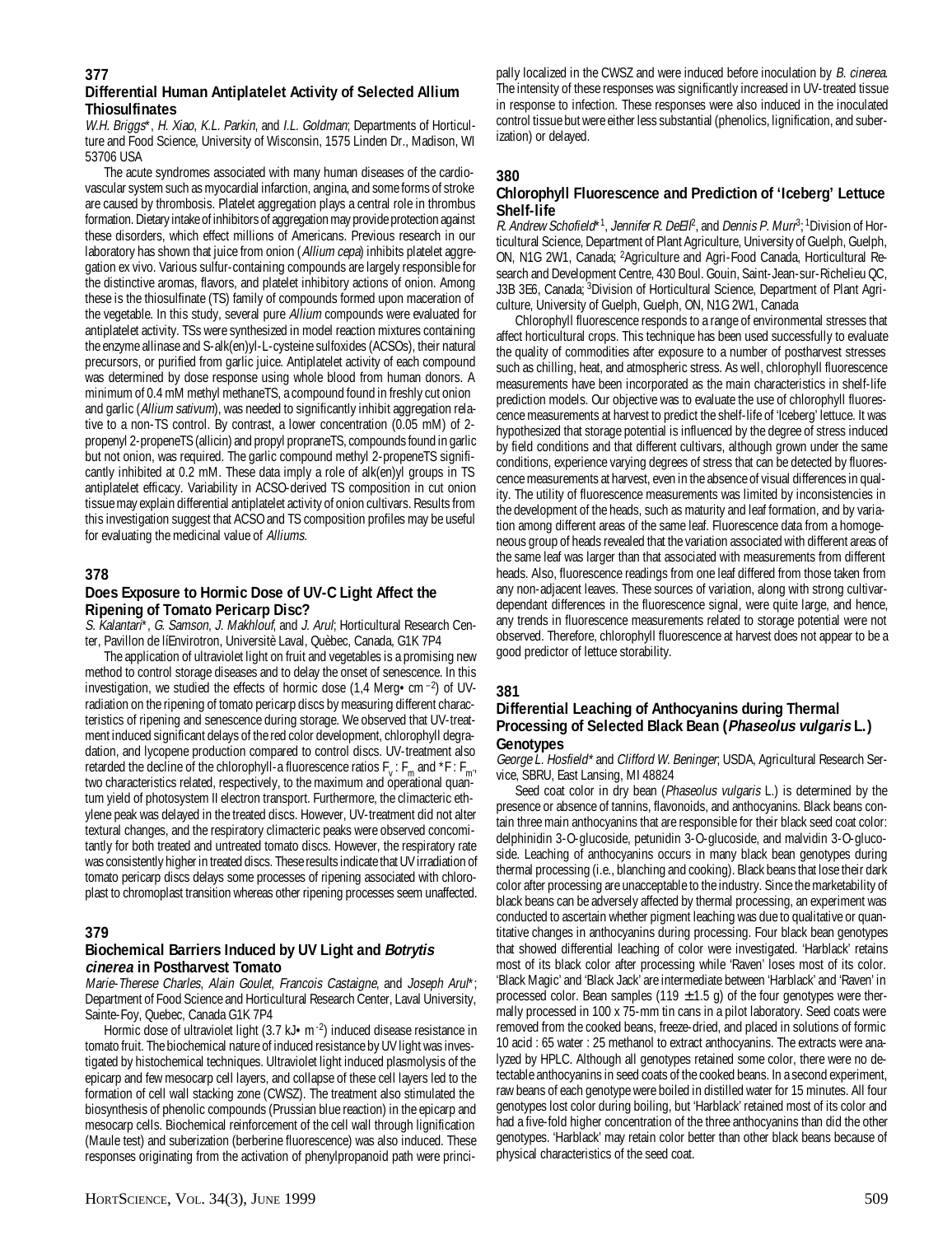#### **Differential Human Antiplatelet Activity of Selected Allium Thiosulfinates**

W.H. Briggs\*, H. Xiao, K.L. Parkin, and I.L. Goldman; Departments of Horticulture and Food Science, University of Wisconsin, 1575 Linden Dr., Madison, WI 53706 USA

The acute syndromes associated with many human diseases of the cardiovascular system such as myocardial infarction, angina, and some forms of stroke are caused by thrombosis. Platelet aggregation plays a central role in thrombus formation. Dietary intake of inhibitors of aggregation may provide protection against these disorders, which effect millions of Americans. Previous research in our laboratory has shown that juice from onion (Allium cepa) inhibits platelet aggregation ex vivo. Various sulfur-containing compounds are largely responsible for the distinctive aromas, flavors, and platelet inhibitory actions of onion. Among these is the thiosulfinate (TS) family of compounds formed upon maceration of the vegetable. In this study, several pure Allium compounds were evaluated for antiplatelet activity. TSs were synthesized in model reaction mixtures containing the enzyme allinase and S-alk(en)yl-L-cysteine sulfoxides (ACSOs), their natural precursors, or purified from garlic juice. Antiplatelet activity of each compound was determined by dose response using whole blood from human donors. A minimum of 0.4 mM methyl methaneTS, a compound found in freshly cut onion and garlic (Allium sativum), was needed to significantly inhibit aggregation relative to a non-TS control. By contrast, a lower concentration (0.05 mM) of 2 propenyl 2-propeneTS (allicin) and propyl propraneTS, compounds found in garlic but not onion, was required. The garlic compound methyl 2-propeneTS significantly inhibited at 0.2 mM. These data imply a role of alk(en)yl groups in TS antiplatelet efficacy. Variability in ACSO-derived TS composition in cut onion tissue may explain differential antiplatelet activity of onion cultivars. Results from this investigation suggest that ACSO and TS composition profiles may be useful for evaluating the medicinal value of Alliums.

#### **378**

## **Does Exposure to Hormic Dose of UV-C Light Affect the Ripening of Tomato Pericarp Disc?**

S. Kalantari\*, G. Samson, J. Makhlouf, and J. Arul; Horticultural Research Center, Pavillon de líEnvirotron, Universitè Laval, Quèbec, Canada, G1K 7P4

The application of ultraviolet light on fruit and vegetables is a promising new method to control storage diseases and to delay the onset of senescence. In this investigation, we studied the effects of hormic dose (1,4 Merg • cm  $^{-2}$ ) of UVradiation on the ripening of tomato pericarp discs by measuring different characteristics of ripening and senescence during storage. We observed that UV-treatment induced significant delays of the red color development, chlorophyll degradation, and lycopene production compared to control discs. UV-treatment also retarded the decline of the chlorophyll-a fluorescence ratios  $F_v$ :  $F_m$  and  $*F$ :  $F_{m''}$ two characteristics related, respectively, to the maximum and operational quantum yield of photosystem II electron transport. Furthermore, the climacteric ethylene peak was delayed in the treated discs. However, UV-treatment did not alter textural changes, and the respiratory climacteric peaks were observed concomitantly for both treated and untreated tomato discs. However, the respiratory rate was consistently higher in treated discs. These results indicate that UV irradiation of tomato pericarp discs delays some processes of ripening associated with chloroplast to chromoplast transition whereas other ripening processes seem unaffected.

#### **379**

## **Biochemical Barriers Induced by UV Light and Botrytis cinerea in Postharvest Tomato**

Marie-Therese Charles, Alain Goulet, Francois Castaigne, and Joseph Arul\*; Department of Food Science and Horticultural Research Center, Laval University, Sainte-Foy, Quebec, Canada G1K 7P4

Hormic dose of ultraviolet light (3.7 kJ • m -2) induced disease resistance in tomato fruit. The biochemical nature of induced resistance by UV light was investigated by histochemical techniques. Ultraviolet light induced plasmolysis of the epicarp and few mesocarp cell layers, and collapse of these cell layers led to the formation of cell wall stacking zone (CWSZ). The treatment also stimulated the biosynthesis of phenolic compounds (Prussian blue reaction) in the epicarp and mesocarp cells. Biochemical reinforcement of the cell wall through lignification (Maule test) and suberization (berberine fluorescence) was also induced. These responses originating from the activation of phenylpropanoid path were princi-

pally localized in the CWSZ and were induced before inoculation by B. cinerea. The intensity of these responses was significantly increased in UV-treated tissue in response to infection. These responses were also induced in the inoculated control tissue but were either less substantial (phenolics, lignification, and suberization) or delayed.

## **380**

### **Chlorophyll Fluorescence and Prediction of 'Iceberg' Lettuce Shelf-life**

R. Andrew Schofield\*<sup>1</sup>, Jennifer R. DeEll<sup>p</sup>, and Dennis P. Murr<sup>3</sup>; <sup>1</sup>Division of Horticultural Science, Department of Plant Agriculture, University of Guelph, Guelph, ON, N1G 2W1, Canada; 2Agriculture and Agri-Food Canada, Horticultural Research and Development Centre, 430 Boul. Gouin, Saint-Jean-sur-Richelieu QC, J3B 3E6, Canada; 3Division of Horticultural Science, Department of Plant Agriculture, University of Guelph, Guelph, ON, N1G 2W1, Canada

Chlorophyll fluorescence responds to a range of environmental stresses that affect horticultural crops. This technique has been used successfully to evaluate the quality of commodities after exposure to a number of postharvest stresses such as chilling, heat, and atmospheric stress. As well, chlorophyll fluorescence measurements have been incorporated as the main characteristics in shelf-life prediction models. Our objective was to evaluate the use of chlorophyll fluorescence measurements at harvest to predict the shelf-life of 'Iceberg' lettuce. It was hypothesized that storage potential is influenced by the degree of stress induced by field conditions and that different cultivars, although grown under the same conditions, experience varying degrees of stress that can be detected by fluorescence measurements at harvest, even in the absence of visual differences in quality. The utility of fluorescence measurements was limited by inconsistencies in the development of the heads, such as maturity and leaf formation, and by variation among different areas of the same leaf. Fluorescence data from a homogeneous group of heads revealed that the variation associated with different areas of the same leaf was larger than that associated with measurements from different heads. Also, fluorescence readings from one leaf differed from those taken from any non-adjacent leaves. These sources of variation, along with strong cultivardependant differences in the fluorescence signal, were quite large, and hence, any trends in fluorescence measurements related to storage potential were not observed. Therefore, chlorophyll fluorescence at harvest does not appear to be a good predictor of lettuce storability.

## **381**

#### **Differential Leaching of Anthocyanins during Thermal Processing of Selected Black Bean (Phaseolus vulgaris L.) Genotypes**

George L. Hosfield\* and Clifford W. Beninger; USDA, Agricultural Research Service, SBRU, East Lansing, MI 48824

Seed coat color in dry bean (Phaseolus vulgaris L.) is determined by the presence or absence of tannins, flavonoids, and anthocyanins. Black beans contain three main anthocyanins that are responsible for their black seed coat color: delphinidin 3-O-glucoside, petunidin 3-O-glucoside, and malvidin 3-O-glucoside. Leaching of anthocyanins occurs in many black bean genotypes during thermal processing (i.e., blanching and cooking). Black beans that lose their dark color after processing are unacceptable to the industry. Since the marketability of black beans can be adversely affected by thermal processing, an experiment was conducted to ascertain whether pigment leaching was due to qualitative or quantitative changes in anthocyanins during processing. Four black bean genotypes that showed differential leaching of color were investigated. 'Harblack' retains most of its black color after processing while 'Raven' loses most of its color. 'Black Magic' and 'Black Jack' are intermediate between 'Harblack' and 'Raven' in processed color. Bean samples (119  $\pm$  1.5 g) of the four genotypes were thermally processed in 100 x 75-mm tin cans in a pilot laboratory. Seed coats were removed from the cooked beans, freeze-dried, and placed in solutions of formic 10 acid : 65 water : 25 methanol to extract anthocyanins. The extracts were analyzed by HPLC. Although all genotypes retained some color, there were no detectable anthocyanins in seed coats of the cooked beans. In a second experiment, raw beans of each genotype were boiled in distilled water for 15 minutes. All four genotypes lost color during boiling, but 'Harblack' retained most of its color and had a five-fold higher concentration of the three anthocyanins than did the other genotypes. 'Harblack' may retain color better than other black beans because of physical characteristics of the seed coat.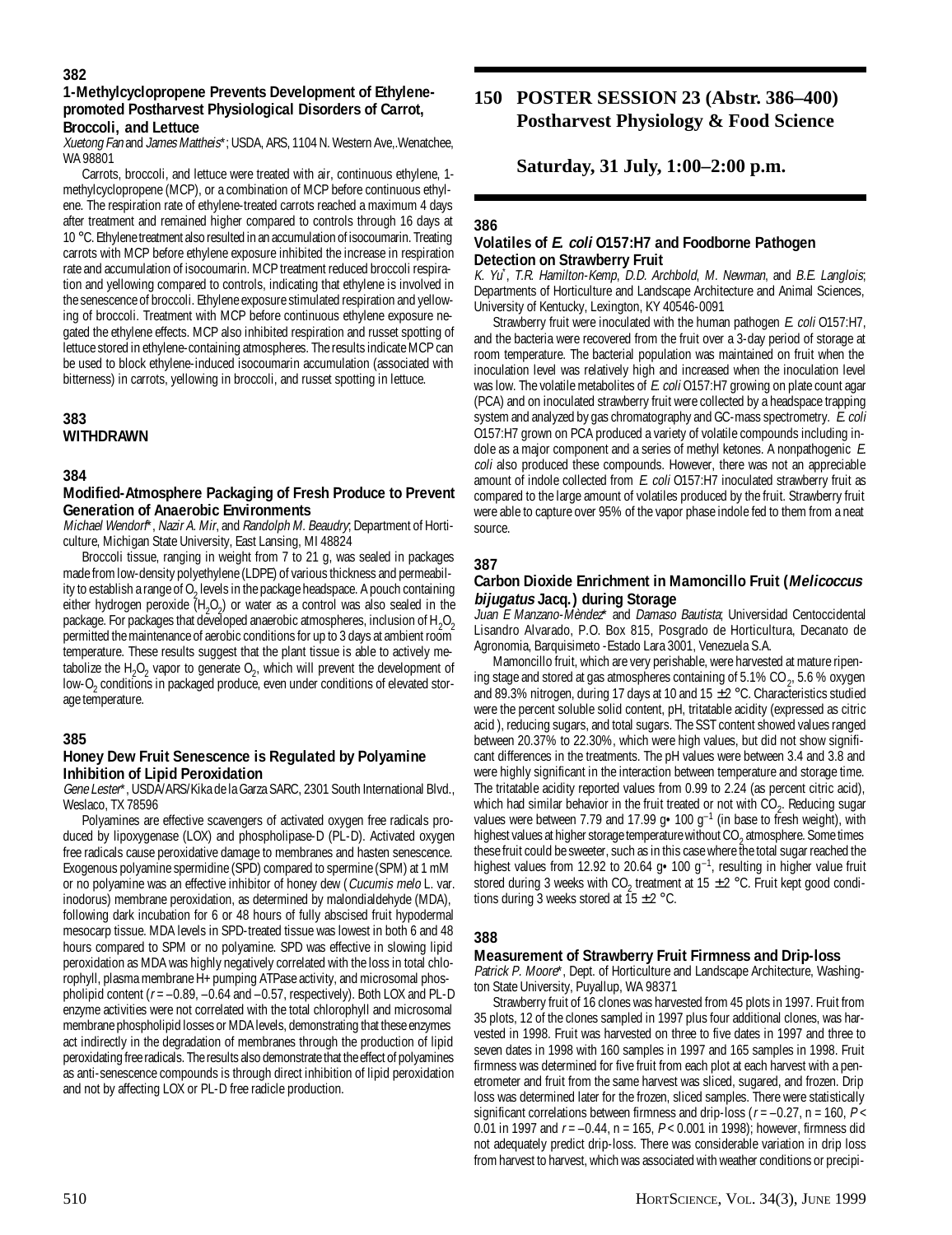## **1-Methylcyclopropene Prevents Development of Ethylenepromoted Postharvest Physiological Disorders of Carrot, Broccoli, and Lettuce**

Xuetong Fan and James Mattheis\*; USDA, ARS, 1104 N. Western Ave, Wenatchee, WA 98801

Carrots, broccoli, and lettuce were treated with air, continuous ethylene, 1 methylcyclopropene (MCP), or a combination of MCP before continuous ethylene. The respiration rate of ethylene-treated carrots reached a maximum 4 days after treatment and remained higher compared to controls through 16 days at 10 °C. Ethylene treatment also resulted in an accumulation of isocoumarin. Treating carrots with MCP before ethylene exposure inhibited the increase in respiration rate and accumulation of isocoumarin. MCP treatment reduced broccoli respiration and yellowing compared to controls, indicating that ethylene is involved in the senescence of broccoli. Ethylene exposure stimulated respiration and yellowing of broccoli. Treatment with MCP before continuous ethylene exposure negated the ethylene effects. MCP also inhibited respiration and russet spotting of lettuce stored in ethylene-containing atmospheres. The results indicate MCP can be used to block ethylene-induced isocoumarin accumulation (associated with bitterness) in carrots, yellowing in broccoli, and russet spotting in lettuce.

## **383 WITHDRAWN**

## **384**

### **Modified-Atmosphere Packaging of Fresh Produce to Prevent Generation of Anaerobic Environments**

Michael Wendorf\*, Nazir A. Mir, and Randolph M. Beaudry, Department of Horticulture, Michigan State University, East Lansing, MI 48824

Broccoli tissue, ranging in weight from 7 to 21 g, was sealed in packages made from low-density polyethylene (LDPE) of various thickness and permeability to establish a range of O<sub>2</sub> levels in the package headspace. A pouch containing either hydrogen peroxide  $(H_2O_2)$  or water as a control was also sealed in the package. For packages that developed anaerobic atmospheres, inclusion of  $\rm{H_2O_2}$ permitted the maintenance of aerobic conditions for up to 3 days at ambient room temperature. These results suggest that the plant tissue is able to actively metabolize the  $H_2O_2$  vapor to generate  $O_2$ , which will prevent the development of low-O<sub>2</sub> conditions in packaged produce, even under conditions of elevated storage temperature.

## **385**

## **Honey Dew Fruit Senescence is Regulated by Polyamine Inhibition of Lipid Peroxidation**

Gene Lester\*, USDA/ARS/Kika de la Garza SARC, 2301 South International Blvd., Weslaco, TX 78596

Polyamines are effective scavengers of activated oxygen free radicals produced by lipoxygenase (LOX) and phospholipase-D (PL-D). Activated oxygen free radicals cause peroxidative damage to membranes and hasten senescence. Exogenous polyamine spermidine (SPD) compared to spermine (SPM) at 1 mM or no polyamine was an effective inhibitor of honey dew (Cucumis melo L. var. inodorus) membrane peroxidation, as determined by malondialdehyde (MDA), following dark incubation for 6 or 48 hours of fully abscised fruit hypodermal mesocarp tissue. MDA levels in SPD-treated tissue was lowest in both 6 and 48 hours compared to SPM or no polyamine. SPD was effective in slowing lipid peroxidation as MDA was highly negatively correlated with the loss in total chlorophyll, plasma membrane H+ pumping ATPase activity, and microsomal phospholipid content ( $r = -0.89$ ,  $-0.64$  and  $-0.57$ , respectively). Both LOX and PL-D enzyme activities were not correlated with the total chlorophyll and microsomal membrane phospholipid losses or MDA levels, demonstrating that these enzymes act indirectly in the degradation of membranes through the production of lipid peroxidating free radicals. The results also demonstrate that the effect of polyamines as anti-senescence compounds is through direct inhibition of lipid peroxidation and not by affecting LOX or PL-D free radicle production.

## **150 POSTER SESSION 23 (Abstr. 386–400) Postharvest Physiology & Food Science**

**Saturday, 31 July, 1:00–2:00 p.m.**

## **386**

## **Volatiles of E. coli O157:H7 and Foodborne Pathogen Detection on Strawberry Fruit**

K. Yu\* , T.R. Hamilton-Kemp, D.D. Archbold, M. Newman, and B.E. Langlois; Departments of Horticulture and Landscape Architecture and Animal Sciences, University of Kentucky, Lexington, KY 40546-0091

Strawberry fruit were inoculated with the human pathogen E. coli 0157:H7, and the bacteria were recovered from the fruit over a 3-day period of storage at room temperature. The bacterial population was maintained on fruit when the inoculation level was relatively high and increased when the inoculation level was low. The volatile metabolites of E. coli 0157:H7 growing on plate count agar (PCA) and on inoculated strawberry fruit were collected by a headspace trapping system and analyzed by gas chromatography and GC-mass spectrometry. E. coli O157:H7 grown on PCA produced a variety of volatile compounds including indole as a major component and a series of methyl ketones. A nonpathogenic E. coli also produced these compounds. However, there was not an appreciable amount of indole collected from E. coli 0157:H7 inoculated strawberry fruit as compared to the large amount of volatiles produced by the fruit. Strawberry fruit were able to capture over 95% of the vapor phase indole fed to them from a neat source.

## **387**

## **Carbon Dioxide Enrichment in Mamoncillo Fruit (Melicoccus bijugatus Jacq.) during Storage**

Juan E Manzano-Mèndez\* and Damaso Bautista; Universidad Centoccidental Lisandro Alvarado, P.O. Box 815, Posgrado de Horticultura, Decanato de Agronomia, Barquisimeto -Estado Lara 3001, Venezuela S.A.

Mamoncillo fruit, which are very perishable, were harvested at mature ripening stage and stored at gas atmospheres containing of 5.1% CO<sub>2</sub>, 5.6 % oxygen and 89.3% nitrogen, during 17 days at 10 and 15  $\pm$  2 °C. Characteristics studied were the percent soluble solid content, pH, tritatable acidity (expressed as citric acid ), reducing sugars, and total sugars. The SST content showed values ranged between 20.37% to 22.30%, which were high values, but did not show significant differences in the treatments. The pH values were between 3.4 and 3.8 and were highly significant in the interaction between temperature and storage time. The tritatable acidity reported values from 0.99 to 2.24 (as percent citric acid), which had similar behavior in the fruit treated or not with  $CO_2$ . Reducing sugar values were between 7.79 and 17.99  $g \cdot 100 g^{-1}$  (in base to fresh weight), with highest values at higher storage temperature without CO<sub>2</sub> atmosphere. Some times these fruit could be sweeter, such as in this case where the total sugar reached the highest values from 12.92 to 20.64  $g \cdot 100 \, g^{-1}$ , resulting in higher value fruit stored during 3 weeks with  $CO_2$  treatment at 15  $\pm$  2 °C. Fruit kept good conditions during 3 weeks stored at  $15 \pm 2$  °C.

## **388**

## **Measurement of Strawberry Fruit Firmness and Drip-loss**

Patrick P. Moore\*, Dept. of Horticulture and Landscape Architecture, Washington State University, Puyallup, WA 98371

Strawberry fruit of 16 clones was harvested from 45 plots in 1997. Fruit from 35 plots, 12 of the clones sampled in 1997 plus four additional clones, was harvested in 1998. Fruit was harvested on three to five dates in 1997 and three to seven dates in 1998 with 160 samples in 1997 and 165 samples in 1998. Fruit firmness was determined for five fruit from each plot at each harvest with a penetrometer and fruit from the same harvest was sliced, sugared, and frozen. Drip loss was determined later for the frozen, sliced samples. There were statistically significant correlations between firmness and drip-loss ( $r = -0.27$ , n = 160, P < 0.01 in 1997 and  $r = -0.44$ , n = 165,  $P < 0.001$  in 1998); however, firmness did not adequately predict drip-loss. There was considerable variation in drip loss from harvest to harvest, which was associated with weather conditions or precipi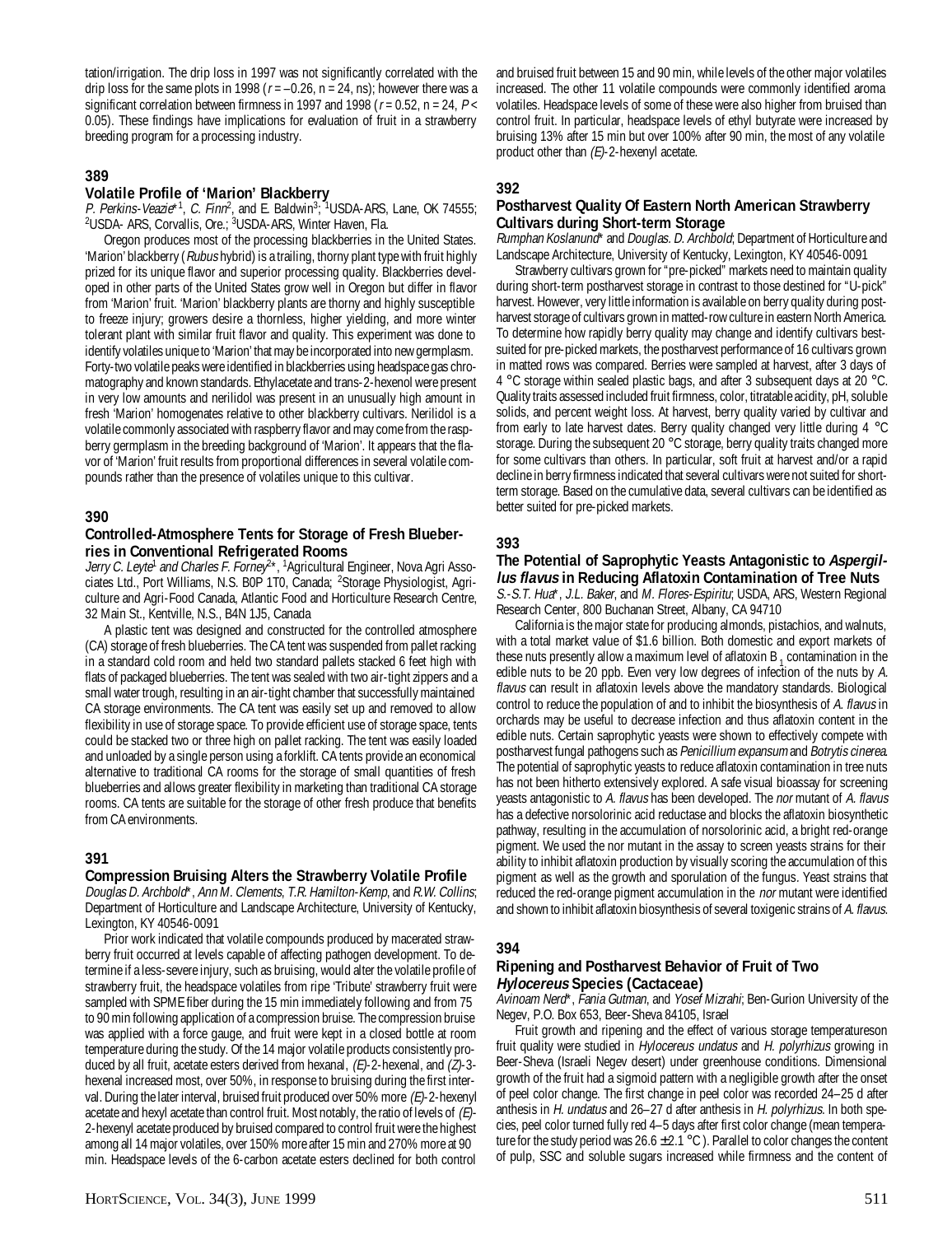tation/irrigation. The drip loss in 1997 was not significantly correlated with the drip loss for the same plots in 1998 ( $r = -0.26$ , n = 24, ns); however there was a significant correlation between firmness in 1997 and 1998 ( $r = 0.52$ , n = 24,  $P <$ 0.05). These findings have implications for evaluation of fruit in a strawberry breeding program for a processing industry.

## **389**

#### **Volatile Profile of 'Marion' Blackberry**

P. Perkins-Veazie\*<sup>1</sup>, C. Finn<sup>2</sup>, and E. Baldwin<sup>3; 1</sup>USDA-ARS, Lane, OK 74555; 2 USDA- ARS, Corvallis, Ore.; 3 USDA-ARS, Winter Haven, Fla.

Oregon produces most of the processing blackberries in the United States. 'Marion' blackberry (Rubus hybrid) is a trailing, thorny plant type with fruit highly prized for its unique flavor and superior processing quality. Blackberries developed in other parts of the United States grow well in Oregon but differ in flavor from 'Marion' fruit. 'Marion' blackberry plants are thorny and highly susceptible to freeze injury; growers desire a thornless, higher yielding, and more winter tolerant plant with similar fruit flavor and quality. This experiment was done to identify volatiles unique to 'Marion' that may be incorporated into new germplasm. Forty-two volatile peaks were identified in blackberries using headspace gas chromatography and known standards. Ethylacetate and trans-2-hexenol were present in very low amounts and nerilidol was present in an unusually high amount in fresh 'Marion' homogenates relative to other blackberry cultivars. Nerilidol is a volatile commonly associated with raspberry flavor and may come from the raspberry germplasm in the breeding background of 'Marion'. It appears that the flavor of 'Marion' fruit results from proportional differences in several volatile compounds rather than the presence of volatiles unique to this cultivar.

## **390**

#### **Controlled-Atmosphere Tents for Storage of Fresh Blueberries in Conventional Refrigerated Rooms**

Jerry C. Leyte<sup>1</sup> and Charles F. Forney<sup>2\*</sup>, <sup>1</sup>Agricultural Engineer, Nova Agri Associates Ltd., Port Williams, N.S. B0P 1T0, Canada; <sup>2</sup>Storage Physiologist, Agriculture and Agri-Food Canada, Atlantic Food and Horticulture Research Centre, 32 Main St., Kentville, N.S., B4N 1J5, Canada

A plastic tent was designed and constructed for the controlled atmosphere (CA) storage of fresh blueberries. The CA tent was suspended from pallet racking in a standard cold room and held two standard pallets stacked 6 feet high with flats of packaged blueberries. The tent was sealed with two air-tight zippers and a small water trough, resulting in an air-tight chamber that successfully maintained CA storage environments. The CA tent was easily set up and removed to allow flexibility in use of storage space. To provide efficient use of storage space, tents could be stacked two or three high on pallet racking. The tent was easily loaded and unloaded by a single person using a forklift. CA tents provide an economical alternative to traditional CA rooms for the storage of small quantities of fresh blueberries and allows greater flexibility in marketing than traditional CA storage rooms. CA tents are suitable for the storage of other fresh produce that benefits from CA environments.

#### **391**

#### **Compression Bruising Alters the Strawberry Volatile Profile**

Douglas D. Archbold\*, Ann M. Clements, T.R. Hamilton-Kemp, and R.W. Collins; Department of Horticulture and Landscape Architecture, University of Kentucky, Lexington, KY 40546-0091

Prior work indicated that volatile compounds produced by macerated strawberry fruit occurred at levels capable of affecting pathogen development. To determine if a less-severe injury, such as bruising, would alter the volatile profile of strawberry fruit, the headspace volatiles from ripe 'Tribute' strawberry fruit were sampled with SPME fiber during the 15 min immediately following and from 75 to 90 min following application of a compression bruise. The compression bruise was applied with a force gauge, and fruit were kept in a closed bottle at room temperature during the study. Of the 14 major volatile products consistently produced by all fruit, acetate esters derived from hexanal,  $(E)$ -2-hexenal, and  $(Z)$ -3hexenal increased most, over 50%, in response to bruising during the first interval. During the later interval, bruised fruit produced over 50% more  $(E)$ -2-hexenyl acetate and hexyl acetate than control fruit. Most notably, the ratio of levels of  $(E)$ -2-hexenyl acetate produced by bruised compared to control fruit were the highest among all 14 major volatiles, over 150% more after 15 min and 270% more at 90 min. Headspace levels of the 6-carbon acetate esters declined for both control

and bruised fruit between 15 and 90 min, while levels of the other major volatiles increased. The other 11 volatile compounds were commonly identified aroma volatiles. Headspace levels of some of these were also higher from bruised than control fruit. In particular, headspace levels of ethyl butyrate were increased by bruising 13% after 15 min but over 100% after 90 min, the most of any volatile product other than  $(E)$ -2-hexenyl acetate.

## **392**

#### **Postharvest Quality Of Eastern North American Strawberry Cultivars during Short-term Storage**

Rumphan Koslanund<sup>\*</sup> and Douglas. D. Archbold; Department of Horticulture and Landscape Architecture, University of Kentucky, Lexington, KY 40546-0091

Strawberry cultivars grown for "pre-picked" markets need to maintain quality during short-term postharvest storage in contrast to those destined for "U-pick" harvest. However, very little information is available on berry quality during postharvest storage of cultivars grown in matted-row culture in eastern North America. To determine how rapidly berry quality may change and identify cultivars bestsuited for pre-picked markets, the postharvest performance of 16 cultivars grown in matted rows was compared. Berries were sampled at harvest, after 3 days of 4 °C storage within sealed plastic bags, and after 3 subsequent days at 20 °C. Quality traits assessed included fruit firmness, color, titratable acidity, pH, soluble solids, and percent weight loss. At harvest, berry quality varied by cultivar and from early to late harvest dates. Berry quality changed very little during 4 °C storage. During the subsequent 20 °C storage, berry quality traits changed more for some cultivars than others. In particular, soft fruit at harvest and/or a rapid decline in berry firmness indicated that several cultivars were not suited for shortterm storage. Based on the cumulative data, several cultivars can be identified as better suited for pre-picked markets.

## **393**

## **The Potential of Saprophytic Yeasts Antagonistic to Aspergillus flavus in Reducing Aflatoxin Contamination of Tree Nuts**

S.-S.T. Hua\*, J.L. Baker, and M. Flores-Espiritu; USDA, ARS, Western Regional Research Center, 800 Buchanan Street, Albany, CA 94710

California is the major state for producing almonds, pistachios, and walnuts, with a total market value of \$1.6 billion. Both domestic and export markets of these nuts presently allow a maximum level of aflatoxin B  $_1$  contamination in the edible nuts to be 20 ppb. Even very low degrees of infection of the nuts by A. flavus can result in aflatoxin levels above the mandatory standards. Biological control to reduce the population of and to inhibit the biosynthesis of A. flavus in orchards may be useful to decrease infection and thus aflatoxin content in the edible nuts. Certain saprophytic yeasts were shown to effectively compete with postharvest fungal pathogens such as Penicillium expansum and Botrytis cinerea. The potential of saprophytic yeasts to reduce aflatoxin contamination in tree nuts has not been hitherto extensively explored. A safe visual bioassay for screening yeasts antagonistic to A. flavus has been developed. The nor mutant of A. flavus has a defective norsolorinic acid reductase and blocks the aflatoxin biosynthetic pathway, resulting in the accumulation of norsolorinic acid, a bright red-orange pigment. We used the nor mutant in the assay to screen yeasts strains for their ability to inhibit aflatoxin production by visually scoring the accumulation of this pigment as well as the growth and sporulation of the fungus. Yeast strains that reduced the red-orange pigment accumulation in the *nor* mutant were identified and shown to inhibit aflatoxin biosynthesis of several toxigenic strains of A. flavus.

#### **394**

#### **Ripening and Postharvest Behavior of Fruit of Two Hylocereus Species (Cactaceae)**

Avinoam Nerd\*, Fania Gutman, and Yosef Mizrahi; Ben-Gurion University of the Negev, P.O. Box 653, Beer-Sheva 84105, Israel

Fruit growth and ripening and the effect of various storage temperatureson fruit quality were studied in Hylocereus undatus and H. polyrhizus growing in Beer-Sheva (Israeli Negev desert) under greenhouse conditions. Dimensional growth of the fruit had a sigmoid pattern with a negligible growth after the onset of peel color change. The first change in peel color was recorded 24–25 d after anthesis in H. undatus and 26–27 d after anthesis in H. polyrhizus. In both species, peel color turned fully red 4–5 days after first color change (mean temperature for the study period was  $26.6 \pm 2.1^{\circ}$ C). Parallel to color changes the content of pulp, SSC and soluble sugars increased while firmness and the content of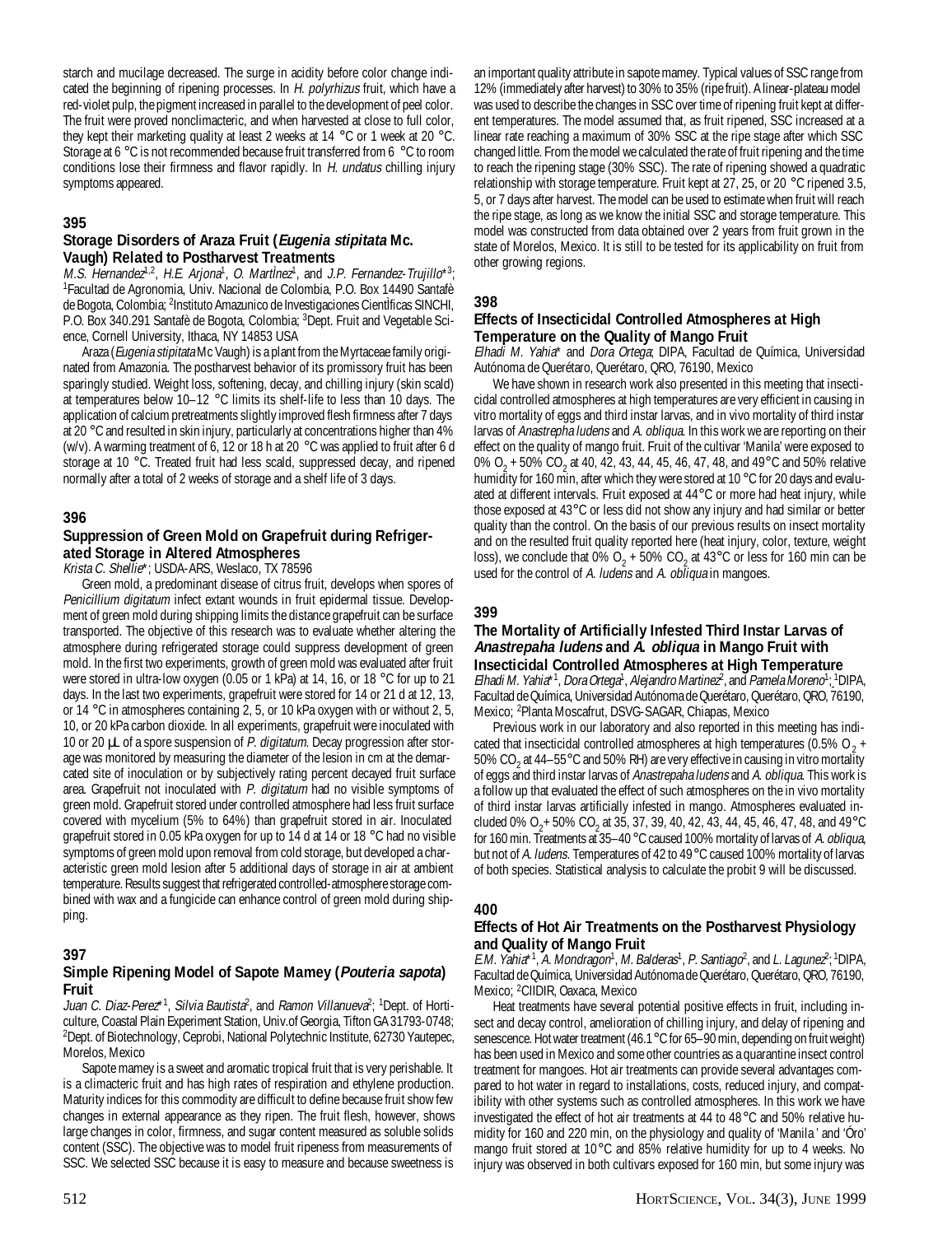starch and mucilage decreased. The surge in acidity before color change indicated the beginning of ripening processes. In H. polyrhizus fruit, which have a red-violet pulp, the pigment increased in parallel to the development of peel color. The fruit were proved nonclimacteric, and when harvested at close to full color, they kept their marketing quality at least 2 weeks at 14 °C or 1 week at 20 °C. Storage at 6 °C is not recommended because fruit transferred from 6 °C to room conditions lose their firmness and flavor rapidly. In H. undatus chilling injury symptoms appeared.

## **395**

## **Storage Disorders of Araza Fruit (Eugenia stipitata Mc. Vaugh) Related to Postharvest Treatments**

M.S. Hernandez<sup>1,2</sup>, H.E. Arjona<sup>1</sup>, O. MartÌnez<sup>1</sup>, and J.P. Fernandez-Trujillo\*<sup>3</sup>; 1 Facultad de Agronomia, Univ. Nacional de Colombia, P.O. Box 14490 Santafè de Bogota, Colombia; 2Instituto Amazunico de Investigaciones CientÌficas SINCHI, P.O. Box 340.291 Santafè de Bogota, Colombia; 3Dept. Fruit and Vegetable Science, Cornell University, Ithaca, NY 14853 USA

Araza (*Eugenia stipitata* Mc Vaugh) is a plant from the Myrtaceae family originated from Amazonia. The postharvest behavior of its promissory fruit has been sparingly studied. Weight loss, softening, decay, and chilling injury (skin scald) at temperatures below 10–12 °C limits its shelf-life to less than 10 days. The application of calcium pretreatments slightly improved flesh firmness after 7 days at 20 °C and resulted in skin injury, particularly at concentrations higher than 4% (w/v). A warming treatment of 6, 12 or 18 h at 20 °C was applied to fruit after 6 d storage at 10 °C. Treated fruit had less scald, suppressed decay, and ripened normally after a total of 2 weeks of storage and a shelf life of 3 days.

## **396**

## **Suppression of Green Mold on Grapefruit during Refrigerated Storage in Altered Atmospheres**

Krista C. Shellie\*; USDA-ARS, Weslaco, TX 78596

Green mold, a predominant disease of citrus fruit, develops when spores of Penicillium digitatum infect extant wounds in fruit epidermal tissue. Development of green mold during shipping limits the distance grapefruit can be surface transported. The objective of this research was to evaluate whether altering the atmosphere during refrigerated storage could suppress development of green mold. In the first two experiments, growth of green mold was evaluated after fruit were stored in ultra-low oxygen (0.05 or 1 kPa) at 14, 16, or 18 °C for up to 21 days. In the last two experiments, grapefruit were stored for 14 or 21 d at 12, 13, or 14 °C in atmospheres containing 2, 5, or 10 kPa oxygen with or without 2, 5, 10, or 20 kPa carbon dioxide. In all experiments, grapefruit were inoculated with 10 or 20  $\mu$  of a spore suspension of P. digitatum. Decay progression after storage was monitored by measuring the diameter of the lesion in cm at the demarcated site of inoculation or by subjectively rating percent decayed fruit surface area. Grapefruit not inoculated with P. digitatum had no visible symptoms of green mold. Grapefruit stored under controlled atmosphere had less fruit surface covered with mycelium (5% to 64%) than grapefruit stored in air. Inoculated grapefruit stored in 0.05 kPa oxygen for up to 14 d at 14 or 18 °C had no visible symptoms of green mold upon removal from cold storage, but developed a characteristic green mold lesion after 5 additional days of storage in air at ambient temperature. Results suggest that refrigerated controlled-atmosphere storage combined with wax and a fungicide can enhance control of green mold during shipping.

## **397**

## **Simple Ripening Model of Sapote Mamey (Pouteria sapota) Fruit**

Juan C. Diaz-Perez<sup>\*1</sup>, Silvia Bautista<sup>2</sup>, and Ramon Villanueva<sup>2</sup>; <sup>1</sup>Dept. of Horticulture, Coastal Plain Experiment Station, Univ.of Georgia, Tifton GA 31793-0748; 2 Dept. of Biotechnology, Ceprobi, National Polytechnic Institute, 62730 Yautepec, Morelos, Mexico

Sapote mamey is a sweet and aromatic tropical fruit that is very perishable. It is a climacteric fruit and has high rates of respiration and ethylene production. Maturity indices for this commodity are difficult to define because fruit show few changes in external appearance as they ripen. The fruit flesh, however, shows large changes in color, firmness, and sugar content measured as soluble solids content (SSC). The objective was to model fruit ripeness from measurements of SSC. We selected SSC because it is easy to measure and because sweetness is

an important quality attribute in sapote mamey. Typical values of SSC range from 12% (immediately after harvest) to 30% to 35% (ripe fruit). A linear-plateau model was used to describe the changes in SSC over time of ripening fruit kept at different temperatures. The model assumed that, as fruit ripened, SSC increased at a linear rate reaching a maximum of 30% SSC at the ripe stage after which SSC changed little. From the model we calculated the rate of fruit ripening and the time to reach the ripening stage (30% SSC). The rate of ripening showed a quadratic relationship with storage temperature. Fruit kept at 27, 25, or 20  $^{\circ}$ C ripened 3.5, 5, or 7 days after harvest. The model can be used to estimate when fruit will reach the ripe stage, as long as we know the initial SSC and storage temperature. This model was constructed from data obtained over 2 years from fruit grown in the state of Morelos, Mexico. It is still to be tested for its applicability on fruit from other growing regions.

#### **398**

## **Effects of Insecticidal Controlled Atmospheres at High Temperature on the Quality of Mango Fruit**

Elhadi M. Yahia\* and Dora Ortega; DIPA, Facultad de Química, Universidad Autónoma de Querétaro, Querétaro, QRO, 76190, Mexico

We have shown in research work also presented in this meeting that insecticidal controlled atmospheres at high temperatures are very efficient in causing in vitro mortality of eggs and third instar larvas, and in vivo mortality of third instar larvas of Anastrepha ludens and A. obliqua. In this work we are reporting on their effect on the quality of mango fruit. Fruit of the cultivar 'Manila' were exposed to 0% O<sub>2</sub> + 50% CO<sub>2</sub> at 40, 42, 43, 44, 45, 46, 47, 48, and 49°C and 50% relative humidity for 160 min, after which they were stored at 10 °C for 20 days and evaluated at different intervals. Fruit exposed at 44°C or more had heat injury, while those exposed at 43°C or less did not show any injury and had similar or better quality than the control. On the basis of our previous results on insect mortality and on the resulted fruit quality reported here (heat injury, color, texture, weight loss), we conclude that 0% O<sub>2</sub> + 50% CO<sub>2</sub> at 43°C or less for 160 min can be used for the control of A. ludens and A. obliqua in mangoes.

## **399**

#### **The Mortality of Artificially Infested Third Instar Larvas of Anastrepaha ludens and A. obliqua in Mango Fruit with Insecticidal Controlled Atmospheres at High Temperature**

Elhadi M. Yahia\*<sup>1</sup>, Dora Ortega<sup>1</sup>, Alejandro Martinez<sup>2</sup>, and Pamela Moreno<sup>1</sup>; 1DIPA, Facultad de Química, Universidad Autónoma de Querétaro, Querétaro, QRO, 76190, Mexico; 2 Planta Moscafrut, DSVG-SAGAR, Chiapas, Mexico

Previous work in our laboratory and also reported in this meeting has indicated that insecticidal controlled atmospheres at high temperatures (0.5% O<sub>2</sub> + 50% CO<sub>2</sub> at 44–55°C and 50% RH) are very effective in causing in vitro mortality of eggs and third instar larvas of Anastrepaha ludens and A. obliqua. This work is a follow up that evaluated the effect of such atmospheres on the in vivo mortality of third instar larvas artificially infested in mango. Atmospheres evaluated included 0% O<sub>2</sub>+ 50% CO<sub>2</sub> at 35, 37, 39, 40, 42, 43, 44, 45, 46, 47, 48, and 49°C for 160 min. Treatments at 35–40°C caused 100% mortality of larvas of A. obliqua, but not of A. ludens. Temperatures of 42 to 49°C caused 100% mortality of larvas of both species. Statistical analysis to calculate the probit 9 will be discussed.

## **400**

## **Effects of Hot Air Treatments on the Postharvest Physiology and Quality of Mango Fruit**

E.M. Yahia\*<sup>1</sup>, A. Mondragon<sup>1</sup>, M. Balderas<sup>1</sup>, P. Santiago<sup>2</sup>, and L. Lagunez<sup>2</sup>; <sup>1</sup>DIPA, Facultad de Química, Universidad Autónoma de Querétaro, Querétaro, QRO, 76190, Mexico; 2 CIIDIR, Oaxaca, Mexico

Heat treatments have several potential positive effects in fruit, including insect and decay control, amelioration of chilling injury, and delay of ripening and senescence. Hot water treatment (46.1°C for 65–90 min, depending on fruit weight) has been used in Mexico and some other countries as a quarantine insect control treatment for mangoes. Hot air treatments can provide several advantages compared to hot water in regard to installations, costs, reduced injury, and compatibility with other systems such as controlled atmospheres. In this work we have investigated the effect of hot air treatments at 44 to 48°C and 50% relative humidity for 160 and 220 min, on the physiology and quality of 'Manila ' and 'Óro' mango fruit stored at 10°C and 85% relative humidity for up to 4 weeks. No injury was observed in both cultivars exposed for 160 min, but some injury was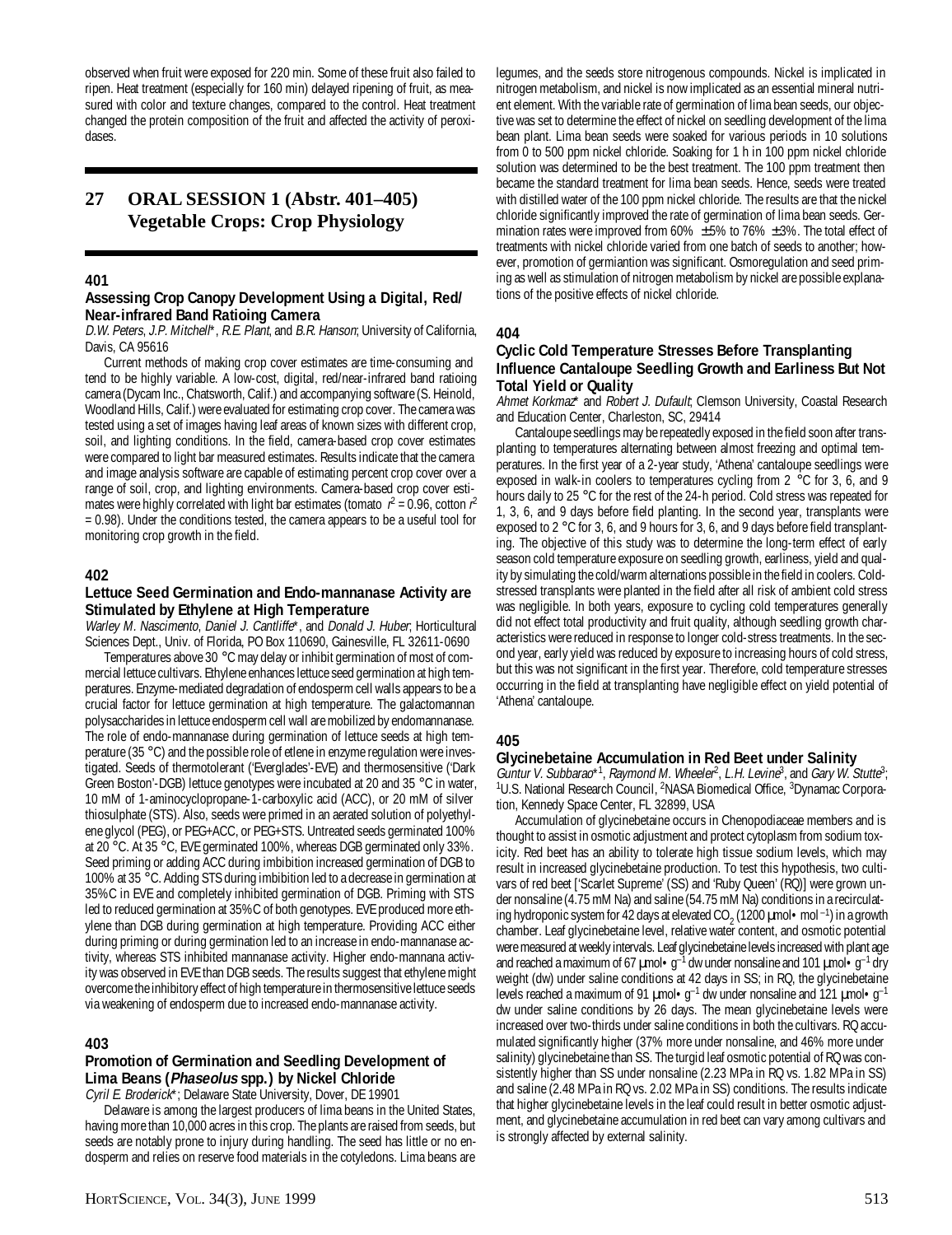observed when fruit were exposed for 220 min. Some of these fruit also failed to ripen. Heat treatment (especially for 160 min) delayed ripening of fruit, as measured with color and texture changes, compared to the control. Heat treatment changed the protein composition of the fruit and affected the activity of peroxidases.

## **27 ORAL SESSION 1 (Abstr. 401–405) Vegetable Crops: Crop Physiology**

#### **401**

#### **Assessing Crop Canopy Development Using a Digital, Red/ Near-infrared Band Ratioing Camera**

D.W. Peters, J.P. Mitchell\*, R.E. Plant, and B.R. Hanson; University of California, Davis, CA 95616

Current methods of making crop cover estimates are time-consuming and tend to be highly variable. A low-cost, digital, red/near-infrared band ratioing camera (Dycam Inc., Chatsworth, Calif.) and accompanying software (S. Heinold, Woodland Hills, Calif.) were evaluated for estimating crop cover. The camera was tested using a set of images having leaf areas of known sizes with different crop, soil, and lighting conditions. In the field, camera-based crop cover estimates were compared to light bar measured estimates. Results indicate that the camera and image analysis software are capable of estimating percent crop cover over a range of soil, crop, and lighting environments. Camera-based crop cover estimates were highly correlated with light bar estimates (tomato  $r^2 = 0.96$ , cotton  $r^2$ = 0.98). Under the conditions tested, the camera appears to be a useful tool for monitoring crop growth in the field.

#### **402**

#### **Lettuce Seed Germination and Endo-mannanase Activity are Stimulated by Ethylene at High Temperature**

Warley M. Nascimento, Daniel J. Cantliffe\*, and Donald J. Huber, Horticultural Sciences Dept., Univ. of Florida, PO Box 110690, Gainesville, FL 32611-0690

Temperatures above 30 °C may delay or inhibit germination of most of commercial lettuce cultivars. Ethylene enhances lettuce seed germination at high temperatures. Enzyme-mediated degradation of endosperm cell walls appears to be a crucial factor for lettuce germination at high temperature. The galactomannan polysaccharides in lettuce endosperm cell wall are mobilized by endomannanase. The role of endo-mannanase during germination of lettuce seeds at high temperature (35 °C) and the possible role of etlene in enzyme regulation were investigated. Seeds of thermotolerant ('Everglades'-EVE) and thermosensitive ('Dark Green Boston'-DGB) lettuce genotypes were incubated at 20 and 35 °C in water, 10 mM of 1-aminocyclopropane-1-carboxylic acid (ACC), or 20 mM of silver thiosulphate (STS). Also, seeds were primed in an aerated solution of polyethylene glycol (PEG), or PEG+ACC, or PEG+STS. Untreated seeds germinated 100% at 20 °C. At 35 °C, EVE germinated 100%, whereas DGB germinated only 33%. Seed priming or adding ACC during imbibition increased germination of DGB to 100% at 35 °C. Adding STS during imbibition led to a decrease in germination at 35%C in EVE and completely inhibited germination of DGB. Priming with STS led to reduced germination at 35%C of both genotypes. EVE produced more ethylene than DGB during germination at high temperature. Providing ACC either during priming or during germination led to an increase in endo-mannanase activity, whereas STS inhibited mannanase activity. Higher endo-mannana activity was observed in EVE than DGB seeds. The results suggest that ethylene might overcome the inhibitory effect of high temperature in thermosensitive lettuce seeds via weakening of endosperm due to increased endo-mannanase activity.

#### **403**

## **Promotion of Germination and Seedling Development of Lima Beans (Phaseolus spp.) by Nickel Chloride**

Cyril E. Broderick\*; Delaware State University, Dover, DE 19901 Delaware is among the largest producers of lima beans in the United States, having more than 10,000 acres in this crop. The plants are raised from seeds, but seeds are notably prone to injury during handling. The seed has little or no endosperm and relies on reserve food materials in the cotyledons. Lima beans are

legumes, and the seeds store nitrogenous compounds. Nickel is implicated in nitrogen metabolism, and nickel is now implicated as an essential mineral nutrient element. With the variable rate of germination of lima bean seeds, our objective was set to determine the effect of nickel on seedling development of the lima bean plant. Lima bean seeds were soaked for various periods in 10 solutions from 0 to 500 ppm nickel chloride. Soaking for 1 h in 100 ppm nickel chloride solution was determined to be the best treatment. The 100 ppm treatment then became the standard treatment for lima bean seeds. Hence, seeds were treated with distilled water of the 100 ppm nickel chloride. The results are that the nickel chloride significantly improved the rate of germination of lima bean seeds. Germination rates were improved from 60%  $\pm$  5% to 76%  $\pm$  3%. The total effect of treatments with nickel chloride varied from one batch of seeds to another; however, promotion of germiantion was significant. Osmoregulation and seed priming as well as stimulation of nitrogen metabolism by nickel are possible explanations of the positive effects of nickel chloride.

#### **404**

#### **Cyclic Cold Temperature Stresses Before Transplanting Influence Cantaloupe Seedling Growth and Earliness But Not Total Yield or Quality**

Ahmet Korkmaz\* and Robert J. Dufault; Clemson University, Coastal Research and Education Center, Charleston, SC, 29414

Cantaloupe seedlings may be repeatedly exposed in the field soon after transplanting to temperatures alternating between almost freezing and optimal temperatures. In the first year of a 2-year study, 'Athena' cantaloupe seedlings were exposed in walk-in coolers to temperatures cycling from 2 °C for 3, 6, and 9 hours daily to 25 °C for the rest of the 24-h period. Cold stress was repeated for 1, 3, 6, and 9 days before field planting. In the second year, transplants were exposed to 2 °C for 3, 6, and 9 hours for 3, 6, and 9 days before field transplanting. The objective of this study was to determine the long-term effect of early season cold temperature exposure on seedling growth, earliness, yield and quality by simulating the cold/warm alternations possible in the field in coolers. Coldstressed transplants were planted in the field after all risk of ambient cold stress was negligible. In both years, exposure to cycling cold temperatures generally did not effect total productivity and fruit quality, although seedling growth characteristics were reduced in response to longer cold-stress treatments. In the second year, early yield was reduced by exposure to increasing hours of cold stress, but this was not significant in the first year. Therefore, cold temperature stresses occurring in the field at transplanting have negligible effect on yield potential of 'Athena' cantaloupe.

#### **405**

## **Glycinebetaine Accumulation in Red Beet under Salinity**

Guntur V. Subbarao\*1, Raymond M. Wheeler<sup>2</sup>, L.H. Levine<sup>3</sup>, and Gary W. Stutte<sup>3</sup>; <sup>1</sup>U.S. National Research Council, <sup>2</sup>NASA Biomedical Office, <sup>3</sup>Dynamac Corporation, Kennedy Space Center, FL 32899, USA

Accumulation of glycinebetaine occurs in Chenopodiaceae members and is thought to assist in osmotic adjustment and protect cytoplasm from sodium toxicity. Red beet has an ability to tolerate high tissue sodium levels, which may result in increased glycinebetaine production. To test this hypothesis, two cultivars of red beet ['Scarlet Supreme' (SS) and 'Ruby Queen' (RQ)] were grown under nonsaline (4.75 mM Na) and saline (54.75 mM Na) conditions in a recirculating hydroponic system for 42 days at elevated CO<sub>2</sub> (1200  $\mu$ mol • mol <sup>-1</sup>) in a growth chamber. Leaf glycinebetaine level, relative water content, and osmotic potential were measured at weekly intervals. Leaf glycinebetaine levels increased with plant age and reached a maximum of 67  $\mu$ mol •  $g^{-1}$  dw under nonsaline and 101  $\mu$ mol •  $g^{-1}$  dry weight (dw) under saline conditions at 42 days in SS; in RQ, the glycinebetaine levels reached a maximum of 91  $\mu$ mol•g<sup>-1</sup> dw under nonsaline and 121  $\mu$ mol•g<sup>-1</sup> dw under saline conditions by 26 days. The mean glycinebetaine levels were increased over two-thirds under saline conditions in both the cultivars. RQ accumulated significantly higher (37% more under nonsaline, and 46% more under salinity) glycinebetaine than SS. The turgid leaf osmotic potential of RQ was consistently higher than SS under nonsaline (2.23 MPa in RQ vs. 1.82 MPa in SS) and saline (2.48 MPa in RQ vs. 2.02 MPa in SS) conditions. The results indicate that higher glycinebetaine levels in the leaf could result in better osmotic adjustment, and glycinebetaine accumulation in red beet can vary among cultivars and is strongly affected by external salinity.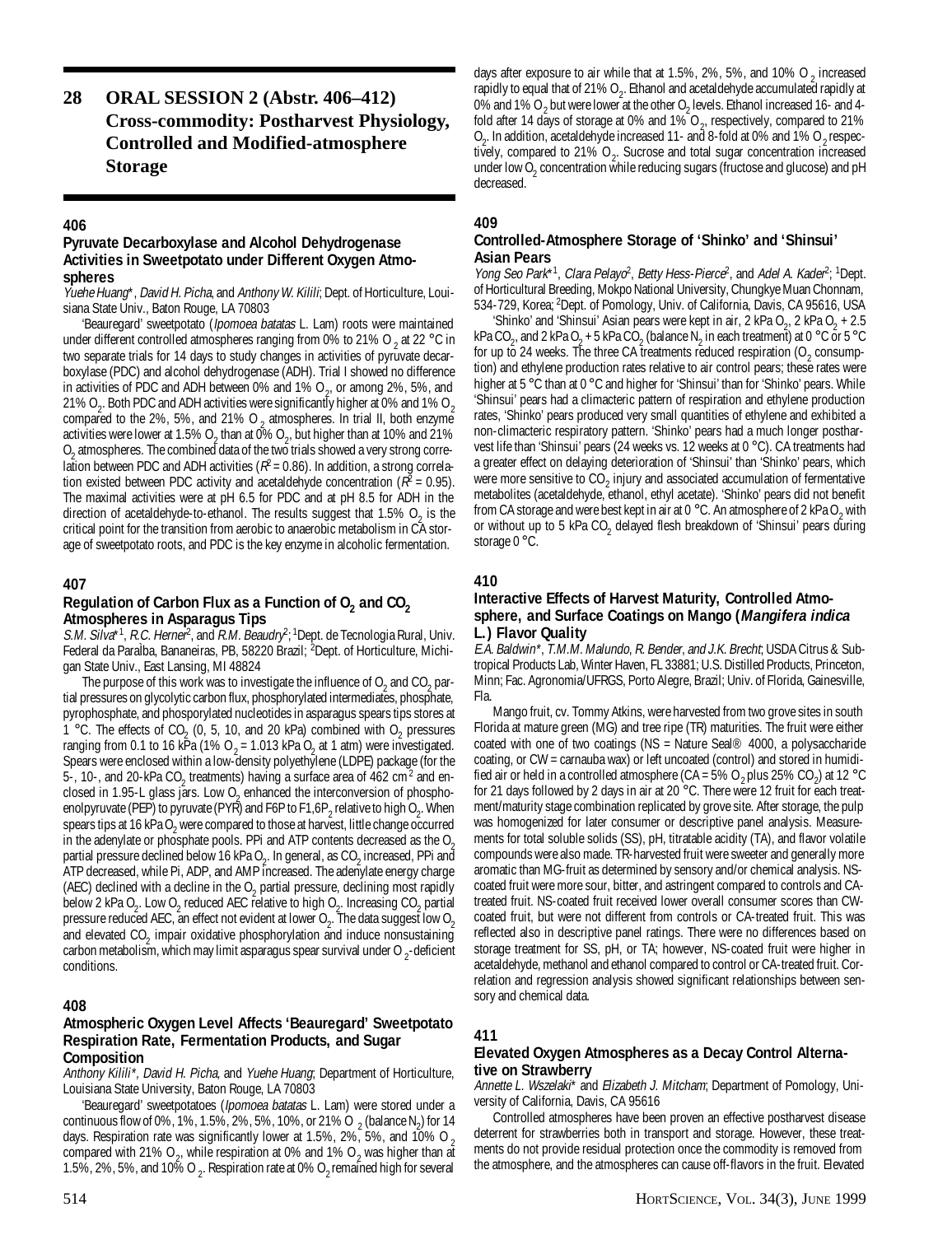## **28 ORAL SESSION 2 (Abstr. 406–412) Cross-commodity: Postharvest Physiology, Controlled and Modified-atmosphere Storage**

### **406**

#### **Pyruvate Decarboxylase and Alcohol Dehydrogenase Activities in Sweetpotato under Different Oxygen Atmospheres**

Yuehe Huang\*, David H. Picha, and Anthony W. Kilili; Dept. of Horticulture, Louisiana State Univ., Baton Rouge, LA 70803

'Beauregard' sweetpotato (Ipomoea batatas L. Lam) roots were maintained under different controlled atmospheres ranging from 0% to 21% O <sub>2</sub> at 22 °C in two separate trials for 14 days to study changes in activities of pyruvate decarboxylase (PDC) and alcohol dehydrogenase (ADH). Trial I showed no difference in activities of PDC and ADH between 0% and 1%  $O_{2}$ , or among 2%, 5%, and 21% O<sub>2</sub>. Both PDC and ADH activities were significantly higher at 0% and 1% O<sub>2</sub> compared to the 2%, 5%, and 21% O<sub>2</sub> atmospheres. In trial II, both enzyme activities were lower at 1.5% O<sub>2</sub> than at 0% O<sub>2</sub>, but higher than at 10% and 21% O<sub>2</sub> atmospheres. The combined data of the two trials showed a very strong correlation between PDC and ADH activities ( $R^2$  = 0.86). In addition, a strong correlation existed between PDC activity and acetaldehyde concentration ( $R^2$  = 0.95). The maximal activities were at pH 6.5 for PDC and at pH 8.5 for ADH in the direction of acetaldehyde-to-ethanol. The results suggest that  $1.5\%$  O<sub>2</sub> is the critical point for the transition from aerobic to anaerobic metabolism in CA storage of sweetpotato roots, and PDC is the key enzyme in alcoholic fermentation.

#### **407**

#### Regulation of Carbon Flux as a Function of  $O<sub>2</sub>$  and  $CO<sub>2</sub>$ **Atmospheres in Asparagus Tips**

S.M. Silva<sup>\*1</sup>, R.C. Herner<sup>2</sup>, and R.M. Beaudry<sup>2</sup>; <sup>1</sup>Dept. de Tecnologia Rural, Univ. Federal da ParaÌba, Bananeiras, PB, 58220 Brazil; <sup>2</sup>Dept. of Horticulture, Michigan State Univ., East Lansing, MI 48824

The purpose of this work was to investigate the influence of  $O_2$  and  $CO_2$  partial pressures on glycolytic carbon flux, phosphorylated intermediates, phosphate, pyrophosphate, and phosporylated nucleotides in asparagus spears tips stores at 1 °C. The effects of CO<sub>2</sub> (0, 5, 10, and 20 kPa) combined with O<sub>2</sub> pressures ranging from 0.1 to 16 kPa (1% O<sub>2</sub> = 1.013 kPa O<sub>2</sub> at 1 atm) were investigated. Spears were enclosed within a low-density polyethylene (LDPE) package (for the 5-, 10-, and 20-kPa  $CO_2$  treatments) having a surface area of 462 cm<sup>2</sup> and enclosed in 1.95-L glass jars. Low  $O<sub>2</sub>$  enhanced the interconversion of phosphoenolpyruvate (PEP) to pyruvate (PYR) and F6P to F1,6P<sub>2</sub> relative to high O<sub>2</sub>. When spears tips at 16 kPa  $O_2$  were compared to those at harvest, little change occurred in the adenylate or phosphate pools. PPi and ATP contents decreased as the  $0<sub>2</sub>$ partial pressure declined below 16 kPa O<sub>2</sub>. In general, as CO<sub>2</sub> increased, PPi and ATP decreased, while Pi, ADP, and AMP increased. The adenylate energy charge (AEC) declined with a decline in the  $O_2$  partial pressure, declining most rapidly below 2 kPa O<sub>2</sub>. Low O<sub>2</sub> reduced AEC relative to high O<sub>2</sub>. Increasing CO<sub>2</sub> partial pressure reduced AEC, an effect not evident at lower O<sub>2</sub>. The data suggest low O<sub>2</sub> and elevated  $CO_2$  impair oxidative phosphorylation and induce nonsustaining carbon metabolism, which may limit asparagus spear survival under O  $_2$ -deficient conditions.

## **408**

#### **Atmospheric Oxygen Level Affects 'Beauregard' Sweetpotato Respiration Rate, Fermentation Products, and Sugar Composition**

Anthony Kilili<sup>\*</sup>, David H. Picha, and Yuehe Huang; Department of Horticulture, Louisiana State University, Baton Rouge, LA 70803

'Beauregard' sweetpotatoes (Ipomoea batatas L. Lam) were stored under a continuous flow of 0%, 1%, 1.5%, 2%, 5%, 10%, or 21% O  $_2$  (balance N<sub>2</sub>) for 14 days. Respiration rate was significantly lower at 1.5%, 2%, 5%, and 10% O  $_2$ compared with 21% O<sub>2</sub>, while respiration at 0% and 1% O<sub>2</sub> was higher than at 1.5%, 2%, 5%, and 10% O  $_{\rm 2}$ . Respiration rate at 0% O  $_{\rm 2}$ remained high for several

days after exposure to air while that at 1.5%, 2%, 5%, and 10% O  $_2$  increased rapidly to equal that of 21% O<sub>2</sub>. Ethanol and acetaldehyde accumulated rapidly at 0% and 1% O<sub>2</sub> but were lower at the other O<sub>2</sub> levels. Ethanol increased 16- and 4fold after 14 days of storage at 0% and 1% O<sub>2</sub>, respectively, compared to 21%  $O_2$ . In addition, acetaldehyde increased 11- and 8-fold at 0% and 1%  $O_2$  respectively, compared to 21%  $O_2$ . Sucrose and total sugar concentration increased under low O $_{\rm 2}$  concentration while reducing sugars (fructose and glucose) and pH decreased.

## **409**

## **Controlled-Atmosphere Storage of 'Shinko' and 'Shinsui' Asian Pears**

Yong Seo Park<sup>\*1</sup>, Clara Pelayo<sup>2</sup>, Betty Hess-Pierce<sup>2</sup>, and Adel A. Kader<sup>2</sup>; <sup>1</sup>Dept. of Horticultural Breeding, Mokpo National University, Chungkye Muan Chonnam, 534-729, Korea; 2Dept. of Pomology, Univ. of California, Davis, CA 95616, USA

'Shinko' and 'Shinsui' Asian pears were kept in air, 2 kPa O<sub>2</sub>, 2 kPa O<sub>2</sub> + 2.5 kPa CO<sub>2</sub>, and 2 kPa O<sub>2</sub> + 5 kPa CO<sub>2</sub> (balance N<sub>2</sub> in each treatment) at 0 °C or 5 °C for up to 24 weeks. The three CA treatments reduced respiration (O<sub>2</sub> consumption) and ethylene production rates relative to air control pears; these rates were higher at 5 °C than at 0 °C and higher for 'Shinsui' than for 'Shinko' pears. While 'Shinsui' pears had a climacteric pattern of respiration and ethylene production rates, 'Shinko' pears produced very small quantities of ethylene and exhibited a non-climacteric respiratory pattern. 'Shinko' pears had a much longer postharvest life than 'Shinsui' pears (24 weeks vs. 12 weeks at 0 °C). CA treatments had a greater effect on delaying deterioration of 'Shinsui' than 'Shinko' pears, which were more sensitive to  $CO_2$  injury and associated accumulation of fermentative metabolites (acetaldehyde, ethanol, ethyl acetate). 'Shinko' pears did not benefit from CA storage and were best kept in air at 0 °C. An atmosphere of 2 kPa O<sub>2</sub> with or without up to 5 kPa CO<sub>2</sub> delayed flesh breakdown of 'Shinsui' pears during storage 0 °C.

## **410**

#### **Interactive Effects of Harvest Maturity, Controlled Atmosphere, and Surface Coatings on Mango (Mangifera indica L.) Flavor Quality**

E.A. Baldwin\*, T.M.M. Malundo, R. Bender, and J.K. Brecht; USDA Citrus & Subtropical Products Lab, Winter Haven, FL 33881; U.S. Distilled Products, Princeton, Minn; Fac. Agronomia/UFRGS, Porto Alegre, Brazil; Univ. of Florida, Gainesville, Fla.

Mango fruit, cv. Tommy Atkins, were harvested from two grove sites in south Florida at mature green (MG) and tree ripe (TR) maturities. The fruit were either coated with one of two coatings (NS = Nature Seal® 4000, a polysaccharide coating, or CW = carnauba wax) or left uncoated (control) and stored in humidified air or held in a controlled atmosphere (CA = 5% O<sub>2</sub> plus 25% CO<sub>2</sub>) at 12 °C for 21 days followed by 2 days in air at 20 °C. There were 12 fruit for each treatment/maturity stage combination replicated by grove site. After storage, the pulp was homogenized for later consumer or descriptive panel analysis. Measurements for total soluble solids (SS), pH, titratable acidity (TA), and flavor volatile compounds were also made. TR-harvested fruit were sweeter and generally more aromatic than MG-fruit as determined by sensory and/or chemical analysis. NScoated fruit were more sour, bitter, and astringent compared to controls and CAtreated fruit. NS-coated fruit received lower overall consumer scores than CWcoated fruit, but were not different from controls or CA-treated fruit. This was reflected also in descriptive panel ratings. There were no differences based on storage treatment for SS, pH, or TA; however, NS-coated fruit were higher in acetaldehyde, methanol and ethanol compared to control or CA-treated fruit. Correlation and regression analysis showed significant relationships between sensory and chemical data.

## **411**

#### **Elevated Oxygen Atmospheres as a Decay Control Alternative on Strawberry**

Annette L. Wszelaki\* and Elizabeth J. Mitcham; Department of Pomology, University of California, Davis, CA 95616

Controlled atmospheres have been proven an effective postharvest disease deterrent for strawberries both in transport and storage. However, these treatments do not provide residual protection once the commodity is removed from the atmosphere, and the atmospheres can cause off-flavors in the fruit. Elevated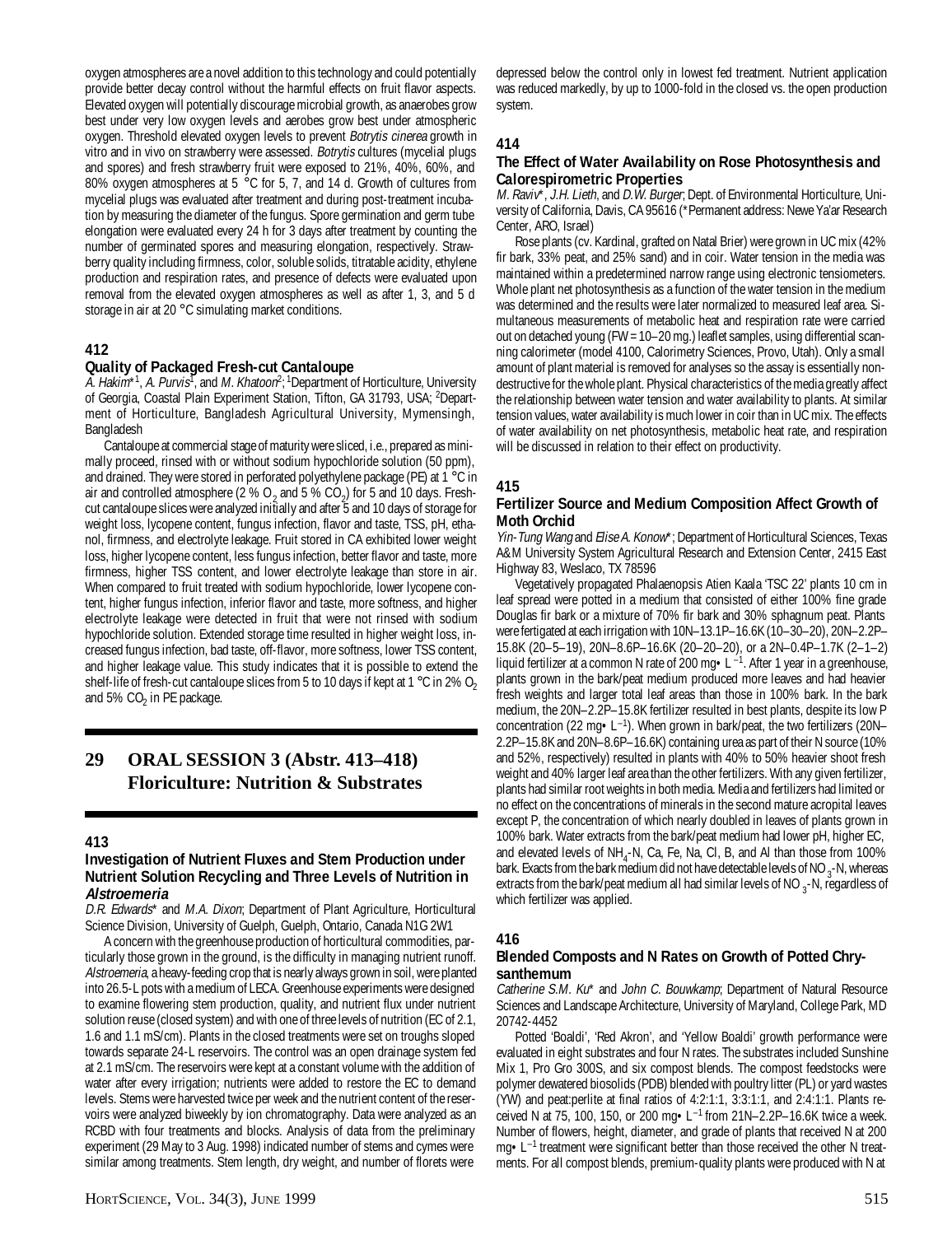oxygen atmospheres are a novel addition to this technology and could potentially provide better decay control without the harmful effects on fruit flavor aspects. Elevated oxygen will potentially discourage microbial growth, as anaerobes grow best under very low oxygen levels and aerobes grow best under atmospheric oxygen. Threshold elevated oxygen levels to prevent *Botrytis cinerea* growth in vitro and in vivo on strawberry were assessed. Botrytis cultures (mycelial plugs and spores) and fresh strawberry fruit were exposed to 21%, 40%, 60%, and 80% oxygen atmospheres at 5 °C for 5, 7, and 14 d. Growth of cultures from mycelial plugs was evaluated after treatment and during post-treatment incubation by measuring the diameter of the fungus. Spore germination and germ tube elongation were evaluated every 24 h for 3 days after treatment by counting the number of germinated spores and measuring elongation, respectively. Strawberry quality including firmness, color, soluble solids, titratable acidity, ethylene production and respiration rates, and presence of defects were evaluated upon removal from the elevated oxygen atmospheres as well as after 1, 3, and 5 d storage in air at 20 °C simulating market conditions.

## **412**

## **Quality of Packaged Fresh-cut Cantaloupe**

A. Hakim\*<sup>1</sup>, A. Purvis<sup>T</sup>, and M. Khatoon<sup>2</sup>; <sup>1</sup>Department of Horticulture, University of Georgia, Coastal Plain Experiment Station, Tifton, GA 31793, USA; 2Department of Horticulture, Bangladesh Agricultural University, Mymensingh, Bangladesh

Cantaloupe at commercial stage of maturity were sliced, i.e., prepared as minimally proceed, rinsed with or without sodium hypochloride solution (50 ppm), and drained. They were stored in perforated polyethylene package (PE) at 1 °C in air and controlled atmosphere (2 %  $O_2$  and 5 %  $CO_2$ ) for 5 and 10 days. Freshcut cantaloupe slices were analyzed initially and after 5 and 10 days of storage for weight loss, lycopene content, fungus infection, flavor and taste, TSS, pH, ethanol, firmness, and electrolyte leakage. Fruit stored in CA exhibited lower weight loss, higher lycopene content, less fungus infection, better flavor and taste, more firmness, higher TSS content, and lower electrolyte leakage than store in air. When compared to fruit treated with sodium hypochloride, lower lycopene content, higher fungus infection, inferior flavor and taste, more softness, and higher electrolyte leakage were detected in fruit that were not rinsed with sodium hypochloride solution. Extended storage time resulted in higher weight loss, increased fungus infection, bad taste, off-flavor, more softness, lower TSS content, and higher leakage value. This study indicates that it is possible to extend the shelf-life of fresh-cut cantaloupe slices from 5 to 10 days if kept at 1 °C in 2% O<sub>2</sub> and 5%  $CO<sub>2</sub>$  in PE package.

## **29 ORAL SESSION 3 (Abstr. 413–418) Floriculture: Nutrition & Substrates**

#### **413**

#### **Investigation of Nutrient Fluxes and Stem Production under Nutrient Solution Recycling and Three Levels of Nutrition in Alstroemeria**

D.R. Edwards\* and M.A. Dixon; Department of Plant Agriculture, Horticultural Science Division, University of Guelph, Guelph, Ontario, Canada N1G 2W1

A concern with the greenhouse production of horticultural commodities, particularly those grown in the ground, is the difficulty in managing nutrient runoff. Alstroemeria, a heavy-feeding crop that is nearly always grown in soil, were planted into 26.5-L pots with a medium of LECA. Greenhouse experiments were designed to examine flowering stem production, quality, and nutrient flux under nutrient solution reuse (closed system) and with one of three levels of nutrition (EC of 2.1, 1.6 and 1.1 mS/cm). Plants in the closed treatments were set on troughs sloped towards separate 24-L reservoirs. The control was an open drainage system fed at 2.1 mS/cm. The reservoirs were kept at a constant volume with the addition of water after every irrigation; nutrients were added to restore the EC to demand levels. Stems were harvested twice per week and the nutrient content of the reservoirs were analyzed biweekly by ion chromatography. Data were analyzed as an RCBD with four treatments and blocks. Analysis of data from the preliminary experiment (29 May to 3 Aug. 1998) indicated number of stems and cymes were similar among treatments. Stem length, dry weight, and number of florets were

depressed below the control only in lowest fed treatment. Nutrient application was reduced markedly, by up to 1000-fold in the closed vs. the open production system.

## **414**

## **The Effect of Water Availability on Rose Photosynthesis and Calorespirometric Properties**

M. Raviv\*, J.H. Lieth, and D.W. Burger; Dept. of Environmental Horticulture, University of California, Davis, CA 95616 (\*Permanent address: Newe Ya'ar Research Center, ARO, Israel)

Rose plants (cv. Kardinal, grafted on Natal Brier) were grown in UC mix (42% fir bark, 33% peat, and 25% sand) and in coir. Water tension in the media was maintained within a predetermined narrow range using electronic tensiometers. Whole plant net photosynthesis as a function of the water tension in the medium was determined and the results were later normalized to measured leaf area. Simultaneous measurements of metabolic heat and respiration rate were carried out on detached young (FW = 10–20 mg.) leaflet samples, using differential scanning calorimeter (model 4100, Calorimetry Sciences, Provo, Utah). Only a small amount of plant material is removed for analyses so the assay is essentially nondestructive for the whole plant. Physical characteristics of the media greatly affect the relationship between water tension and water availability to plants. At similar tension values, water availability is much lower in coir than in UC mix. The effects of water availability on net photosynthesis, metabolic heat rate, and respiration will be discussed in relation to their effect on productivity.

## **415**

#### **Fertilizer Source and Medium Composition Affect Growth of Moth Orchid**

Yin-Tung Wang and Elise A. Konow\*; Department of Horticultural Sciences, Texas A&M University System Agricultural Research and Extension Center, 2415 East Highway 83, Weslaco, TX 78596

Vegetatively propagated Phalaenopsis Atien Kaala 'TSC 22' plants 10 cm in leaf spread were potted in a medium that consisted of either 100% fine grade Douglas fir bark or a mixture of 70% fir bark and 30% sphagnum peat. Plants were fertigated at each irrigation with 10N–13.1P–16.6K (10–30–20), 20N–2.2P– 15.8K (20–5–19), 20N–8.6P–16.6K (20–20–20), or a 2N–0.4P–1.7K (2–1–2) liquid fertilizer at a common N rate of 200 mg  $\bullet$  L<sup>-1</sup>. After 1 year in a greenhouse, plants grown in the bark/peat medium produced more leaves and had heavier fresh weights and larger total leaf areas than those in 100% bark. In the bark medium, the 20N–2.2P–15.8K fertilizer resulted in best plants, despite its low P concentration (22 mg  $\text{L}^{-1}$ ). When grown in bark/peat, the two fertilizers (20N– 2.2P–15.8K and 20N–8.6P–16.6K) containing urea as part of their N source (10% and 52%, respectively) resulted in plants with 40% to 50% heavier shoot fresh weight and 40% larger leaf area than the other fertilizers. With any given fertilizer, plants had similar root weights in both media. Media and fertilizers had limited or no effect on the concentrations of minerals in the second mature acropital leaves except P, the concentration of which nearly doubled in leaves of plants grown in 100% bark. Water extracts from the bark/peat medium had lower pH, higher EC, and elevated levels of  $NH_4$ -N, Ca, Fe, Na, Cl, B, and Al than those from 100% bark. Exacts from the bark medium did not have detectable levels of NO  $_3$ -N, whereas extracts from the bark/peat medium all had similar levels of NO  $_3$ -N, regardless of which fertilizer was applied.

#### **416**

#### **Blended Composts and N Rates on Growth of Potted Chrysanthemum**

Catherine S.M. Ku\* and John C. Bouwkamp; Department of Natural Resource Sciences and Landscape Architecture, University of Maryland, College Park, MD 20742-4452

Potted 'Boaldi', 'Red Akron', and 'Yellow Boaldi' growth performance were evaluated in eight substrates and four N rates. The substrates included Sunshine Mix 1, Pro Gro 300S, and six compost blends. The compost feedstocks were polymer dewatered biosolids (PDB) blended with poultry litter (PL) or yard wastes (YW) and peat:perlite at final ratios of 4:2:1:1, 3:3:1:1, and 2:4:1:1. Plants received N at 75, 100, 150, or 200 mg $\bullet$  L<sup>-1</sup> from 21N-2.2P-16.6K twice a week. Number of flowers, height, diameter, and grade of plants that received N at 200 mg • L<sup>-1</sup> treatment were significant better than those received the other N treatments. For all compost blends, premium-quality plants were produced with N at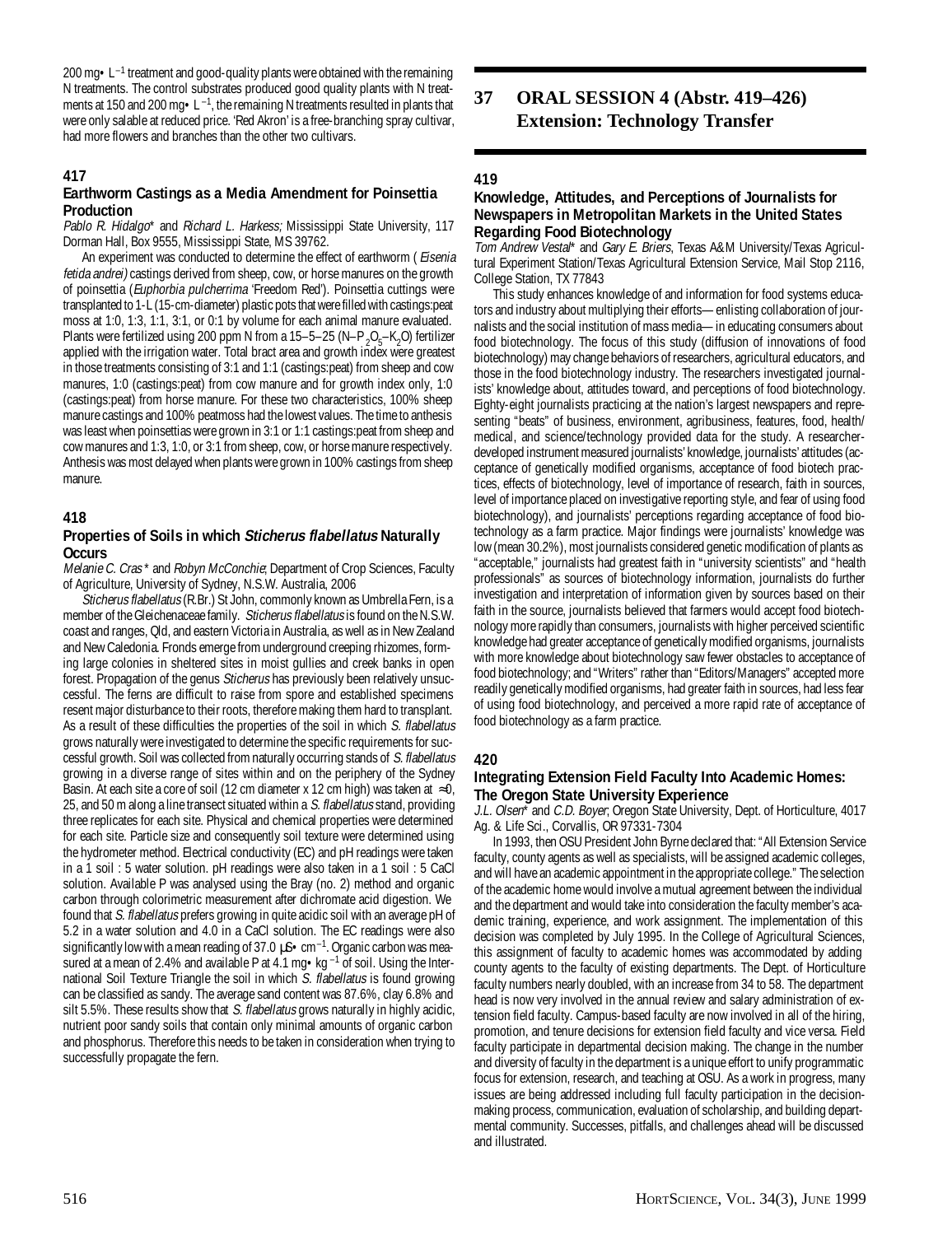200 mg $\cdot L^{-1}$  treatment and good-quality plants were obtained with the remaining N treatments. The control substrates produced good quality plants with N treatments at 150 and 200 mg  $\bullet$  L<sup>-1</sup>, the remaining N treatments resulted in plants that were only salable at reduced price. 'Red Akron' is a free-branching spray cultivar, had more flowers and branches than the other two cultivars.

## **417**

## **Earthworm Castings as a Media Amendment for Poinsettia Production**

Pablo R. Hidalgo\* and Richard L. Harkess; Mississippi State University, 117 Dorman Hall, Box 9555, Mississippi State, MS 39762.

An experiment was conducted to determine the effect of earthworm (*Eisenia* fetida andrei) castings derived from sheep, cow, or horse manures on the growth of poinsettia (Euphorbia pulcherrima 'Freedom Red'). Poinsettia cuttings were transplanted to 1-L (15-cm-diameter) plastic pots that were filled with castings:peat moss at 1:0, 1:3, 1:1, 3:1, or 0:1 by volume for each animal manure evaluated. Plants were fertilized using 200 ppm N from a 15–5–25 (N–P<sub>2</sub>O<sub>5</sub>–K<sub>2</sub>O) fertilizer applied with the irrigation water. Total bract area and growth index were greatest in those treatments consisting of 3:1 and 1:1 (castings:peat) from sheep and cow manures, 1:0 (castings:peat) from cow manure and for growth index only, 1:0 (castings:peat) from horse manure. For these two characteristics, 100% sheep manure castings and 100% peatmoss had the lowest values. The time to anthesis was least when poinsettias were grown in 3:1 or 1:1 castings:peat from sheep and cow manures and 1:3, 1:0, or 3:1 from sheep, cow, or horse manure respectively. Anthesis was most delayed when plants were grown in 100% castings from sheep manure.

## **418**

## **Properties of Soils in which Sticherus flabellatus Naturally Occurs**

Melanie C. Cras\* and Robyn McConchie; Department of Crop Sciences, Faculty of Agriculture, University of Sydney, N.S.W. Australia, 2006

Sticherus flabellatus (R.Br.) St John, commonly known as Umbrella Fern, is a member of the Gleichenaceae family. Sticherus flabellatus is found on the N.S.W. coast and ranges, Qld, and eastern Victoria in Australia, as well as in New Zealand and New Caledonia. Fronds emerge from underground creeping rhizomes, forming large colonies in sheltered sites in moist gullies and creek banks in open forest. Propagation of the genus Sticherus has previously been relatively unsuccessful. The ferns are difficult to raise from spore and established specimens resent major disturbance to their roots, therefore making them hard to transplant. As a result of these difficulties the properties of the soil in which S. flabellatus grows naturally were investigated to determine the specific requirements for successful growth. Soil was collected from naturally occurring stands of S. flabellatus growing in a diverse range of sites within and on the periphery of the Sydney Basin. At each site a core of soil (12 cm diameter x 12 cm high) was taken at  $\approx 0$ , 25, and 50 m along a line transect situated within a S. flabellatus stand, providing three replicates for each site. Physical and chemical properties were determined for each site. Particle size and consequently soil texture were determined using the hydrometer method. Electrical conductivity (EC) and pH readings were taken in a 1 soil : 5 water solution. pH readings were also taken in a 1 soil : 5 CaCl solution. Available P was analysed using the Bray (no. 2) method and organic carbon through colorimetric measurement after dichromate acid digestion. We found that S. flabellatus prefers growing in quite acidic soil with an average pH of 5.2 in a water solution and 4.0 in a CaCl solution. The EC readings were also significantly low with a mean reading of 37.0  $\mu$ S • cm<sup>-1</sup>. Organic carbon was measured at a mean of 2.4% and available P at 4.1 mg $\cdot$ kg<sup>-1</sup> of soil. Using the International Soil Texture Triangle the soil in which S. flabellatus is found growing can be classified as sandy. The average sand content was 87.6%, clay 6.8% and silt 5.5%. These results show that S. flabellatus grows naturally in highly acidic, nutrient poor sandy soils that contain only minimal amounts of organic carbon and phosphorus. Therefore this needs to be taken in consideration when trying to successfully propagate the fern.

## **37 ORAL SESSION 4 (Abstr. 419–426) Extension: Technology Transfer**

## **419**

### **Knowledge, Attitudes, and Perceptions of Journalists for Newspapers in Metropolitan Markets in the United States Regarding Food Biotechnology**

Tom Andrew Vestal\* and Gary E. Briers, Texas A&M University/Texas Agricultural Experiment Station/Texas Agricultural Extension Service, Mail Stop 2116, College Station, TX 77843

This study enhances knowledge of and information for food systems educators and industry about multiplying their efforts—enlisting collaboration of journalists and the social institution of mass media—in educating consumers about food biotechnology. The focus of this study (diffusion of innovations of food biotechnology) may change behaviors of researchers, agricultural educators, and those in the food biotechnology industry. The researchers investigated journalists' knowledge about, attitudes toward, and perceptions of food biotechnology. Eighty-eight journalists practicing at the nation's largest newspapers and representing "beats" of business, environment, agribusiness, features, food, health/ medical, and science/technology provided data for the study. A researcherdeveloped instrument measured journalists' knowledge, journalists' attitudes (acceptance of genetically modified organisms, acceptance of food biotech practices, effects of biotechnology, level of importance of research, faith in sources, level of importance placed on investigative reporting style, and fear of using food biotechnology), and journalists' perceptions regarding acceptance of food biotechnology as a farm practice. Major findings were journalists' knowledge was low (mean 30.2%), most journalists considered genetic modification of plants as "acceptable," journalists had greatest faith in "university scientists" and "health professionals" as sources of biotechnology information, journalists do further investigation and interpretation of information given by sources based on their faith in the source, journalists believed that farmers would accept food biotechnology more rapidly than consumers, journalists with higher perceived scientific knowledge had greater acceptance of genetically modified organisms, journalists with more knowledge about biotechnology saw fewer obstacles to acceptance of food biotechnology; and "Writers" rather than "Editors/Managers" accepted more readily genetically modified organisms, had greater faith in sources, had less fear of using food biotechnology, and perceived a more rapid rate of acceptance of food biotechnology as a farm practice.

## **420**

#### **Integrating Extension Field Faculty Into Academic Homes: The Oregon State University Experience**

J.L. Olsen<sup>\*</sup> and C.D. Boyer, Oregon State University, Dept. of Horticulture, 4017 Ag. & Life Sci., Corvallis, OR 97331-7304

In 1993, then OSU President John Byrne declared that: "All Extension Service faculty, county agents as well as specialists, will be assigned academic colleges, and will have an academic appointment in the appropriate college." The selection of the academic home would involve a mutual agreement between the individual and the department and would take into consideration the faculty member's academic training, experience, and work assignment. The implementation of this decision was completed by July 1995. In the College of Agricultural Sciences, this assignment of faculty to academic homes was accommodated by adding county agents to the faculty of existing departments. The Dept. of Horticulture faculty numbers nearly doubled, with an increase from 34 to 58. The department head is now very involved in the annual review and salary administration of extension field faculty. Campus-based faculty are now involved in all of the hiring, promotion, and tenure decisions for extension field faculty and vice versa. Field faculty participate in departmental decision making. The change in the number and diversity of faculty in the department is a unique effort to unify programmatic focus for extension, research, and teaching at OSU. As a work in progress, many issues are being addressed including full faculty participation in the decisionmaking process, communication, evaluation of scholarship, and building departmental community. Successes, pitfalls, and challenges ahead will be discussed and illustrated.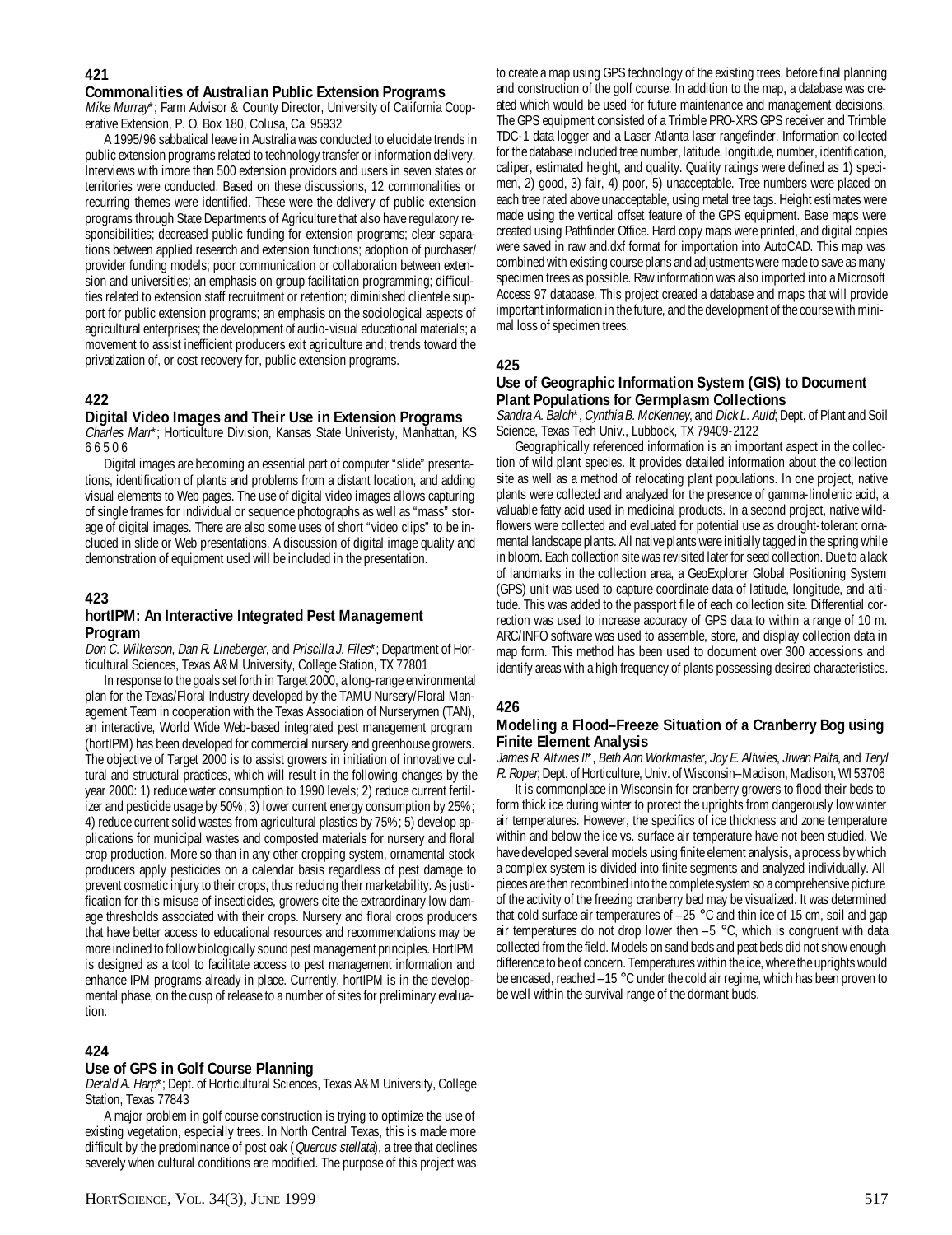#### **421**

#### **Commonalities of Australian Public Extension Programs**

Mike Murray\*; Farm Advisor & County Director, University of California Cooperative Extension, P. O. Box 180, Colusa, Ca. 95932

A 1995/96 sabbatical leave in Australia was conducted to elucidate trends in public extension programs related to technology transfer or information delivery. Interviews with imore than 500 extension providors and users in seven states or territories were conducted. Based on these discussions, 12 commonalities or recurring themes were identified. These were the delivery of public extension programs through State Departments of Agriculture that also have regulatory responsibilities; decreased public funding for extension programs; clear separations between applied research and extension functions; adoption of purchaser/ provider funding models; poor communication or collaboration between extension and universities; an emphasis on group facilitation programming; difficulties related to extension staff recruitment or retention; diminished clientele support for public extension programs; an emphasis on the sociological aspects of agricultural enterprises; the development of audio-visual educational materials; a movement to assist inefficient producers exit agriculture and; trends toward the privatization of, or cost recovery for, public extension programs.

## **422**

#### **Digital Video Images and Their Use in Extension Programs**

Charles Marr\*; Horticulture Division, Kansas State Univeristy, Manhattan, KS 66506

Digital images are becoming an essential part of computer "slide" presentations, identification of plants and problems from a distant location, and adding visual elements to Web pages. The use of digital video images allows capturing of single frames for individual or sequence photographs as well as "mass" storage of digital images. There are also some uses of short "video clips" to be included in slide or Web presentations. A discussion of digital image quality and demonstration of equipment used will be included in the presentation.

#### **423**

## **hortIPM: An Interactive Integrated Pest Management Program**

Don C. Wilkerson, Dan R. Lineberger, and Priscilla J. Files\*; Department of Horticultural Sciences, Texas A&M University, College Station, TX 77801

In response to the goals set forth in Target 2000, a long-range environmental plan for the Texas/Floral Industry developed by the TAMU Nursery/Floral Management Team in cooperation with the Texas Association of Nurserymen (TAN), an interactive, World Wide Web-based integrated pest management program (hortIPM) has been developed for commercial nursery and greenhouse growers. The objective of Target 2000 is to assist growers in initiation of innovative cultural and structural practices, which will result in the following changes by the year 2000: 1) reduce water consumption to 1990 levels; 2) reduce current fertilizer and pesticide usage by 50%; 3) lower current energy consumption by 25%; 4) reduce current solid wastes from agricultural plastics by 75%; 5) develop applications for municipal wastes and composted materials for nursery and floral crop production. More so than in any other cropping system, ornamental stock producers apply pesticides on a calendar basis regardless of pest damage to prevent cosmetic injury to their crops, thus reducing their marketability. As justification for this misuse of insecticides, growers cite the extraordinary low damage thresholds associated with their crops. Nursery and floral crops producers that have better access to educational resources and recommendations may be more inclined to follow biologically sound pest management principles. HortIPM is designed as a tool to facilitate access to pest management information and enhance IPM programs already in place. Currently, hortIPM is in the developmental phase, on the cusp of release to a number of sites for preliminary evaluation.

#### **424**

#### **Use of GPS in Golf Course Planning**

Derald A. Harp\*; Dept. of Horticultural Sciences, Texas A&M University, College Station, Texas 77843

A major problem in golf course construction is trying to optimize the use of existing vegetation, especially trees. In North Central Texas, this is made more difficult by the predominance of post oak (Quercus stellata), a tree that declines severely when cultural conditions are modified. The purpose of this project was

to create a map using GPS technology of the existing trees, before final planning and construction of the golf course. In addition to the map, a database was created which would be used for future maintenance and management decisions. The GPS equipment consisted of a Trimble PRO-XRS GPS receiver and Trimble TDC-1 data logger and a Laser Atlanta laser rangefinder. Information collected for the database included tree number, latitude, longitude, number, identification, caliper, estimated height, and quality. Quality ratings were defined as 1) specimen, 2) good, 3) fair, 4) poor, 5) unacceptable. Tree numbers were placed on each tree rated above unacceptable, using metal tree tags. Height estimates were made using the vertical offset feature of the GPS equipment. Base maps were created using Pathfinder Office. Hard copy maps were printed, and digital copies were saved in raw and.dxf format for importation into AutoCAD. This map was combined with existing course plans and adjustments were made to save as many specimen trees as possible. Raw information was also imported into a Microsoft Access 97 database. This project created a database and maps that will provide important information in the future, and the development of the course with minimal loss of specimen trees.

## **425**

## **Use of Geographic Information System (GIS) to Document Plant Populations for Germplasm Collections**

Sandra A. Balch\*, Cynthia B. McKenney, and Dick L. Auld; Dept. of Plant and Soil Science, Texas Tech Univ., Lubbock, TX 79409-2122

Geographically referenced information is an important aspect in the collection of wild plant species. It provides detailed information about the collection site as well as a method of relocating plant populations. In one project, native plants were collected and analyzed for the presence of gamma-linolenic acid, a valuable fatty acid used in medicinal products. In a second project, native wildflowers were collected and evaluated for potential use as drought-tolerant ornamental landscape plants. All native plants were initially tagged in the spring while in bloom. Each collection site was revisited later for seed collection. Due to a lack of landmarks in the collection area, a GeoExplorer Global Positioning System (GPS) unit was used to capture coordinate data of latitude, longitude, and altitude. This was added to the passport file of each collection site. Differential correction was used to increase accuracy of GPS data to within a range of 10 m. ARC/INFO software was used to assemble, store, and display collection data in map form. This method has been used to document over 300 accessions and identify areas with a high frequency of plants possessing desired characteristics.

#### **426**

## **Modeling a Flood–Freeze Situation of a Cranberry Bog using Finite Element Analysis**

James R. Altwies II\*, Beth Ann Workmaster, Joy E. Altwies, Jiwan Palta, and Teryl R. Roper; Dept. of Horticulture, Univ. of Wisconsin–Madison, Madison, WI 53706

It is commonplace in Wisconsin for cranberry growers to flood their beds to form thick ice during winter to protect the uprights from dangerously low winter air temperatures. However, the specifics of ice thickness and zone temperature within and below the ice vs. surface air temperature have not been studied. We have developed several models using finite element analysis, a process by which a complex system is divided into finite segments and analyzed individually. All pieces are then recombined into the complete system so a comprehensive picture of the activity of the freezing cranberry bed may be visualized. It was determined that cold surface air temperatures of –25 °C and thin ice of 15 cm, soil and gap air temperatures do not drop lower then  $-5$  °C, which is congruent with data collected from the field. Models on sand beds and peat beds did not show enough difference to be of concern. Temperatures within the ice, where the uprights would be encased, reached –15 °C under the cold air regime, which has been proven to be well within the survival range of the dormant buds.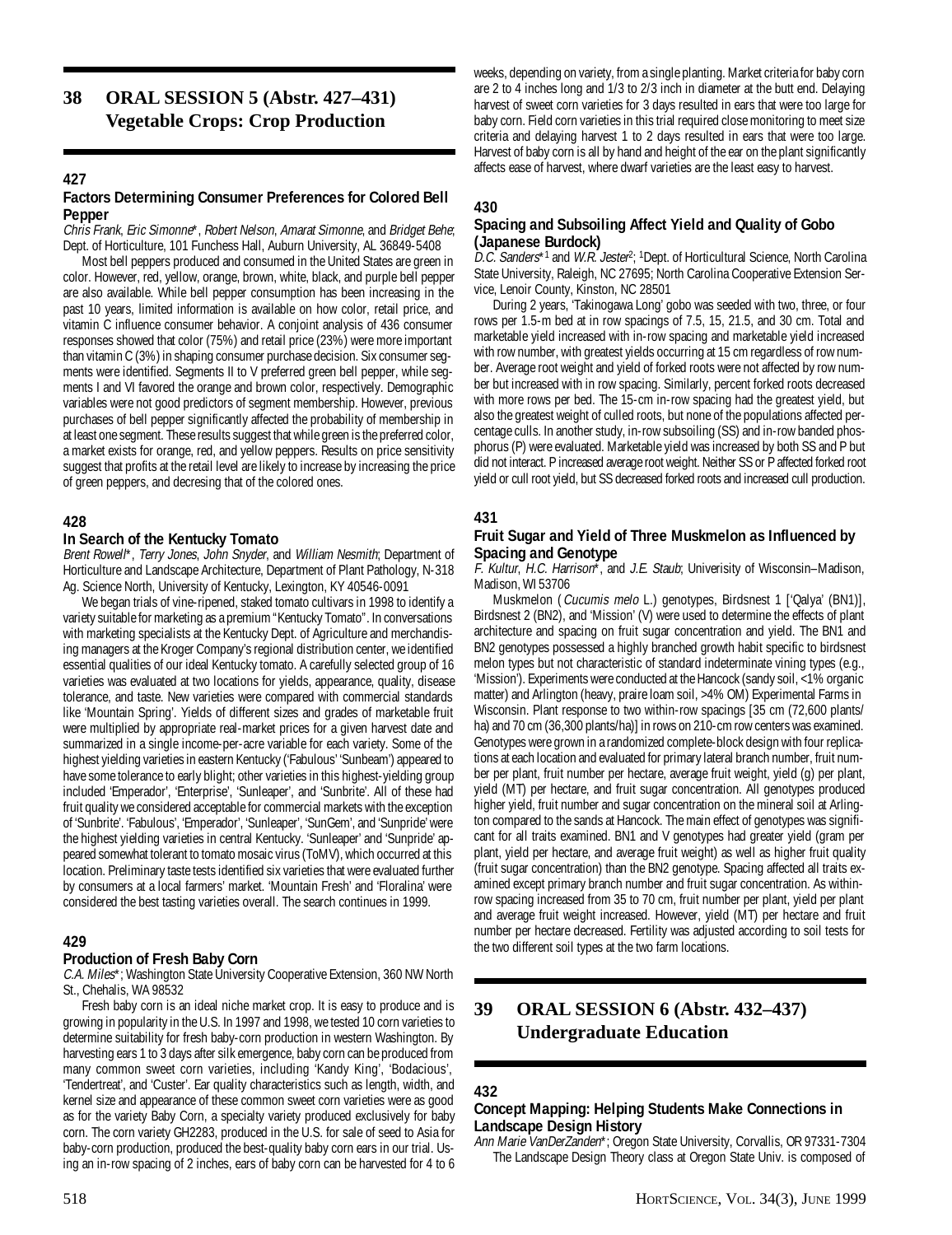**38 ORAL SESSION 5 (Abstr. 427–431) Vegetable Crops: Crop Production**

#### **427**

#### **Factors Determining Consumer Preferences for Colored Bell Pepper**

Chris Frank, Eric Simonne\*, Robert Nelson, Amarat Simonne, and Bridget Behe; Dept. of Horticulture, 101 Funchess Hall, Auburn University, AL 36849-5408

Most bell peppers produced and consumed in the United States are green in color. However, red, yellow, orange, brown, white, black, and purple bell pepper are also available. While bell pepper consumption has been increasing in the past 10 years, limited information is available on how color, retail price, and vitamin C influence consumer behavior. A conjoint analysis of 436 consumer responses showed that color (75%) and retail price (23%) were more important than vitamin C (3%) in shaping consumer purchase decision. Six consumer segments were identified. Segments II to V preferred green bell pepper, while segments I and VI favored the orange and brown color, respectively. Demographic variables were not good predictors of segment membership. However, previous purchases of bell pepper significantly affected the probability of membership in at least one segment. These results suggest that while green is the preferred color, a market exists for orange, red, and yellow peppers. Results on price sensitivity suggest that profits at the retail level are likely to increase by increasing the price of green peppers, and decresing that of the colored ones.

#### **428**

#### **In Search of the Kentucky Tomato**

Brent Rowell\*, Terry Jones, John Snyder, and William Nesmith; Department of Horticulture and Landscape Architecture, Department of Plant Pathology, N-318 Ag. Science North, University of Kentucky, Lexington, KY 40546-0091

We began trials of vine-ripened, staked tomato cultivars in 1998 to identify a variety suitable for marketing as a premium "Kentucky Tomato". In conversations with marketing specialists at the Kentucky Dept. of Agriculture and merchandising managers at the Kroger Company's regional distribution center, we identified essential qualities of our ideal Kentucky tomato. A carefully selected group of 16 varieties was evaluated at two locations for yields, appearance, quality, disease tolerance, and taste. New varieties were compared with commercial standards like 'Mountain Spring'. Yields of different sizes and grades of marketable fruit were multiplied by appropriate real-market prices for a given harvest date and summarized in a single income-per-acre variable for each variety. Some of the highest yielding varieties in eastern Kentucky ('Fabulous' 'Sunbeam') appeared to have some tolerance to early blight; other varieties in this highest-yielding group included 'Emperador', 'Enterprise', 'Sunleaper', and 'Sunbrite'. All of these had fruit quality we considered acceptable for commercial markets with the exception of 'Sunbrite'. 'Fabulous', 'Emperador', 'Sunleaper', 'SunGem', and 'Sunpride' were the highest yielding varieties in central Kentucky. 'Sunleaper' and 'Sunpride' appeared somewhat tolerant to tomato mosaic virus (ToMV), which occurred at this location. Preliminary taste tests identified six varieties that were evaluated further by consumers at a local farmers' market. 'Mountain Fresh' and 'Floralina' were considered the best tasting varieties overall. The search continues in 1999.

#### **429**

## **Production of Fresh Baby Corn**

C.A. Miles\*; Washington State University Cooperative Extension, 360 NW North St., Chehalis, WA 98532

Fresh baby corn is an ideal niche market crop. It is easy to produce and is growing in popularity in the U.S. In 1997 and 1998, we tested 10 corn varieties to determine suitability for fresh baby-corn production in western Washington. By harvesting ears 1 to 3 days after silk emergence, baby corn can be produced from many common sweet corn varieties, including 'Kandy King', 'Bodacious', 'Tendertreat', and 'Custer'. Ear quality characteristics such as length, width, and kernel size and appearance of these common sweet corn varieties were as good as for the variety Baby Corn, a specialty variety produced exclusively for baby corn. The corn variety GH2283, produced in the U.S. for sale of seed to Asia for baby-corn production, produced the best-quality baby corn ears in our trial. Using an in-row spacing of 2 inches, ears of baby corn can be harvested for 4 to 6

weeks, depending on variety, from a single planting. Market criteria for baby corn are 2 to 4 inches long and 1/3 to 2/3 inch in diameter at the butt end. Delaying harvest of sweet corn varieties for 3 days resulted in ears that were too large for baby corn. Field corn varieties in this trial required close monitoring to meet size criteria and delaying harvest 1 to 2 days resulted in ears that were too large. Harvest of baby corn is all by hand and height of the ear on the plant significantly affects ease of harvest, where dwarf varieties are the least easy to harvest.

#### **430**

#### **Spacing and Subsoiling Affect Yield and Quality of Gobo (Japanese Burdock)**

D.C. Sanders\*1 and W.R. Jester<sup>2</sup>; <sup>1</sup>Dept. of Horticultural Science, North Carolina State University, Raleigh, NC 27695; North Carolina Cooperative Extension Service, Lenoir County, Kinston, NC 28501

During 2 years, 'Takinogawa Long' gobo was seeded with two, three, or four rows per 1.5-m bed at in row spacings of 7.5, 15, 21.5, and 30 cm. Total and marketable yield increased with in-row spacing and marketable yield increased with row number, with greatest yields occurring at 15 cm regardless of row number. Average root weight and yield of forked roots were not affected by row number but increased with in row spacing. Similarly, percent forked roots decreased with more rows per bed. The 15-cm in-row spacing had the greatest yield, but also the greatest weight of culled roots, but none of the populations affected percentage culls. In another study, in-row subsoiling (SS) and in-row banded phosphorus (P) were evaluated. Marketable yield was increased by both SS and P but did not interact. P increased average root weight. Neither SS or P affected forked root yield or cull root yield, but SS decreased forked roots and increased cull production.

#### **431**

#### **Fruit Sugar and Yield of Three Muskmelon as Influenced by Spacing and Genotype**

F. Kultur, H.C. Harrison\*, and J.E. Staub; Univerisity of Wisconsin–Madison, Madison, WI 53706

Muskmelon (Cucumis melo L.) genotypes, Birdsnest 1 ['Qalya' (BN1)], Birdsnest 2 (BN2), and 'Mission' (V) were used to determine the effects of plant architecture and spacing on fruit sugar concentration and yield. The BN1 and BN2 genotypes possessed a highly branched growth habit specific to birdsnest melon types but not characteristic of standard indeterminate vining types (e.g., 'Mission'). Experiments were conducted at the Hancock (sandy soil, <1% organic matter) and Arlington (heavy, praire loam soil, >4% OM) Experimental Farms in Wisconsin. Plant response to two within-row spacings [35 cm (72,600 plants/ ha) and 70 cm (36,300 plants/ha)] in rows on 210-cm row centers was examined. Genotypes were grown in a randomized complete-block design with four replications at each location and evaluated for primary lateral branch number, fruit number per plant, fruit number per hectare, average fruit weight, yield (g) per plant, yield (MT) per hectare, and fruit sugar concentration. All genotypes produced higher yield, fruit number and sugar concentration on the mineral soil at Arlington compared to the sands at Hancock. The main effect of genotypes was significant for all traits examined. BN1 and V genotypes had greater yield (gram per plant, yield per hectare, and average fruit weight) as well as higher fruit quality (fruit sugar concentration) than the BN2 genotype. Spacing affected all traits examined except primary branch number and fruit sugar concentration. As withinrow spacing increased from 35 to 70 cm, fruit number per plant, yield per plant and average fruit weight increased. However, yield (MT) per hectare and fruit number per hectare decreased. Fertility was adjusted according to soil tests for the two different soil types at the two farm locations.

## **39 ORAL SESSION 6 (Abstr. 432–437) Undergraduate Education**

#### **432**

#### **Concept Mapping: Helping Students Make Connections in Landscape Design History**

Ann Marie VanDerZanden\*; Oregon State University, Corvallis, OR 97331-7304 The Landscape Design Theory class at Oregon State Univ. is composed of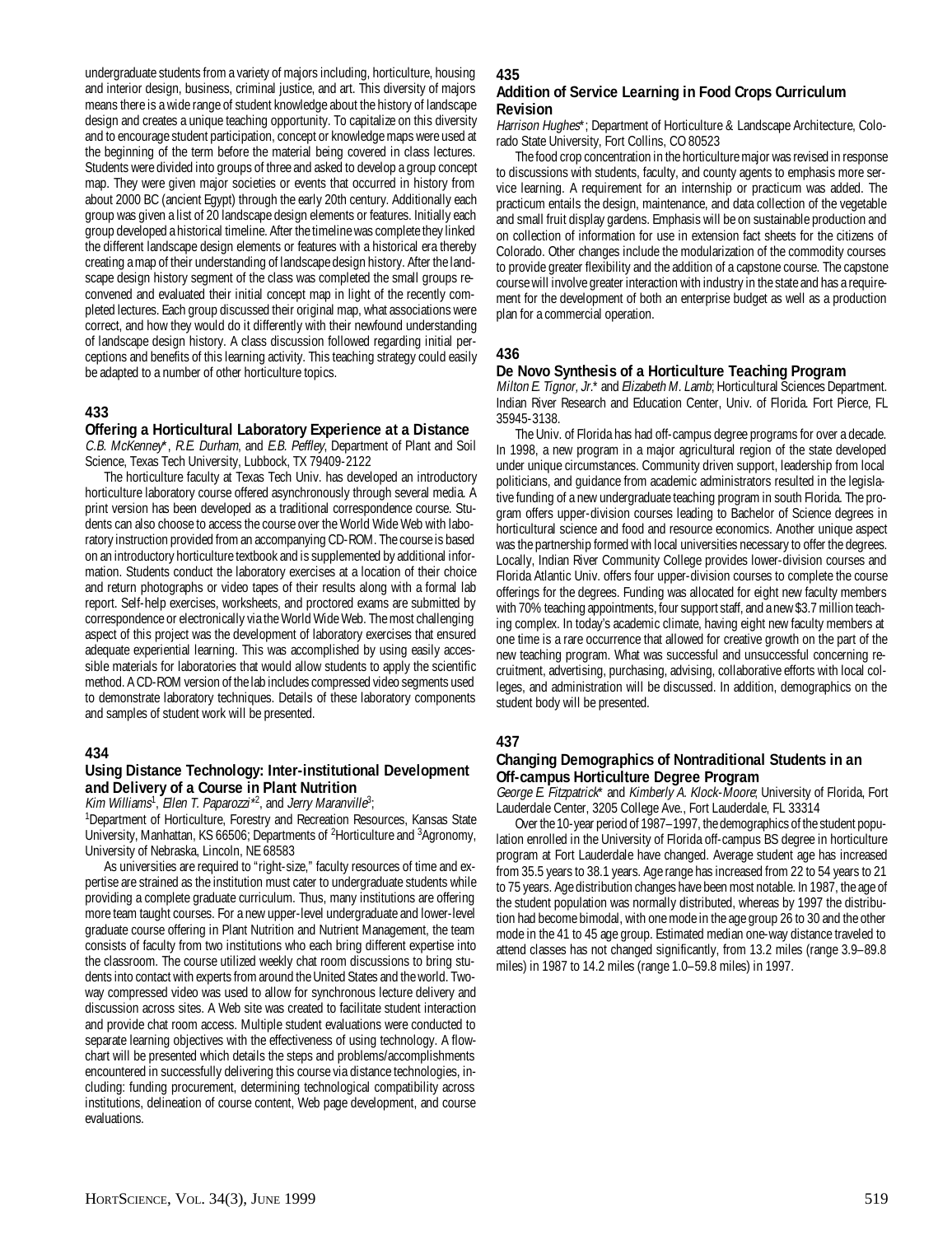undergraduate students from a variety of majors including, horticulture, housing and interior design, business, criminal justice, and art. This diversity of majors means there is a wide range of student knowledge about the history of landscape design and creates a unique teaching opportunity. To capitalize on this diversity and to encourage student participation, concept or knowledge maps were used at the beginning of the term before the material being covered in class lectures. Students were divided into groups of three and asked to develop a group concept map. They were given major societies or events that occurred in history from about 2000 BC (ancient Egypt) through the early 20th century. Additionally each group was given a list of 20 landscape design elements or features. Initially each group developed a historical timeline. After the timeline was complete they linked the different landscape design elements or features with a historical era thereby creating a map of their understanding of landscape design history. After the landscape design history segment of the class was completed the small groups reconvened and evaluated their initial concept map in light of the recently completed lectures. Each group discussed their original map, what associations were correct, and how they would do it differently with their newfound understanding of landscape design history. A class discussion followed regarding initial perceptions and benefits of this learning activity. This teaching strategy could easily be adapted to a number of other horticulture topics.

## **433**

#### **Offering a Horticultural Laboratory Experience at a Distance**

C.B. McKenney\*, R.E. Durham, and E.B. Peffley, Department of Plant and Soil Science, Texas Tech University, Lubbock, TX 79409-2122

The horticulture faculty at Texas Tech Univ. has developed an introductory horticulture laboratory course offered asynchronously through several media. A print version has been developed as a traditional correspondence course. Students can also choose to access the course over the World Wide Web with laboratory instruction provided from an accompanying CD-ROM. The course is based on an introductory horticulture textbook and is supplemented by additional information. Students conduct the laboratory exercises at a location of their choice and return photographs or video tapes of their results along with a formal lab report. Self-help exercises, worksheets, and proctored exams are submitted by correspondence or electronically via the World Wide Web. The most challenging aspect of this project was the development of laboratory exercises that ensured adequate experiential learning. This was accomplished by using easily accessible materials for laboratories that would allow students to apply the scientific method. A CD-ROM version of the lab includes compressed video segments used to demonstrate laboratory techniques. Details of these laboratory components and samples of student work will be presented.

#### **434**

## **Using Distance Technology: Inter-institutional Development and Delivery of a Course in Plant Nutrition**

Kim Williams<sup>1</sup>, Ellen T. Paparozzi\*<sup>2</sup>, and Jerry Maranville<sup>3</sup>;

<sup>1</sup>Department of Horticulture, Forestry and Recreation Resources, Kansas State University, Manhattan, KS 66506; Departments of <sup>2</sup>Horticulture and <sup>3</sup>Agronomy, University of Nebraska, Lincoln, NE 68583

As universities are required to "right-size," faculty resources of time and expertise are strained as the institution must cater to undergraduate students while providing a complete graduate curriculum. Thus, many institutions are offering more team taught courses. For a new upper-level undergraduate and lower-level graduate course offering in Plant Nutrition and Nutrient Management, the team consists of faculty from two institutions who each bring different expertise into the classroom. The course utilized weekly chat room discussions to bring students into contact with experts from around the United States and the world. Twoway compressed video was used to allow for synchronous lecture delivery and discussion across sites. A Web site was created to facilitate student interaction and provide chat room access. Multiple student evaluations were conducted to separate learning objectives with the effectiveness of using technology. A flowchart will be presented which details the steps and problems/accomplishments encountered in successfully delivering this course via distance technologies, including: funding procurement, determining technological compatibility across institutions, delineation of course content, Web page development, and course evaluations.

#### **435**

#### **Addition of Service Learning in Food Crops Curriculum Revision**

Harrison Hughes\*; Department of Horticulture & Landscape Architecture, Colorado State University, Fort Collins, CO 80523

The food crop concentration in the horticulture major was revised in response to discussions with students, faculty, and county agents to emphasis more service learning. A requirement for an internship or practicum was added. The practicum entails the design, maintenance, and data collection of the vegetable and small fruit display gardens. Emphasis will be on sustainable production and on collection of information for use in extension fact sheets for the citizens of Colorado. Other changes include the modularization of the commodity courses to provide greater flexibility and the addition of a capstone course. The capstone course will involve greater interaction with industry in the state and has a requirement for the development of both an enterprise budget as well as a production plan for a commercial operation.

#### **436**

#### **De Novo Synthesis of a Horticulture Teaching Program**

Milton E. Tignor, Jr.\* and Elizabeth M. Lamb; Horticultural Sciences Department. Indian River Research and Education Center, Univ. of Florida. Fort Pierce, FL 35945-3138.

The Univ. of Florida has had off-campus degree programs for over a decade. In 1998, a new program in a major agricultural region of the state developed under unique circumstances. Community driven support, leadership from local politicians, and guidance from academic administrators resulted in the legislative funding of a new undergraduate teaching program in south Florida. The program offers upper-division courses leading to Bachelor of Science degrees in horticultural science and food and resource economics. Another unique aspect was the partnership formed with local universities necessary to offer the degrees. Locally, Indian River Community College provides lower-division courses and Florida Atlantic Univ. offers four upper-division courses to complete the course offerings for the degrees. Funding was allocated for eight new faculty members with 70% teaching appointments, four support staff, and a new \$3.7 million teaching complex. In today's academic climate, having eight new faculty members at one time is a rare occurrence that allowed for creative growth on the part of the new teaching program. What was successful and unsuccessful concerning recruitment, advertising, purchasing, advising, collaborative efforts with local colleges, and administration will be discussed. In addition, demographics on the student body will be presented.

#### **437**

#### **Changing Demographics of Nontraditional Students in an Off-campus Horticulture Degree Program**

George E. Fitzpatrick\* and Kimberly A. Klock-Moore; University of Florida, Fort Lauderdale Center, 3205 College Ave., Fort Lauderdale, FL 33314

Over the 10-year period of 1987–1997, the demographics of the student population enrolled in the University of Florida off-campus BS degree in horticulture program at Fort Lauderdale have changed. Average student age has increased from 35.5 years to 38.1 years. Age range has increased from 22 to 54 years to 21 to 75 years. Age distribution changes have been most notable. In 1987, the age of the student population was normally distributed, whereas by 1997 the distribution had become bimodal, with one mode in the age group 26 to 30 and the other mode in the 41 to 45 age group. Estimated median one-way distance traveled to attend classes has not changed significantly, from 13.2 miles (range 3.9–89.8 miles) in 1987 to 14.2 miles (range 1.0–59.8 miles) in 1997.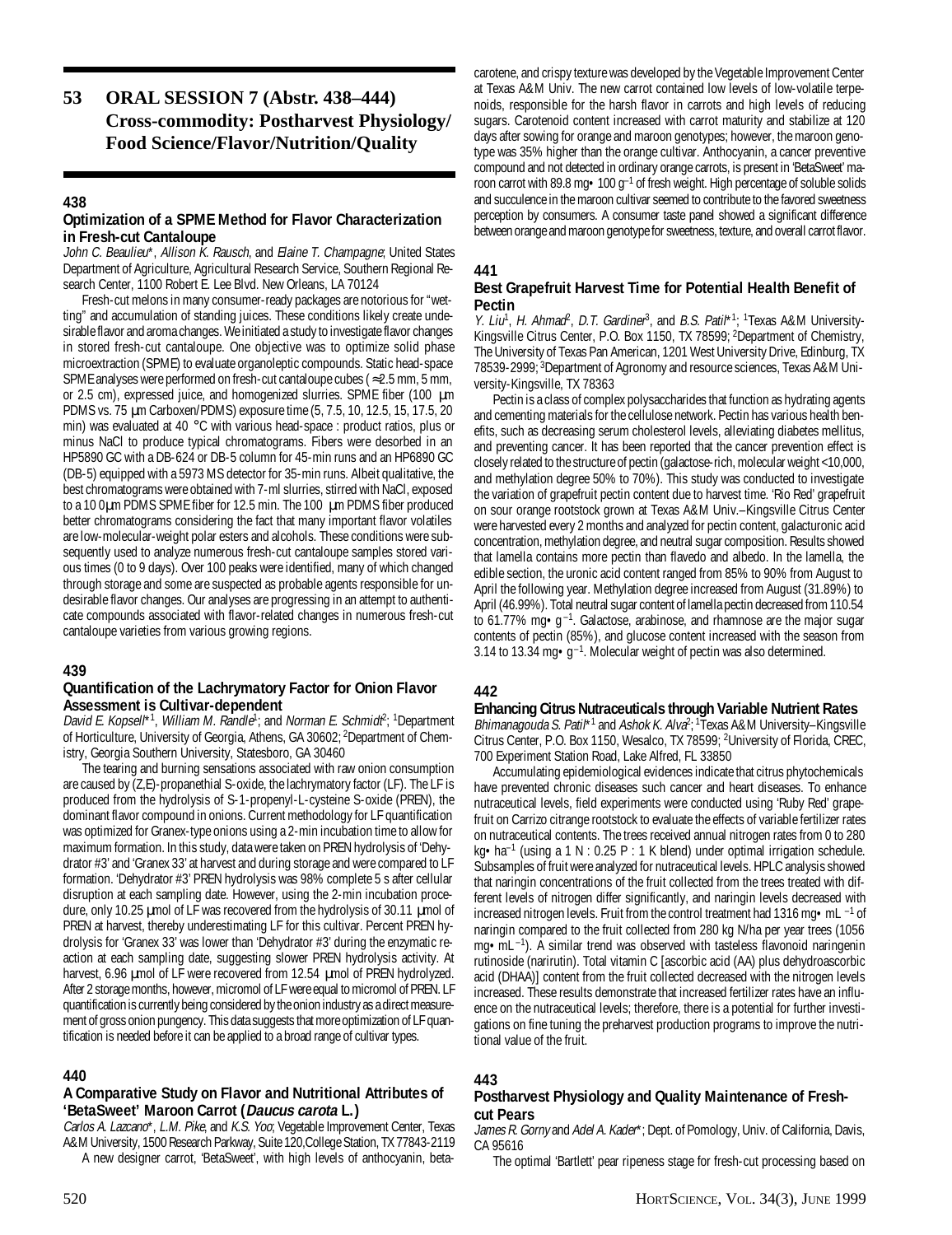## **53 ORAL SESSION 7 (Abstr. 438–444) Cross-commodity: Postharvest Physiology/ Food Science/Flavor/Nutrition/Quality**

## **438**

## **Optimization of a SPME Method for Flavor Characterization in Fresh-cut Cantaloupe**

John C. Beaulieu\*, Allison K. Rausch, and Elaine T. Champagne; United States Department of Agriculture, Agricultural Research Service, Southern Regional Research Center, 1100 Robert E. Lee Blvd. New Orleans, LA 70124

Fresh-cut melons in many consumer-ready packages are notorious for "wetting" and accumulation of standing juices. These conditions likely create undesirable flavor and aroma changes. We initiated a study to investigate flavor changes in stored fresh-cut cantaloupe. One objective was to optimize solid phase microextraction (SPME) to evaluate organoleptic compounds. Static head-space SPME analyses were performed on fresh-cut cantaloupe cubes (≈2.5 mm, 5 mm, or 2.5 cm), expressed juice, and homogenized slurries. SPME fiber (100 µm PDMS vs. 75 µm Carboxen/PDMS) exposure time (5, 7.5, 10, 12.5, 15, 17.5, 20 min) was evaluated at 40 °C with various head-space : product ratios, plus or minus NaCl to produce typical chromatograms. Fibers were desorbed in an HP5890 GC with a DB-624 or DB-5 column for 45-min runs and an HP6890 GC (DB-5) equipped with a 5973 MS detector for 35-min runs. Albeit qualitative, the best chromatograms were obtained with 7-ml slurries, stirred with NaCl, exposed to a 10 0µm PDMS SPME fiber for 12.5 min. The 100 µm PDMS fiber produced better chromatograms considering the fact that many important flavor volatiles are low-molecular-weight polar esters and alcohols. These conditions were subsequently used to analyze numerous fresh-cut cantaloupe samples stored various times (0 to 9 days). Over 100 peaks were identified, many of which changed through storage and some are suspected as probable agents responsible for undesirable flavor changes. Our analyses are progressing in an attempt to authenticate compounds associated with flavor-related changes in numerous fresh-cut cantaloupe varieties from various growing regions.

## **439**

#### **Quantification of the Lachrymatory Factor for Onion Flavor Assessment is Cultivar-dependent**

David E. Kopsell\*<sup>1</sup>, William M. Randle<sup>1</sup>; and Norman E. Schmidt<sup>2</sup>; <sup>1</sup>Department of Horticulture, University of Georgia, Athens, GA 30602; 2Department of Chemistry, Georgia Southern University, Statesboro, GA 30460

The tearing and burning sensations associated with raw onion consumption are caused by (Z,E)-propanethial S-oxide, the lachrymatory factor (LF). The LF is produced from the hydrolysis of S-1-propenyl-L-cysteine S-oxide (PREN), the dominant flavor compound in onions. Current methodology for LF quantification was optimized for Granex-type onions using a 2-min incubation time to allow for maximum formation. In this study, data were taken on PREN hydrolysis of 'Dehydrator #3' and 'Granex 33' at harvest and during storage and were compared to LF formation. 'Dehydrator #3' PREN hydrolysis was 98% complete 5 s after cellular disruption at each sampling date. However, using the 2-min incubation procedure, only 10.25 µmol of LF was recovered from the hydrolysis of 30.11 µmol of PREN at harvest, thereby underestimating LF for this cultivar. Percent PREN hydrolysis for 'Granex 33' was lower than 'Dehydrator #3' during the enzymatic reaction at each sampling date, suggesting slower PREN hydrolysis activity. At harvest, 6.96 umol of LF were recovered from 12.54 umol of PREN hydrolyzed. After 2 storage months, however, micromol of LF were equal to micromol of PREN. LF quantification is currently being considered by the onion industry as a direct measurement of gross onion pungency. This data suggests that more optimization of LF quantification is needed before it can be applied to a broad range of cultivar types.

## **440**

## **A Comparative Study on Flavor and Nutritional Attributes of 'BetaSweet' Maroon Carrot (Daucus carota L.)**

Carlos A. Lazcano\*, L.M. Pike, and K.S. Yoo; Vegetable Improvement Center, Texas A&M University, 1500 Research Parkway, Suite 120,College Station, TX 77843-2119 A new designer carrot, 'BetaSweet', with high levels of anthocyanin, beta-

carotene, and crispy texture was developed by the Vegetable Improvement Center at Texas A&M Univ. The new carrot contained low levels of low-volatile terpenoids, responsible for the harsh flavor in carrots and high levels of reducing sugars. Carotenoid content increased with carrot maturity and stabilize at 120 days after sowing for orange and maroon genotypes; however, the maroon genotype was 35% higher than the orange cultivar. Anthocyanin, a cancer preventive compound and not detected in ordinary orange carrots, is present in 'BetaSweet' maroon carrot with 89.8 mg $\cdot$  100 g<sup>-1</sup> of fresh weight. High percentage of soluble solids and succulence in the maroon cultivar seemed to contribute to the favored sweetness perception by consumers. A consumer taste panel showed a significant difference between orange and maroon genotype for sweetness, texture, and overall carrot flavor.

#### **441**

#### **Best Grapefruit Harvest Time for Potential Health Benefit of Pectin**

Y. Liu<sup>1</sup>, H. Ahmad<sup>2</sup>, D.T. Gardiner<sup>3</sup>, and B.S. Patil<sup>\*1</sup>; <sup>1</sup>Texas A&M University-Kingsville Citrus Center, P.O. Box 1150, TX 78599; 2Department of Chemistry, The University of Texas Pan American, 1201 West University Drive, Edinburg, TX 78539-2999; 3Department of Agronomy and resource sciences, Texas A&M University-Kingsville, TX 78363

Pectin is a class of complex polysaccharides that function as hydrating agents and cementing materials for the cellulose network. Pectin has various health benefits, such as decreasing serum cholesterol levels, alleviating diabetes mellitus, and preventing cancer. It has been reported that the cancer prevention effect is closely related to the structure of pectin (galactose-rich, molecular weight <10,000, and methylation degree 50% to 70%). This study was conducted to investigate the variation of grapefruit pectin content due to harvest time. 'Rio Red' grapefruit on sour orange rootstock grown at Texas A&M Univ.–Kingsville Citrus Center were harvested every 2 months and analyzed for pectin content, galacturonic acid concentration, methylation degree, and neutral sugar composition. Results showed that lamella contains more pectin than flavedo and albedo. In the lamella, the edible section, the uronic acid content ranged from 85% to 90% from August to April the following year. Methylation degree increased from August (31.89%) to April (46.99%). Total neutral sugar content of lamella pectin decreased from 110.54 to 61.77% mg $\cdot$ g<sup>-1</sup>. Galactose, arabinose, and rhamnose are the major sugar contents of pectin (85%), and glucose content increased with the season from 3.14 to 13.34 mg $\cdot$ g<sup>-1</sup>. Molecular weight of pectin was also determined.

#### **442**

#### **Enhancing Citrus Nutraceuticals through Variable Nutrient Rates**

*Bhimanagouda S. Patil*\*<sup>1</sup> and *Ashok K. Alva*<sup>2</sup>; <sup>1</sup>Texas A&M University–Kingsville Citrus Center, P.O. Box 1150, Wesalco, TX 78599; 2University of Florida, CREC, 700 Experiment Station Road, Lake Alfred, FL 33850

Accumulating epidemiological evidences indicate that citrus phytochemicals have prevented chronic diseases such cancer and heart diseases. To enhance nutraceutical levels, field experiments were conducted using 'Ruby Red' grapefruit on Carrizo citrange rootstock to evaluate the effects of variable fertilizer rates on nutraceutical contents. The trees received annual nitrogen rates from 0 to 280 kg•ha–1 (using a 1 N : 0.25 P : 1 K blend) under optimal irrigation schedule. Subsamples of fruit were analyzed for nutraceutical levels. HPLC analysis showed that naringin concentrations of the fruit collected from the trees treated with different levels of nitrogen differ significantly, and naringin levels decreased with increased nitrogen levels. Fruit from the control treatment had 1316 mg  $\bullet$  mL  $^{-1}$  of naringin compared to the fruit collected from 280 kg N/ha per year trees (1056 mg•mL –1). A similar trend was observed with tasteless flavonoid naringenin rutinoside (narirutin). Total vitamin C [ascorbic acid (AA) plus dehydroascorbic acid (DHAA)] content from the fruit collected decreased with the nitrogen levels increased. These results demonstrate that increased fertilizer rates have an influence on the nutraceutical levels; therefore, there is a potential for further investigations on fine tuning the preharvest production programs to improve the nutritional value of the fruit.

#### **443**

## **Postharvest Physiology and Quality Maintenance of Freshcut Pears**

James R. Gorny and Adel A. Kader\*; Dept. of Pomology, Univ. of California, Davis, CA 95616

The optimal 'Bartlett' pear ripeness stage for fresh-cut processing based on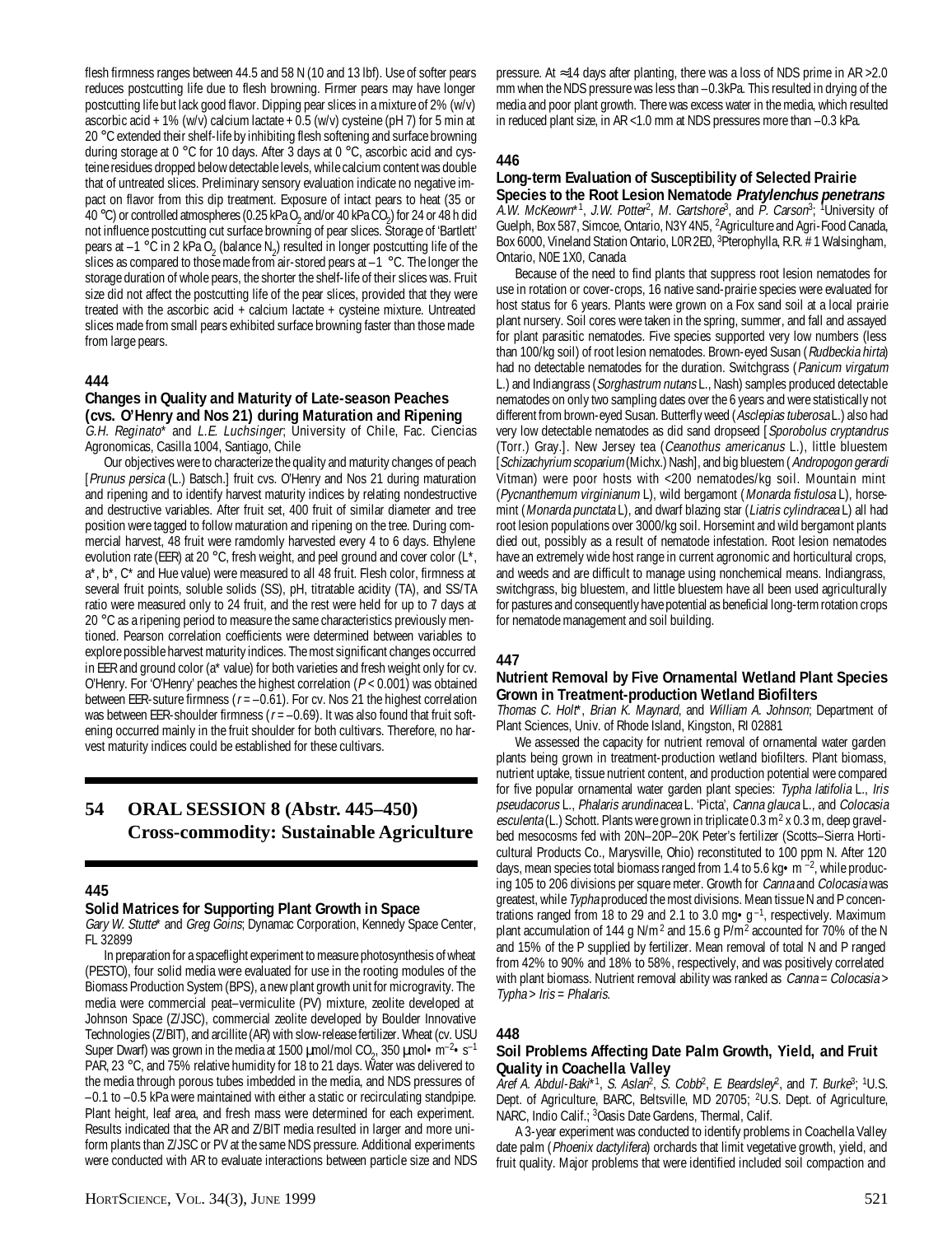flesh firmness ranges between 44.5 and 58 N (10 and 13 lbf). Use of softer pears reduces postcutting life due to flesh browning. Firmer pears may have longer postcutting life but lack good flavor. Dipping pear slices in a mixture of 2% (w/v) ascorbic acid + 1% (w/v) calcium lactate +  $0.5$  (w/v) cysteine (pH 7) for 5 min at 20 °C extended their shelf-life by inhibiting flesh softening and surface browning during storage at  $0^{\circ}$ C for 10 days. After 3 days at  $0^{\circ}$ C, ascorbic acid and cysteine residues dropped below detectable levels, while calcium content was double that of untreated slices. Preliminary sensory evaluation indicate no negative impact on flavor from this dip treatment. Exposure of intact pears to heat (35 or 40 °C) or controlled atmospheres (0.25 kPa O<sub>2</sub> and/or 40 kPa CO<sub>2</sub>) for 24 or 48 h did not influence postcutting cut surface browning of pear slices. Storage of 'Bartlett' pears at  $-1$  °C in 2 kPa O<sub>2</sub> (balance N<sub>2</sub>) resulted in longer postcutting life of the slices as compared to those made from air-stored pears at  $-1$  °C. The longer the storage duration of whole pears, the shorter the shelf-life of their slices was. Fruit size did not affect the postcutting life of the pear slices, provided that they were treated with the ascorbic acid + calcium lactate + cysteine mixture. Untreated slices made from small pears exhibited surface browning faster than those made from large pears.

## **444**

### **Changes in Quality and Maturity of Late-season Peaches (cvs. O'Henry and Nos 21) during Maturation and Ripening**

G.H. Reginato\* and L.E. Luchsinger; University of Chile, Fac. Ciencias Agronomicas, Casilla 1004, Santiago, Chile

Our objectives were to characterize the quality and maturity changes of peach [Prunus persica (L.) Batsch.] fruit cvs. O'Henry and Nos 21 during maturation and ripening and to identify harvest maturity indices by relating nondestructive and destructive variables. After fruit set, 400 fruit of similar diameter and tree position were tagged to follow maturation and ripening on the tree. During commercial harvest, 48 fruit were ramdomly harvested every 4 to 6 days. Ethylene evolution rate (EER) at 20 °C, fresh weight, and peel ground and cover color ( $L^*$ , a\*, b\*, C\* and Hue value) were measured to all 48 fruit. Flesh color, firmness at several fruit points, soluble solids (SS), pH, titratable acidity (TA), and SS/TA ratio were measured only to 24 fruit, and the rest were held for up to 7 days at 20 °C as a ripening period to measure the same characteristics previously mentioned. Pearson correlation coefficients were determined between variables to explore possible harvest maturity indices. The most significant changes occurred in EER and ground color (a\* value) for both varieties and fresh weight only for cv. O'Henry. For 'O'Henry' peaches the highest correlation  $(P < 0.001)$  was obtained between EER-suture firmness ( $r = -0.61$ ). For cv. Nos 21 the highest correlation was between EER-shoulder firmness ( $r = -0.69$ ). It was also found that fruit softening occurred mainly in the fruit shoulder for both cultivars. Therefore, no harvest maturity indices could be established for these cultivars.

## **54 ORAL SESSION 8 (Abstr. 445–450) Cross-commodity: Sustainable Agriculture**

#### **445**

#### **Solid Matrices for Supporting Plant Growth in Space**

Gary W. Stutte\* and Greg Goins; Dynamac Corporation, Kennedy Space Center, FL 32899

In preparation for a spaceflight experiment to measure photosynthesis of wheat (PESTO), four solid media were evaluated for use in the rooting modules of the Biomass Production System (BPS), a new plant growth unit for microgravity. The media were commercial peat–vermiculite (PV) mixture, zeolite developed at Johnson Space (Z/JSC), commercial zeolite developed by Boulder Innovative Technologies (Z/BIT), and arcillite (AR) with slow-release fertilizer. Wheat (cv. USU Super Dwarf) was grown in the media at 1500  $\mu$ mol/mol CO<sub>2</sub>, 350  $\mu$ mol·m<sup>-2</sup>·s<sup>-1</sup> PAR, 23 °C, and 75% relative humidity for 18 to 21 days. Water was delivered to the media through porous tubes imbedded in the media, and NDS pressures of –0.1 to –0.5 kPa were maintained with either a static or recirculating standpipe. Plant height, leaf area, and fresh mass were determined for each experiment. Results indicated that the AR and Z/BIT media resulted in larger and more uniform plants than Z/JSC or PV at the same NDS pressure. Additional experiments were conducted with AR to evaluate interactions between particle size and NDS

pressure. At  $≈14$  days after planting, there was a loss of NDS prime in AR >2.0 mm when the NDS pressure was less than –0.3kPa. This resulted in drying of the media and poor plant growth. There was excess water in the media, which resulted in reduced plant size, in AR <1.0 mm at NDS pressures more than –0.3 kPa.

#### **446**

### **Long-term Evaluation of Susceptibility of Selected Prairie Species to the Root Lesion Nematode Pratylenchus penetrans**

A.W. McKeown\*1, J.W. Potter<sup>2</sup>, M. Gartshore<sup>3</sup>, and P. Carson<sup>3</sup>; <sup>1</sup>University of Guelph, Box 587, Simcoe, Ontario, N3Y 4N5, 2 Agriculture and Agri-Food Canada, Box 6000, Vineland Station Ontario, LOR 2E0, <sup>3</sup>Pterophylla, R.R. # 1 Walsingham, Ontario, N0E 1X0, Canada

Because of the need to find plants that suppress root lesion nematodes for use in rotation or cover-crops, 16 native sand-prairie species were evaluated for host status for 6 years. Plants were grown on a Fox sand soil at a local prairie plant nursery. Soil cores were taken in the spring, summer, and fall and assayed for plant parasitic nematodes. Five species supported very low numbers (less than 100/kg soil) of root lesion nematodes. Brown-eyed Susan (Rudbeckia hirta) had no detectable nematodes for the duration. Switchgrass (Panicum virgatum L.) and Indiangrass (Sorghastrum nutans L., Nash) samples produced detectable nematodes on only two sampling dates over the 6 years and were statistically not different from brown-eyed Susan. Butterfly weed (Asclepias tuberosa L.) also had very low detectable nematodes as did sand dropseed [Sporobolus cryptandrus (Torr.) Gray.]. New Jersey tea (Ceanothus americanus L.), little bluestem [Schizachyrium scoparium (Michx.) Nash], and big bluestem (Andropogon gerardi Vitman) were poor hosts with <200 nematodes/kg soil. Mountain mint (Pycnanthemum virginianum L), wild bergamont (Monarda fistulosa L), horsemint (Monarda punctata L), and dwarf blazing star (Liatris cylindracea L) all had root lesion populations over 3000/kg soil. Horsemint and wild bergamont plants died out, possibly as a result of nematode infestation. Root lesion nematodes have an extremely wide host range in current agronomic and horticultural crops, and weeds and are difficult to manage using nonchemical means. Indiangrass, switchgrass, big bluestem, and little bluestem have all been used agriculturally for pastures and consequently have potential as beneficial long-term rotation crops for nematode management and soil building.

## **447**

## **Nutrient Removal by Five Ornamental Wetland Plant Species Grown in Treatment-production Wetland Biofilters**

Thomas C. Holt\*, Brian K. Maynard, and William A. Johnson; Department of Plant Sciences, Univ. of Rhode Island, Kingston, RI 02881

We assessed the capacity for nutrient removal of ornamental water garden plants being grown in treatment-production wetland biofilters. Plant biomass, nutrient uptake, tissue nutrient content, and production potential were compared for five popular ornamental water garden plant species: Typha latifolia L., Iris pseudacorus L., Phalaris arundinacea L. 'Picta', Canna glauca L., and Colocasia esculenta (L.) Schott. Plants were grown in triplicate  $0.3 \,\mathrm{m}^2$  x 0.3 m, deep gravelbed mesocosms fed with 20N–20P–20K Peter's fertilizer (Scotts–Sierra Horticultural Products Co., Marysville, Ohio) reconstituted to 100 ppm N. After 120 days, mean species total biomass ranged from 1.4 to 5.6 kg  $\bullet$  m  $^{-2}$ , while producing 105 to 206 divisions per square meter. Growth for Canna and Colocasia was greatest, while Typha produced the most divisions. Mean tissue N and P concentrations ranged from 18 to 29 and 2.1 to 3.0 mg $\cdot$ g<sup>-1</sup>, respectively. Maximum plant accumulation of 144 g N/m<sup>2</sup> and 15.6 g  $P/m^2$  accounted for 70% of the N and 15% of the P supplied by fertilizer. Mean removal of total N and P ranged from 42% to 90% and 18% to 58%, respectively, and was positively correlated with plant biomass. Nutrient removal ability was ranked as *Canna = Colocasia >* Typha > Iris = Phalaris.

## **448**

#### **Soil Problems Affecting Date Palm Growth, Yield, and Fruit Quality in Coachella Valley**

Aref A. Abdul-Baki\*<sup>1</sup>, S. Aslan<sup>2</sup>, S. Cobb<sup>2</sup>, E. Beardsley<sup>2</sup>, and T. Burke<sup>3</sup>; <sup>1</sup>U.S. Dept. of Agriculture, BARC, Beltsville, MD 20705; <sup>2</sup>U.S. Dept. of Agriculture, NARC, Indio Calif.; <sup>3</sup>Oasis Date Gardens, Thermal, Calif.

A 3-year experiment was conducted to identify problems in Coachella Valley date palm (Phoenix dactylifera) orchards that limit vegetative growth, yield, and fruit quality. Major problems that were identified included soil compaction and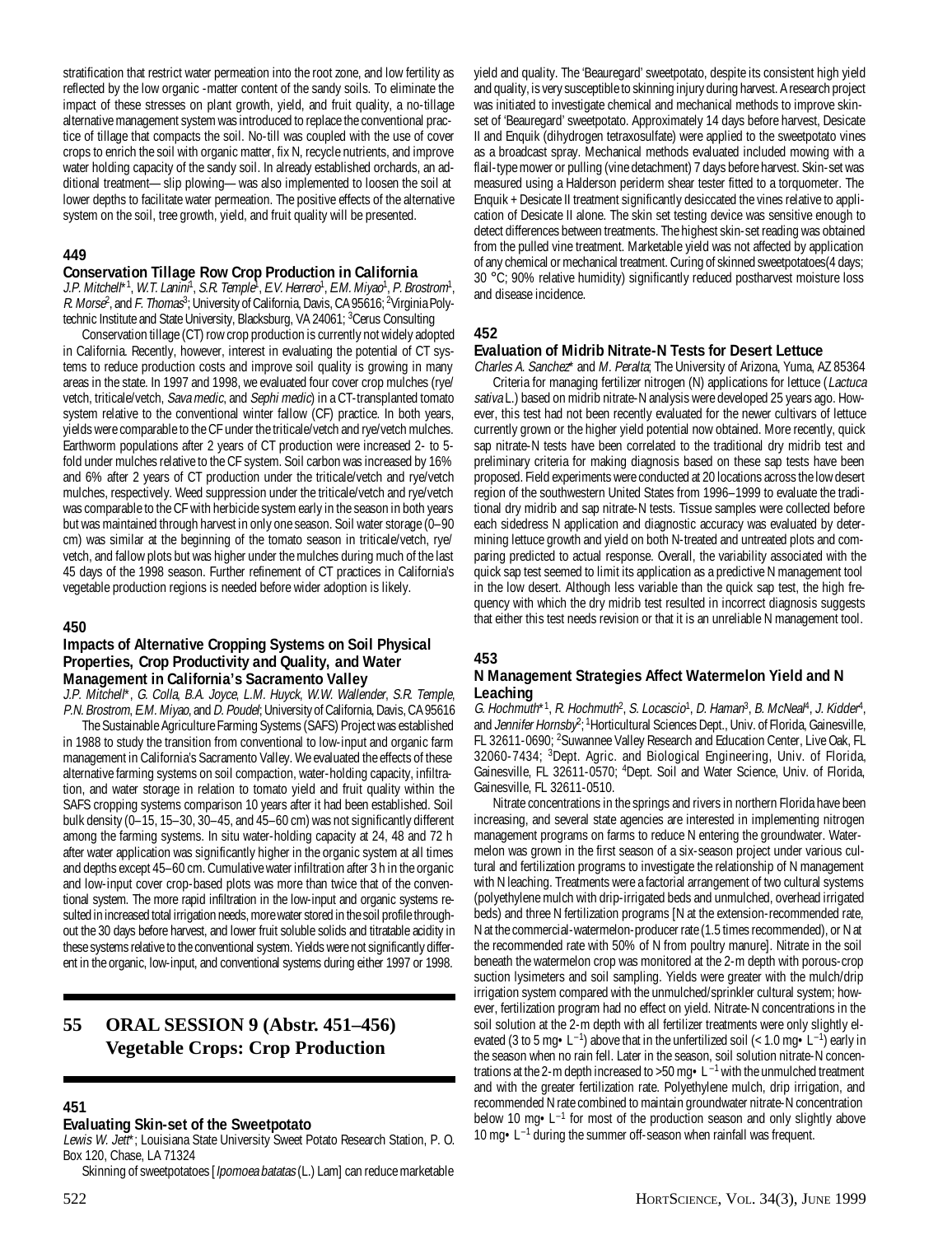stratification that restrict water permeation into the root zone, and low fertility as reflected by the low organic -matter content of the sandy soils. To eliminate the impact of these stresses on plant growth, yield, and fruit quality, a no-tillage alternative management system was introduced to replace the conventional practice of tillage that compacts the soil. No-till was coupled with the use of cover crops to enrich the soil with organic matter, fix N, recycle nutrients, and improve water holding capacity of the sandy soil. In already established orchards, an additional treatment—slip plowing—was also implemented to loosen the soil at lower depths to facilitate water permeation. The positive effects of the alternative system on the soil, tree growth, yield, and fruit quality will be presented.

## **449**

#### **Conservation Tillage Row Crop Production in California**

J.P. Mitchell\*1, W.T. Lanini<sup>n</sup>, S.R. Temple<sup>1</sup>, E.V. Herrero<sup>1</sup>, E.M. Miyao<sup>1</sup>, P. Brostrom<sup>1</sup>, *R. Morse<sup>2</sup>,* and *F. Thomas<sup>3</sup>;* University of California, Davis, CA 95616; <sup>2</sup>Virginia Polytechnic Institute and State University, Blacksburg, VA 24061; <sup>3</sup>Cerus Consulting

Conservation tillage (CT) row crop production is currently not widely adopted in California. Recently, however, interest in evaluating the potential of CT systems to reduce production costs and improve soil quality is growing in many areas in the state. In 1997 and 1998, we evaluated four cover crop mulches (rye/ vetch, triticale/vetch, Sava medic, and Sephi medic) in a CT-transplanted tomato system relative to the conventional winter fallow (CF) practice. In both years, yields were comparable to the CF under the triticale/vetch and rye/vetch mulches. Earthworm populations after 2 years of CT production were increased 2- to 5 fold under mulches relative to the CF system. Soil carbon was increased by 16% and 6% after 2 years of CT production under the triticale/vetch and rye/vetch mulches, respectively. Weed suppression under the triticale/vetch and rye/vetch was comparable to the CF with herbicide system early in the season in both years but was maintained through harvest in only one season. Soil water storage (0–90 cm) was similar at the beginning of the tomato season in triticale/vetch, rye/ vetch, and fallow plots but was higher under the mulches during much of the last 45 days of the 1998 season. Further refinement of CT practices in California's vegetable production regions is needed before wider adoption is likely.

#### **450**

#### **Impacts of Alternative Cropping Systems on Soil Physical Properties, Crop Productivity and Quality, and Water Management in California's Sacramento Valley**

J.P. Mitchell\*, G. Colla, B.A. Joyce, L.M. Huyck, W.W. Wallender, S.R. Temple, P.N. Brostrom, E.M. Miyao, and D. Poudel; University of California, Davis, CA 95616

The Sustainable Agriculture Farming Systems (SAFS) Project was established in 1988 to study the transition from conventional to low-input and organic farm management in California's Sacramento Valley. We evaluated the effects of these alternative farming systems on soil compaction, water-holding capacity, infiltration, and water storage in relation to tomato yield and fruit quality within the SAFS cropping systems comparison 10 years after it had been established. Soil bulk density (0–15, 15–30, 30–45, and 45–60 cm) was not significantly different among the farming systems. In situ water-holding capacity at 24, 48 and 72 h after water application was significantly higher in the organic system at all times and depths except 45–60 cm. Cumulative water infiltration after 3 h in the organic and low-input cover crop-based plots was more than twice that of the conventional system. The more rapid infiltration in the low-input and organic systems resulted in increased total irrigation needs, more water stored in the soil profile throughout the 30 days before harvest, and lower fruit soluble solids and titratable acidity in these systems relative to the conventional system. Yields were not significantly different in the organic, low-input, and conventional systems during either 1997 or 1998.

## **55 ORAL SESSION 9 (Abstr. 451–456) Vegetable Crops: Crop Production**

#### **451**

#### **Evaluating Skin-set of the Sweetpotato**

Lewis W. Jett\*; Louisiana State University Sweet Potato Research Station, P. O. Box 120, Chase, LA 71324

Skinning of sweetpotatoes [*Ipomoea batatas* (L.) Lam] can reduce marketable

yield and quality. The 'Beauregard' sweetpotato, despite its consistent high yield and quality, is very susceptible to skinning injury during harvest. A research project was initiated to investigate chemical and mechanical methods to improve skinset of 'Beauregard' sweetpotato. Approximately 14 days before harvest, Desicate II and Enquik (dihydrogen tetraxosulfate) were applied to the sweetpotato vines as a broadcast spray. Mechanical methods evaluated included mowing with a flail-type mower or pulling (vine detachment) 7 days before harvest. Skin-set was measured using a Halderson periderm shear tester fitted to a torquometer. The Enquik + Desicate II treatment significantly desiccated the vines relative to application of Desicate II alone. The skin set testing device was sensitive enough to detect differences between treatments. The highest skin-set reading was obtained from the pulled vine treatment. Marketable yield was not affected by application of any chemical or mechanical treatment. Curing of skinned sweetpotatoes(4 days; 30 °C; 90% relative humidity) significantly reduced postharvest moisture loss and disease incidence.

#### **452**

#### **Evaluation of Midrib Nitrate-N Tests for Desert Lettuce**

Charles A. Sanchez\* and M. Peralta; The University of Arizona, Yuma, AZ 85364 Criteria for managing fertilizer nitrogen (N) applications for lettuce (Lactuca sativa L.) based on midrib nitrate-N analysis were developed 25 years ago. However, this test had not been recently evaluated for the newer cultivars of lettuce currently grown or the higher yield potential now obtained. More recently, quick sap nitrate-N tests have been correlated to the traditional dry midrib test and preliminary criteria for making diagnosis based on these sap tests have been proposed. Field experiments were conducted at 20 locations across the low desert region of the southwestern United States from 1996–1999 to evaluate the traditional dry midrib and sap nitrate-N tests. Tissue samples were collected before each sidedress N application and diagnostic accuracy was evaluated by determining lettuce growth and yield on both N-treated and untreated plots and comparing predicted to actual response. Overall, the variability associated with the quick sap test seemed to limit its application as a predictive N management tool in the low desert. Although less variable than the quick sap test, the high frequency with which the dry midrib test resulted in incorrect diagnosis suggests that either this test needs revision or that it is an unreliable N management tool.

#### **453**

#### **N Management Strategies Affect Watermelon Yield and N Leaching**

G. Hochmuth\*1, R. Hochmuth<sup>2</sup>, S. Locascio<sup>1</sup>, D. Haman<sup>3</sup>, B. McNeal<sup>4</sup>, J. Kidder<sup>4</sup>, and *Jennifer Hornsby<sup>2</sup>;* <sup>1</sup>Horticultural Sciences Dept., Univ. of Florida, Gainesville, FL 32611-0690; <sup>2</sup>Suwannee Valley Research and Education Center, Live Oak, FL 32060-7434; 3 Dept. Agric. and Biological Engineering, Univ. of Florida, Gainesville, FL 32611-0570; <sup>4</sup>Dept. Soil and Water Science, Univ. of Florida, Gainesville, FL 32611-0510.

Nitrate concentrations in the springs and rivers in northern Florida have been increasing, and several state agencies are interested in implementing nitrogen management programs on farms to reduce N entering the groundwater. Watermelon was grown in the first season of a six-season project under various cultural and fertilization programs to investigate the relationship of N management with N leaching. Treatments were a factorial arrangement of two cultural systems (polyethylene mulch with drip-irrigated beds and unmulched, overhead irrigated beds) and three N fertilization programs [N at the extension-recommended rate, N at the commercial-watermelon-producer rate (1.5 times recommended), or N at the recommended rate with 50% of N from poultry manure]. Nitrate in the soil beneath the watermelon crop was monitored at the 2-m depth with porous-crop suction lysimeters and soil sampling. Yields were greater with the mulch/drip irrigation system compared with the unmulched/sprinkler cultural system; however, fertilization program had no effect on yield. Nitrate-N concentrations in the soil solution at the 2-m depth with all fertilizer treatments were only slightly elevated (3 to 5 mg  $\cdot$  L<sup>-1</sup>) above that in the unfertilized soil (< 1.0 mg  $\cdot$  L<sup>-1</sup>) early in the season when no rain fell. Later in the season, soil solution nitrate-N concentrations at the 2-m depth increased to >50 mg $\bullet$  L $^{-1}$  with the unmulched treatment and with the greater fertilization rate. Polyethylene mulch, drip irrigation, and recommended N rate combined to maintain groundwater nitrate-N concentration below 10 mg $\bullet$  L<sup>-1</sup> for most of the production season and only slightly above 10 mg•L–1 during the summer off-season when rainfall was frequent.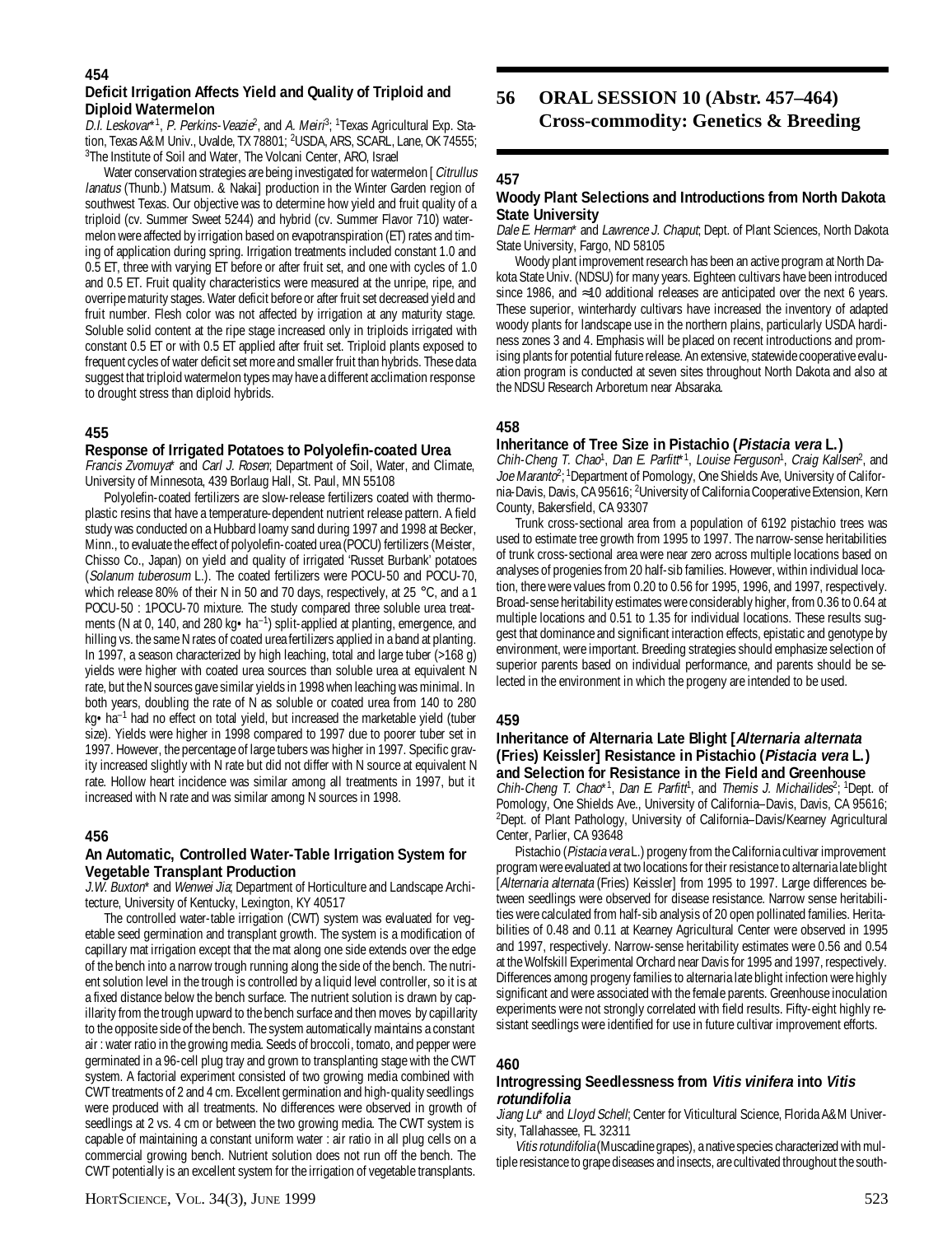#### **Deficit Irrigation Affects Yield and Quality of Triploid and Diploid Watermelon**

D.I. Leskovar<sup>\*1</sup>, P. Perkins-Veazie<sup>2</sup>, and A. Meiri<sup>8</sup>; <sup>1</sup>Texas Agricultural Exp. Station, Texas A&M Univ., Uvalde, TX 78801; <sup>2</sup>USDA, ARS, SCARL, Lane, OK 74555; 3 The Institute of Soil and Water, The Volcani Center, ARO, Israel

Water conservation strategies are being investigated for watermelon [Citrullus lanatus (Thunb.) Matsum. & Nakai] production in the Winter Garden region of southwest Texas. Our objective was to determine how yield and fruit quality of a triploid (cv. Summer Sweet 5244) and hybrid (cv. Summer Flavor 710) watermelon were affected by irrigation based on evapotranspiration (ET) rates and timing of application during spring. Irrigation treatments included constant 1.0 and 0.5 ET, three with varying ET before or after fruit set, and one with cycles of 1.0 and 0.5 ET. Fruit quality characteristics were measured at the unripe, ripe, and overripe maturity stages. Water deficit before or after fruit set decreased yield and fruit number. Flesh color was not affected by irrigation at any maturity stage. Soluble solid content at the ripe stage increased only in triploids irrigated with constant 0.5 ET or with 0.5 ET applied after fruit set. Triploid plants exposed to frequent cycles of water deficit set more and smaller fruit than hybrids. These data suggest that triploid watermelon types may have a different acclimation response to drought stress than diploid hybrids.

## **455**

#### **Response of Irrigated Potatoes to Polyolefin-coated Urea**

Francis Zvomuya\* and Carl J. Rosen; Department of Soil, Water, and Climate, University of Minnesota, 439 Borlaug Hall, St. Paul, MN 55108

Polyolefin-coated fertilizers are slow-release fertilizers coated with thermoplastic resins that have a temperature-dependent nutrient release pattern. A field study was conducted on a Hubbard loamy sand during 1997 and 1998 at Becker, Minn., to evaluate the effect of polyolefin-coated urea (POCU) fertilizers (Meister, Chisso Co., Japan) on yield and quality of irrigated 'Russet Burbank' potatoes (Solanum tuberosum L.). The coated fertilizers were POCU-50 and POCU-70, which release 80% of their N in 50 and 70 days, respectively, at 25  $\degree$ C, and a 1 POCU-50 : 1POCU-70 mixture. The study compared three soluble urea treatments (N at 0, 140, and 280 kg • ha<sup>-1</sup>) split-applied at planting, emergence, and hilling vs. the same N rates of coated urea fertilizers applied in a band at planting. In 1997, a season characterized by high leaching, total and large tuber (>168 g) yields were higher with coated urea sources than soluble urea at equivalent N rate, but the N sources gave similar yields in 1998 when leaching was minimal. In both years, doubling the rate of N as soluble or coated urea from 140 to 280 kg•ha<sup>-1</sup> had no effect on total yield, but increased the marketable yield (tuber size). Yields were higher in 1998 compared to 1997 due to poorer tuber set in 1997. However, the percentage of large tubers was higher in 1997. Specific gravity increased slightly with N rate but did not differ with N source at equivalent N rate. Hollow heart incidence was similar among all treatments in 1997, but it increased with N rate and was similar among N sources in 1998.

#### **456**

#### **An Automatic, Controlled Water-Table Irrigation System for Vegetable Transplant Production**

J.W. Buxton<sup>\*</sup> and Wenwei Jia; Department of Horticulture and Landscape Architecture, University of Kentucky, Lexington, KY 40517

The controlled water-table irrigation (CWT) system was evaluated for vegetable seed germination and transplant growth. The system is a modification of capillary mat irrigation except that the mat along one side extends over the edge of the bench into a narrow trough running along the side of the bench. The nutrient solution level in the trough is controlled by a liquid level controller, so it is at a fixed distance below the bench surface. The nutrient solution is drawn by capillarity from the trough upward to the bench surface and then moves by capillarity to the opposite side of the bench. The system automatically maintains a constant air : water ratio in the growing media. Seeds of broccoli, tomato, and pepper were germinated in a 96-cell plug tray and grown to transplanting stage with the CWT system. A factorial experiment consisted of two growing media combined with CWT treatments of 2 and 4 cm. Excellent germination and high-quality seedlings were produced with all treatments. No differences were observed in growth of seedlings at 2 vs. 4 cm or between the two growing media. The CWT system is capable of maintaining a constant uniform water : air ratio in all plug cells on a commercial growing bench. Nutrient solution does not run off the bench. The CWT potentially is an excellent system for the irrigation of vegetable transplants.

## **56 ORAL SESSION 10 (Abstr. 457–464) Cross-commodity: Genetics & Breeding**

## **457**

#### **Woody Plant Selections and Introductions from North Dakota State University**

Dale E. Herman\* and Lawrence J. Chaput; Dept. of Plant Sciences, North Dakota State University, Fargo, ND 58105

Woody plant improvement research has been an active program at North Dakota State Univ. (NDSU) for many years. Eighteen cultivars have been introduced since 1986, and ≈10 additional releases are anticipated over the next 6 years. These superior, winterhardy cultivars have increased the inventory of adapted woody plants for landscape use in the northern plains, particularly USDA hardiness zones 3 and 4. Emphasis will be placed on recent introductions and promising plants for potential future release. An extensive, statewide cooperative evaluation program is conducted at seven sites throughout North Dakota and also at the NDSU Research Arboretum near Absaraka.

## **458**

## **Inheritance of Tree Size in Pistachio (Pistacia vera L.)**

Chih-Cheng T. Chao<sup>1</sup>, Dan E. Parfitt<sup>\*1</sup>, Louise Ferguson<sup>1</sup>, Craig Kallsen<sup>2</sup>, and Joe Maranto<sup>2</sup>;<sup>1</sup>Department of Pomology, One Shields Ave, University of California-Davis, Davis, CA 95616; <sup>2</sup>University of California Cooperative Extension, Kern County, Bakersfield, CA 93307

Trunk cross-sectional area from a population of 6192 pistachio trees was used to estimate tree growth from 1995 to 1997. The narrow-sense heritabilities of trunk cross-sectional area were near zero across multiple locations based on analyses of progenies from 20 half-sib families. However, within individual location, there were values from 0.20 to 0.56 for 1995, 1996, and 1997, respectively. Broad-sense heritability estimates were considerably higher, from 0.36 to 0.64 at multiple locations and 0.51 to 1.35 for individual locations. These results suggest that dominance and significant interaction effects, epistatic and genotype by environment, were important. Breeding strategies should emphasize selection of superior parents based on individual performance, and parents should be selected in the environment in which the progeny are intended to be used.

#### **459**

#### **Inheritance of Alternaria Late Blight [Alternaria alternata (Fries) Keissler] Resistance in Pistachio (Pistacia vera L.) and Selection for Resistance in the Field and Greenhouse**

Chih-Cheng T. Chao\*1, Dan E. Parfitt<sup>1</sup>, and Themis J. Michailides<sup>2</sup>; <sup>1</sup>Dept. of Pomology, One Shields Ave., University of California–Davis, Davis, CA 95616; 2 Dept. of Plant Pathology, University of California–Davis/Kearney Agricultural Center, Parlier, CA 93648

Pistachio (*Pistacia vera* L.) progeny from the California cultivar improvement program were evaluated at two locations for their resistance to alternaria late blight [Alternaria alternata (Fries) Keissler] from 1995 to 1997. Large differences between seedlings were observed for disease resistance. Narrow sense heritabilities were calculated from half-sib analysis of 20 open pollinated families. Heritabilities of 0.48 and 0.11 at Kearney Agricultural Center were observed in 1995 and 1997, respectively. Narrow-sense heritability estimates were 0.56 and 0.54 at the Wolfskill Experimental Orchard near Davis for 1995 and 1997, respectively. Differences among progeny families to alternaria late blight infection were highly significant and were associated with the female parents. Greenhouse inoculation experiments were not strongly correlated with field results. Fifty-eight highly resistant seedlings were identified for use in future cultivar improvement efforts.

#### **460**

#### **Introgressing Seedlessness from Vitis vinifera into Vitis rotundifolia**

Jiang Lu\* and Lloyd Schell; Center for Viticultural Science, Florida A&M University, Tallahassee, FL 32311

Vitis rotundifolia (Muscadine grapes), a native species characterized with multiple resistance to grape diseases and insects, are cultivated throughout the south-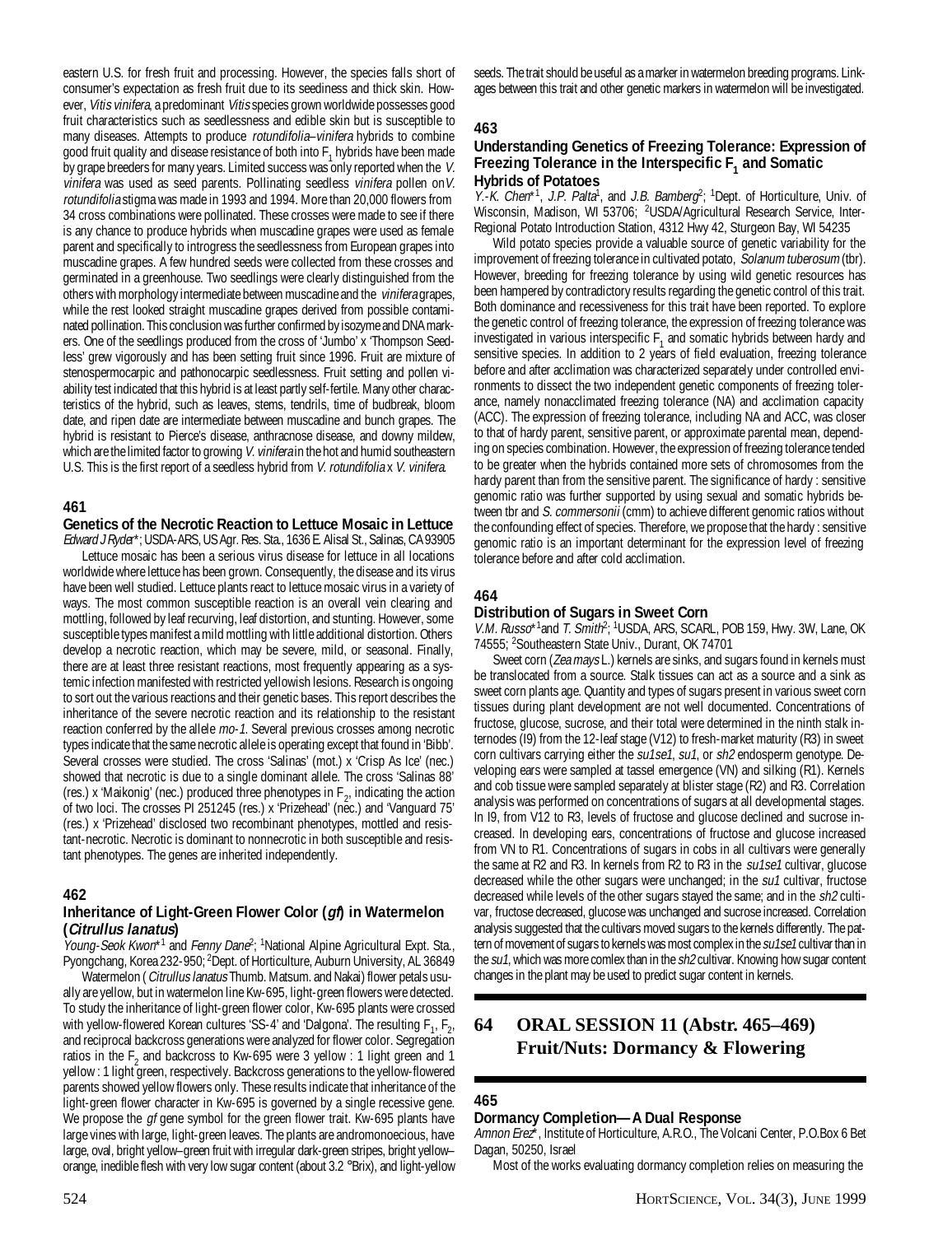eastern U.S. for fresh fruit and processing. However, the species falls short of consumer's expectation as fresh fruit due to its seediness and thick skin. However, Vitis vinifera, a predominant Vitis species grown worldwide possesses good fruit characteristics such as seedlessness and edible skin but is susceptible to many diseases. Attempts to produce *rotundifolia–vinifera* hybrids to combine good fruit quality and disease resistance of both into  $F_1$  hybrids have been made by grape breeders for many years. Limited success was only reported when the V. vinifera was used as seed parents. Pollinating seedless vinifera pollen onV. rotundifolia stigma was made in 1993 and 1994. More than 20,000 flowers from 34 cross combinations were pollinated. These crosses were made to see if there is any chance to produce hybrids when muscadine grapes were used as female parent and specifically to introgress the seedlessness from European grapes into muscadine grapes. A few hundred seeds were collected from these crosses and germinated in a greenhouse. Two seedlings were clearly distinguished from the others with morphology intermediate between muscadine and the vinifera grapes, while the rest looked straight muscadine grapes derived from possible contaminated pollination. This conclusion was further confirmed by isozyme and DNA markers. One of the seedlings produced from the cross of 'Jumbo' x 'Thompson Seedless' grew vigorously and has been setting fruit since 1996. Fruit are mixture of stenospermocarpic and pathonocarpic seedlessness. Fruit setting and pollen viability test indicated that this hybrid is at least partly self-fertile. Many other characteristics of the hybrid, such as leaves, stems, tendrils, time of budbreak, bloom date, and ripen date are intermediate between muscadine and bunch grapes. The hybrid is resistant to Pierce's disease, anthracnose disease, and downy mildew, which are the limited factor to growing V. vinifera in the hot and humid southeastern U.S. This is the first report of a seedless hybrid from *V. rotundifolia x V. vinifera.* 

#### **461**

#### **Genetics of the Necrotic Reaction to Lettuce Mosaic in Lettuce** Edward J Ryder\*; USDA-ARS, US Agr. Res. Sta., 1636 E. Alisal St., Salinas, CA 93905

Lettuce mosaic has been a serious virus disease for lettuce in all locations worldwide where lettuce has been grown. Consequently, the disease and its virus have been well studied. Lettuce plants react to lettuce mosaic virus in a variety of ways. The most common susceptible reaction is an overall vein clearing and mottling, followed by leaf recurving, leaf distortion, and stunting. However, some susceptible types manifest a mild mottling with little additional distortion. Others develop a necrotic reaction, which may be severe, mild, or seasonal. Finally, there are at least three resistant reactions, most frequently appearing as a systemic infection manifested with restricted yellowish lesions. Research is ongoing to sort out the various reactions and their genetic bases. This report describes the inheritance of the severe necrotic reaction and its relationship to the resistant reaction conferred by the allele mo-1. Several previous crosses among necrotic types indicate that the same necrotic allele is operating except that found in 'Bibb'. Several crosses were studied. The cross 'Salinas' (mot.) x 'Crisp As Ice' (nec.) showed that necrotic is due to a single dominant allele. The cross 'Salinas 88' (res.) x 'Maikonig' (nec.) produced three phenotypes in  $F_2$ , indicating the action of two loci. The crosses PI 251245 (res.) x 'Prizehead' (nec.) and 'Vanguard 75' (res.) x 'Prizehead' disclosed two recombinant phenotypes, mottled and resistant-necrotic. Necrotic is dominant to nonnecrotic in both susceptible and resistant phenotypes. The genes are inherited independently.

#### **462**

#### **Inheritance of Light-Green Flower Color (gf) in Watermelon (Citrullus lanatus)**

Young-Seok Kwon\*<sup>1</sup> and Fenny Dane<sup>2</sup>; <sup>1</sup>National Alpine Agricultural Expt. Sta., Pyongchang, Korea 232-950; <sup>2</sup>Dept. of Horticulture, Auburn University, AL 36849

Watermelon (*Citrullus lanatus* Thumb. Matsum. and Nakai) flower petals usually are yellow, but in watermelon line Kw-695, light-green flowers were detected. To study the inheritance of light-green flower color, Kw-695 plants were crossed with yellow-flowered Korean cultures 'SS-4' and 'Dalgona'. The resulting  $F_{1}$ ,  $F_{2}$ , and reciprocal backcross generations were analyzed for flower color. Segregation ratios in the  $F_2$  and backcross to Kw-695 were 3 yellow : 1 light green and 1 yellow : 1 light green, respectively. Backcross generations to the yellow-flowered parents showed yellow flowers only. These results indicate that inheritance of the light-green flower character in Kw-695 is governed by a single recessive gene. We propose the *gf* gene symbol for the green flower trait. Kw-695 plants have large vines with large, light-green leaves. The plants are andromonoecious, have large, oval, bright yellow–green fruit with irregular dark-green stripes, bright yellow– orange, inedible flesh with very low sugar content (about 3.2 °Brix), and light-yellow

#### **463**

#### **Understanding Genetics of Freezing Tolerance: Expression of** Freezing Tolerance in the Interspecific F<sub>1</sub> and Somatic **Hybrids of Potatoes**

 $Y.-K.$  Chen<sup>\*1</sup>, J.P. Palta<sup>1</sup>, and J.B. Bamberg<sup>2</sup>; <sup>1</sup>Dept. of Horticulture, Univ. of Wisconsin, Madison, WI 53706; <sup>2</sup>USDA/Agricultural Research Service, Inter-Regional Potato Introduction Station, 4312 Hwy 42, Sturgeon Bay, WI 54235

Wild potato species provide a valuable source of genetic variability for the improvement of freezing tolerance in cultivated potato, Solanum tuberosum (tbr). However, breeding for freezing tolerance by using wild genetic resources has been hampered by contradictory results regarding the genetic control of this trait. Both dominance and recessiveness for this trait have been reported. To explore the genetic control of freezing tolerance, the expression of freezing tolerance was investigated in various interspecific  $F_1$  and somatic hybrids between hardy and sensitive species. In addition to 2 years of field evaluation, freezing tolerance before and after acclimation was characterized separately under controlled environments to dissect the two independent genetic components of freezing tolerance, namely nonacclimated freezing tolerance (NA) and acclimation capacity (ACC). The expression of freezing tolerance, including NA and ACC, was closer to that of hardy parent, sensitive parent, or approximate parental mean, depending on species combination. However, the expression of freezing tolerance tended to be greater when the hybrids contained more sets of chromosomes from the hardy parent than from the sensitive parent. The significance of hardy : sensitive genomic ratio was further supported by using sexual and somatic hybrids between tbr and S. commersonii (cmm) to achieve different genomic ratios without the confounding effect of species. Therefore, we propose that the hardy : sensitive genomic ratio is an important determinant for the expression level of freezing tolerance before and after cold acclimation.

## **464**

#### **Distribution of Sugars in Sweet Corn**

V.M. Russo<sup>\*1</sup>and T. Smith<sup>2</sup>; <sup>1</sup>USDA, ARS, SCARL, POB 159, Hwy. 3W, Lane, OK 74555; <sup>2</sup>Southeastern State Univ., Durant, OK 74701

Sweet corn (*Zea mays* L.) kernels are sinks, and sugars found in kernels must be translocated from a source. Stalk tissues can act as a source and a sink as sweet corn plants age. Quantity and types of sugars present in various sweet corn tissues during plant development are not well documented. Concentrations of fructose, glucose, sucrose, and their total were determined in the ninth stalk internodes (I9) from the 12-leaf stage (V12) to fresh-market maturity (R3) in sweet corn cultivars carrying either the su1se1, su1, or sh2 endosperm genotype. Developing ears were sampled at tassel emergence (VN) and silking (R1). Kernels and cob tissue were sampled separately at blister stage (R2) and R3. Correlation analysis was performed on concentrations of sugars at all developmental stages. In I9, from V12 to R3, levels of fructose and glucose declined and sucrose increased. In developing ears, concentrations of fructose and glucose increased from VN to R1. Concentrations of sugars in cobs in all cultivars were generally the same at R2 and R3. In kernels from R2 to R3 in the su1se1 cultivar, glucose decreased while the other sugars were unchanged; in the  $su1$  cultivar, fructose decreased while levels of the other sugars stayed the same; and in the sh2 cultivar, fructose decreased, glucose was unchanged and sucrose increased. Correlation analysis suggested that the cultivars moved sugars to the kernels differently. The pattern of movement of sugars to kernels was most complex in the su1se1 cultivar than in the su1, which was more comlex than in the sh2 cultivar. Knowing how sugar content changes in the plant may be used to predict sugar content in kernels.

## **64 ORAL SESSION 11 (Abstr. 465–469) Fruit/Nuts: Dormancy & Flowering**

#### **465**

#### **Dormancy Completion—A Dual Response**

Amnon Erez\*, Institute of Horticulture, A.R.O., The Volcani Center, P.O.Box 6 Bet Dagan, 50250, Israel

Most of the works evaluating dormancy completion relies on measuring the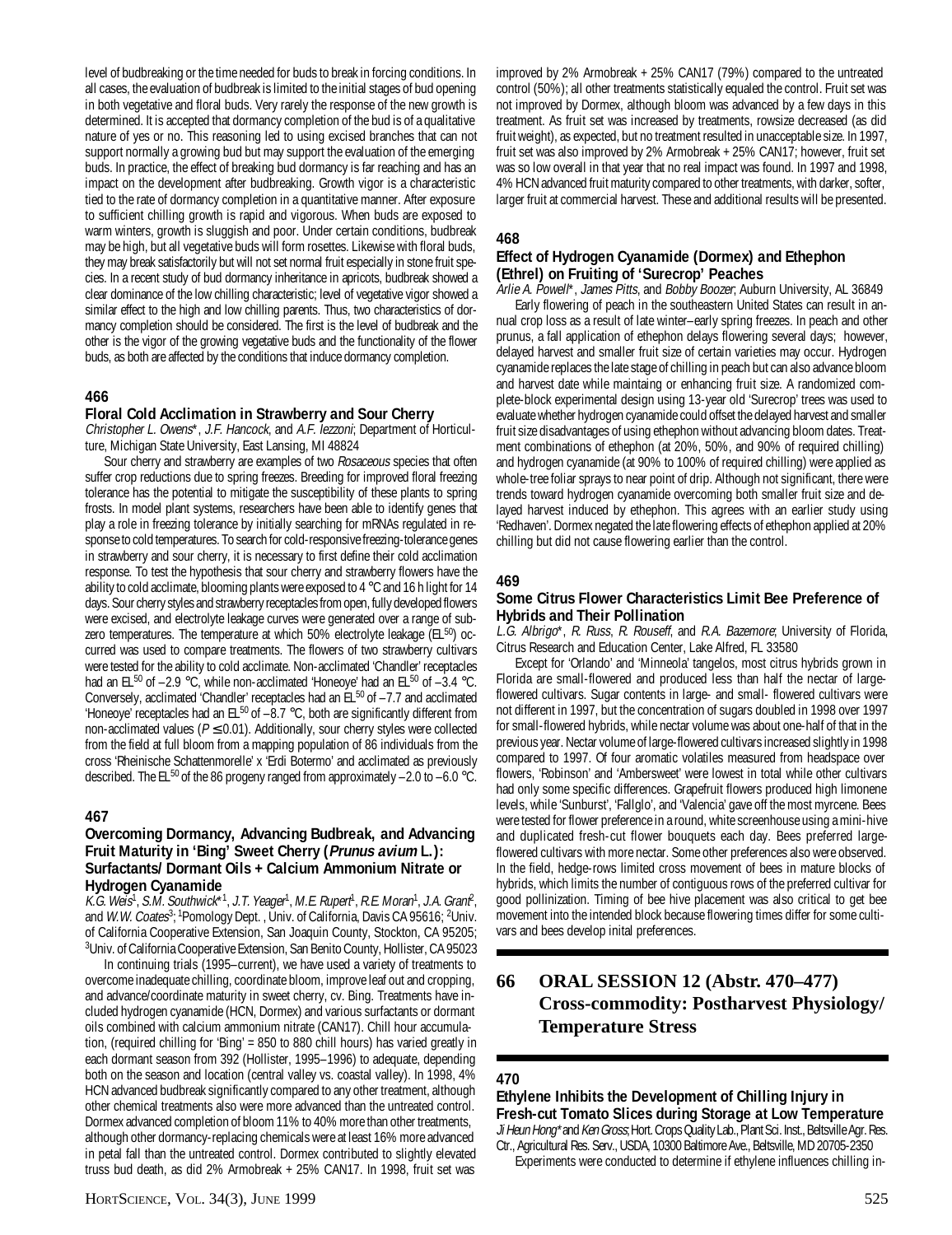level of budbreaking or the time needed for buds to break in forcing conditions. In all cases, the evaluation of budbreak is limited to the initial stages of bud opening in both vegetative and floral buds. Very rarely the response of the new growth is determined. It is accepted that dormancy completion of the bud is of a qualitative nature of yes or no. This reasoning led to using excised branches that can not support normally a growing bud but may support the evaluation of the emerging buds. In practice, the effect of breaking bud dormancy is far reaching and has an impact on the development after budbreaking. Growth vigor is a characteristic tied to the rate of dormancy completion in a quantitative manner. After exposure to sufficient chilling growth is rapid and vigorous. When buds are exposed to warm winters, growth is sluggish and poor. Under certain conditions, budbreak may be high, but all vegetative buds will form rosettes. Likewise with floral buds, they may break satisfactorily but will not set normal fruit especially in stone fruit species. In a recent study of bud dormancy inheritance in apricots, budbreak showed a clear dominance of the low chilling characteristic; level of vegetative vigor showed a similar effect to the high and low chilling parents. Thus, two characteristics of dormancy completion should be considered. The first is the level of budbreak and the other is the vigor of the growing vegetative buds and the functionality of the flower buds, as both are affected by the conditions that induce dormancy completion.

#### **466**

#### **Floral Cold Acclimation in Strawberry and Sour Cherry**

Christopher L. Owens\*, J.F. Hancock, and A.F. Iezzoni; Department of Horticulture, Michigan State University, East Lansing, MI 48824

Sour cherry and strawberry are examples of two Rosaceous species that often suffer crop reductions due to spring freezes. Breeding for improved floral freezing tolerance has the potential to mitigate the susceptibility of these plants to spring frosts. In model plant systems, researchers have been able to identify genes that play a role in freezing tolerance by initially searching for mRNAs regulated in response to cold temperatures. To search for cold-responsive freezing-tolerance genes in strawberry and sour cherry, it is necessary to first define their cold acclimation response. To test the hypothesis that sour cherry and strawberry flowers have the ability to cold acclimate, blooming plants were exposed to 4 °C and 16 h light for 14 days. Sour cherry styles and strawberry receptacles from open, fully developed flowers were excised, and electrolyte leakage curves were generated over a range of subzero temperatures. The temperature at which  $50\%$  electrolyte leakage ( $E L^{50}$ ) occurred was used to compare treatments. The flowers of two strawberry cultivars were tested for the ability to cold acclimate. Non-acclimated 'Chandler' receptacles had an  $EL^{50}$  of  $-2.9$  °C, while non-acclimated 'Honeoye' had an  $EL^{50}$  of  $-3.4$  °C. Conversely, acclimated 'Chandler' receptacles had an  $E^{50}$  of  $-7.7$  and acclimated 'Honeoye' receptacles had an EL $^{50}$  of  $-8.7$  °C, both are significantly different from non-acclimated values ( $P \le 0.01$ ). Additionally, sour cherry styles were collected from the field at full bloom from a mapping population of 86 individuals from the cross 'Rheinische Schattenmorelle' x 'Erdi Botermo' and acclimated as previously described. The EL<sup>50</sup> of the 86 progeny ranged from approximately  $-2.0$  to  $-6.0$  °C.

#### **467**

#### **Overcoming Dormancy, Advancing Budbreak, and Advancing Fruit Maturity in 'Bing' Sweet Cherry (Prunus avium L.): Surfactants/ Dormant Oils + Calcium Ammonium Nitrate or Hydrogen Cyanamide**

K.G. Weis<sup>1</sup>, S.M. Southwick\*1, J.T. Yeager<sup>1</sup>, M.E. Rupert<sup>1</sup>, R.E. Moran<sup>1</sup>, J.A. Granf<sup>2</sup>, and W.W. Coates<sup>3</sup>; <sup>1</sup>Pomology Dept., Univ. of California, Davis CA 95616; <sup>2</sup>Univ. of California Cooperative Extension, San Joaquin County, Stockton, CA 95205; 3 Univ. of California Cooperative Extension, San Benito County, Hollister, CA 95023

In continuing trials (1995–current), we have used a variety of treatments to overcome inadequate chilling, coordinate bloom, improve leaf out and cropping, and advance/coordinate maturity in sweet cherry, cv. Bing. Treatments have included hydrogen cyanamide (HCN, Dormex) and various surfactants or dormant oils combined with calcium ammonium nitrate (CAN17). Chill hour accumulation, (required chilling for 'Bing' = 850 to 880 chill hours) has varied greatly in each dormant season from 392 (Hollister, 1995–1996) to adequate, depending both on the season and location (central valley vs. coastal valley). In 1998, 4% HCN advanced budbreak significantly compared to any other treatment, although other chemical treatments also were more advanced than the untreated control. Dormex advanced completion of bloom 11% to 40% more than other treatments, although other dormancy-replacing chemicals were at least 16% more advanced in petal fall than the untreated control. Dormex contributed to slightly elevated truss bud death, as did 2% Armobreak + 25% CAN17. In 1998, fruit set was

improved by 2% Armobreak + 25% CAN17 (79%) compared to the untreated control (50%); all other treatments statistically equaled the control. Fruit set was not improved by Dormex, although bloom was advanced by a few days in this treatment. As fruit set was increased by treatments, rowsize decreased (as did fruit weight), as expected, but no treatment resulted in unacceptable size. In 1997, fruit set was also improved by 2% Armobreak + 25% CAN17; however, fruit set was so low overall in that year that no real impact was found. In 1997 and 1998, 4% HCN advanced fruit maturity compared to other treatments, with darker, softer, larger fruit at commercial harvest. These and additional results will be presented.

#### **468**

### **Effect of Hydrogen Cyanamide (Dormex) and Ethephon (Ethrel) on Fruiting of 'Surecrop' Peaches**

Arlie A. Powell\*, James Pitts, and Bobby Boozer, Auburn University, AL 36849 Early flowering of peach in the southeastern United States can result in annual crop loss as a result of late winter–early spring freezes. In peach and other prunus, a fall application of ethephon delays flowering several days; however, delayed harvest and smaller fruit size of certain varieties may occur. Hydrogen cyanamide replaces the late stage of chilling in peach but can also advance bloom and harvest date while maintaing or enhancing fruit size. A randomized complete-block experimental design using 13-year old 'Surecrop' trees was used to evaluate whether hydrogen cyanamide could offset the delayed harvest and smaller fruit size disadvantages of using ethephon without advancing bloom dates. Treatment combinations of ethephon (at 20%, 50%, and 90% of required chilling) and hydrogen cyanamide (at 90% to 100% of required chilling) were applied as whole-tree foliar sprays to near point of drip. Although not significant, there were trends toward hydrogen cyanamide overcoming both smaller fruit size and delayed harvest induced by ethephon. This agrees with an earlier study using 'Redhaven'. Dormex negated the late flowering effects of ethephon applied at 20% chilling but did not cause flowering earlier than the control.

#### **469**

#### **Some Citrus Flower Characteristics Limit Bee Preference of Hybrids and Their Pollination**

L.G. Albrigo\*, R. Russ, R. Rouseff, and R.A. Bazemore; University of Florida, Citrus Research and Education Center, Lake Alfred, FL 33580

Except for 'Orlando' and 'Minneola' tangelos, most citrus hybrids grown in Florida are small-flowered and produced less than half the nectar of largeflowered cultivars. Sugar contents in large- and small- flowered cultivars were not different in 1997, but the concentration of sugars doubled in 1998 over 1997 for small-flowered hybrids, while nectar volume was about one-half of that in the previous year. Nectar volume of large-flowered cultivars increased slightly in 1998 compared to 1997. Of four aromatic volatiles measured from headspace over flowers, 'Robinson' and 'Ambersweet' were lowest in total while other cultivars had only some specific differences. Grapefruit flowers produced high limonene levels, while 'Sunburst', 'Fallglo', and 'Valencia' gave off the most myrcene. Bees were tested for flower preference in a round, white screenhouse using a mini-hive and duplicated fresh-cut flower bouquets each day. Bees preferred largeflowered cultivars with more nectar. Some other preferences also were observed. In the field, hedge-rows limited cross movement of bees in mature blocks of hybrids, which limits the number of contiguous rows of the preferred cultivar for good pollinization. Timing of bee hive placement was also critical to get bee movement into the intended block because flowering times differ for some cultivars and bees develop inital preferences.

## **66 ORAL SESSION 12 (Abstr. 470–477) Cross-commodity: Postharvest Physiology/ Temperature Stress**

#### **470**

**Ethylene Inhibits the Development of Chilling Injury in Fresh-cut Tomato Slices during Storage at Low Temperature** Ji Heun Hong\*and Ken Gross; Hort. Crops Quality Lab., Plant Sci. Inst., Beltsville Agr. Res. Ctr., Agricultural Res. Serv., USDA, 10300 Baltimore Ave., Beltsville, MD 20705-2350

Experiments were conducted to determine if ethylene influences chilling in-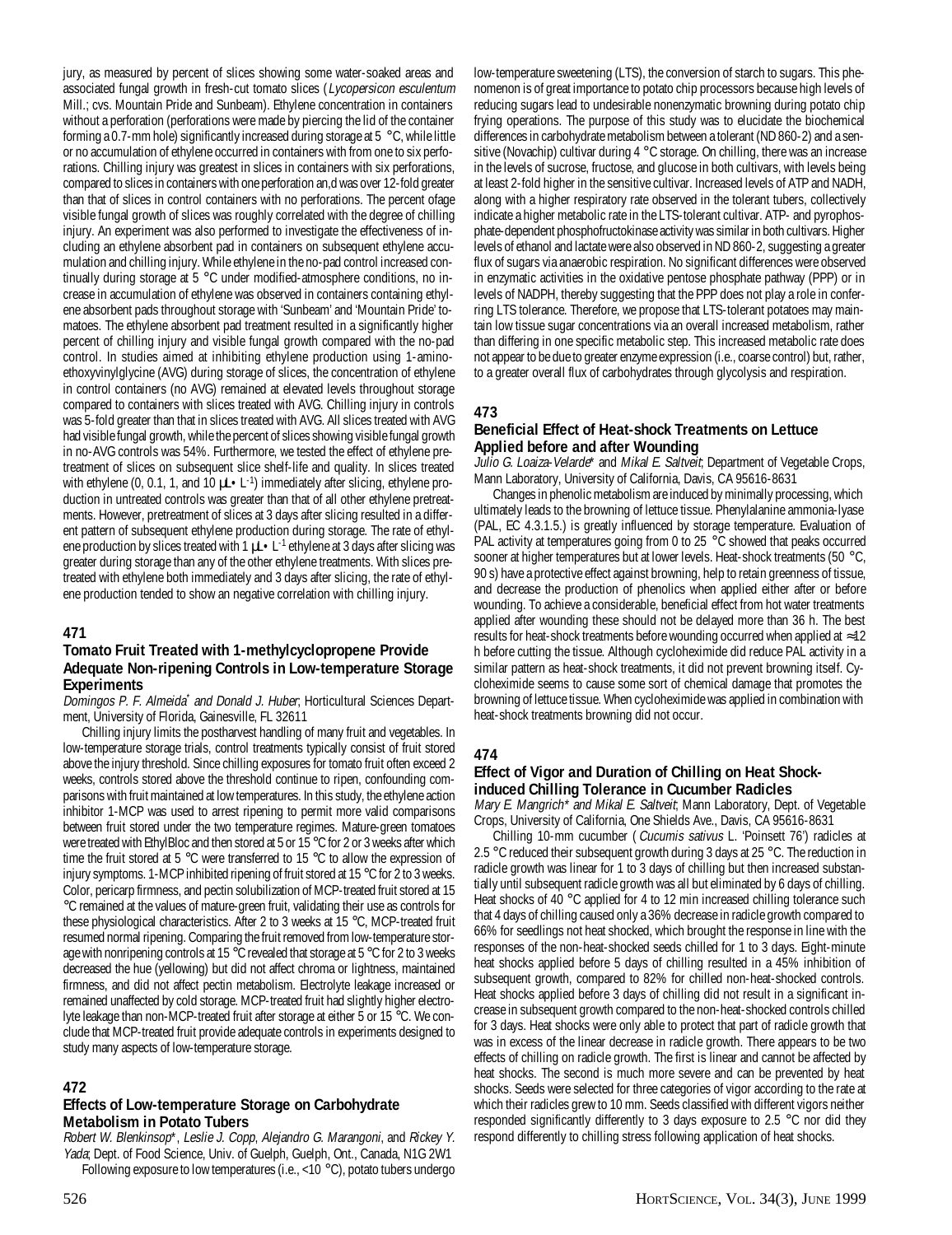jury, as measured by percent of slices showing some water-soaked areas and associated fungal growth in fresh-cut tomato slices (Lycopersicon esculentum Mill.; cvs. Mountain Pride and Sunbeam). Ethylene concentration in containers without a perforation (perforations were made by piercing the lid of the container forming a 0.7-mm hole) significantly increased during storage at 5 °C, while little or no accumulation of ethylene occurred in containers with from one to six perforations. Chilling injury was greatest in slices in containers with six perforations, compared to slices in containers with one perforation an,d was over 12-fold greater than that of slices in control containers with no perforations. The percent ofage visible fungal growth of slices was roughly correlated with the degree of chilling injury. An experiment was also performed to investigate the effectiveness of including an ethylene absorbent pad in containers on subsequent ethylene accumulation and chilling injury. While ethylene in the no-pad control increased continually during storage at 5 °C under modified-atmosphere conditions, no increase in accumulation of ethylene was observed in containers containing ethylene absorbent pads throughout storage with 'Sunbeam' and 'Mountain Pride' tomatoes. The ethylene absorbent pad treatment resulted in a significantly higher percent of chilling injury and visible fungal growth compared with the no-pad control. In studies aimed at inhibiting ethylene production using 1-aminoethoxyvinylglycine (AVG) during storage of slices, the concentration of ethylene in control containers (no AVG) remained at elevated levels throughout storage compared to containers with slices treated with AVG. Chilling injury in controls was 5-fold greater than that in slices treated with AVG. All slices treated with AVG had visible fungal growth, while the percent of slices showing visible fungal growth in no-AVG controls was 54%. Furthermore, we tested the effect of ethylene pretreatment of slices on subsequent slice shelf-life and quality. In slices treated with ethylene (0, 0.1, 1, and 10  $\mu$ L  $\cdot$  L<sup>-1</sup>) immediately after slicing, ethylene production in untreated controls was greater than that of all other ethylene pretreatments. However, pretreatment of slices at 3 days after slicing resulted in a different pattern of subsequent ethylene production during storage. The rate of ethylene production by slices treated with 1  $\mu L \cdot L^{-1}$  ethylene at 3 days after slicing was greater during storage than any of the other ethylene treatments. With slices pretreated with ethylene both immediately and 3 days after slicing, the rate of ethylene production tended to show an negative correlation with chilling injury.

#### **471**

## **Tomato Fruit Treated with 1-methylcyclopropene Provide Adequate Non-ripening Controls in Low-temperature Storage Experiments**

Domingos P. F. Almeida\* and Donald J. Huber, Horticultural Sciences Department, University of Florida, Gainesville, FL 32611

Chilling injury limits the postharvest handling of many fruit and vegetables. In low-temperature storage trials, control treatments typically consist of fruit stored above the injury threshold. Since chilling exposures for tomato fruit often exceed 2 weeks, controls stored above the threshold continue to ripen, confounding comparisons with fruit maintained at low temperatures. In this study, the ethylene action inhibitor 1-MCP was used to arrest ripening to permit more valid comparisons between fruit stored under the two temperature regimes. Mature-green tomatoes were treated with EthylBloc and then stored at 5 or 15 °C for 2 or 3 weeks after which time the fruit stored at 5 °C were transferred to 15 °C to allow the expression of injury symptoms. 1-MCP inhibited ripening of fruit stored at 15 °C for 2 to 3 weeks. Color, pericarp firmness, and pectin solubilization of MCP-treated fruit stored at 15 °C remained at the values of mature-green fruit, validating their use as controls for these physiological characteristics. After 2 to 3 weeks at 15 °C, MCP-treated fruit resumed normal ripening. Comparing the fruit removed from low-temperature storage with nonripening controls at 15 °C revealed that storage at 5 °C for 2 to 3 weeks decreased the hue (yellowing) but did not affect chroma or lightness, maintained firmness, and did not affect pectin metabolism. Electrolyte leakage increased or remained unaffected by cold storage. MCP-treated fruit had slightly higher electrolyte leakage than non-MCP-treated fruit after storage at either 5 or 15 °C. We conclude that MCP-treated fruit provide adequate controls in experiments designed to study many aspects of low-temperature storage.

## **472**

#### **Effects of Low-temperature Storage on Carbohydrate Metabolism in Potato Tubers**

Robert W. Blenkinsop\*, Leslie J. Copp, Alejandro G. Marangoni, and Rickey Y. Yada; Dept. of Food Science, Univ. of Guelph, Guelph, Ont., Canada, N1G 2W1 Following exposure to low temperatures (i.e., <10 °C), potato tubers undergo

low-temperature sweetening (LTS), the conversion of starch to sugars. This phenomenon is of great importance to potato chip processors because high levels of reducing sugars lead to undesirable nonenzymatic browning during potato chip frying operations. The purpose of this study was to elucidate the biochemical differences in carbohydrate metabolism between a tolerant (ND 860-2) and a sensitive (Novachip) cultivar during 4 °C storage. On chilling, there was an increase in the levels of sucrose, fructose, and glucose in both cultivars, with levels being at least 2-fold higher in the sensitive cultivar. Increased levels of ATP and NADH, along with a higher respiratory rate observed in the tolerant tubers, collectively indicate a higher metabolic rate in the LTS-tolerant cultivar. ATP- and pyrophosphate-dependent phosphofructokinase activity was similar in both cultivars. Higher levels of ethanol and lactate were also observed in ND 860-2, suggesting a greater flux of sugars via anaerobic respiration. No significant differences were observed in enzymatic activities in the oxidative pentose phosphate pathway (PPP) or in levels of NADPH, thereby suggesting that the PPP does not play a role in conferring LTS tolerance. Therefore, we propose that LTS-tolerant potatoes may maintain low tissue sugar concentrations via an overall increased metabolism, rather than differing in one specific metabolic step. This increased metabolic rate does not appear to be due to greater enzyme expression (i.e., coarse control) but, rather, to a greater overall flux of carbohydrates through glycolysis and respiration.

## **473**

#### **Beneficial Effect of Heat-shock Treatments on Lettuce Applied before and after Wounding**

Julio G. Loaiza-Velarde\* and Mikal E. Saltveit; Department of Vegetable Crops, Mann Laboratory, University of California, Davis, CA 95616-8631

Changes in phenolic metabolism are induced by minimally processing, which ultimately leads to the browning of lettuce tissue. Phenylalanine ammonia-lyase (PAL, EC 4.3.1.5.) is greatly influenced by storage temperature. Evaluation of PAL activity at temperatures going from 0 to 25 °C showed that peaks occurred sooner at higher temperatures but at lower levels. Heat-shock treatments (50 °C, 90 s) have a protective effect against browning, help to retain greenness of tissue, and decrease the production of phenolics when applied either after or before wounding. To achieve a considerable, beneficial effect from hot water treatments applied after wounding these should not be delayed more than 36 h. The best results for heat-shock treatments before wounding occurred when applied at ≈12 h before cutting the tissue. Although cycloheximide did reduce PAL activity in a similar pattern as heat-shock treatments, it did not prevent browning itself. Cycloheximide seems to cause some sort of chemical damage that promotes the browning of lettuce tissue. When cycloheximide was applied in combination with heat-shock treatments browning did not occur.

#### **474**

## **Effect of Vigor and Duration of Chilling on Heat Shockinduced Chilling Tolerance in Cucumber Radicles**

Mary E. Mangrich\* and Mikal E. Saltveit; Mann Laboratory, Dept. of Vegetable Crops, University of California, One Shields Ave., Davis, CA 95616-8631

Chilling 10-mm cucumber ( Cucumis sativus L. 'Poinsett 76') radicles at 2.5 °C reduced their subsequent growth during 3 days at 25 °C. The reduction in radicle growth was linear for 1 to 3 days of chilling but then increased substantially until subsequent radicle growth was all but eliminated by 6 days of chilling. Heat shocks of 40 °C applied for 4 to 12 min increased chilling tolerance such that 4 days of chilling caused only a 36% decrease in radicle growth compared to 66% for seedlings not heat shocked, which brought the response in line with the responses of the non-heat-shocked seeds chilled for 1 to 3 days. Eight-minute heat shocks applied before 5 days of chilling resulted in a 45% inhibition of subsequent growth, compared to 82% for chilled non-heat-shocked controls. Heat shocks applied before 3 days of chilling did not result in a significant increase in subsequent growth compared to the non-heat-shocked controls chilled for 3 days. Heat shocks were only able to protect that part of radicle growth that was in excess of the linear decrease in radicle growth. There appears to be two effects of chilling on radicle growth. The first is linear and cannot be affected by heat shocks. The second is much more severe and can be prevented by heat shocks. Seeds were selected for three categories of vigor according to the rate at which their radicles grew to 10 mm. Seeds classified with different vigors neither responded significantly differently to 3 days exposure to 2.5 °C nor did they respond differently to chilling stress following application of heat shocks.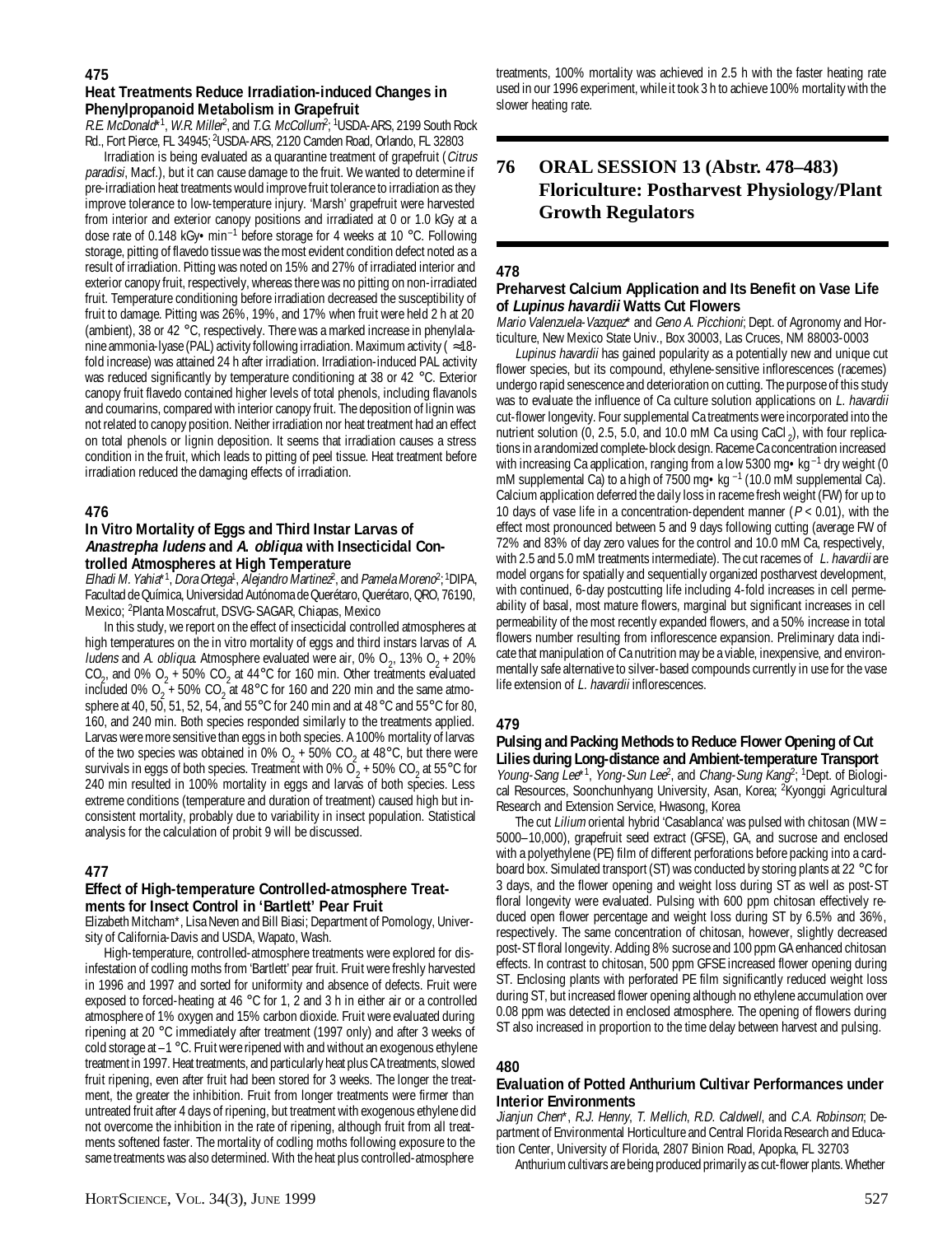#### **475**

#### **Heat Treatments Reduce Irradiation-induced Changes in Phenylpropanoid Metabolism in Grapefruit**

R.E. McDonald\*<sup>1</sup>, W.R. Miller<sup>2</sup>, and *T.G. McCollum*<sup>2, 1</sup>USDA-ARS, 2199 South Rock Rd., Fort Pierce, FL 34945; <sup>2</sup>USDA-ARS, 2120 Camden Road, Orlando, FL 32803

Irradiation is being evaluated as a quarantine treatment of grapefruit (Citrus paradisi, Macf.), but it can cause damage to the fruit. We wanted to determine if pre-irradiation heat treatments would improve fruit tolerance to irradiation as they improve tolerance to low-temperature injury. 'Marsh' grapefruit were harvested from interior and exterior canopy positions and irradiated at 0 or 1.0 kGy at a dose rate of 0.148 kGy•min–1 before storage for 4 weeks at 10 °C. Following storage, pitting of flavedo tissue was the most evident condition defect noted as a result of irradiation. Pitting was noted on 15% and 27% of irradiated interior and exterior canopy fruit, respectively, whereas there was no pitting on non-irradiated fruit. Temperature conditioning before irradiation decreased the susceptibility of fruit to damage. Pitting was 26%, 19%, and 17% when fruit were held 2 h at 20 (ambient), 38 or 42 °C, respectively. There was a marked increase in phenylalanine ammonia-lyase (PAL) activity following irradiation. Maximum activity ( $\approx$ 18fold increase) was attained 24 h after irradiation. Irradiation-induced PAL activity was reduced significantly by temperature conditioning at 38 or 42 °C. Exterior canopy fruit flavedo contained higher levels of total phenols, including flavanols and coumarins, compared with interior canopy fruit. The deposition of lignin was not related to canopy position. Neither irradiation nor heat treatment had an effect on total phenols or lignin deposition. It seems that irradiation causes a stress condition in the fruit, which leads to pitting of peel tissue. Heat treatment before irradiation reduced the damaging effects of irradiation.

## **476**

#### **In Vitro Mortality of Eggs and Third Instar Larvas of Anastrepha ludens and A. obliqua with Insecticidal Controlled Atmospheres at High Temperature**

Elhadi M. Yahia\*<sup>1</sup>, Dora Ortega<sup>1</sup>, Alejandro Martinez<sup>2</sup>, and Pamela Moreno<sup>2</sup>; <sup>1</sup>DIPA, Facultad de Química, Universidad Autónoma de Querétaro, Querétaro, QRO, 76190, Mexico; 2 Planta Moscafrut, DSVG-SAGAR, Chiapas, Mexico

In this study, we report on the effect of insecticidal controlled atmospheres at high temperatures on the in vitro mortality of eggs and third instars larvas of A. *ludens* and A. *obliqua*. Atmosphere evaluated were air, 0%  $O_2$ , 13%  $O_2$  + 20% CO<sub>2</sub>, and 0% O<sub>2</sub> + 50% CO<sub>2</sub> at 44°C for 160 min. Other treatments evaluated included 0%  $O_2$  + 50% CO<sub>2</sub> at 48°C for 160 and 220 min and the same atmosphere at 40, 50, 51, 52, 54, and 55°C for 240 min and at 48°C and 55°C for 80, 160, and 240 min. Both species responded similarly to the treatments applied. Larvas were more sensitive than eggs in both species. A 100% mortality of larvas of the two species was obtained in 0%  $O_2$  + 50%  $CO_2$  at 48°C, but there were survivals in eggs of both species. Treatment with 0%  $O_2$  + 50% CO<sub>2</sub> at 55°C for 240 min resulted in 100% mortality in eggs and larvas of both species. Less extreme conditions (temperature and duration of treatment) caused high but inconsistent mortality, probably due to variability in insect population. Statistical analysis for the calculation of probit 9 will be discussed.

#### **477**

#### **Effect of High-temperature Controlled-atmosphere Treatments for Insect Control in 'Bartlett' Pear Fruit**

Elizabeth Mitcham\*, Lisa Neven and Bill Biasi; Department of Pomology, University of California-Davis and USDA, Wapato, Wash.

High-temperature, controlled-atmosphere treatments were explored for disinfestation of codling moths from 'Bartlett' pear fruit. Fruit were freshly harvested in 1996 and 1997 and sorted for uniformity and absence of defects. Fruit were exposed to forced-heating at 46  $\degree$ C for 1, 2 and 3 h in either air or a controlled atmosphere of 1% oxygen and 15% carbon dioxide. Fruit were evaluated during ripening at 20 °C immediately after treatment (1997 only) and after 3 weeks of cold storage at  $-1$   $\degree$ C. Fruit were ripened with and without an exogenous ethylene treatment in 1997. Heat treatments, and particularly heat plus CA treatments, slowed fruit ripening, even after fruit had been stored for 3 weeks. The longer the treatment, the greater the inhibition. Fruit from longer treatments were firmer than untreated fruit after 4 days of ripening, but treatment with exogenous ethylene did not overcome the inhibition in the rate of ripening, although fruit from all treatments softened faster. The mortality of codling moths following exposure to the same treatments was also determined. With the heat plus controlled-atmosphere

treatments, 100% mortality was achieved in 2.5 h with the faster heating rate used in our 1996 experiment, while it took 3 h to achieve 100% mortality with the slower heating rate.

## **76 ORAL SESSION 13 (Abstr. 478–483) Floriculture: Postharvest Physiology/Plant Growth Regulators**

#### **478**

#### **Preharvest Calcium Application and Its Benefit on Vase Life of Lupinus havardii Watts Cut Flowers**

Mario Valenzuela-Vazquez\* and Geno A. Picchioni; Dept. of Agronomy and Horticulture, New Mexico State Univ., Box 30003, Las Cruces, NM 88003-0003

Lupinus havardii has gained popularity as a potentially new and unique cut flower species, but its compound, ethylene-sensitive inflorescences (racemes) undergo rapid senescence and deterioration on cutting. The purpose of this study was to evaluate the influence of Ca culture solution applications on L. havardii cut-flower longevity. Four supplemental Ca treatments were incorporated into the nutrient solution (0, 2.5, 5.0, and 10.0 mM Ca using CaCl<sub>2</sub>), with four replications in a randomized complete-block design. Raceme Ca concentration increased with increasing Ca application, ranging from a low 5300 mg • kg<sup>-1</sup> dry weight (0 mM supplemental Ca) to a high of 7500 mg $\cdot$ kg  $^{-1}$  (10.0 mM supplemental Ca). Calcium application deferred the daily loss in raceme fresh weight (FW) for up to 10 days of vase life in a concentration-dependent manner ( $P < 0.01$ ), with the effect most pronounced between 5 and 9 days following cutting (average FW of 72% and 83% of day zero values for the control and 10.0 mM Ca, respectively, with 2.5 and 5.0 mM treatments intermediate). The cut racemes of L. havardii are model organs for spatially and sequentially organized postharvest development, with continued, 6-day postcutting life including 4-fold increases in cell permeability of basal, most mature flowers, marginal but significant increases in cell permeability of the most recently expanded flowers, and a 50% increase in total flowers number resulting from inflorescence expansion. Preliminary data indicate that manipulation of Ca nutrition may be a viable, inexpensive, and environmentally safe alternative to silver-based compounds currently in use for the vase life extension of L. havardii inflorescences.

#### **479**

## **Pulsing and Packing Methods to Reduce Flower Opening of Cut Lilies during Long-distance and Ambient-temperature Transport**

Young-Sang Lee<sup>\*1</sup>, Yong-Sun Lee<sup>2</sup>, and Chang-Sung Kang<sup>2</sup>; <sup>1</sup>Dept. of Biological Resources, Soonchunhyang University, Asan, Korea; 2 Kyonggi Agricultural Research and Extension Service, Hwasong, Korea

The cut Lilium oriental hybrid 'Casablanca' was pulsed with chitosan (MW = 5000–10,000), grapefruit seed extract (GFSE), GA, and sucrose and enclosed with a polyethylene (PE) film of different perforations before packing into a cardboard box. Simulated transport (ST) was conducted by storing plants at 22 °C for 3 days, and the flower opening and weight loss during ST as well as post-ST floral longevity were evaluated. Pulsing with 600 ppm chitosan effectively reduced open flower percentage and weight loss during ST by 6.5% and 36%, respectively. The same concentration of chitosan, however, slightly decreased post-ST floral longevity. Adding 8% sucrose and 100 ppm GA enhanced chitosan effects. In contrast to chitosan, 500 ppm GFSE increased flower opening during ST. Enclosing plants with perforated PE film significantly reduced weight loss during ST, but increased flower opening although no ethylene accumulation over 0.08 ppm was detected in enclosed atmosphere. The opening of flowers during ST also increased in proportion to the time delay between harvest and pulsing.

#### **480**

#### **Evaluation of Potted Anthurium Cultivar Performances under Interior Environments**

Jianjun Chen\*, R.J. Henny, T. Mellich, R.D. Caldwell, and C.A. Robinson; Department of Environmental Horticulture and Central Florida Research and Education Center, University of Florida, 2807 Binion Road, Apopka, FL 32703

Anthurium cultivars are being produced primarily as cut-flower plants. Whether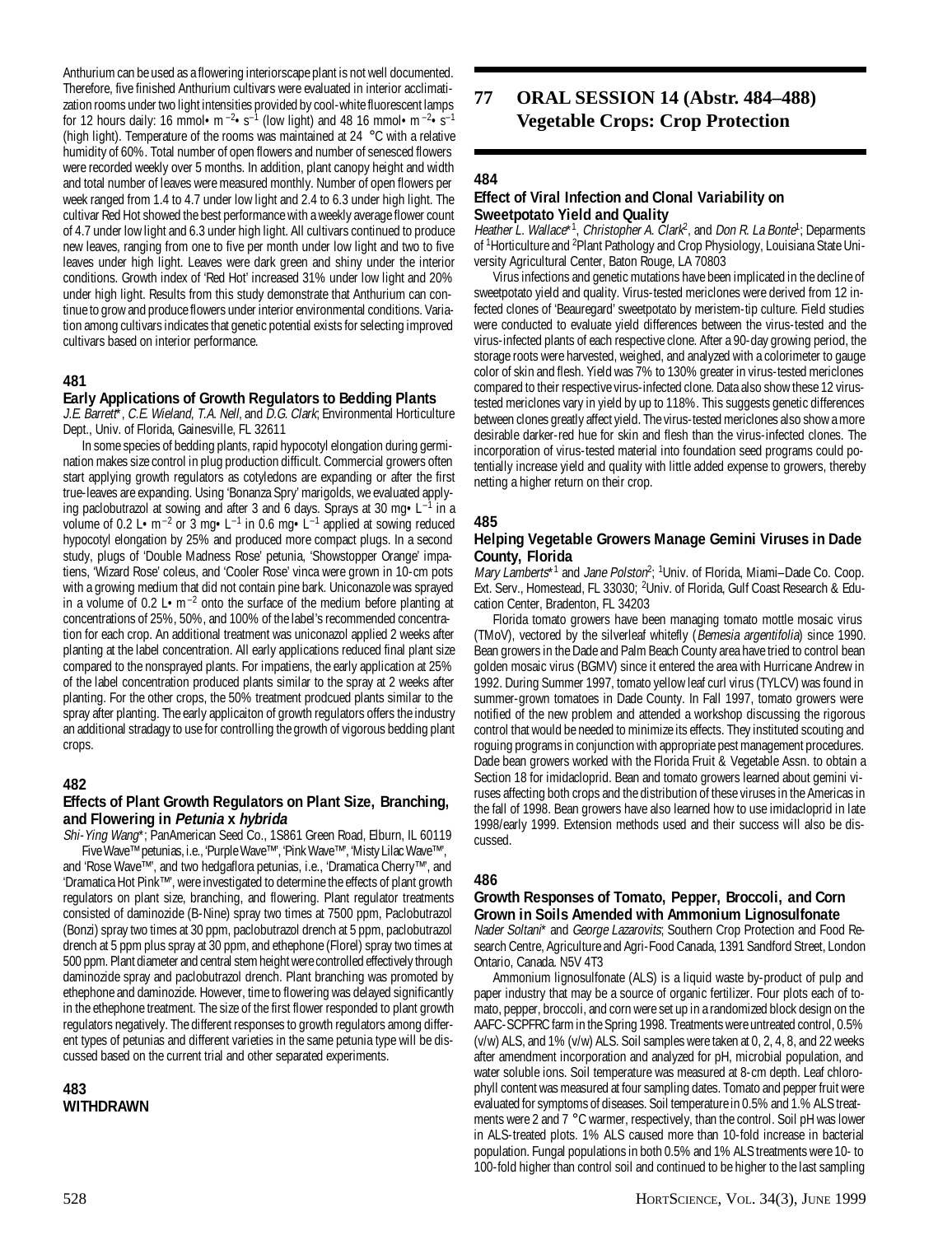Anthurium can be used as a flowering interiorscape plant is not well documented. Therefore, five finished Anthurium cultivars were evaluated in interior acclimatization rooms under two light intensities provided by cool-white fluorescent lamps for 12 hours daily: 16 mmol • m<sup>-2</sup>•s<sup>-1</sup> (low light) and 48 16 mmol • m<sup>-2</sup>•s<sup>-1</sup> (high light). Temperature of the rooms was maintained at 24 °C with a relative humidity of 60%. Total number of open flowers and number of senesced flowers were recorded weekly over 5 months. In addition, plant canopy height and width and total number of leaves were measured monthly. Number of open flowers per week ranged from 1.4 to 4.7 under low light and 2.4 to 6.3 under high light. The cultivar Red Hot showed the best performance with a weekly average flower count of 4.7 under low light and 6.3 under high light. All cultivars continued to produce new leaves, ranging from one to five per month under low light and two to five leaves under high light. Leaves were dark green and shiny under the interior conditions. Growth index of 'Red Hot' increased 31% under low light and 20% under high light. Results from this study demonstrate that Anthurium can continue to grow and produce flowers under interior environmental conditions. Variation among cultivars indicates that genetic potential exists for selecting improved cultivars based on interior performance.

## **481**

## **Early Applications of Growth Regulators to Bedding Plants**

J.E. Barrett\*, C.E. Wieland, T.A. Nell, and D.G. Clark; Environmental Horticulture Dept., Univ. of Florida, Gainesville, FL 32611

In some species of bedding plants, rapid hypocotyl elongation during germination makes size control in plug production difficult. Commercial growers often start applying growth regulators as cotyledons are expanding or after the first true-leaves are expanding. Using 'Bonanza Spry' marigolds, we evaluated applying paclobutrazol at sowing and after 3 and 6 days. Sprays at 30 mg $\cdot$ L<sup>-1</sup> in a volume of 0.2 L•m<sup>-2</sup> or 3 mg•L<sup>-1</sup> in 0.6 mg•L<sup>-1</sup> applied at sowing reduced hypocotyl elongation by 25% and produced more compact plugs. In a second study, plugs of 'Double Madness Rose' petunia, 'Showstopper Orange' impatiens, 'Wizard Rose' coleus, and 'Cooler Rose' vinca were grown in 10-cm pots with a growing medium that did not contain pine bark. Uniconazole was sprayed in a volume of 0.2 L $\cdot$ m<sup>-2</sup> onto the surface of the medium before planting at concentrations of 25%, 50%, and 100% of the label's recommended concentration for each crop. An additional treatment was uniconazol applied 2 weeks after planting at the label concentration. All early applications reduced final plant size compared to the nonsprayed plants. For impatiens, the early application at 25% of the label concentration produced plants similar to the spray at 2 weeks after planting. For the other crops, the 50% treatment prodcued plants similar to the spray after planting. The early applicaiton of growth regulators offers the industry an additional stradagy to use for controlling the growth of vigorous bedding plant crops.

## **482**

## **Effects of Plant Growth Regulators on Plant Size, Branching, and Flowering in Petunia x hybrida**

Shi-Ying Wang\*; PanAmerican Seed Co., 1S861 Green Road, Elburn, IL 60119 Five Wave™ petunias, i.e., 'Purple Wave™', 'Pink Wave™', 'Misty Lilac Wave™', and 'Rose Wave™', and two hedgaflora petunias, i.e., 'Dramatica Cherry™', and 'Dramatica Hot Pink™', were investigated to determine the effects of plant growth regulators on plant size, branching, and flowering. Plant regulator treatments consisted of daminozide (B-Nine) spray two times at 7500 ppm, Paclobutrazol (Bonzi) spray two times at 30 ppm, paclobutrazol drench at 5 ppm, paclobutrazol drench at 5 ppm plus spray at 30 ppm, and ethephone (Florel) spray two times at 500 ppm. Plant diameter and central stem height were controlled effectively through daminozide spray and paclobutrazol drench. Plant branching was promoted by ethephone and daminozide. However, time to flowering was delayed significantly in the ethephone treatment. The size of the first flower responded to plant growth regulators negatively. The different responses to growth regulators among different types of petunias and different varieties in the same petunia type will be discussed based on the current trial and other separated experiments.

**483 WITHDRAWN**

## **77 ORAL SESSION 14 (Abstr. 484–488) Vegetable Crops: Crop Protection**

## **484**

## **Effect of Viral Infection and Clonal Variability on Sweetpotato Yield and Quality**

Heather L. Wallace\*<sup>1</sup>, Christopher A. Clark<sup>2</sup>, and Don R. La Bonte<sup>1</sup>; Deparments of <sup>1</sup>Horticulture and <sup>2</sup>Plant Pathology and Crop Physiology, Louisiana State University Agricultural Center, Baton Rouge, LA 70803

Virus infections and genetic mutations have been implicated in the decline of sweetpotato yield and quality. Virus-tested mericlones were derived from 12 infected clones of 'Beauregard' sweetpotato by meristem-tip culture. Field studies were conducted to evaluate yield differences between the virus-tested and the virus-infected plants of each respective clone. After a 90-day growing period, the storage roots were harvested, weighed, and analyzed with a colorimeter to gauge color of skin and flesh. Yield was 7% to 130% greater in virus-tested mericlones compared to their respective virus-infected clone. Data also show these 12 virustested mericlones vary in yield by up to 118%. This suggests genetic differences between clones greatly affect yield. The virus-tested mericlones also show a more desirable darker-red hue for skin and flesh than the virus-infected clones. The incorporation of virus-tested material into foundation seed programs could potentially increase yield and quality with little added expense to growers, thereby netting a higher return on their crop.

## **485**

#### **Helping Vegetable Growers Manage Gemini Viruses in Dade County, Florida**

Mary Lamberts\*<sup>1</sup> and Jane Polston<sup>2</sup>; <sup>1</sup>Univ. of Florida, Miami–Dade Co. Coop. Ext. Serv., Homestead, FL 33030; <sup>2</sup>Univ. of Florida, Gulf Coast Research & Education Center, Bradenton, FL 34203

Florida tomato growers have been managing tomato mottle mosaic virus (TMoV), vectored by the silverleaf whitefly (Bemesia argentifolia) since 1990. Bean growers in the Dade and Palm Beach County area have tried to control bean golden mosaic virus (BGMV) since it entered the area with Hurricane Andrew in 1992. During Summer 1997, tomato yellow leaf curl virus (TYLCV) was found in summer-grown tomatoes in Dade County. In Fall 1997, tomato growers were notified of the new problem and attended a workshop discussing the rigorous control that would be needed to minimize its effects. They instituted scouting and roguing programs in conjunction with appropriate pest management procedures. Dade bean growers worked with the Florida Fruit & Vegetable Assn. to obtain a Section 18 for imidacloprid. Bean and tomato growers learned about gemini viruses affecting both crops and the distribution of these viruses in the Americas in the fall of 1998. Bean growers have also learned how to use imidacloprid in late 1998/early 1999. Extension methods used and their success will also be discussed.

#### **486**

## **Growth Responses of Tomato, Pepper, Broccoli, and Corn Grown in Soils Amended with Ammonium Lignosulfonate**

Nader Soltani\* and George Lazarovits; Southern Crop Protection and Food Research Centre, Agriculture and Agri-Food Canada, 1391 Sandford Street, London Ontario, Canada. N5V 4T3

Ammonium lignosulfonate (ALS) is a liquid waste by-product of pulp and paper industry that may be a source of organic fertilizer. Four plots each of tomato, pepper, broccoli, and corn were set up in a randomized block design on the AAFC-SCPFRC farm in the Spring 1998. Treatments were untreated control, 0.5% (v/w) ALS, and 1% (v/w) ALS. Soil samples were taken at 0, 2, 4, 8, and 22 weeks after amendment incorporation and analyzed for pH, microbial population, and water soluble ions. Soil temperature was measured at 8-cm depth. Leaf chlorophyll content was measured at four sampling dates. Tomato and pepper fruit were evaluated for symptoms of diseases. Soil temperature in 0.5% and 1.% ALS treatments were 2 and 7 °C warmer, respectively, than the control. Soil pH was lower in ALS-treated plots. 1% ALS caused more than 10-fold increase in bacterial population. Fungal populations in both 0.5% and 1% ALS treatments were 10- to 100-fold higher than control soil and continued to be higher to the last sampling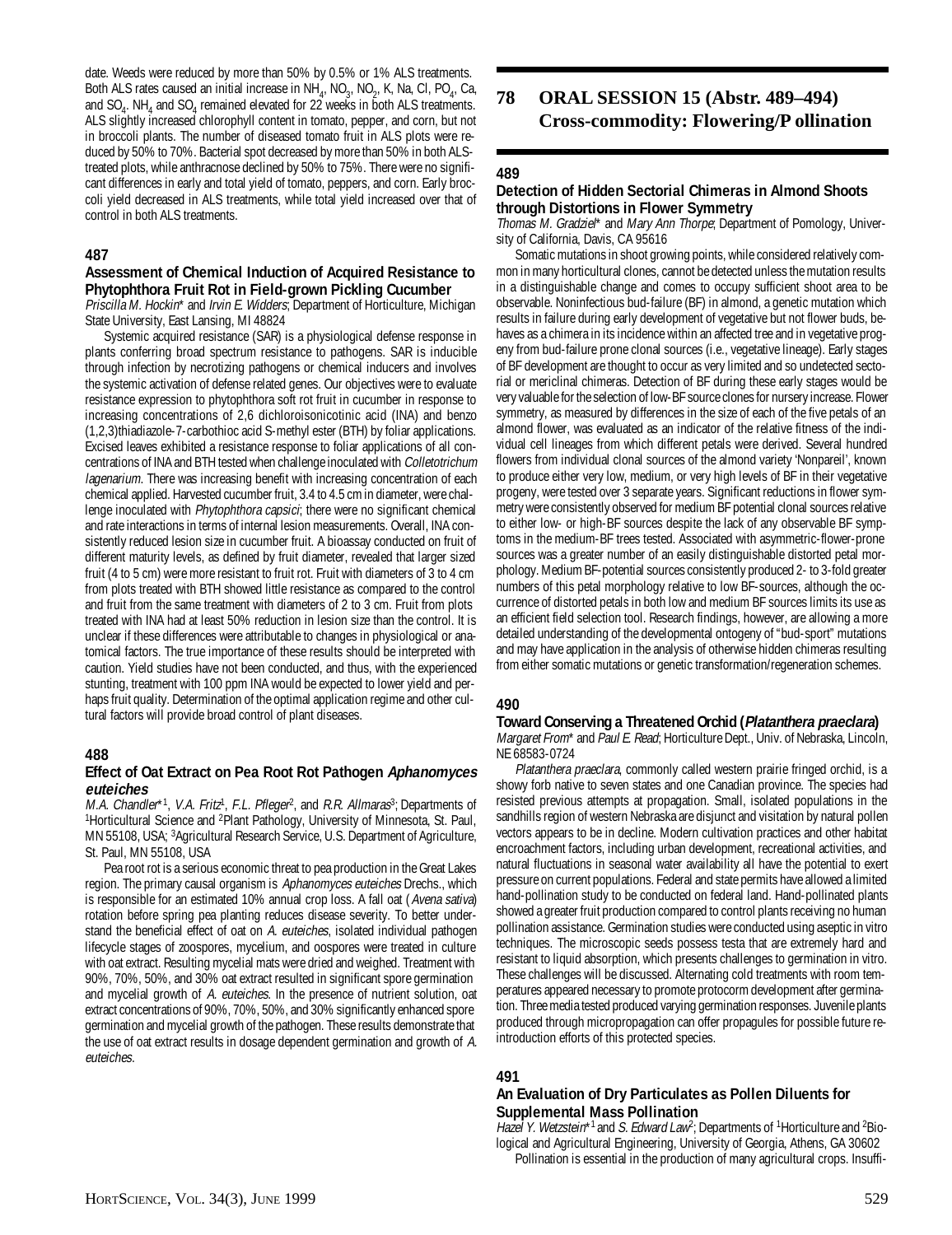date. Weeds were reduced by more than 50% by 0.5% or 1% ALS treatments. Both ALS rates caused an initial increase in  $NH_{4}$ , NO<sub>3</sub>, NO<sub>2</sub>, K, Na, Cl, PO<sub>4</sub>, Ca, and  $SO_4$ . NH<sub>4</sub> and  $SO_4$  remained elevated for 22 weeks in both ALS treatments. ALS slightly increased chlorophyll content in tomato, pepper, and corn, but not in broccoli plants. The number of diseased tomato fruit in ALS plots were reduced by 50% to 70%. Bacterial spot decreased by more than 50% in both ALStreated plots, while anthracnose declined by 50% to 75%. There were no significant differences in early and total yield of tomato, peppers, and corn. Early broccoli yield decreased in ALS treatments, while total yield increased over that of control in both ALS treatments.

### **487**

#### **Assessment of Chemical Induction of Acquired Resistance to Phytophthora Fruit Rot in Field-grown Pickling Cucumber**

Priscilla M. Hockin\* and Irvin E. Widders; Department of Horticulture, Michigan State University, East Lansing, MI 48824

Systemic acquired resistance (SAR) is a physiological defense response in plants conferring broad spectrum resistance to pathogens. SAR is inducible through infection by necrotizing pathogens or chemical inducers and involves the systemic activation of defense related genes. Our objectives were to evaluate resistance expression to phytophthora soft rot fruit in cucumber in response to increasing concentrations of 2,6 dichloroisonicotinic acid (INA) and benzo (1,2,3)thiadiazole-7-carbothioc acid S-methyl ester (BTH) by foliar applications. Excised leaves exhibited a resistance response to foliar applications of all concentrations of INA and BTH tested when challenge inoculated with Colletotrichum lagenarium. There was increasing benefit with increasing concentration of each chemical applied. Harvested cucumber fruit, 3.4 to 4.5 cm in diameter, were challenge inoculated with *Phytophthora capsici*; there were no significant chemical and rate interactions in terms of internal lesion measurements. Overall, INA consistently reduced lesion size in cucumber fruit. A bioassay conducted on fruit of different maturity levels, as defined by fruit diameter, revealed that larger sized fruit (4 to 5 cm) were more resistant to fruit rot. Fruit with diameters of 3 to 4 cm from plots treated with BTH showed little resistance as compared to the control and fruit from the same treatment with diameters of 2 to 3 cm. Fruit from plots treated with INA had at least 50% reduction in lesion size than the control. It is unclear if these differences were attributable to changes in physiological or anatomical factors. The true importance of these results should be interpreted with caution. Yield studies have not been conducted, and thus, with the experienced stunting, treatment with 100 ppm INA would be expected to lower yield and perhaps fruit quality. Determination of the optimal application regime and other cultural factors will provide broad control of plant diseases.

#### **488**

#### **Effect of Oat Extract on Pea Root Rot Pathogen Aphanomyces euteiches**

M.A. Chandler\*<sup>1</sup>, V.A. Fritz<sup>1</sup>, F.L. Pfleger<sup>2</sup>, and R.R. Allmaras<sup>3</sup>; Departments of <sup>1</sup>Horticultural Science and <sup>2</sup>Plant Pathology, University of Minnesota, St. Paul, MN 55108, USA; 3 Agricultural Research Service, U.S. Department of Agriculture, St. Paul, MN 55108, USA

Pea root rot is a serious economic threat to pea production in the Great Lakes region. The primary causal organism is Aphanomyces euteiches Drechs., which is responsible for an estimated 10% annual crop loss. A fall oat (Avena sativa) rotation before spring pea planting reduces disease severity. To better understand the beneficial effect of oat on A. euteiches, isolated individual pathogen lifecycle stages of zoospores, mycelium, and oospores were treated in culture with oat extract. Resulting mycelial mats were dried and weighed. Treatment with 90%, 70%, 50%, and 30% oat extract resulted in significant spore germination and mycelial growth of A. euteiches. In the presence of nutrient solution, oat extract concentrations of 90%, 70%, 50%, and 30% significantly enhanced spore germination and mycelial growth of the pathogen. These results demonstrate that the use of oat extract results in dosage dependent germination and growth of A. euteiches.

## **78 ORAL SESSION 15 (Abstr. 489–494) Cross-commodity: Flowering/P ollination**

#### **489**

#### **Detection of Hidden Sectorial Chimeras in Almond Shoots through Distortions in Flower Symmetry**

Thomas M. Gradziel\* and Mary Ann Thorpe; Department of Pomology, University of California, Davis, CA 95616

Somatic mutations in shoot growing points, while considered relatively common in many horticultural clones, cannot be detected unless the mutation results in a distinguishable change and comes to occupy sufficient shoot area to be observable. Noninfectious bud-failure (BF) in almond, a genetic mutation which results in failure during early development of vegetative but not flower buds, behaves as a chimera in its incidence within an affected tree and in vegetative progeny from bud-failure prone clonal sources (i.e., vegetative lineage). Early stages of BF development are thought to occur as very limited and so undetected sectorial or mericlinal chimeras. Detection of BF during these early stages would be very valuable for the selection of low-BF source clones for nursery increase. Flower symmetry, as measured by differences in the size of each of the five petals of an almond flower, was evaluated as an indicator of the relative fitness of the individual cell lineages from which different petals were derived. Several hundred flowers from individual clonal sources of the almond variety 'Nonpareil', known to produce either very low, medium, or very high levels of BF in their vegetative progeny, were tested over 3 separate years. Significant reductions in flower symmetry were consistently observed for medium BF potential clonal sources relative to either low- or high-BF sources despite the lack of any observable BF symptoms in the medium-BF trees tested. Associated with asymmetric-flower-prone sources was a greater number of an easily distinguishable distorted petal morphology. Medium BF-potential sources consistently produced 2- to 3-fold greater numbers of this petal morphology relative to low BF-sources, although the occurrence of distorted petals in both low and medium BF sources limits its use as an efficient field selection tool. Research findings, however, are allowing a more detailed understanding of the developmental ontogeny of "bud-sport" mutations and may have application in the analysis of otherwise hidden chimeras resulting from either somatic mutations or genetic transformation/regeneration schemes.

#### **490**

## **Toward Conserving a Threatened Orchid (Platanthera praeclara)**

Margaret From\* and Paul E. Read; Horticulture Dept., Univ. of Nebraska, Lincoln, NE 68583-0724

Platanthera praeclara, commonly called western prairie fringed orchid, is a showy forb native to seven states and one Canadian province. The species had resisted previous attempts at propagation. Small, isolated populations in the sandhills region of western Nebraska are disjunct and visitation by natural pollen vectors appears to be in decline. Modern cultivation practices and other habitat encroachment factors, including urban development, recreational activities, and natural fluctuations in seasonal water availability all have the potential to exert pressure on current populations. Federal and state permits have allowed a limited hand-pollination study to be conducted on federal land. Hand-pollinated plants showed a greater fruit production compared to control plants receiving no human pollination assistance. Germination studies were conducted using aseptic in vitro techniques. The microscopic seeds possess testa that are extremely hard and resistant to liquid absorption, which presents challenges to germination in vitro. These challenges will be discussed. Alternating cold treatments with room temperatures appeared necessary to promote protocorm development after germination. Three media tested produced varying germination responses. Juvenile plants produced through micropropagation can offer propagules for possible future reintroduction efforts of this protected species.

#### **491**

#### **An Evaluation of Dry Particulates as Pollen Diluents for Supplemental Mass Pollination**

Hazel Y. Wetzstein\*1 and S. Edward Law<sup>2</sup>; Departments of <sup>1</sup>Horticulture and <sup>2</sup>Biological and Agricultural Engineering, University of Georgia, Athens, GA 30602 Pollination is essential in the production of many agricultural crops. Insuffi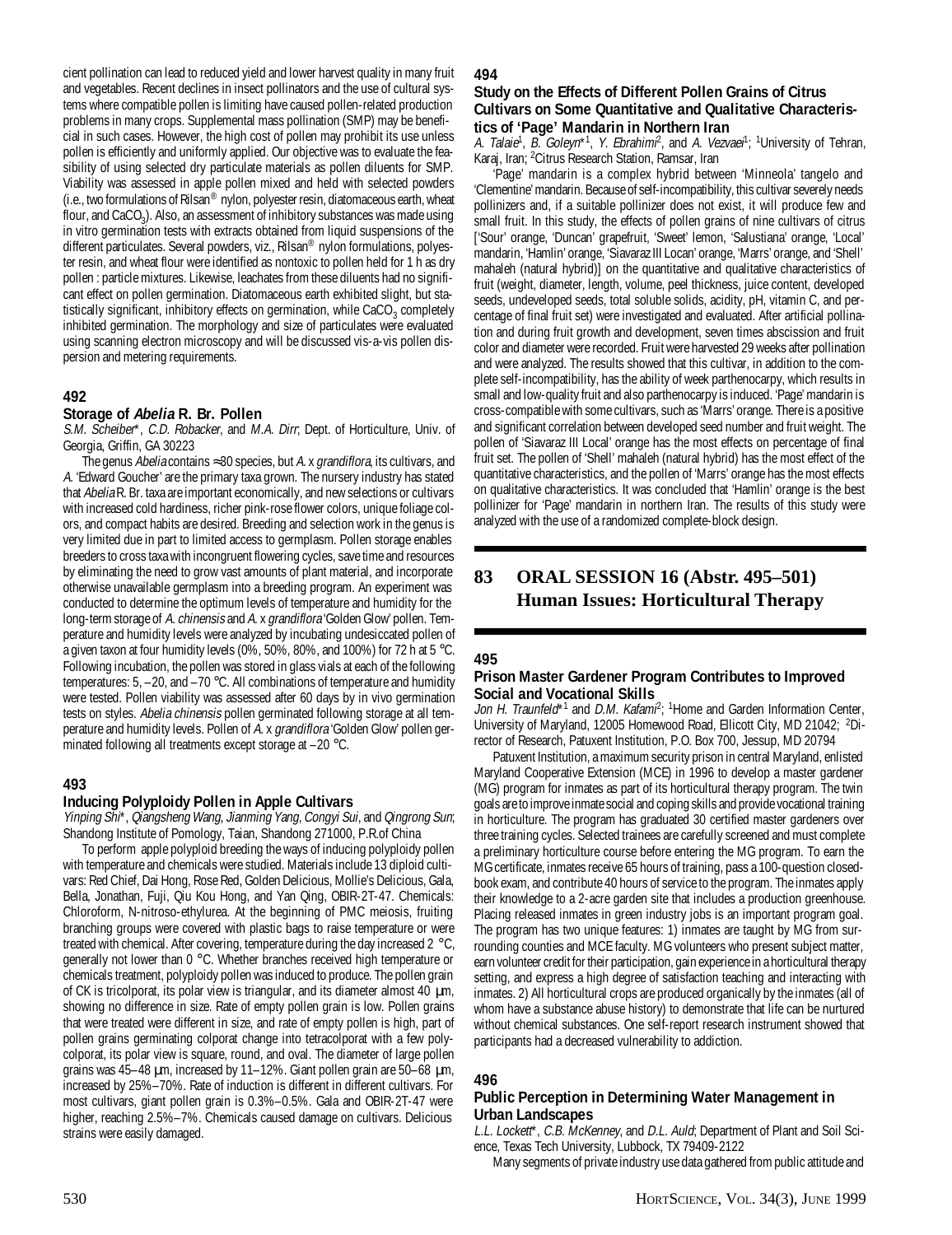cient pollination can lead to reduced yield and lower harvest quality in many fruit and vegetables. Recent declines in insect pollinators and the use of cultural systems where compatible pollen is limiting have caused pollen-related production problems in many crops. Supplemental mass pollination (SMP) may be beneficial in such cases. However, the high cost of pollen may prohibit its use unless pollen is efficiently and uniformly applied. Our objective was to evaluate the feasibility of using selected dry particulate materials as pollen diluents for SMP. Viability was assessed in apple pollen mixed and held with selected powders (i.e., two formulations of Rilsan® nylon, polyester resin, diatomaceous earth, wheat flour, and CaCO<sub>3</sub>). Also, an assessment of inhibitory substances was made using in vitro germination tests with extracts obtained from liquid suspensions of the different particulates. Several powders, viz., Rilsan® nylon formulations, polyester resin, and wheat flour were identified as nontoxic to pollen held for 1 h as dry pollen : particle mixtures. Likewise, leachates from these diluents had no significant effect on pollen germination. Diatomaceous earth exhibited slight, but statistically significant, inhibitory effects on germination, while  $CaCO<sub>3</sub>$  completely inhibited germination. The morphology and size of particulates were evaluated using scanning electron microscopy and will be discussed vis-a-vis pollen dispersion and metering requirements.

## **492**

#### **Storage of Abelia R. Br. Pollen**

S.M. Scheiber\*, C.D. Robacker, and M.A. Dirr, Dept. of Horticulture, Univ. of Georgia, Griffin, GA 30223

The genus Abelia contains ≈30 species, but A. x grandiflora, its cultivars, and A. 'Edward Goucher' are the primary taxa grown. The nursery industry has stated that Abelia R. Br. taxa are important economically, and new selections or cultivars with increased cold hardiness, richer pink-rose flower colors, unique foliage colors, and compact habits are desired. Breeding and selection work in the genus is very limited due in part to limited access to germplasm. Pollen storage enables breeders to cross taxa with incongruent flowering cycles, save time and resources by eliminating the need to grow vast amounts of plant material, and incorporate otherwise unavailable germplasm into a breeding program. An experiment was conducted to determine the optimum levels of temperature and humidity for the long-term storage of A. chinensis and A. x grandiflora 'Golden Glow' pollen. Temperature and humidity levels were analyzed by incubating undesiccated pollen of a given taxon at four humidity levels (0%, 50%, 80%, and 100%) for 72 h at 5 °C. Following incubation, the pollen was stored in glass vials at each of the following temperatures: 5, –20, and –70 °C. All combinations of temperature and humidity were tested. Pollen viability was assessed after 60 days by in vivo germination tests on styles. Abelia chinensis pollen germinated following storage at all temperature and humidity levels. Pollen of A. x grandiflora 'Golden Glow' pollen germinated following all treatments except storage at –20 °C.

#### **493**

#### **Inducing Polyploidy Pollen in Apple Cultivars**

Yinping Shi\*, Qiangsheng Wang, Jianming Yang, Congyi Sui, and Qingrong Sun; Shandong Institute of Pomology, Taian, Shandong 271000, P.R.of China

To perform apple polyploid breeding the ways of inducing polyploidy pollen with temperature and chemicals were studied. Materials include 13 diploid cultivars: Red Chief, Dai Hong, Rose Red, Golden Delicious, Mollie's Delicious, Gala, Bella, Jonathan, Fuji, Qiu Kou Hong, and Yan Qing, OBIR-2T-47. Chemicals: Chloroform, N-nitroso-ethylurea. At the beginning of PMC meiosis, fruiting branching groups were covered with plastic bags to raise temperature or were treated with chemical. After covering, temperature during the day increased 2 °C, generally not lower than 0 °C. Whether branches received high temperature or chemicals treatment, polyploidy pollen was induced to produce. The pollen grain of CK is tricolporat, its polar view is triangular, and its diameter almost 40 µm, showing no difference in size. Rate of empty pollen grain is low. Pollen grains that were treated were different in size, and rate of empty pollen is high, part of pollen grains germinating colporat change into tetracolporat with a few polycolporat, its polar view is square, round, and oval. The diameter of large pollen grains was 45–48 µm, increased by 11–12%. Giant pollen grain are 50–68 µm, increased by 25%–70%. Rate of induction is different in different cultivars. For most cultivars, giant pollen grain is 0.3%–0.5%. Gala and OBIR-2T-47 were higher, reaching 2.5%–7%. Chemicals caused damage on cultivars. Delicious strains were easily damaged.

#### **494**

#### **Study on the Effects of Different Pollen Grains of Citrus Cultivars on Some Quantitative and Qualitative Characteristics of 'Page' Mandarin in Northern Iran**

A. Talaie<sup>1</sup>, B. Goleyn\*<sup>1</sup>, Y. Ebrahim<sup>p</sup>, and A. Vezvaei<sup>1</sup>; <sup>1</sup>University of Tehran, Karaj, Iran; 2 Citrus Research Station, Ramsar, Iran

'Page' mandarin is a complex hybrid between 'Minneola' tangelo and 'Clementine' mandarin. Because of self-incompatibility, this cultivar severely needs pollinizers and, if a suitable pollinizer does not exist, it will produce few and small fruit. In this study, the effects of pollen grains of nine cultivars of citrus ['Sour' orange, 'Duncan' grapefruit, 'Sweet' lemon, 'Salustiana' orange, 'Local' mandarin, 'Hamlin' orange, 'Siavaraz III Locan' orange, 'Marrs' orange, and 'Shell' mahaleh (natural hybrid)] on the quantitative and qualitative characteristics of fruit (weight, diameter, length, volume, peel thickness, juice content, developed seeds, undeveloped seeds, total soluble solids, acidity, pH, vitamin C, and percentage of final fruit set) were investigated and evaluated. After artificial pollination and during fruit growth and development, seven times abscission and fruit color and diameter were recorded. Fruit were harvested 29 weeks after pollination and were analyzed. The results showed that this cultivar, in addition to the complete self-incompatibility, has the ability of week parthenocarpy, which results in small and low-quality fruit and also parthenocarpy is induced. 'Page' mandarin is cross-compatible with some cultivars, such as 'Marrs' orange. There is a positive and significant correlation between developed seed number and fruit weight. The pollen of 'Siavaraz III Local' orange has the most effects on percentage of final fruit set. The pollen of 'Shell' mahaleh (natural hybrid) has the most effect of the quantitative characteristics, and the pollen of 'Marrs' orange has the most effects on qualitative characteristics. It was concluded that 'Hamlin' orange is the best pollinizer for 'Page' mandarin in northern Iran. The results of this study were analyzed with the use of a randomized complete-block design.

## **83 ORAL SESSION 16 (Abstr. 495–501) Human Issues: Horticultural Therapy**

#### **495**

#### **Prison Master Gardener Program Contributes to Improved Social and Vocational Skills**

Jon H. Traunfeld<sup>\*1</sup> and D.M. Kafam<sup>p</sup>; <sup>1</sup>Home and Garden Information Center, University of Maryland, 12005 Homewood Road, Ellicott City, MD 21042; <sup>2</sup>Director of Research, Patuxent Institution, P.O. Box 700, Jessup, MD 20794

Patuxent Institution, a maximum security prison in central Maryland, enlisted Maryland Cooperative Extension (MCE) in 1996 to develop a master gardener (MG) program for inmates as part of its horticultural therapy program. The twin goals are to improve inmate social and coping skills and provide vocational training in horticulture. The program has graduated 30 certified master gardeners over three training cycles. Selected trainees are carefully screened and must complete a preliminary horticulture course before entering the MG program. To earn the MG certificate, inmates receive 65 hours of training, pass a 100-question closedbook exam, and contribute 40 hours of service to the program. The inmates apply their knowledge to a 2-acre garden site that includes a production greenhouse. Placing released inmates in green industry jobs is an important program goal. The program has two unique features: 1) inmates are taught by MG from surrounding counties and MCE faculty. MG volunteers who present subject matter, earn volunteer credit for their participation, gain experience in a horticultural therapy setting, and express a high degree of satisfaction teaching and interacting with inmates. 2) All horticultural crops are produced organically by the inmates (all of whom have a substance abuse history) to demonstrate that life can be nurtured without chemical substances. One self-report research instrument showed that participants had a decreased vulnerability to addiction.

#### **496**

#### **Public Perception in Determining Water Management in Urban Landscapes**

L.L. Lockett\*, C.B. McKenney, and D.L. Auld; Department of Plant and Soil Science, Texas Tech University, Lubbock, TX 79409-2122

Many segments of private industry use data gathered from public attitude and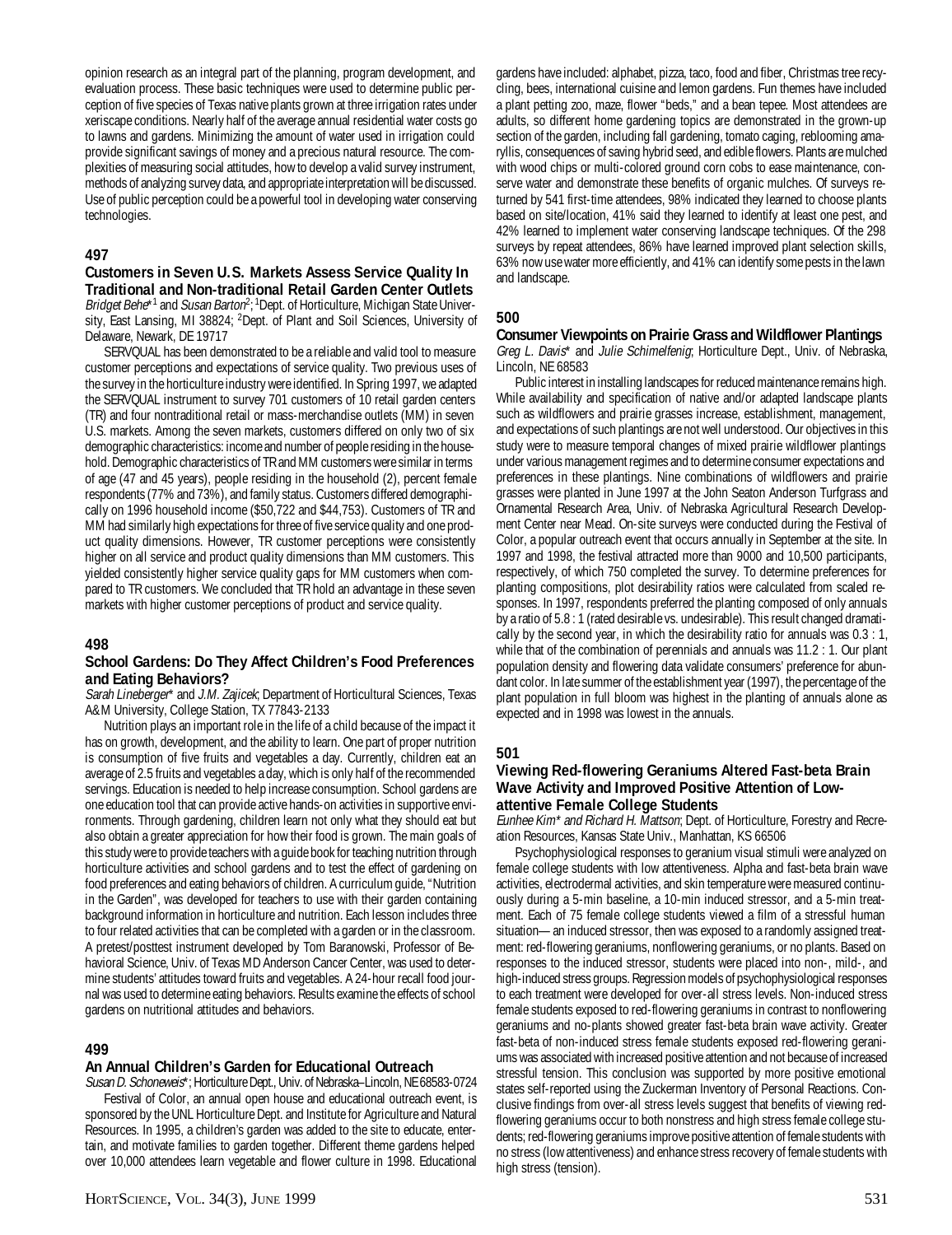opinion research as an integral part of the planning, program development, and evaluation process. These basic techniques were used to determine public perception of five species of Texas native plants grown at three irrigation rates under xeriscape conditions. Nearly half of the average annual residential water costs go to lawns and gardens. Minimizing the amount of water used in irrigation could provide significant savings of money and a precious natural resource. The complexities of measuring social attitudes, how to develop a valid survey instrument, methods of analyzing survey data, and appropriate interpretation will be discussed. Use of public perception could be a powerful tool in developing water conserving technologies.

## **497**

#### **Customers in Seven U.S. Markets Assess Service Quality In Traditional and Non-traditional Retail Garden Center Outlets**

Bridget Behe\*<sup>1</sup> and Susan Barton<sup>2</sup>; <sup>1</sup>Dept. of Horticulture, Michigan State University, East Lansing, MI 38824; <sup>2</sup>Dept. of Plant and Soil Sciences, University of Delaware, Newark, DE 19717

SERVQUAL has been demonstrated to be a reliable and valid tool to measure customer perceptions and expectations of service quality. Two previous uses of the survey in the horticulture industry were identified. In Spring 1997, we adapted the SERVQUAL instrument to survey 701 customers of 10 retail garden centers (TR) and four nontraditional retail or mass-merchandise outlets (MM) in seven U.S. markets. Among the seven markets, customers differed on only two of six demographic characteristics: income and number of people residing in the household. Demographic characteristics of TR and MM customers were similar in terms of age (47 and 45 years), people residing in the household (2), percent female respondents (77% and 73%), and family status. Customers differed demographically on 1996 household income (\$50,722 and \$44,753). Customers of TR and MM had similarly high expectations for three of five service quality and one product quality dimensions. However, TR customer perceptions were consistently higher on all service and product quality dimensions than MM customers. This yielded consistently higher service quality gaps for MM customers when compared to TR customers. We concluded that TR hold an advantage in these seven markets with higher customer perceptions of product and service quality.

#### **498**

#### **School Gardens: Do They Affect Children's Food Preferences and Eating Behaviors?**

Sarah Lineberger\* and J.M. Zajicek; Department of Horticultural Sciences, Texas A&M University, College Station, TX 77843-2133

Nutrition plays an important role in the life of a child because of the impact it has on growth, development, and the ability to learn. One part of proper nutrition is consumption of five fruits and vegetables a day. Currently, children eat an average of 2.5 fruits and vegetables a day, which is only half of the recommended servings. Education is needed to help increase consumption. School gardens are one education tool that can provide active hands-on activities in supportive environments. Through gardening, children learn not only what they should eat but also obtain a greater appreciation for how their food is grown. The main goals of this study were to provide teachers with a guide book for teaching nutrition through horticulture activities and school gardens and to test the effect of gardening on food preferences and eating behaviors of children. A curriculum guide, "Nutrition in the Garden", was developed for teachers to use with their garden containing background information in horticulture and nutrition. Each lesson includes three to four related activities that can be completed with a garden or in the classroom. A pretest/posttest instrument developed by Tom Baranowski, Professor of Behavioral Science, Univ. of Texas MD Anderson Cancer Center, was used to determine students' attitudes toward fruits and vegetables. A 24-hour recall food journal was used to determine eating behaviors. Results examine the effects of school gardens on nutritional attitudes and behaviors.

#### **499**

#### **An Annual Children's Garden for Educational Outreach**

Susan D. Schoneweis\*; Horticulture Dept., Univ. of Nebraska–Lincoln, NE 68583-0724 Festival of Color, an annual open house and educational outreach event, is sponsored by the UNL Horticulture Dept. and Institute for Agriculture and Natural Resources. In 1995, a children's garden was added to the site to educate, entertain, and motivate families to garden together. Different theme gardens helped over 10,000 attendees learn vegetable and flower culture in 1998. Educational

gardens have included: alphabet, pizza, taco, food and fiber, Christmas tree recycling, bees, international cuisine and lemon gardens. Fun themes have included a plant petting zoo, maze, flower "beds," and a bean tepee. Most attendees are adults, so different home gardening topics are demonstrated in the grown-up section of the garden, including fall gardening, tomato caging, reblooming amaryllis, consequences of saving hybrid seed, and edible flowers. Plants are mulched with wood chips or multi-colored ground corn cobs to ease maintenance, conserve water and demonstrate these benefits of organic mulches. Of surveys returned by 541 first-time attendees, 98% indicated they learned to choose plants based on site/location, 41% said they learned to identify at least one pest, and 42% learned to implement water conserving landscape techniques. Of the 298 surveys by repeat attendees, 86% have learned improved plant selection skills, 63% now use water more efficiently, and 41% can identify some pests in the lawn and landscape.

#### **500**

## **Consumer Viewpoints on Prairie Grass and Wildflower Plantings**

Greg L. Davis\* and Julie Schimelfenig; Horticulture Dept., Univ. of Nebraska, Lincoln, NE 68583

Public interest in installing landscapes for reduced maintenance remains high. While availability and specification of native and/or adapted landscape plants such as wildflowers and prairie grasses increase, establishment, management, and expectations of such plantings are not well understood. Our objectives in this study were to measure temporal changes of mixed prairie wildflower plantings under various management regimes and to determine consumer expectations and preferences in these plantings. Nine combinations of wildflowers and prairie grasses were planted in June 1997 at the John Seaton Anderson Turfgrass and Ornamental Research Area, Univ. of Nebraska Agricultural Research Development Center near Mead. On-site surveys were conducted during the Festival of Color, a popular outreach event that occurs annually in September at the site. In 1997 and 1998, the festival attracted more than 9000 and 10,500 participants, respectively, of which 750 completed the survey. To determine preferences for planting compositions, plot desirability ratios were calculated from scaled responses. In 1997, respondents preferred the planting composed of only annuals by a ratio of 5.8 : 1 (rated desirable vs. undesirable). This result changed dramatically by the second year, in which the desirability ratio for annuals was 0.3 : 1, while that of the combination of perennials and annuals was 11.2 : 1. Our plant population density and flowering data validate consumers' preference for abundant color. In late summer of the establishment year (1997), the percentage of the plant population in full bloom was highest in the planting of annuals alone as expected and in 1998 was lowest in the annuals.

#### **501**

## **Viewing Red-flowering Geraniums Altered Fast-beta Brain Wave Activity and Improved Positive Attention of Lowattentive Female College Students**

Eunhee Kim\* and Richard H. Mattson; Dept. of Horticulture, Forestry and Recreation Resources, Kansas State Univ., Manhattan, KS 66506

Psychophysiological responses to geranium visual stimuli were analyzed on female college students with low attentiveness. Alpha and fast-beta brain wave activities, electrodermal activities, and skin temperature were measured continuously during a 5-min baseline, a 10-min induced stressor, and a 5-min treatment. Each of 75 female college students viewed a film of a stressful human situation—an induced stressor, then was exposed to a randomly assigned treatment: red-flowering geraniums, nonflowering geraniums, or no plants. Based on responses to the induced stressor, students were placed into non-, mild-, and high-induced stress groups. Regression models of psychophysiological responses to each treatment were developed for over-all stress levels. Non-induced stress female students exposed to red-flowering geraniums in contrast to nonflowering geraniums and no-plants showed greater fast-beta brain wave activity. Greater fast-beta of non-induced stress female students exposed red-flowering geraniums was associated with increased positive attention and not because of increased stressful tension. This conclusion was supported by more positive emotional states self-reported using the Zuckerman Inventory of Personal Reactions. Conclusive findings from over-all stress levels suggest that benefits of viewing redflowering geraniums occur to both nonstress and high stress female college students; red-flowering geraniums improve positive attention of female students with no stress (low attentiveness) and enhance stress recovery of female students with high stress (tension).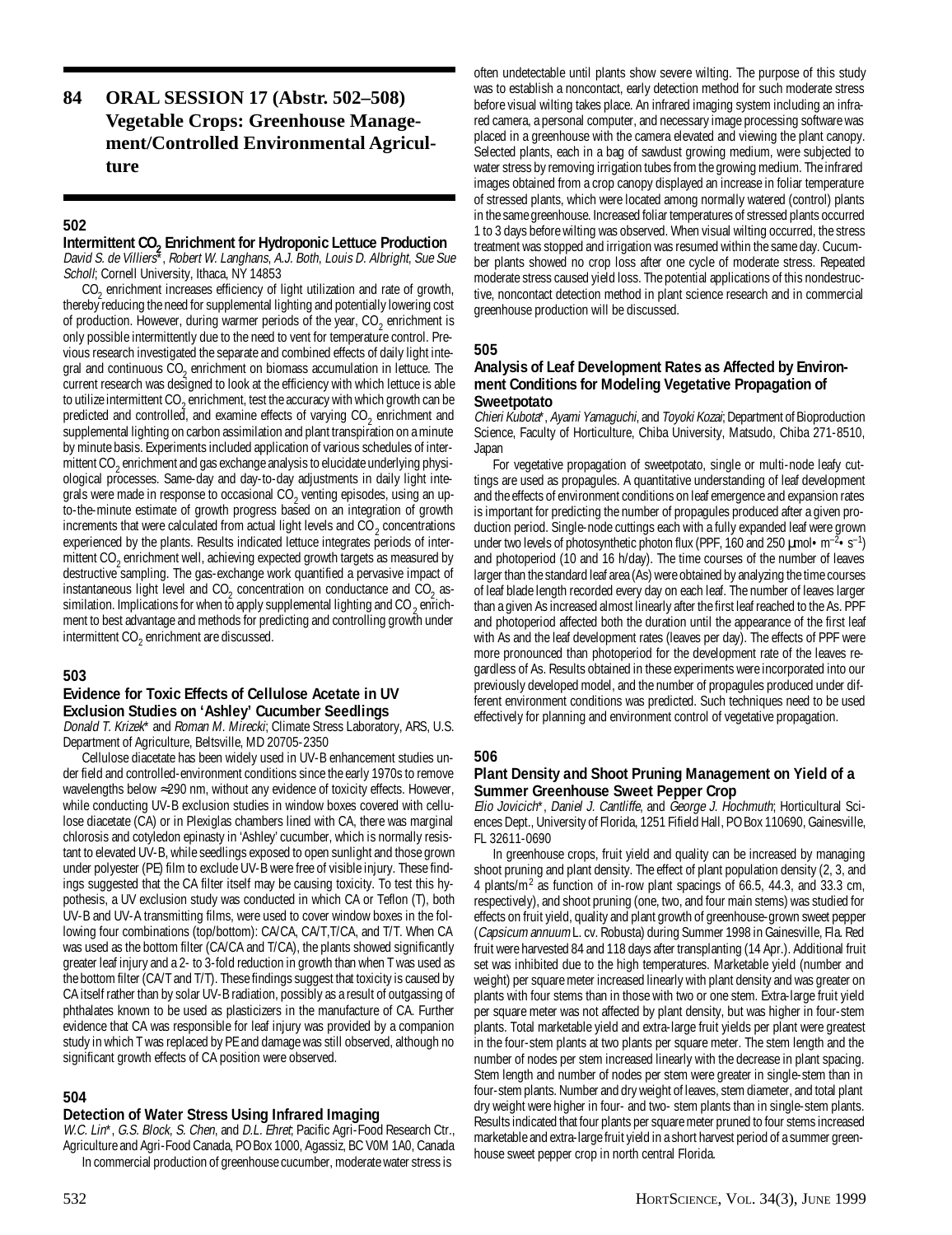## **84 ORAL SESSION 17 (Abstr. 502–508) Vegetable Crops: Greenhouse Management/Controlled Environmental Agriculture**

## **502**

## **Intermittent CO<sub>2</sub> Enrichment for Hydroponic Lettuce Production**

David S. de Villiers\*, Robert W. Langhans, A.J. Both, Louis D. Albright, Sue Sue Scholl; Cornell University, Ithaca, NY 14853

 $CO<sub>2</sub>$  enrichment increases efficiency of light utilization and rate of growth, thereby reducing the need for supplemental lighting and potentially lowering cost of production. However, during warmer periods of the year,  $\mathrm{CO}_2$  enrichment is only possible intermittently due to the need to vent for temperature control. Previous research investigated the separate and combined effects of daily light integral and continuous  $CO_2$  enrichment on biomass accumulation in lettuce. The current research was designed to look at the efficiency with which lettuce is able to utilize intermittent CO<sub>2</sub> enrichment, test the accuracy with which growth can be predicted and controlled, and examine effects of varying  $CO_2$  enrichment and supplemental lighting on carbon assimilation and plant transpiration on a minute by minute basis. Experiments included application of various schedules of intermittent CO<sub>2</sub> enrichment and gas exchange analysis to elucidate underlying physiological processes. Same-day and day-to-day adjustments in daily light integrals were made in response to occasional CO<sub>2</sub> venting episodes, using an upto-the-minute estimate of growth progress based on an integration of growth increments that were calculated from actual light levels and  $CO_2$  concentrations experienced by the plants. Results indicated lettuce integrates periods of intermittent CO<sub>2</sub> enrichment well, achieving expected growth targets as measured by destructive sampling. The gas-exchange work quantified a pervasive impact of instantaneous light level and  $CO<sub>2</sub>$  concentration on conductance and  $CO<sub>2</sub>$  assimilation. Implications for when to apply supplemental lighting and CO  $_2$  enrichment to best advantage and methods for predicting and controlling growth under intermittent CO $_2$  enrichment are discussed.

#### **503**

## **Evidence for Toxic Effects of Cellulose Acetate in UV Exclusion Studies on 'Ashley' Cucumber Seedlings**

Donald T. Krizek\* and Roman M. Mirecki; Climate Stress Laboratory, ARS, U.S. Department of Agriculture, Beltsville, MD 20705-2350

Cellulose diacetate has been widely used in UV-B enhancement studies under field and controlled-environment conditions since the early 1970s to remove wavelengths below ≈290 nm, without any evidence of toxicity effects. However, while conducting UV-B exclusion studies in window boxes covered with cellulose diacetate (CA) or in Plexiglas chambers lined with CA, there was marginal chlorosis and cotyledon epinasty in 'Ashley' cucumber, which is normally resistant to elevated UV-B, while seedlings exposed to open sunlight and those grown under polyester (PE) film to exclude UV-B were free of visible injury. These findings suggested that the CA filter itself may be causing toxicity. To test this hypothesis, a UV exclusion study was conducted in which CA or Teflon (T), both UV-B and UV-A transmitting films, were used to cover window boxes in the following four combinations (top/bottom): CA/CA, CA/T,T/CA, and T/T. When CA was used as the bottom filter (CA/CA and T/CA), the plants showed significantly greater leaf injury and a 2- to 3-fold reduction in growth than when T was used as the bottom filter (CA/T and T/T). These findings suggest that toxicity is caused by CA itself rather than by solar UV-B radiation, possibly as a result of outgassing of phthalates known to be used as plasticizers in the manufacture of CA. Further evidence that CA was responsible for leaf injury was provided by a companion study in which T was replaced by PE and damage was still observed, although no significant growth effects of CA position were observed.

#### **504**

### **Detection of Water Stress Using Infrared Imaging**

W.C. Lin\*, G.S. Block, S. Chen, and D.L. Ehret; Pacific Agri-Food Research Ctr., Agriculture and Agri-Food Canada, PO Box 1000, Agassiz, BC V0M 1A0, Canada In commercial production of greenhouse cucumber, moderate water stress is

often undetectable until plants show severe wilting. The purpose of this study was to establish a noncontact, early detection method for such moderate stress before visual wilting takes place. An infrared imaging system including an infrared camera, a personal computer, and necessary image processing software was placed in a greenhouse with the camera elevated and viewing the plant canopy. Selected plants, each in a bag of sawdust growing medium, were subjected to water stress by removing irrigation tubes from the growing medium. The infrared images obtained from a crop canopy displayed an increase in foliar temperature of stressed plants, which were located among normally watered (control) plants in the same greenhouse. Increased foliar temperatures of stressed plants occurred 1 to 3 days before wilting was observed. When visual wilting occurred, the stress treatment was stopped and irrigation was resumed within the same day. Cucumber plants showed no crop loss after one cycle of moderate stress. Repeated moderate stress caused yield loss. The potential applications of this nondestructive, noncontact detection method in plant science research and in commercial greenhouse production will be discussed.

#### **505**

### **Analysis of Leaf Development Rates as Affected by Environment Conditions for Modeling Vegetative Propagation of Sweetpotato**

Chieri Kubota\*, Ayami Yamaguchi, and Toyoki Kozai; Department of Bioproduction Science, Faculty of Horticulture, Chiba University, Matsudo, Chiba 271-8510, Japan

For vegetative propagation of sweetpotato, single or multi-node leafy cuttings are used as propagules. A quantitative understanding of leaf development and the effects of environment conditions on leaf emergence and expansion rates is important for predicting the number of propagules produced after a given production period. Single-node cuttings each with a fully expanded leaf were grown under two levels of photosynthetic photon flux (PPF, 160 and 250  $\mu$ mol • m<sup>-2</sup> • s<sup>-1</sup>) and photoperiod (10 and 16 h/day). The time courses of the number of leaves larger than the standard leaf area (As) were obtained by analyzing the time courses of leaf blade length recorded every day on each leaf. The number of leaves larger than a given As increased almost linearly after the first leaf reached to the As. PPF and photoperiod affected both the duration until the appearance of the first leaf with As and the leaf development rates (leaves per day). The effects of PPF were more pronounced than photoperiod for the development rate of the leaves regardless of As. Results obtained in these experiments were incorporated into our previously developed model, and the number of propagules produced under different environment conditions was predicted. Such techniques need to be used effectively for planning and environment control of vegetative propagation.

#### **506**

#### **Plant Density and Shoot Pruning Management on Yield of a Summer Greenhouse Sweet Pepper Crop**

Elio Jovicich\*, Daniel J. Cantliffe, and George J. Hochmuth; Horticultural Sciences Dept., University of Florida, 1251 Fifield Hall, PO Box 110690, Gainesville, FL 32611-0690

In greenhouse crops, fruit yield and quality can be increased by managing shoot pruning and plant density. The effect of plant population density (2, 3, and 4 plants/m<sup>2</sup> as function of in-row plant spacings of 66.5, 44.3, and 33.3 cm, respectively), and shoot pruning (one, two, and four main stems) was studied for effects on fruit yield, quality and plant growth of greenhouse-grown sweet pepper (Capsicum annuum L. cv. Robusta) during Summer 1998 in Gainesville, Fla. Red fruit were harvested 84 and 118 days after transplanting (14 Apr.). Additional fruit set was inhibited due to the high temperatures. Marketable yield (number and weight) per square meter increased linearly with plant density and was greater on plants with four stems than in those with two or one stem. Extra-large fruit yield per square meter was not affected by plant density, but was higher in four-stem plants. Total marketable yield and extra-large fruit yields per plant were greatest in the four-stem plants at two plants per square meter. The stem length and the number of nodes per stem increased linearly with the decrease in plant spacing. Stem length and number of nodes per stem were greater in single-stem than in four-stem plants. Number and dry weight of leaves, stem diameter, and total plant dry weight were higher in four- and two- stem plants than in single-stem plants. Results indicated that four plants per square meter pruned to four stems increased marketable and extra-large fruit yield in a short harvest period of a summer greenhouse sweet pepper crop in north central Florida.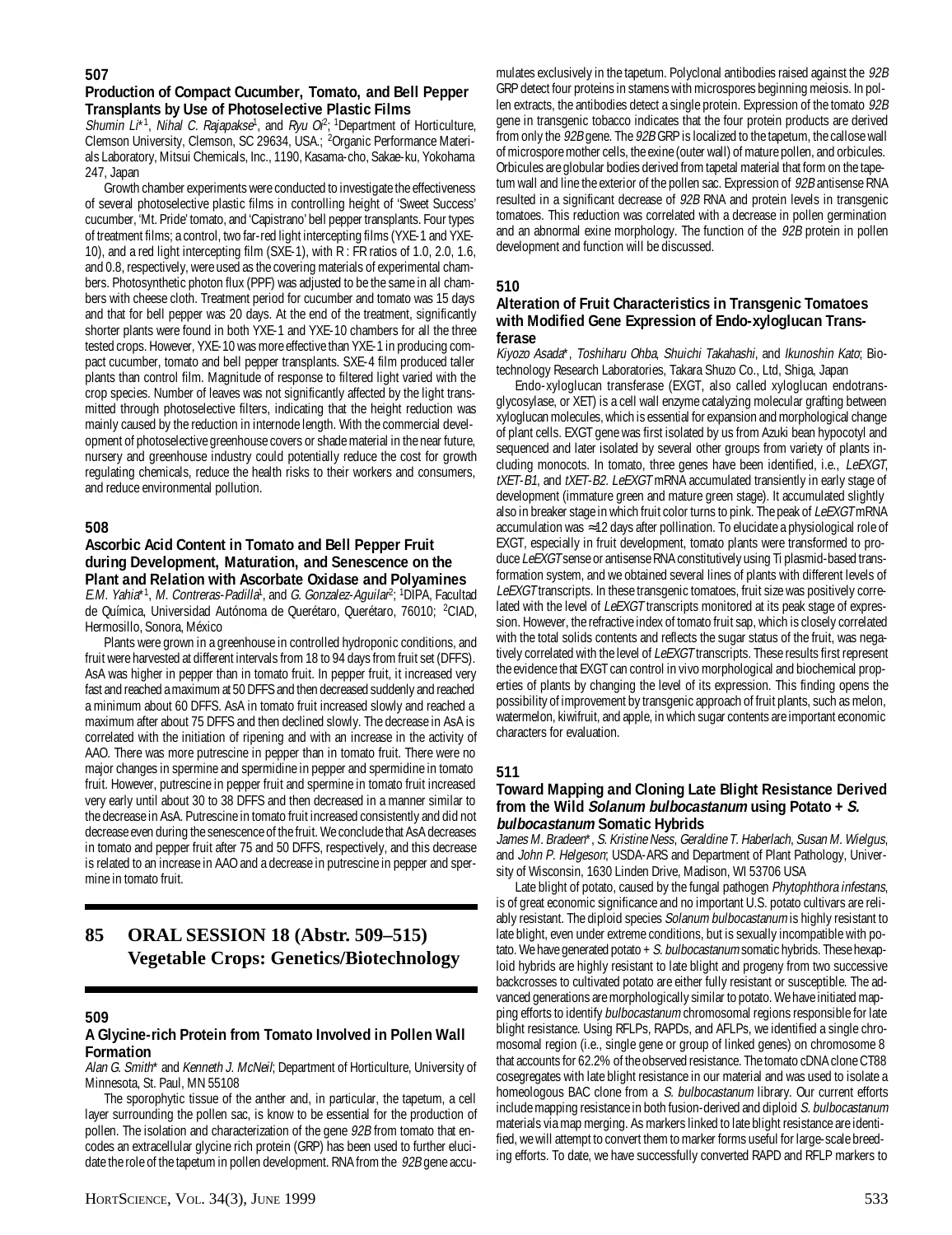## **Production of Compact Cucumber, Tomato, and Bell Pepper Transplants by Use of Photoselective Plastic Films**

Shumin  $L^*$ <sup>1</sup>, Nihal C. Rajapakse<sup>1</sup>, and Ryu O<sup>p</sup>; <sup>1</sup>Department of Horticulture, Clemson University, Clemson, SC 29634, USA.; <sup>2</sup>Organic Performance Materials Laboratory, Mitsui Chemicals, Inc., 1190, Kasama-cho, Sakae-ku, Yokohama 247, Japan

Growth chamber experiments were conducted to investigate the effectiveness of several photoselective plastic films in controlling height of 'Sweet Success' cucumber, 'Mt. Pride' tomato, and 'Capistrano' bell pepper transplants. Four types of treatment films; a control, two far-red light intercepting films (YXE-1 and YXE-10), and a red light intercepting film (SXE-1), with R : FR ratios of 1.0, 2.0, 1.6, and 0.8, respectively, were used as the covering materials of experimental chambers. Photosynthetic photon flux (PPF) was adjusted to be the same in all chambers with cheese cloth. Treatment period for cucumber and tomato was 15 days and that for bell pepper was 20 days. At the end of the treatment, significantly shorter plants were found in both YXE-1 and YXE-10 chambers for all the three tested crops. However, YXE-10 was more effective than YXE-1 in producing compact cucumber, tomato and bell pepper transplants. SXE-4 film produced taller plants than control film. Magnitude of response to filtered light varied with the crop species. Number of leaves was not significantly affected by the light transmitted through photoselective filters, indicating that the height reduction was mainly caused by the reduction in internode length. With the commercial development of photoselective greenhouse covers or shade material in the near future, nursery and greenhouse industry could potentially reduce the cost for growth regulating chemicals, reduce the health risks to their workers and consumers, and reduce environmental pollution.

## **508**

#### **Ascorbic Acid Content in Tomato and Bell Pepper Fruit during Development, Maturation, and Senescence on the Plant and Relation with Ascorbate Oxidase and Polyamines**

E.M. Yahia\*<sup>1</sup>, M. Contreras-Padilla<sup>1</sup>, and G. Gonzalez-Aguilar<sup>2</sup>; <sup>1</sup>DIPA, Facultad de Química, Universidad Autónoma de Querétaro, Querétaro, 76010; <sup>2</sup>CIAD, Hermosillo, Sonora, México

Plants were grown in a greenhouse in controlled hydroponic conditions, and fruit were harvested at different intervals from 18 to 94 days from fruit set (DFFS). AsA was higher in pepper than in tomato fruit. In pepper fruit, it increased very fast and reached a maximum at 50 DFFS and then decreased suddenly and reached a minimum about 60 DFFS. AsA in tomato fruit increased slowly and reached a maximum after about 75 DFFS and then declined slowly. The decrease in AsA is correlated with the initiation of ripening and with an increase in the activity of AAO. There was more putrescine in pepper than in tomato fruit. There were no major changes in spermine and spermidine in pepper and spermidine in tomato fruit. However, putrescine in pepper fruit and spermine in tomato fruit increased very early until about 30 to 38 DFFS and then decreased in a manner similar to the decrease in AsA. Putrescine in tomato fruit increased consistently and did not decrease even during the senescence of the fruit. We conclude that AsA decreases in tomato and pepper fruit after 75 and 50 DFFS, respectively, and this decrease is related to an increase in AAO and a decrease in putrescine in pepper and spermine in tomato fruit.

## **85 ORAL SESSION 18 (Abstr. 509–515) Vegetable Crops: Genetics/Biotechnology**

## **509**

## **A Glycine-rich Protein from Tomato Involved in Pollen Wall Formation**

Alan G. Smith\* and Kenneth J. McNeil; Department of Horticulture, University of Minnesota, St. Paul, MN 55108

The sporophytic tissue of the anther and, in particular, the tapetum, a cell layer surrounding the pollen sac, is know to be essential for the production of pollen. The isolation and characterization of the gene 92B from tomato that encodes an extracellular glycine rich protein (GRP) has been used to further elucidate the role of the tapetum in pollen development. RNA from the 92B gene accu-

mulates exclusively in the tapetum. Polyclonal antibodies raised against the 92B GRP detect four proteins in stamens with microspores beginning meiosis. In pollen extracts, the antibodies detect a single protein. Expression of the tomato 92B gene in transgenic tobacco indicates that the four protein products are derived from only the 92B gene. The 92B GRP is localized to the tapetum, the callose wall of microspore mother cells, the exine (outer wall) of mature pollen, and orbicules. Orbicules are globular bodies derived from tapetal material that form on the tapetum wall and line the exterior of the pollen sac. Expression of 92B antisense RNA resulted in a significant decrease of 92B RNA and protein levels in transgenic tomatoes. This reduction was correlated with a decrease in pollen germination and an abnormal exine morphology. The function of the 92B protein in pollen development and function will be discussed.

## **510**

#### **Alteration of Fruit Characteristics in Transgenic Tomatoes with Modified Gene Expression of Endo-xyloglucan Transferase**

Kiyozo Asada\*, Toshiharu Ohba, Shuichi Takahashi, and Ikunoshin Kato; Biotechnology Research Laboratories, Takara Shuzo Co., Ltd, Shiga, Japan

Endo-xyloglucan transferase (EXGT, also called xyloglucan endotransglycosylase, or XET) is a cell wall enzyme catalyzing molecular grafting between xyloglucan molecules, which is essential for expansion and morphological change of plant cells. EXGT gene was first isolated by us from Azuki bean hypocotyl and sequenced and later isolated by several other groups from variety of plants including monocots. In tomato, three genes have been identified, i.e., LeEXGT, tXET-B1, and tXET-B2. LeEXGT mRNA accumulated transiently in early stage of development (immature green and mature green stage). It accumulated slightly also in breaker stage in which fruit color turns to pink. The peak of LeEXGT mRNA accumulation was ≈12 days after pollination. To elucidate a physiological role of EXGT, especially in fruit development, tomato plants were transformed to produce LeEXGT sense or antisense RNA constitutively using Ti plasmid-based transformation system, and we obtained several lines of plants with different levels of LeEXGT transcripts. In these transgenic tomatoes, fruit size was positively correlated with the level of LeEXGT transcripts monitored at its peak stage of expression. However, the refractive index of tomato fruit sap, which is closely correlated with the total solids contents and reflects the sugar status of the fruit, was negatively correlated with the level of LeEXGT transcripts. These results first represent the evidence that EXGT can control in vivo morphological and biochemical properties of plants by changing the level of its expression. This finding opens the possibility of improvement by transgenic approach of fruit plants, such as melon, watermelon, kiwifruit, and apple, in which sugar contents are important economic characters for evaluation.

## **511**

#### **Toward Mapping and Cloning Late Blight Resistance Derived from the Wild Solanum bulbocastanum using Potato + S. bulbocastanum Somatic Hybrids**

James M. Bradeen\*, S. Kristine Ness, Geraldine T. Haberlach, Susan M. Wielgus, and John P. Helgeson; USDA-ARS and Department of Plant Pathology, University of Wisconsin, 1630 Linden Drive, Madison, WI 53706 USA

Late blight of potato, caused by the fungal pathogen Phytophthora infestans, is of great economic significance and no important U.S. potato cultivars are reliably resistant. The diploid species Solanum bulbocastanum is highly resistant to late blight, even under extreme conditions, but is sexually incompatible with potato. We have generated potato  $+ S.$  bulbocastanum somatic hybrids. These hexaploid hybrids are highly resistant to late blight and progeny from two successive backcrosses to cultivated potato are either fully resistant or susceptible. The advanced generations are morphologically similar to potato. We have initiated mapping efforts to identify bulbocastanum chromosomal regions responsible for late blight resistance. Using RFLPs, RAPDs, and AFLPs, we identified a single chromosomal region (i.e., single gene or group of linked genes) on chromosome 8 that accounts for 62.2% of the observed resistance. The tomato cDNA clone CT88 cosegregates with late blight resistance in our material and was used to isolate a homeologous BAC clone from a S. bulbocastanum library. Our current efforts include mapping resistance in both fusion-derived and diploid S. bulbocastanum materials via map merging. As markers linked to late blight resistance are identified, we will attempt to convert them to marker forms useful for large-scale breeding efforts. To date, we have successfully converted RAPD and RFLP markers to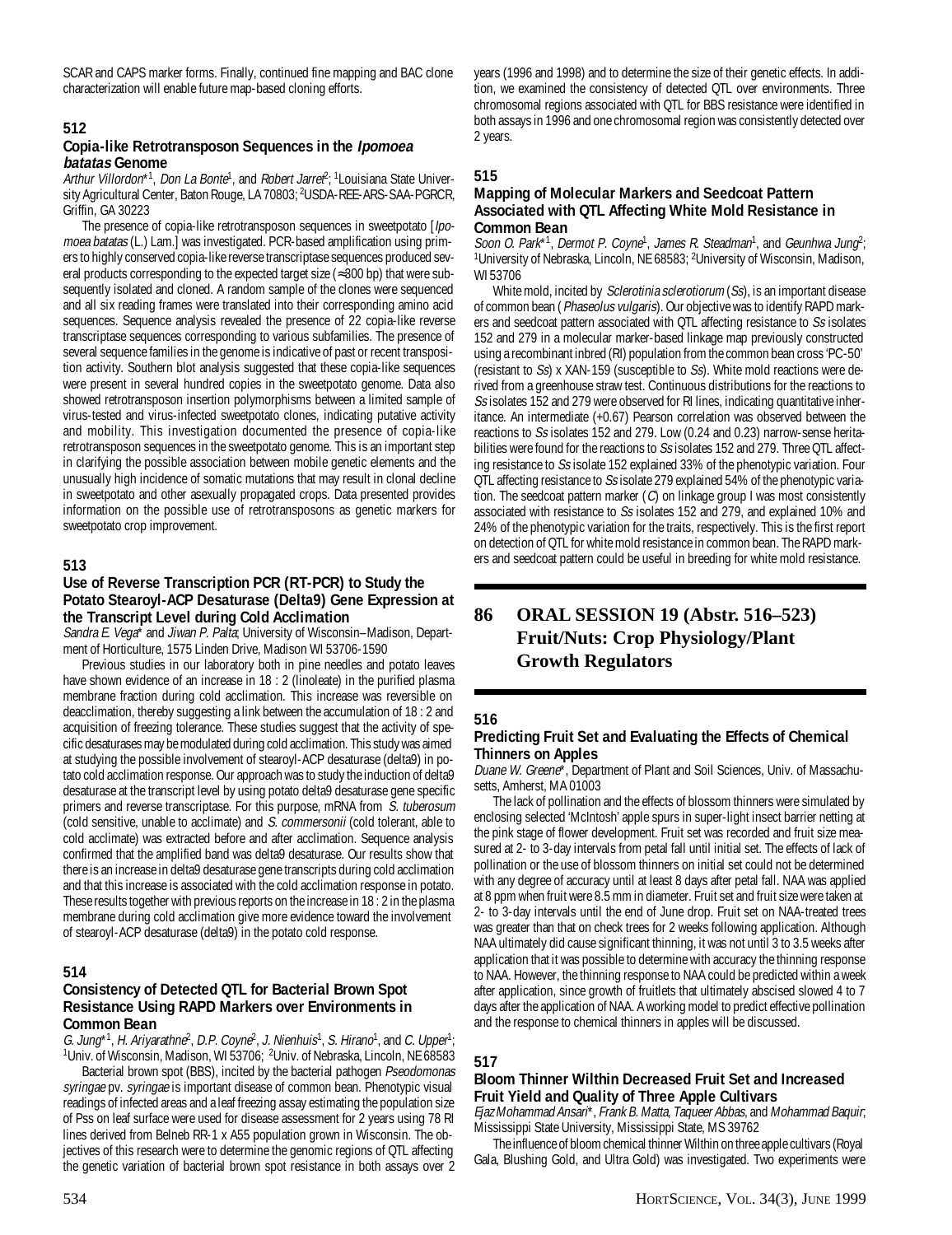SCAR and CAPS marker forms. Finally, continued fine mapping and BAC clone characterization will enable future map-based cloning efforts.

#### **512**

#### **Copia-like Retrotransposon Sequences in the Ipomoea batatas Genome**

Arthur Villordon<sup>\*1</sup>, Don La Bonte<sup>1</sup>, and Robert Jarref<sup>2</sup>; <sup>1</sup> Louisiana State University Agricultural Center, Baton Rouge, LA 70803; <sup>2</sup>USDA-REE-ARS-SAA-PGRCR, Griffin, GA 30223

The presence of copia-like retrotransposon sequences in sweetpotato [*lpo*moea batatas (L.) Lam.] was investigated. PCR-based amplification using primers to highly conserved copia-like reverse transcriptase sequences produced several products corresponding to the expected target size (≈300 bp) that were subsequently isolated and cloned. A random sample of the clones were sequenced and all six reading frames were translated into their corresponding amino acid sequences. Sequence analysis revealed the presence of 22 copia-like reverse transcriptase sequences corresponding to various subfamilies. The presence of several sequence families in the genome is indicative of past or recent transposition activity. Southern blot analysis suggested that these copia-like sequences were present in several hundred copies in the sweetpotato genome. Data also showed retrotransposon insertion polymorphisms between a limited sample of virus-tested and virus-infected sweetpotato clones, indicating putative activity and mobility. This investigation documented the presence of copia-like retrotransposon sequences in the sweetpotato genome. This is an important step in clarifying the possible association between mobile genetic elements and the unusually high incidence of somatic mutations that may result in clonal decline in sweetpotato and other asexually propagated crops. Data presented provides information on the possible use of retrotransposons as genetic markers for sweetpotato crop improvement.

#### **513**

#### **Use of Reverse Transcription PCR (RT-PCR) to Study the Potato Stearoyl-ACP Desaturase (Delta9) Gene Expression at the Transcript Level during Cold Acclimation**

Sandra E. Vega<sup>\*</sup> and Jiwan P. Palta; University of Wisconsin–Madison, Department of Horticulture, 1575 Linden Drive, Madison WI 53706-1590

Previous studies in our laboratory both in pine needles and potato leaves have shown evidence of an increase in 18 : 2 (linoleate) in the purified plasma membrane fraction during cold acclimation. This increase was reversible on deacclimation, thereby suggesting a link between the accumulation of 18 : 2 and acquisition of freezing tolerance. These studies suggest that the activity of specific desaturases may be modulated during cold acclimation. This study was aimed at studying the possible involvement of stearoyl-ACP desaturase (delta9) in potato cold acclimation response. Our approach was to study the induction of delta9 desaturase at the transcript level by using potato delta9 desaturase gene specific primers and reverse transcriptase. For this purpose, mRNA from S. tuberosum (cold sensitive, unable to acclimate) and S. commersonii (cold tolerant, able to cold acclimate) was extracted before and after acclimation. Sequence analysis confirmed that the amplified band was delta9 desaturase. Our results show that there is an increase in delta9 desaturase gene transcripts during cold acclimation and that this increase is associated with the cold acclimation response in potato. These results together with previous reports on the increase in 18 : 2 in the plasma membrane during cold acclimation give more evidence toward the involvement of stearoyl-ACP desaturase (delta9) in the potato cold response.

#### **514**

#### **Consistency of Detected QTL for Bacterial Brown Spot Resistance Using RAPD Markers over Environments in Common Bean**

G. Jung<sup>\*1</sup>, H. Ariyarathne<sup>2</sup>, D.P. Coyne<sup>2</sup>, J. Nienhuis<sup>1</sup>, S. Hirano<sup>1</sup>, and C. Upper<sup>1</sup>; <sup>1</sup>Univ. of Wisconsin, Madison, WI 53706; <sup>2</sup>Univ. of Nebraska, Lincoln, NE 68583

Bacterial brown spot (BBS), incited by the bacterial pathogen Pseodomonas syringae pv. syringae is important disease of common bean. Phenotypic visual readings of infected areas and a leaf freezing assay estimating the population size of Pss on leaf surface were used for disease assessment for 2 years using 78 RI lines derived from Belneb RR-1 x A55 population grown in Wisconsin. The objectives of this research were to determine the genomic regions of QTL affecting the genetic variation of bacterial brown spot resistance in both assays over 2

years (1996 and 1998) and to determine the size of their genetic effects. In addition, we examined the consistency of detected QTL over environments. Three chromosomal regions associated with QTL for BBS resistance were identified in both assays in 1996 and one chromosomal region was consistently detected over 2 years.

#### **515**

#### **Mapping of Molecular Markers and Seedcoat Pattern Associated with QTL Affecting White Mold Resistance in Common Bean**

Soon O. Park\*1, Dermot P. Coyne<sup>1</sup>, James R. Steadman<sup>1</sup>, and Geunhwa Jung<sup>2</sup>; <sup>1</sup>University of Nebraska, Lincoln, NE 68583; <sup>2</sup>University of Wisconsin, Madison, WI 53706

White mold, incited by Sclerotinia sclerotiorum (Ss), is an important disease of common bean (Phaseolus vulgaris). Our objective was to identify RAPD markers and seedcoat pattern associated with QTL affecting resistance to Ss isolates 152 and 279 in a molecular marker-based linkage map previously constructed using a recombinant inbred (RI) population from the common bean cross 'PC-50' (resistant to Ss) x XAN-159 (susceptible to Ss). White mold reactions were derived from a greenhouse straw test. Continuous distributions for the reactions to Ss isolates 152 and 279 were observed for RI lines, indicating quantitative inheritance. An intermediate (+0.67) Pearson correlation was observed between the reactions to Ss isolates 152 and 279. Low (0.24 and 0.23) narrow-sense heritabilities were found for the reactions to Ss isolates 152 and 279. Three QTL affecting resistance to Ss isolate 152 explained 33% of the phenotypic variation. Four QTL affecting resistance to Ss isolate 279 explained 54% of the phenotypic variation. The seedcoat pattern marker (C) on linkage group I was most consistently associated with resistance to Ss isolates 152 and 279, and explained 10% and 24% of the phenotypic variation for the traits, respectively. This is the first report on detection of QTL for white mold resistance in common bean. The RAPD markers and seedcoat pattern could be useful in breeding for white mold resistance.

## **86 ORAL SESSION 19 (Abstr. 516–523) Fruit/Nuts: Crop Physiology/Plant Growth Regulators**

### **516**

#### **Predicting Fruit Set and Evaluating the Effects of Chemical Thinners on Apples**

Duane W. Greene\*, Department of Plant and Soil Sciences, Univ. of Massachusetts, Amherst, MA 01003

The lack of pollination and the effects of blossom thinners were simulated by enclosing selected 'McIntosh' apple spurs in super-light insect barrier netting at the pink stage of flower development. Fruit set was recorded and fruit size measured at 2- to 3-day intervals from petal fall until initial set. The effects of lack of pollination or the use of blossom thinners on initial set could not be determined with any degree of accuracy until at least 8 days after petal fall. NAA was applied at 8 ppm when fruit were 8.5 mm in diameter. Fruit set and fruit size were taken at 2- to 3-day intervals until the end of June drop. Fruit set on NAA-treated trees was greater than that on check trees for 2 weeks following application. Although NAA ultimately did cause significant thinning, it was not until 3 to 3.5 weeks after application that it was possible to determine with accuracy the thinning response to NAA. However, the thinning response to NAA could be predicted within a week after application, since growth of fruitlets that ultimately abscised slowed 4 to 7 days after the application of NAA. A working model to predict effective pollination and the response to chemical thinners in apples will be discussed.

#### **517**

## **Bloom Thinner Wilthin Decreased Fruit Set and Increased Fruit Yield and Quality of Three Apple Cultivars**

Ejaz Mohammad Ansari\*, Frank B. Matta, Taqueer Abbas, and Mohammad Baquir; Mississippi State University, Mississippi State, MS 39762

The influence of bloom chemical thinner Wilthin on three apple cultivars (Royal Gala, Blushing Gold, and Ultra Gold) was investigated. Two experiments were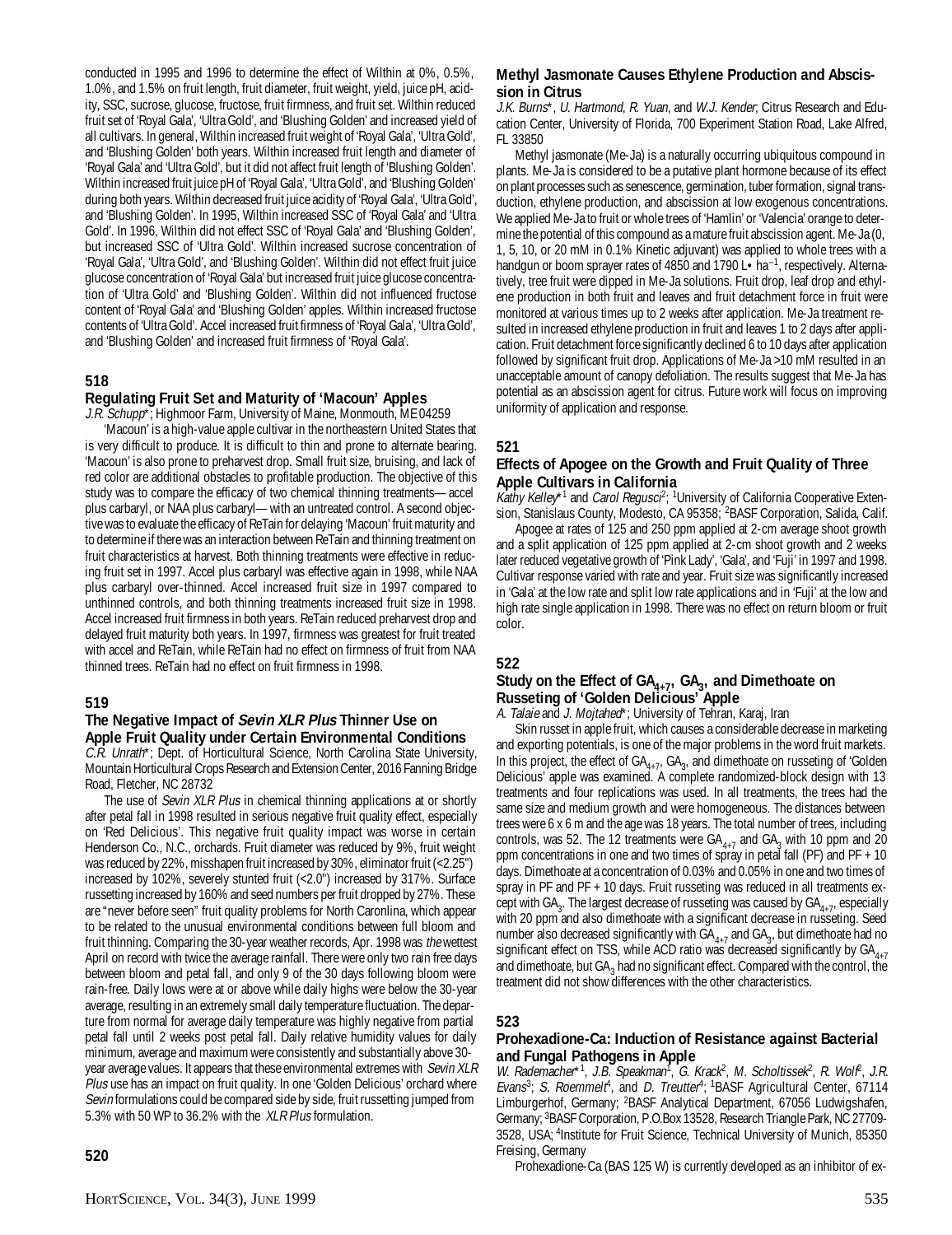conducted in 1995 and 1996 to determine the effect of Wilthin at 0%, 0.5%, 1.0%, and 1.5% on fruit length, fruit diameter, fruit weight, yield, juice pH, acidity, SSC, sucrose, glucose, fructose, fruit firmness, and fruit set. Wilthin reduced fruit set of 'Royal Gala', 'Ultra Gold', and 'Blushing Golden' and increased yield of all cultivars. In general, Wilthin increased fruit weight of 'Royal Gala', 'Ultra Gold', and 'Blushing Golden' both years. Wilthin increased fruit length and diameter of 'Royal Gala' and 'Ultra Gold', but it did not affect fruit length of 'Blushing Golden'. Wilthin increased fruit juice pH of 'Royal Gala', 'Ultra Gold', and 'Blushing Golden' during both years. Wilthin decreased fruit juice acidity of 'Royal Gala', 'Ultra Gold', and 'Blushing Golden'. In 1995, Wilthin increased SSC of 'Royal Gala' and 'Ultra Gold'. In 1996, Wilthin did not effect SSC of 'Royal Gala' and 'Blushing Golden', but increased SSC of 'Ultra Gold'. Wilthin increased sucrose concentration of 'Royal Gala', 'Ultra Gold', and 'Blushing Golden'. Wilthin did not effect fruit juice glucose concentration of 'Royal Gala' but increased fruit juice glucose concentration of 'Ultra Gold' and 'Blushing Golden'. Wilthin did not influenced fructose content of 'Royal Gala' and 'Blushing Golden' apples. Wilthin increased fructose contents of 'Ultra Gold'. Accel increased fruit firmness of 'Royal Gala', 'Ultra Gold', and 'Blushing Golden' and increased fruit firmness of 'Royal Gala'.

#### **518**

#### **Regulating Fruit Set and Maturity of 'Macoun' Apples**

J.R. Schupp\*; Highmoor Farm, University of Maine, Monmouth, ME 04259

'Macoun' is a high-value apple cultivar in the northeastern United States that is very difficult to produce. It is difficult to thin and prone to alternate bearing. 'Macoun' is also prone to preharvest drop. Small fruit size, bruising, and lack of red color are additional obstacles to profitable production. The objective of this study was to compare the efficacy of two chemical thinning treatments—accel plus carbaryl, or NAA plus carbaryl—with an untreated control. A second objective was to evaluate the efficacy of ReTain for delaying 'Macoun' fruit maturity and to determine if there was an interaction between ReTain and thinning treatment on fruit characteristics at harvest. Both thinning treatments were effective in reducing fruit set in 1997. Accel plus carbaryl was effective again in 1998, while NAA plus carbaryl over-thinned. Accel increased fruit size in 1997 compared to unthinned controls, and both thinning treatments increased fruit size in 1998. Accel increased fruit firmness in both years. ReTain reduced preharvest drop and delayed fruit maturity both years. In 1997, firmness was greatest for fruit treated with accel and ReTain, while ReTain had no effect on firmness of fruit from NAA thinned trees. ReTain had no effect on fruit firmness in 1998.

#### **519**

## **The Negative Impact of Sevin XLR Plus Thinner Use on Apple Fruit Quality under Certain Environmental Conditions**

C.R. Unrath\*; Dept. of Horticultural Science, North Carolina State University, Mountain Horticultural Crops Research and Extension Center, 2016 Fanning Bridge Road, Fletcher, NC 28732

The use of Sevin XLR Plus in chemical thinning applications at or shortly after petal fall in 1998 resulted in serious negative fruit quality effect, especially on 'Red Delicious'. This negative fruit quality impact was worse in certain Henderson Co., N.C., orchards. Fruit diameter was reduced by 9%, fruit weight was reduced by 22%, misshapen fruit increased by 30%, eliminator fruit (<2.25") increased by 102%, severely stunted fruit (<2.0") increased by 317%. Surface russetting increased by 160% and seed numbers per fruit dropped by 27%. These are "never before seen" fruit quality problems for North Caronlina, which appear to be related to the unusual environmental conditions between full bloom and fruit thinning. Comparing the 30-year weather records, Apr. 1998 was the wettest April on record with twice the average rainfall. There were only two rain free days between bloom and petal fall, and only 9 of the 30 days following bloom were rain-free. Daily lows were at or above while daily highs were below the 30-year average, resulting in an extremely small daily temperature fluctuation. The departure from normal for average daily temperature was highly negative from partial petal fall until 2 weeks post petal fall. Daily relative humidity values for daily minimum, average and maximum were consistently and substantially above 30 year average values. It appears that these environmental extremes with Sevin XLR Plus use has an impact on fruit quality. In one 'Golden Delicious' orchard where Sevin formulations could be compared side by side, fruit russetting jumped from 5.3% with 50 WP to 36.2% with the *XLR Plus* formulation.

## **520**

## **Methyl Jasmonate Causes Ethylene Production and Abscission in Citrus**

J.K. Burns\*, U. Hartmond, R. Yuan, and W.J. Kender; Citrus Research and Education Center, University of Florida, 700 Experiment Station Road, Lake Alfred, FL 33850

Methyl jasmonate (Me-Ja) is a naturally occurring ubiquitous compound in plants. Me-Ja is considered to be a putative plant hormone because of its effect on plant processes such as senescence, germination, tuber formation, signal transduction, ethylene production, and abscission at low exogenous concentrations. We applied Me-Ja to fruit or whole trees of 'Hamlin' or 'Valencia' orange to determine the potential of this compound as a mature fruit abscission agent. Me-Ja (0, 1, 5, 10, or 20 mM in 0.1% Kinetic adjuvant) was applied to whole trees with a handgun or boom sprayer rates of 4850 and 1790 L • ha<sup>-1</sup>, respectively. Alternatively, tree fruit were dipped in Me-Ja solutions. Fruit drop, leaf drop and ethylene production in both fruit and leaves and fruit detachment force in fruit were monitored at various times up to 2 weeks after application. Me-Ja treatment resulted in increased ethylene production in fruit and leaves 1 to 2 days after application. Fruit detachment force significantly declined 6 to 10 days after application followed by significant fruit drop. Applications of Me-Ja >10 mM resulted in an unacceptable amount of canopy defoliation. The results suggest that Me-Ja has potential as an abscission agent for citrus. Future work will focus on improving uniformity of application and response.

## **521**

## **Effects of Apogee on the Growth and Fruit Quality of Three Apple Cultivars in California**

Kathy Kelley\*<sup>1</sup> and *Carol Regusci*<sup>2</sup>; <sup>1</sup>University of California Cooperative Extension, Stanislaus County, Modesto, CA 95358; <sup>2</sup>BASF Corporation, Salida, Calif.

Apogee at rates of 125 and 250 ppm applied at 2-cm average shoot growth and a split application of 125 ppm applied at 2-cm shoot growth and 2 weeks later reduced vegetative growth of 'Pink Lady', 'Gala', and 'Fuji' in 1997 and 1998. Cultivar response varied with rate and year. Fruit size was significantly increased in 'Gala' at the low rate and split low rate applications and in 'Fuji' at the low and high rate single application in 1998. There was no effect on return bloom or fruit color.

#### **522**

## Study on the Effect of GA<sub>4+7</sub>, GA<sub>3</sub>, and Dimethoate on **Russeting of 'Golden Delicious' Apple**

A. Talaie and J. Mojtahed\*; University of Tehran, Karaj, Iran

Skin russet in apple fruit, which causes a considerable decrease in marketing and exporting potentials, is one of the major problems in the word fruit markets. In this project, the effect of  $GA_{4+7}$ ,  $GA_{3}$ , and dimethoate on russeting of 'Golden Delicious' apple was examined. A complete randomized-block design with 13 treatments and four replications was used. In all treatments, the trees had the same size and medium growth and were homogeneous. The distances between trees were 6 x 6 m and the age was 18 years. The total number of trees, including controls, was 52. The 12 treatments were  $GA_{4+7}$  and  $GA_3$  with 10 ppm and 20 ppm concentrations in one and two times of spray in petal fall (PF) and PF + 10 days. Dimethoate at a concentration of 0.03% and 0.05% in one and two times of spray in PF and PF + 10 days. Fruit russeting was reduced in all treatments except with GA<sub>3</sub>. The largest decrease of russeting was caused by GA<sub>4+7</sub>, especially with 20 ppm and also dimethoate with a significant decrease in russeting. Seed number also decreased significantly with  $GA_{4+7}$  and  $GA_{3}$ , but dimethoate had no significant effect on TSS, while ACD ratio was decreased significantly by  $GA_{4+7}$ and dimethoate, but  $GA_3$  had no significant effect. Compared with the control, the treatment did not show differences with the other characteristics.

## **523**

## **Prohexadione-Ca: Induction of Resistance against Bacterial and Fungal Pathogens in Apple**

W. Rademacher\*1, J.B. Speakman<sup>1</sup>, G. Krack<sup>2</sup>, M. Scholtissek<sup>2</sup>, R. Wolf<sup>2</sup>, J.R. Evans<sup>3</sup>; S. Roemmelt<sup>4</sup>, and D. Treutter<sup>4</sup>; <sup>1</sup>BASF Agricultural Center, 67114 Limburgerhof, Germany; 2BASF Analytical Department, 67056 Ludwigshafen, Germany; 3BASF Corporation, P.O.Box 13528, Research Triangle Park, NC 27709- 3528, USA; 4Institute for Fruit Science, Technical University of Munich, 85350 Freising, Germany

Prohexadione-Ca (BAS 125 W) is currently developed as an inhibitor of ex-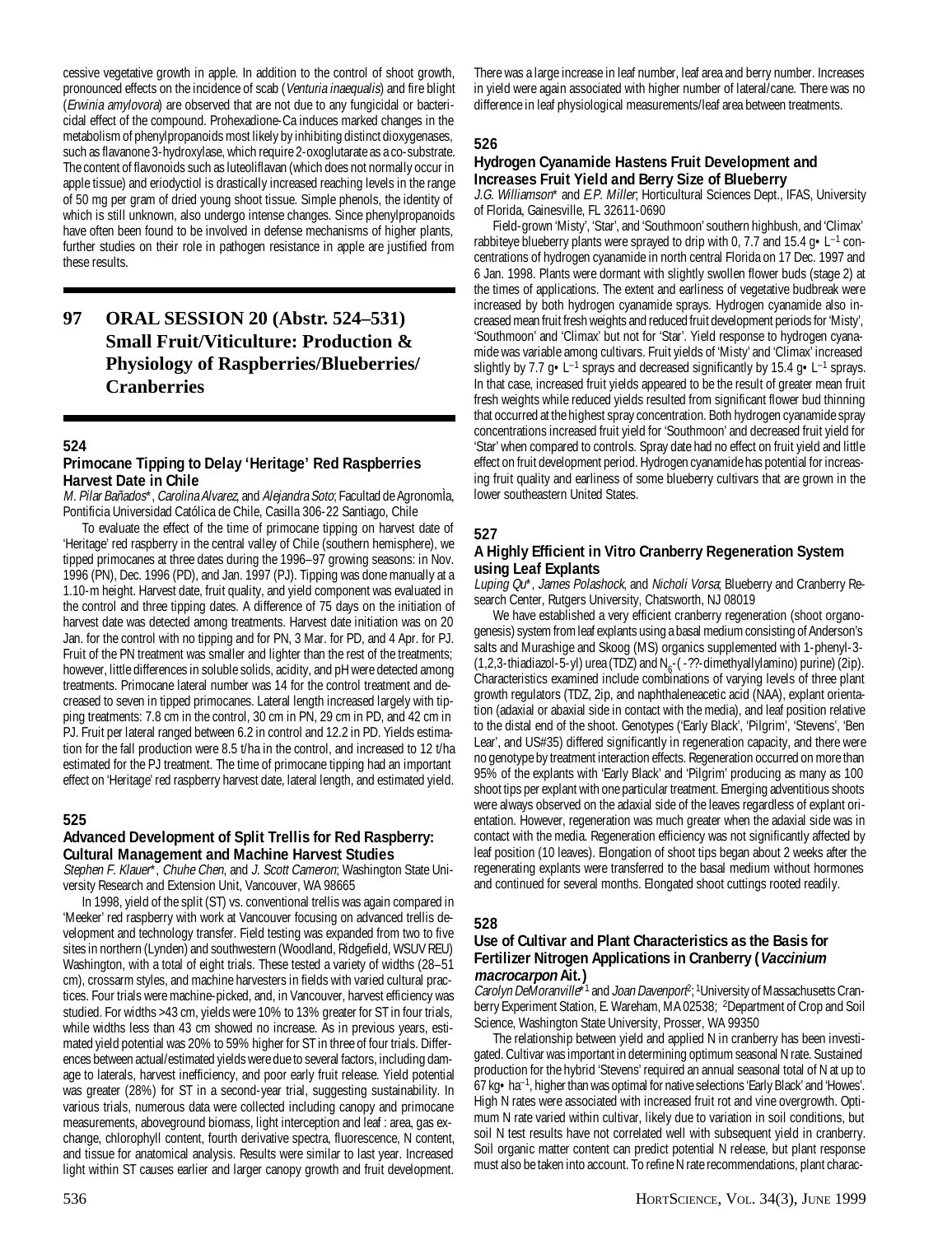cessive vegetative growth in apple. In addition to the control of shoot growth, pronounced effects on the incidence of scab (Venturia inaequalis) and fire blight (Erwinia amylovora) are observed that are not due to any fungicidal or bactericidal effect of the compound. Prohexadione-Ca induces marked changes in the metabolism of phenylpropanoids most likely by inhibiting distinct dioxygenases, such as flavanone 3-hydroxylase, which require 2-oxoglutarate as a co-substrate. The content of flavonoids such as luteoliflavan (which does not normally occur in apple tissue) and eriodyctiol is drastically increased reaching levels in the range of 50 mg per gram of dried young shoot tissue. Simple phenols, the identity of which is still unknown, also undergo intense changes. Since phenylpropanoids have often been found to be involved in defense mechanisms of higher plants, further studies on their role in pathogen resistance in apple are justified from these results.

## **97 ORAL SESSION 20 (Abstr. 524–531) Small Fruit/Viticulture: Production & Physiology of Raspberries/Blueberries/ Cranberries**

## **524**

## **Primocane Tipping to Delay 'Heritage' Red Raspberries Harvest Date in Chile**

M. Pilar Bañados\*, Carolina Alvarez, and Alejandra Soto; Facultad de AgronomÌa, Pontificia Universidad Católica de Chile, Casilla 306-22 Santiago, Chile

To evaluate the effect of the time of primocane tipping on harvest date of 'Heritage' red raspberry in the central valley of Chile (southern hemisphere), we tipped primocanes at three dates during the 1996–97 growing seasons: in Nov. 1996 (PN), Dec. 1996 (PD), and Jan. 1997 (PJ). Tipping was done manually at a 1.10-m height. Harvest date, fruit quality, and yield component was evaluated in the control and three tipping dates. A difference of 75 days on the initiation of harvest date was detected among treatments. Harvest date initiation was on 20 Jan. for the control with no tipping and for PN, 3 Mar. for PD, and 4 Apr. for PJ. Fruit of the PN treatment was smaller and lighter than the rest of the treatments; however, little differences in soluble solids, acidity, and pH were detected among treatments. Primocane lateral number was 14 for the control treatment and decreased to seven in tipped primocanes. Lateral length increased largely with tipping treatments: 7.8 cm in the control, 30 cm in PN, 29 cm in PD, and 42 cm in PJ. Fruit per lateral ranged between 6.2 in control and 12.2 in PD. Yields estimation for the fall production were 8.5 t/ha in the control, and increased to 12 t/ha estimated for the PJ treatment. The time of primocane tipping had an important effect on 'Heritage' red raspberry harvest date, lateral length, and estimated yield.

## **525**

## **Advanced Development of Split Trellis for Red Raspberry: Cultural Management and Machine Harvest Studies**

Stephen F. Klauer\*, Chuhe Chen, and J. Scott Cameron; Washington State University Research and Extension Unit, Vancouver, WA 98665

In 1998, yield of the split (ST) vs. conventional trellis was again compared in 'Meeker' red raspberry with work at Vancouver focusing on advanced trellis development and technology transfer. Field testing was expanded from two to five sites in northern (Lynden) and southwestern (Woodland, Ridgefield, WSUV REU) Washington, with a total of eight trials. These tested a variety of widths (28–51 cm), crossarm styles, and machine harvesters in fields with varied cultural practices. Four trials were machine-picked, and, in Vancouver, harvest efficiency was studied. For widths >43 cm, yields were 10% to 13% greater for ST in four trials, while widths less than 43 cm showed no increase. As in previous years, estimated yield potential was 20% to 59% higher for ST in three of four trials. Differences between actual/estimated yields were due to several factors, including damage to laterals, harvest inefficiency, and poor early fruit release. Yield potential was greater (28%) for ST in a second-year trial, suggesting sustainability. In various trials, numerous data were collected including canopy and primocane measurements, aboveground biomass, light interception and leaf : area, gas exchange, chlorophyll content, fourth derivative spectra, fluorescence, N content, and tissue for anatomical analysis. Results were similar to last year. Increased light within ST causes earlier and larger canopy growth and fruit development.

### **526**

## **Hydrogen Cyanamide Hastens Fruit Development and Increases Fruit Yield and Berry Size of Blueberry**

J.G. Williamson\* and E.P. Miller; Horticultural Sciences Dept., IFAS, University of Florida, Gainesville, FL 32611-0690

Field-grown 'Misty', 'Star', and 'Southmoon' southern highbush, and 'Climax' rabbiteye blueberry plants were sprayed to drip with 0, 7.7 and 15.4  $g \cdot L^{-1}$  concentrations of hydrogen cyanamide in north central Florida on 17 Dec. 1997 and 6 Jan. 1998. Plants were dormant with slightly swollen flower buds (stage 2) at the times of applications. The extent and earliness of vegetative budbreak were increased by both hydrogen cyanamide sprays. Hydrogen cyanamide also increased mean fruit fresh weights and reduced fruit development periods for 'Misty', 'Southmoon' and 'Climax' but not for 'Star'. Yield response to hydrogen cyanamide was variable among cultivars. Fruit yields of 'Misty' and 'Climax' increased slightly by 7.7  $g \cdot L^{-1}$  sprays and decreased significantly by 15.4  $g \cdot L^{-1}$  sprays. In that case, increased fruit yields appeared to be the result of greater mean fruit fresh weights while reduced yields resulted from significant flower bud thinning that occurred at the highest spray concentration. Both hydrogen cyanamide spray concentrations increased fruit yield for 'Southmoon' and decreased fruit yield for 'Star' when compared to controls. Spray date had no effect on fruit yield and little effect on fruit development period. Hydrogen cyanamide has potential for increasing fruit quality and earliness of some blueberry cultivars that are grown in the lower southeastern United States.

#### **527**

#### **A Highly Efficient in Vitro Cranberry Regeneration System using Leaf Explants**

Luping Qu\*, James Polashock, and Nicholi Vorsa; Blueberry and Cranberry Research Center, Rutgers University, Chatsworth, NJ 08019

We have established a very efficient cranberry regeneration (shoot organogenesis) system from leaf explants using a basal medium consisting of Anderson's salts and Murashige and Skoog (MS) organics supplemented with 1-phenyl-3- (1,2,3-thiadiazol-5-yl) urea (TDZ) and N<sub>6</sub>-(-??-dimethyallylamino) purine) (2ip). Characteristics examined include combinations of varying levels of three plant growth regulators (TDZ, 2ip, and naphthaleneacetic acid (NAA), explant orientation (adaxial or abaxial side in contact with the media), and leaf position relative to the distal end of the shoot. Genotypes ('Early Black', 'Pilgrim', 'Stevens', 'Ben Lear', and US#35) differed significantly in regeneration capacity, and there were no genotype by treatment interaction effects. Regeneration occurred on more than 95% of the explants with 'Early Black' and 'Pilgrim' producing as many as 100 shoot tips per explant with one particular treatment. Emerging adventitious shoots were always observed on the adaxial side of the leaves regardless of explant orientation. However, regeneration was much greater when the adaxial side was in contact with the media. Regeneration efficiency was not significantly affected by leaf position (10 leaves). Elongation of shoot tips began about 2 weeks after the regenerating explants were transferred to the basal medium without hormones and continued for several months. Elongated shoot cuttings rooted readily.

#### **528**

### **Use of Cultivar and Plant Characteristics as the Basis for Fertilizer Nitrogen Applications in Cranberry (Vaccinium macrocarpon Ait.)**

*Carolyn DeMoranville*\*<sup>1</sup> and *Joan Davenporl*<sup>9</sup>; <sup>1</sup>University of Massachusetts Cranberry Experiment Station, E. Wareham, MA 02538; <sup>2</sup>Department of Crop and Soil Science, Washington State University, Prosser, WA 99350

The relationship between yield and applied N in cranberry has been investigated. Cultivar was important in determining optimum seasonal N rate. Sustained production for the hybrid 'Stevens' required an annual seasonal total of N at up to 67 kg•ha–1, higher than was optimal for native selections 'Early Black' and 'Howes'. High N rates were associated with increased fruit rot and vine overgrowth. Optimum N rate varied within cultivar, likely due to variation in soil conditions, but soil N test results have not correlated well with subsequent yield in cranberry. Soil organic matter content can predict potential N release, but plant response must also be taken into account. To refine N rate recommendations, plant charac-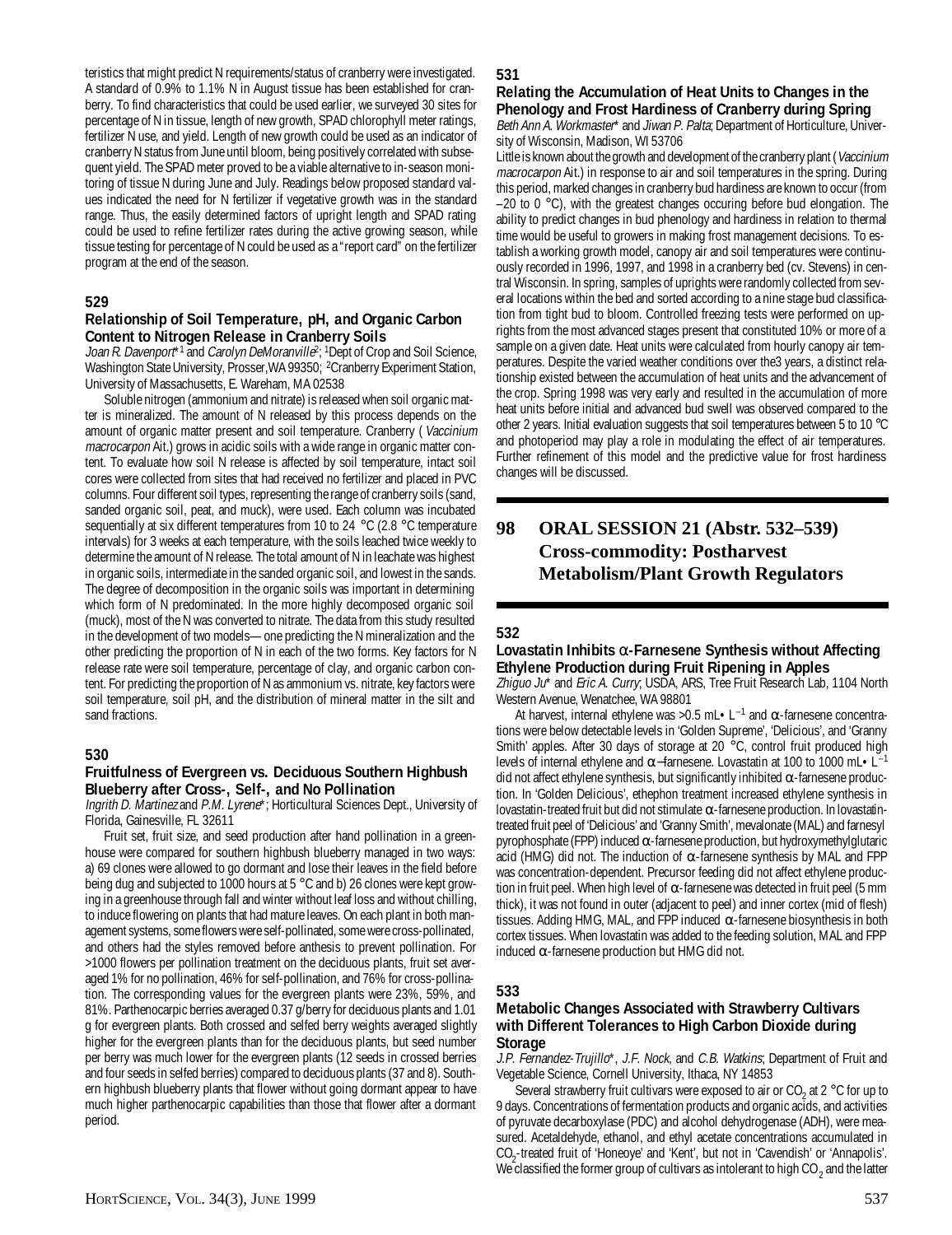teristics that might predict N requirements/status of cranberry were investigated. A standard of 0.9% to 1.1% N in August tissue has been established for cranberry. To find characteristics that could be used earlier, we surveyed 30 sites for percentage of N in tissue, length of new growth, SPAD chlorophyll meter ratings, fertilizer N use, and yield. Length of new growth could be used as an indicator of cranberry N status from June until bloom, being positively correlated with subsequent yield. The SPAD meter proved to be a viable alternative to in-season monitoring of tissue N during June and July. Readings below proposed standard values indicated the need for N fertilizer if vegetative growth was in the standard range. Thus, the easily determined factors of upright length and SPAD rating could be used to refine fertilizer rates during the active growing season, while tissue testing for percentage of N could be used as a "report card" on the fertilizer program at the end of the season.

## **529**

#### **Relationship of Soil Temperature, pH, and Organic Carbon Content to Nitrogen Release in Cranberry Soils**

Joan R. Davenport<sup>\*1</sup> and Carolyn DeMoranville<sup>2</sup>; <sup>1</sup>Dept of Crop and Soil Science, Washington State University, Prosser, WA 99350; <sup>2</sup>Cranberry Experiment Station, University of Massachusetts, E. Wareham, MA 02538

Soluble nitrogen (ammonium and nitrate) is released when soil organic matter is mineralized. The amount of N released by this process depends on the amount of organic matter present and soil temperature. Cranberry ( Vaccinium macrocarpon Ait.) grows in acidic soils with a wide range in organic matter content. To evaluate how soil N release is affected by soil temperature, intact soil cores were collected from sites that had received no fertilizer and placed in PVC columns. Four different soil types, representing the range of cranberry soils (sand, sanded organic soil, peat, and muck), were used. Each column was incubated sequentially at six different temperatures from 10 to 24 °C (2.8 °C temperature intervals) for 3 weeks at each temperature, with the soils leached twice weekly to determine the amount of N release. The total amount of N in leachate was highest in organic soils, intermediate in the sanded organic soil, and lowest in the sands. The degree of decomposition in the organic soils was important in determining which form of N predominated. In the more highly decomposed organic soil (muck), most of the N was converted to nitrate. The data from this study resulted in the development of two models—one predicting the N mineralization and the other predicting the proportion of N in each of the two forms. Key factors for N release rate were soil temperature, percentage of clay, and organic carbon content. For predicting the proportion of N as ammonium vs. nitrate, key factors were soil temperature, soil pH, and the distribution of mineral matter in the silt and sand fractions.

#### **530**

## **Fruitfulness of Evergreen vs. Deciduous Southern Highbush Blueberry after Cross-, Self-, and No Pollination**

Ingrith D. Martinez and P.M. Lyrene\*; Horticultural Sciences Dept., University of Florida, Gainesville, FL 32611

Fruit set, fruit size, and seed production after hand pollination in a greenhouse were compared for southern highbush blueberry managed in two ways: a) 69 clones were allowed to go dormant and lose their leaves in the field before being dug and subjected to 1000 hours at 5 °C and b) 26 clones were kept growing in a greenhouse through fall and winter without leaf loss and without chilling, to induce flowering on plants that had mature leaves. On each plant in both management systems, some flowers were self-pollinated, some were cross-pollinated, and others had the styles removed before anthesis to prevent pollination. For >1000 flowers per pollination treatment on the deciduous plants, fruit set averaged 1% for no pollination, 46% for self-pollination, and 76% for cross-pollination. The corresponding values for the evergreen plants were 23%, 59%, and 81%. Parthenocarpic berries averaged 0.37 g/berry for deciduous plants and 1.01 g for evergreen plants. Both crossed and selfed berry weights averaged slightly higher for the evergreen plants than for the deciduous plants, but seed number per berry was much lower for the evergreen plants (12 seeds in crossed berries and four seeds in selfed berries) compared to deciduous plants (37 and 8). Southern highbush blueberry plants that flower without going dormant appear to have much higher parthenocarpic capabilities than those that flower after a dormant period.

#### **531**

## **Relating the Accumulation of Heat Units to Changes in the Phenology and Frost Hardiness of Cranberry during Spring**

Beth Ann A. Workmaster\* and Jiwan P. Palta; Department of Horticulture, University of Wisconsin, Madison, WI 53706

Little is known about the growth and development of the cranberry plant (Vaccinium macrocarpon Ait.) in response to air and soil temperatures in the spring. During this period, marked changes in cranberry bud hardiness are known to occur (from –20 to 0 °C), with the greatest changes occuring before bud elongation. The ability to predict changes in bud phenology and hardiness in relation to thermal time would be useful to growers in making frost management decisions. To establish a working growth model, canopy air and soil temperatures were continuously recorded in 1996, 1997, and 1998 in a cranberry bed (cv. Stevens) in central Wisconsin. In spring, samples of uprights were randomly collected from several locations within the bed and sorted according to a nine stage bud classification from tight bud to bloom. Controlled freezing tests were performed on uprights from the most advanced stages present that constituted 10% or more of a sample on a given date. Heat units were calculated from hourly canopy air temperatures. Despite the varied weather conditions over the3 years, a distinct relationship existed between the accumulation of heat units and the advancement of the crop. Spring 1998 was very early and resulted in the accumulation of more heat units before initial and advanced bud swell was observed compared to the other 2 years. Initial evaluation suggests that soil temperatures between 5 to 10 °C and photoperiod may play a role in modulating the effect of air temperatures. Further refinement of this model and the predictive value for frost hardiness changes will be discussed.

## **98 ORAL SESSION 21 (Abstr. 532–539) Cross-commodity: Postharvest Metabolism/Plant Growth Regulators**

#### **532**

## **Lovastatin Inhibits** α**-Farnesene Synthesis without Affecting Ethylene Production during Fruit Ripening in Apples**

Zhiguo Ju<sup>\*</sup> and *Eric A. Curry*, USDA, ARS, Tree Fruit Research Lab, 1104 North Western Avenue, Wenatchee, WA 98801

At harvest, internal ethylene was >0.5 mL $\cdot$ L<sup>-1</sup> and  $\alpha$ -farnesene concentrations were below detectable levels in 'Golden Supreme', 'Delicious', and 'Granny Smith' apples. After 30 days of storage at 20 °C, control fruit produced high levels of internal ethylene and α–farnesene. Lovastatin at 100 to 1000 mL•L<sup>-1</sup> did not affect ethylene synthesis, but significantly inhibited  $\alpha$ -farnesene production. In 'Golden Delicious', ethephon treatment increased ethylene synthesis in lovastatin-treated fruit but did not stimulate α-farnesene production. In lovastatintreated fruit peel of 'Delicious' and 'Granny Smith', mevalonate (MAL) and farnesyl pyrophosphate (FPP) induced α-farnesene production, but hydroxymethylglutaric acid (HMG) did not. The induction of  $\alpha$ -farnesene synthesis by MAL and FPP was concentration-dependent. Precursor feeding did not affect ethylene production in fruit peel. When high level of  $\alpha$ -farnesene was detected in fruit peel (5 mm thick), it was not found in outer (adjacent to peel) and inner cortex (mid of flesh) tissues. Adding HMG, MAL, and FPP induced  $\alpha$ -farnesene biosynthesis in both cortex tissues. When lovastatin was added to the feeding solution, MAL and FPP induced  $\alpha$ -farnesene production but HMG did not.

## **533**

### **Metabolic Changes Associated with Strawberry Cultivars with Different Tolerances to High Carbon Dioxide during Storage**

J.P. Fernandez-Trujillo\*, J.F. Nock, and C.B. Watkins; Department of Fruit and Vegetable Science, Cornell University, Ithaca, NY 14853

Several strawberry fruit cultivars were exposed to air or  $CO_2$  at 2 °C for up to 9 days. Concentrations of fermentation products and organic acids, and activities of pyruvate decarboxylase (PDC) and alcohol dehydrogenase (ADH), were measured. Acetaldehyde, ethanol, and ethyl acetate concentrations accumulated in CO2 -treated fruit of 'Honeoye' and 'Kent', but not in 'Cavendish' or 'Annapolis'. We classified the former group of cultivars as intolerant to high CO  $_2$  and the latter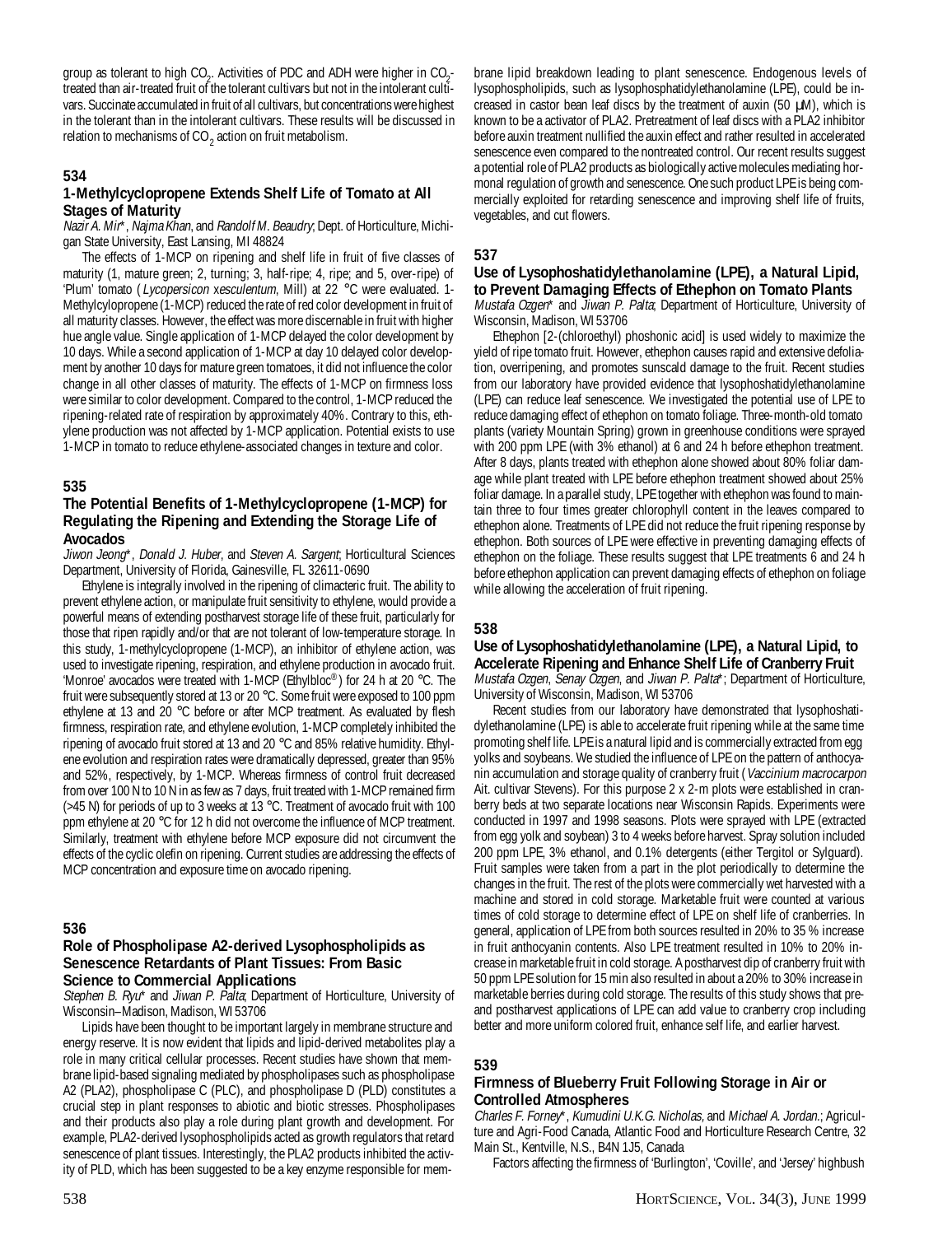group as tolerant to high  $CO_2$ . Activities of PDC and ADH were higher in  $CO_2$ treated than air-treated fruit of the tolerant cultivars but not in the intolerant cultivars. Succinate accumulated in fruit of all cultivars, but concentrations were highest in the tolerant than in the intolerant cultivars. These results will be discussed in relation to mechanisms of CO  $_2$  action on fruit metabolism.

## **534**

## **1-Methylcyclopropene Extends Shelf Life of Tomato at All Stages of Maturity**

Nazir A. Mir<sup>\*</sup>, Najma Khan, and Randolf M. Beaudry; Dept. of Horticulture, Michigan State University, East Lansing, MI 48824

The effects of 1-MCP on ripening and shelf life in fruit of five classes of maturity (1, mature green; 2, turning; 3, half-ripe; 4, ripe; and 5, over-ripe) of 'Plum' tomato (Lycopersicon xesculentum, Mill) at 22 °C were evaluated. 1-Methylcylopropene (1-MCP) reduced the rate of red color development in fruit of all maturity classes. However, the effect was more discernable in fruit with higher hue angle value. Single application of 1-MCP delayed the color development by 10 days. While a second application of 1-MCP at day 10 delayed color development by another 10 days for mature green tomatoes, it did not influence the color change in all other classes of maturity. The effects of 1-MCP on firmness loss were similar to color development. Compared to the control, 1-MCP reduced the ripening-related rate of respiration by approximately 40%. Contrary to this, ethylene production was not affected by 1-MCP application. Potential exists to use 1-MCP in tomato to reduce ethylene-associated changes in texture and color.

## **535**

#### **The Potential Benefits of 1-Methylcyclopropene (1-MCP) for Regulating the Ripening and Extending the Storage Life of Avocados**

Jiwon Jeong\*, Donald J. Huber, and Steven A. Sargent; Horticultural Sciences Department, University of Florida, Gainesville, FL 32611-0690

Ethylene is integrally involved in the ripening of climacteric fruit. The ability to prevent ethylene action, or manipulate fruit sensitivity to ethylene, would provide a powerful means of extending postharvest storage life of these fruit, particularly for those that ripen rapidly and/or that are not tolerant of low-temperature storage. In this study, 1-methylcyclopropene (1-MCP), an inhibitor of ethylene action, was used to investigate ripening, respiration, and ethylene production in avocado fruit. 'Monroe' avocados were treated with 1-MCP (Ethylbloc®) for 24 h at 20 °C. The fruit were subsequently stored at 13 or 20 °C. Some fruit were exposed to 100 ppm ethylene at 13 and 20 °C before or after MCP treatment. As evaluated by flesh firmness, respiration rate, and ethylene evolution, 1-MCP completely inhibited the ripening of avocado fruit stored at 13 and 20 °C and 85% relative humidity. Ethylene evolution and respiration rates were dramatically depressed, greater than 95% and 52%, respectively, by 1-MCP. Whereas firmness of control fruit decreased from over 100 N to 10 N in as few as 7 days, fruit treated with 1-MCP remained firm (>45 N) for periods of up to 3 weeks at 13 °C. Treatment of avocado fruit with 100 ppm ethylene at 20 °C for 12 h did not overcome the influence of MCP treatment. Similarly, treatment with ethylene before MCP exposure did not circumvent the effects of the cyclic olefin on ripening. Current studies are addressing the effects of MCP concentration and exposure time on avocado ripening.

## **536**

## **Role of Phospholipase A2-derived Lysophospholipids as Senescence Retardants of Plant Tissues: From Basic Science to Commercial Applications**

Stephen B. Ryu\* and Jiwan P. Palta; Department of Horticulture, University of Wisconsin–Madison, Madison, WI 53706

Lipids have been thought to be important largely in membrane structure and energy reserve. It is now evident that lipids and lipid-derived metabolites play a role in many critical cellular processes. Recent studies have shown that membrane lipid-based signaling mediated by phospholipases such as phospholipase A2 (PLA2), phospholipase C (PLC), and phospholipase D (PLD) constitutes a crucial step in plant responses to abiotic and biotic stresses. Phospholipases and their products also play a role during plant growth and development. For example, PLA2-derived lysophospholipids acted as growth regulators that retard senescence of plant tissues. Interestingly, the PLA2 products inhibited the activity of PLD, which has been suggested to be a key enzyme responsible for mem-

brane lipid breakdown leading to plant senescence. Endogenous levels of lysophospholipids, such as lysophosphatidylethanolamine (LPE), could be increased in castor bean leaf discs by the treatment of auxin (50  $\mu$ M), which is known to be a activator of PLA2. Pretreatment of leaf discs with a PLA2 inhibitor before auxin treatment nullified the auxin effect and rather resulted in accelerated senescence even compared to the nontreated control. Our recent results suggest a potential role of PLA2 products as biologically active molecules mediating hormonal regulation of growth and senescence. One such product LPE is being commercially exploited for retarding senescence and improving shelf life of fruits, vegetables, and cut flowers.

## **537**

## **Use of Lysophoshatidylethanolamine (LPE), a Natural Lipid, to Prevent Damaging Effects of Ethephon on Tomato Plants**

Mustafa Ozgen\* and Jiwan P. Palta; Department of Horticulture, University of Wisconsin, Madison, WI 53706

Ethephon [2-(chloroethyl) phoshonic acid] is used widely to maximize the yield of ripe tomato fruit. However, ethephon causes rapid and extensive defoliation, overripening, and promotes sunscald damage to the fruit. Recent studies from our laboratory have provided evidence that lysophoshatidylethanolamine (LPE) can reduce leaf senescence. We investigated the potential use of LPE to reduce damaging effect of ethephon on tomato foliage. Three-month-old tomato plants (variety Mountain Spring) grown in greenhouse conditions were sprayed with 200 ppm LPE (with 3% ethanol) at 6 and 24 h before ethephon treatment. After 8 days, plants treated with ethephon alone showed about 80% foliar damage while plant treated with LPE before ethephon treatment showed about 25% foliar damage. In a parallel study, LPE together with ethephon was found to maintain three to four times greater chlorophyll content in the leaves compared to ethephon alone. Treatments of LPE did not reduce the fruit ripening response by ethephon. Both sources of LPE were effective in preventing damaging effects of ethephon on the foliage. These results suggest that LPE treatments 6 and 24 h before ethephon application can prevent damaging effects of ethephon on foliage while allowing the acceleration of fruit ripening.

## **538**

## **Use of Lysophoshatidylethanolamine (LPE), a Natural Lipid, to Accelerate Ripening and Enhance Shelf Life of Cranberry Fruit**

Mustafa Ozgen, Senay Ozgen, and Jiwan P. Palta\*; Department of Horticulture, University of Wisconsin, Madison, WI 53706

Recent studies from our laboratory have demonstrated that lysophoshatidylethanolamine (LPE) is able to accelerate fruit ripening while at the same time promoting shelf life. LPE is a natural lipid and is commercially extracted from egg yolks and soybeans. We studied the influence of LPE on the pattern of anthocyanin accumulation and storage quality of cranberry fruit (Vaccinium macrocarpon Ait. cultivar Stevens). For this purpose 2 x 2-m plots were established in cranberry beds at two separate locations near Wisconsin Rapids. Experiments were conducted in 1997 and 1998 seasons. Plots were sprayed with LPE (extracted from egg yolk and soybean) 3 to 4 weeks before harvest. Spray solution included 200 ppm LPE, 3% ethanol, and 0.1% detergents (either Tergitol or Sylguard). Fruit samples were taken from a part in the plot periodically to determine the changes in the fruit. The rest of the plots were commercially wet harvested with a machine and stored in cold storage. Marketable fruit were counted at various times of cold storage to determine effect of LPE on shelf life of cranberries. In general, application of LPE from both sources resulted in 20% to 35 % increase in fruit anthocyanin contents. Also LPE treatment resulted in 10% to 20% increase in marketable fruit in cold storage. A postharvest dip of cranberry fruit with 50 ppm LPE solution for 15 min also resulted in about a 20% to 30% increase in marketable berries during cold storage. The results of this study shows that preand postharvest applications of LPE can add value to cranberry crop including better and more uniform colored fruit, enhance self life, and earlier harvest.

#### **539**

## **Firmness of Blueberry Fruit Following Storage in Air or Controlled Atmospheres**

Charles F. Forney\*, Kumudini U.K.G. Nicholas, and Michael A. Jordan.; Agriculture and Agri-Food Canada, Atlantic Food and Horticulture Research Centre, 32 Main St., Kentville, N.S., B4N 1J5, Canada

Factors affecting the firmness of 'Burlington', 'Coville', and 'Jersey' highbush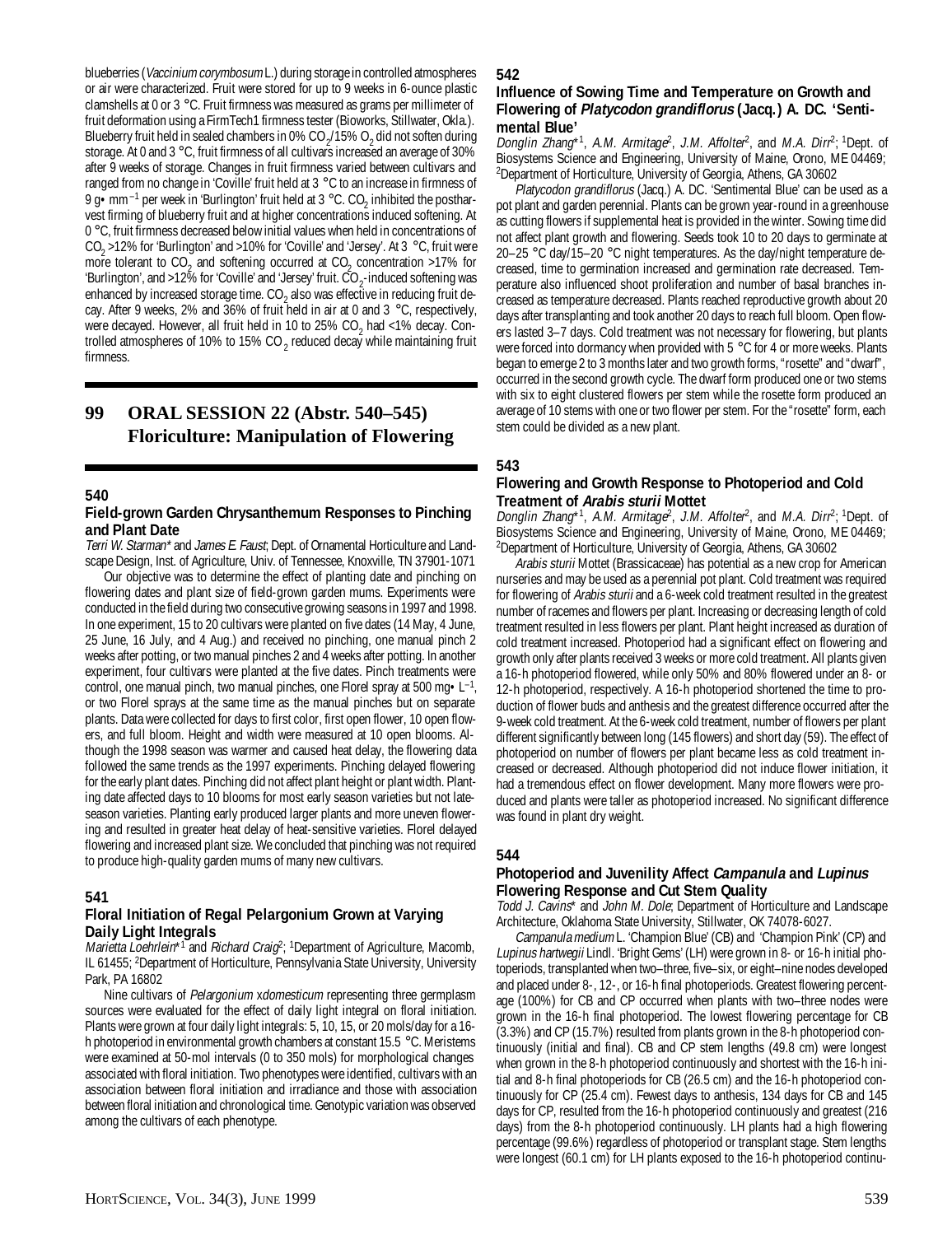blueberries (Vaccinium corymbosum L.) during storage in controlled atmospheres or air were characterized. Fruit were stored for up to 9 weeks in 6-ounce plastic clamshells at 0 or 3 °C. Fruit firmness was measured as grams per millimeter of fruit deformation using a FirmTech1 firmness tester (Bioworks, Stillwater, Okla.). Blueberry fruit held in sealed chambers in 0% CO  $_2$ /15% O<sub>2</sub> did not soften during storage. At 0 and 3 °C, fruit firmness of all cultivars increased an average of 30% after 9 weeks of storage. Changes in fruit firmness varied between cultivars and ranged from no change in 'Coville' fruit held at 3 °C to an increase in firmness of 9 g•mm<sup>-1</sup> per week in 'Burlington' fruit held at 3 °C. CO<sub>2</sub> inhibited the postharvest firming of blueberry fruit and at higher concentrations induced softening. At 0 °C, fruit firmness decreased below initial values when held in concentrations of  $CO_2$  >12% for 'Burlington' and >10% for 'Coville' and 'Jersey'. At 3 °C, fruit were more tolerant to  $CO<sub>2</sub>$  and softening occurred at  $CO<sub>2</sub>$  concentration >17% for 'Burlington', and >12% for 'Coville' and 'Jersey' fruit. CO<sub>2</sub>-induced softening was enhanced by increased storage time.  $CO_2$  also was effective in reducing fruit decay. After 9 weeks, 2% and 36% of fruit held in air at 0 and 3  $^{\circ}$ C, respectively, were decayed. However, all fruit held in 10 to 25%  $CO_2$  had <1% decay. Controlled atmospheres of 10% to 15% CO  $_2$  reduced decay while maintaining fruit firmness.

## **99 ORAL SESSION 22 (Abstr. 540–545) Floriculture: Manipulation of Flowering**

#### **540**

#### **Field-grown Garden Chrysanthemum Responses to Pinching and Plant Date**

Terri W. Starman\* and James E. Faust; Dept. of Ornamental Horticulture and Landscape Design, Inst. of Agriculture, Univ. of Tennessee, Knoxville, TN 37901-1071

Our objective was to determine the effect of planting date and pinching on flowering dates and plant size of field-grown garden mums. Experiments were conducted in the field during two consecutive growing seasons in 1997 and 1998. In one experiment, 15 to 20 cultivars were planted on five dates (14 May, 4 June, 25 June, 16 July, and 4 Aug.) and received no pinching, one manual pinch 2 weeks after potting, or two manual pinches 2 and 4 weeks after potting. In another experiment, four cultivars were planted at the five dates. Pinch treatments were control, one manual pinch, two manual pinches, one Florel spray at 500 mg $\cdot L^{-1}$ , or two Florel sprays at the same time as the manual pinches but on separate plants. Data were collected for days to first color, first open flower, 10 open flowers, and full bloom. Height and width were measured at 10 open blooms. Although the 1998 season was warmer and caused heat delay, the flowering data followed the same trends as the 1997 experiments. Pinching delayed flowering for the early plant dates. Pinching did not affect plant height or plant width. Planting date affected days to 10 blooms for most early season varieties but not lateseason varieties. Planting early produced larger plants and more uneven flowering and resulted in greater heat delay of heat-sensitive varieties. Florel delayed flowering and increased plant size. We concluded that pinching was not required to produce high-quality garden mums of many new cultivars.

## **541**

#### **Floral Initiation of Regal Pelargonium Grown at Varying Daily Light Integrals**

Marietta Loehrlein\*<sup>1</sup> and *Richard Craig*<sup>2</sup>; <sup>1</sup>Department of Agriculture, Macomb, IL 61455; <sup>2</sup>Department of Horticulture, Pennsylvania State University, University Park, PA 16802

Nine cultivars of Pelargonium xdomesticum representing three germplasm sources were evaluated for the effect of daily light integral on floral initiation. Plants were grown at four daily light integrals: 5, 10, 15, or 20 mols/day for a 16 h photoperiod in environmental growth chambers at constant 15.5 °C. Meristems were examined at 50-mol intervals (0 to 350 mols) for morphological changes associated with floral initiation. Two phenotypes were identified, cultivars with an association between floral initiation and irradiance and those with association between floral initiation and chronological time. Genotypic variation was observed among the cultivars of each phenotype.

#### **542**

#### **Influence of Sowing Time and Temperature on Growth and Flowering of Platycodon grandiflorus (Jacq.) A. DC. 'Sentimental Blue'**

Donglin Zhang\*1, A.M. Armitage<sup>2</sup>, J.M. Affolter<sup>2</sup>, and M.A. Dirr<sup>2</sup>; <sup>1</sup>Dept. of Biosystems Science and Engineering, University of Maine, Orono, ME 04469; 2 Department of Horticulture, University of Georgia, Athens, GA 30602

Platycodon grandiflorus (Jacq.) A. DC. 'Sentimental Blue' can be used as a pot plant and garden perennial. Plants can be grown year-round in a greenhouse as cutting flowers if supplemental heat is provided in the winter. Sowing time did not affect plant growth and flowering. Seeds took 10 to 20 days to germinate at 20–25 °C day/15–20 °C night temperatures. As the day/night temperature decreased, time to germination increased and germination rate decreased. Temperature also influenced shoot proliferation and number of basal branches increased as temperature decreased. Plants reached reproductive growth about 20 days after transplanting and took another 20 days to reach full bloom. Open flowers lasted 3–7 days. Cold treatment was not necessary for flowering, but plants were forced into dormancy when provided with 5 °C for 4 or more weeks. Plants began to emerge 2 to 3 months later and two growth forms, "rosette" and "dwarf", occurred in the second growth cycle. The dwarf form produced one or two stems with six to eight clustered flowers per stem while the rosette form produced an average of 10 stems with one or two flower per stem. For the "rosette" form, each stem could be divided as a new plant.

## **543**

#### **Flowering and Growth Response to Photoperiod and Cold Treatment of Arabis sturii Mottet**

Donglin Zhang\*1, A.M. Armitage<sup>2</sup>, J.M. Affolter<sup>2</sup>, and M.A. Dirr<sup>2</sup>; <sup>1</sup>Dept. of Biosystems Science and Engineering, University of Maine, Orono, ME 04469; 2 Department of Horticulture, University of Georgia, Athens, GA 30602

Arabis sturii Mottet (Brassicaceae) has potential as a new crop for American nurseries and may be used as a perennial pot plant. Cold treatment was required for flowering of Arabis sturii and a 6-week cold treatment resulted in the greatest number of racemes and flowers per plant. Increasing or decreasing length of cold treatment resulted in less flowers per plant. Plant height increased as duration of cold treatment increased. Photoperiod had a significant effect on flowering and growth only after plants received 3 weeks or more cold treatment. All plants given a 16-h photoperiod flowered, while only 50% and 80% flowered under an 8- or 12-h photoperiod, respectively. A 16-h photoperiod shortened the time to production of flower buds and anthesis and the greatest difference occurred after the 9-week cold treatment. At the 6-week cold treatment, number of flowers per plant different significantly between long (145 flowers) and short day (59). The effect of photoperiod on number of flowers per plant became less as cold treatment increased or decreased. Although photoperiod did not induce flower initiation, it had a tremendous effect on flower development. Many more flowers were produced and plants were taller as photoperiod increased. No significant difference was found in plant dry weight.

#### **544**

## **Photoperiod and Juvenility Affect Campanula and Lupinus Flowering Response and Cut Stem Quality**

Todd J. Cavins\* and John M. Dole; Department of Horticulture and Landscape Architecture, Oklahoma State University, Stillwater, OK 74078-6027.

Campanula medium L. 'Champion Blue' (CB) and 'Champion Pink' (CP) and Lupinus hartwegii Lindl. 'Bright Gems' (LH) were grown in 8- or 16-h initial photoperiods, transplanted when two–three, five–six, or eight–nine nodes developed and placed under 8-, 12-, or 16-h final photoperiods. Greatest flowering percentage (100%) for CB and CP occurred when plants with two–three nodes were grown in the 16-h final photoperiod. The lowest flowering percentage for CB (3.3%) and CP (15.7%) resulted from plants grown in the 8-h photoperiod continuously (initial and final). CB and CP stem lengths (49.8 cm) were longest when grown in the 8-h photoperiod continuously and shortest with the 16-h initial and 8-h final photoperiods for CB (26.5 cm) and the 16-h photoperiod continuously for CP (25.4 cm). Fewest days to anthesis, 134 days for CB and 145 days for CP, resulted from the 16-h photoperiod continuously and greatest (216 days) from the 8-h photoperiod continuously. LH plants had a high flowering percentage (99.6%) regardless of photoperiod or transplant stage. Stem lengths were longest (60.1 cm) for LH plants exposed to the 16-h photoperiod continu-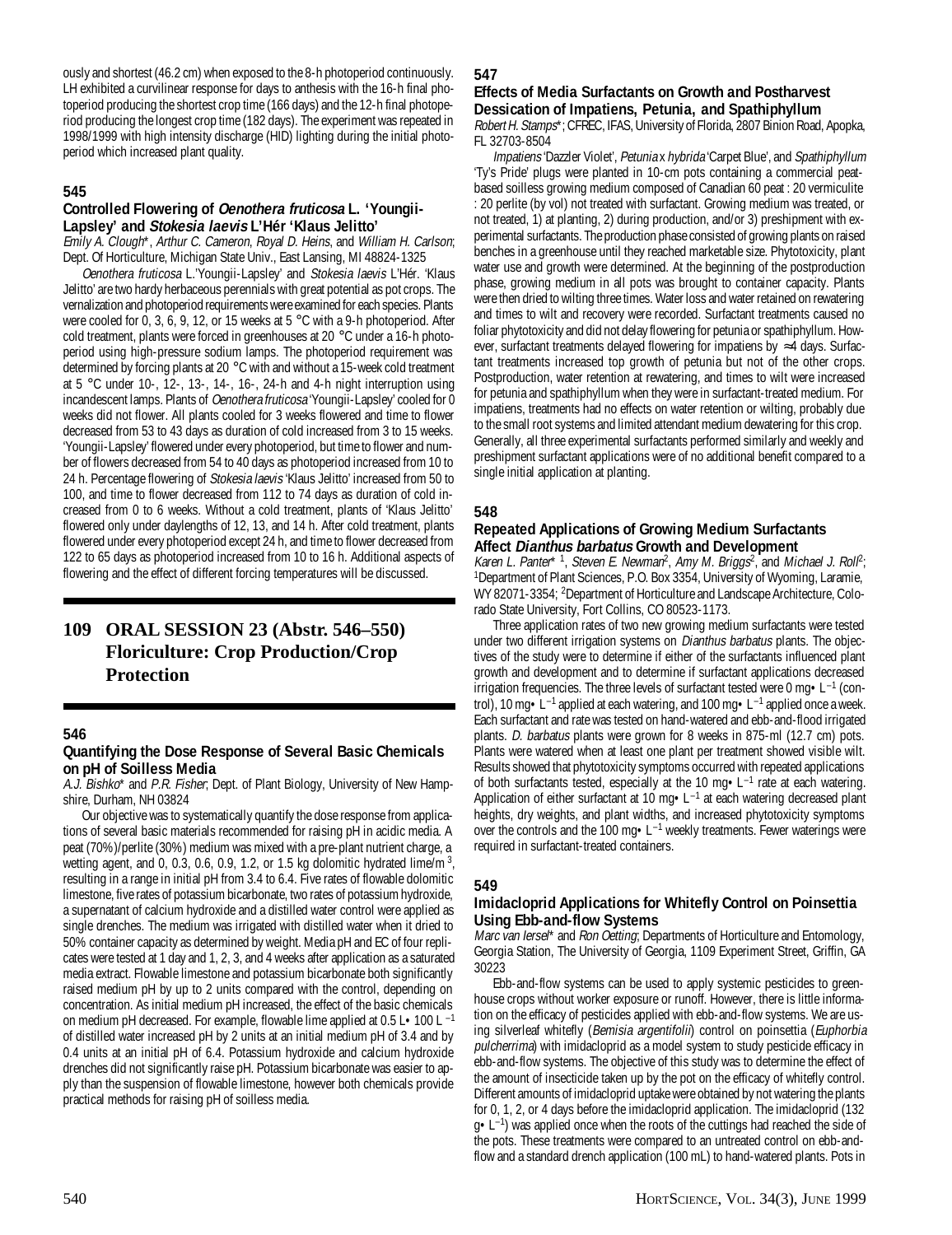ously and shortest (46.2 cm) when exposed to the 8-h photoperiod continuously. LH exhibited a curvilinear response for days to anthesis with the 16-h final photoperiod producing the shortest crop time (166 days) and the 12-h final photoperiod producing the longest crop time (182 days). The experiment was repeated in 1998/1999 with high intensity discharge (HID) lighting during the initial photoperiod which increased plant quality.

## **545**

## **Controlled Flowering of Oenothera fruticosa L. 'Youngii-Lapsley' and Stokesia laevis L'Hér 'Klaus Jelitto'**

Emily A. Clough\*, Arthur C. Cameron, Royal D. Heins, and William H. Carlson; Dept. Of Horticulture, Michigan State Univ., East Lansing, MI 48824-1325

Oenothera fruticosa L.'Youngii-Lapsley' and Stokesia laevis L'Hér. 'Klaus Jelitto' are two hardy herbaceous perennials with great potential as pot crops. The vernalization and photoperiod requirements were examined for each species. Plants were cooled for 0, 3, 6, 9, 12, or 15 weeks at 5 °C with a 9-h photoperiod. After cold treatment, plants were forced in greenhouses at 20 °C under a 16-h photoperiod using high-pressure sodium lamps. The photoperiod requirement was determined by forcing plants at 20 °C with and without a 15-week cold treatment at 5 °C under 10-, 12-, 13-, 14-, 16-, 24-h and 4-h night interruption using incandescent lamps. Plants of *Oenothera fruticosa* 'Youngii-Lapsley' cooled for 0 weeks did not flower. All plants cooled for 3 weeks flowered and time to flower decreased from 53 to 43 days as duration of cold increased from 3 to 15 weeks. 'Youngii-Lapsley' flowered under every photoperiod, but time to flower and number of flowers decreased from 54 to 40 days as photoperiod increased from 10 to 24 h. Percentage flowering of Stokesia laevis 'Klaus Jelitto' increased from 50 to 100, and time to flower decreased from 112 to 74 days as duration of cold increased from 0 to 6 weeks. Without a cold treatment, plants of 'Klaus Jelitto' flowered only under daylengths of 12, 13, and 14 h. After cold treatment, plants flowered under every photoperiod except 24 h, and time to flower decreased from 122 to 65 days as photoperiod increased from 10 to 16 h. Additional aspects of flowering and the effect of different forcing temperatures will be discussed.

## **109 ORAL SESSION 23 (Abstr. 546–550) Floriculture: Crop Production/Crop Protection**

## **546**

## **Quantifying the Dose Response of Several Basic Chemicals on pH of Soilless Media**

A.J. Bishko\* and P.R. Fisher; Dept. of Plant Biology, University of New Hampshire, Durham, NH 03824

Our objective was to systematically quantify the dose response from applications of several basic materials recommended for raising pH in acidic media. A peat (70%)/perlite (30%) medium was mixed with a pre-plant nutrient charge, a wetting agent, and 0, 0.3, 0.6, 0.9, 1.2, or 1.5 kg dolomitic hydrated lime/m  $^3$ , resulting in a range in initial pH from 3.4 to 6.4. Five rates of flowable dolomitic limestone, five rates of potassium bicarbonate, two rates of potassium hydroxide, a supernatant of calcium hydroxide and a distilled water control were applied as single drenches. The medium was irrigated with distilled water when it dried to 50% container capacity as determined by weight. Media pH and EC of four replicates were tested at 1 day and 1, 2, 3, and 4 weeks after application as a saturated media extract. Flowable limestone and potassium bicarbonate both significantly raised medium pH by up to 2 units compared with the control, depending on concentration. As initial medium pH increased, the effect of the basic chemicals on medium pH decreased. For example, flowable lime applied at 0.5 L•100 L –1 of distilled water increased pH by 2 units at an initial medium pH of 3.4 and by 0.4 units at an initial pH of 6.4. Potassium hydroxide and calcium hydroxide drenches did not significantly raise pH. Potassium bicarbonate was easier to apply than the suspension of flowable limestone, however both chemicals provide practical methods for raising pH of soilless media.

## **547**

## **Effects of Media Surfactants on Growth and Postharvest Dessication of Impatiens, Petunia, and Spathiphyllum**

Robert H. Stamps\*; CFREC, IFAS, University of Florida, 2807 Binion Road, Apopka, FL 32703-8504

Impatiens 'Dazzler Violet', Petunia x hybrida 'Carpet Blue', and Spathiphyllum 'Ty's Pride' plugs were planted in 10-cm pots containing a commercial peatbased soilless growing medium composed of Canadian 60 peat : 20 vermiculite : 20 perlite (by vol) not treated with surfactant. Growing medium was treated, or not treated, 1) at planting, 2) during production, and/or 3) preshipment with experimental surfactants. The production phase consisted of growing plants on raised benches in a greenhouse until they reached marketable size. Phytotoxicity, plant water use and growth were determined. At the beginning of the postproduction phase, growing medium in all pots was brought to container capacity. Plants were then dried to wilting three times. Water loss and water retained on rewatering and times to wilt and recovery were recorded. Surfactant treatments caused no foliar phytotoxicity and did not delay flowering for petunia or spathiphyllum. However, surfactant treatments delayed flowering for impatiens by ≈4 days. Surfactant treatments increased top growth of petunia but not of the other crops. Postproduction, water retention at rewatering, and times to wilt were increased for petunia and spathiphyllum when they were in surfactant-treated medium. For impatiens, treatments had no effects on water retention or wilting, probably due to the small root systems and limited attendant medium dewatering for this crop. Generally, all three experimental surfactants performed similarly and weekly and preshipment surfactant applications were of no additional benefit compared to a single initial application at planting.

## **548**

### **Repeated Applications of Growing Medium Surfactants Affect Dianthus barbatus Growth and Development**

Karen L. Panter\* <sup>1</sup>, Steven E. Newman<sup>2</sup>, Amy M. Briggs<sup>2</sup>, and Michael J. Roll<sup>2</sup>; <sup>1</sup>Department of Plant Sciences, P.O. Box 3354, University of Wyoming, Laramie, WY 82071-3354; <sup>2</sup>Department of Horticulture and Landscape Architecture, Colorado State University, Fort Collins, CO 80523-1173.

Three application rates of two new growing medium surfactants were tested under two different irrigation systems on *Dianthus barbatus* plants. The objectives of the study were to determine if either of the surfactants influenced plant growth and development and to determine if surfactant applications decreased irrigation frequencies. The three levels of surfactant tested were 0 mg•L–1 (control), 10 mg  $\cdot$  L<sup>-1</sup> applied at each watering, and 100 mg  $\cdot$  L<sup>-1</sup> applied once a week. Each surfactant and rate was tested on hand-watered and ebb-and-flood irrigated plants. D. barbatus plants were grown for 8 weeks in 875-ml (12.7 cm) pots. Plants were watered when at least one plant per treatment showed visible wilt. Results showed that phytotoxicity symptoms occurred with repeated applications of both surfactants tested, especially at the 10 mg•L–1 rate at each watering. Application of either surfactant at 10 mg · L<sup>-1</sup> at each watering decreased plant heights, dry weights, and plant widths, and increased phytotoxicity symptoms over the controls and the 100 mg•L–1 weekly treatments. Fewer waterings were required in surfactant-treated containers.

## **549**

### **Imidacloprid Applications for Whitefly Control on Poinsettia Using Ebb-and-flow Systems**

Marc van Iersel\* and Ron Oetting; Departments of Horticulture and Entomology, Georgia Station, The University of Georgia, 1109 Experiment Street, Griffin, GA 30223

Ebb-and-flow systems can be used to apply systemic pesticides to greenhouse crops without worker exposure or runoff. However, there is little information on the efficacy of pesticides applied with ebb-and-flow systems. We are using silverleaf whitefly (Bemisia argentifolii) control on poinsettia (Euphorbia pulcherrima) with imidacloprid as a model system to study pesticide efficacy in ebb-and-flow systems. The objective of this study was to determine the effect of the amount of insecticide taken up by the pot on the efficacy of whitefly control. Different amounts of imidacloprid uptake were obtained by not watering the plants for 0, 1, 2, or 4 days before the imidacloprid application. The imidacloprid (132  $g \cdot L^{-1}$ ) was applied once when the roots of the cuttings had reached the side of the pots. These treatments were compared to an untreated control on ebb-andflow and a standard drench application (100 mL) to hand-watered plants. Pots in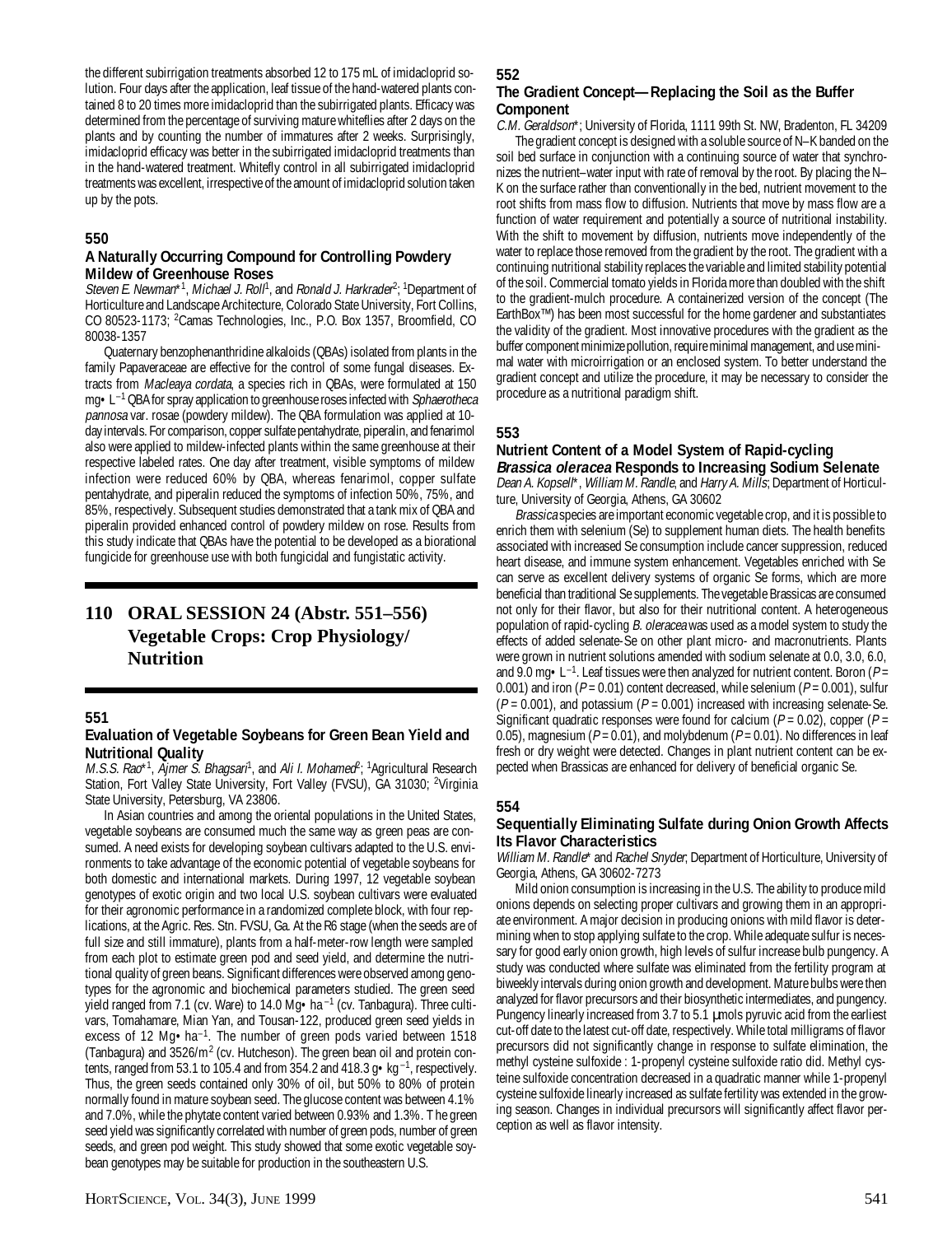the different subirrigation treatments absorbed 12 to 175 mL of imidacloprid solution. Four days after the application, leaf tissue of the hand-watered plants contained 8 to 20 times more imidacloprid than the subirrigated plants. Efficacy was determined from the percentage of surviving mature whiteflies after 2 days on the plants and by counting the number of immatures after 2 weeks. Surprisingly, imidacloprid efficacy was better in the subirrigated imidacloprid treatments than in the hand-watered treatment. Whitefly control in all subirrigated imidacloprid treatments was excellent, irrespective of the amount of imidacloprid solution taken up by the pots.

#### **550**

## **A Naturally Occurring Compound for Controlling Powdery Mildew of Greenhouse Roses**

Steven E. Newman\*<sup>1</sup>, Michael J. Roll<sup>1</sup>, and Ronald J. Harkrader<sup>2</sup>; <sup>1</sup>Department of Horticulture and Landscape Architecture, Colorado State University, Fort Collins, CO 80523-1173; <sup>2</sup>Camas Technologies, Inc., P.O. Box 1357, Broomfield, CO 80038-1357

Quaternary benzophenanthridine alkaloids (QBAs) isolated from plants in the family Papaveraceae are effective for the control of some fungal diseases. Extracts from Macleaya cordata, a species rich in QBAs, were formulated at 150  $mg \cdot L^{-1}$  QBA for spray application to greenhouse roses infected with *Sphaerotheca* pannosa var. rosae (powdery mildew). The QBA formulation was applied at 10 day intervals. For comparison, copper sulfate pentahydrate, piperalin, and fenarimol also were applied to mildew-infected plants within the same greenhouse at their respective labeled rates. One day after treatment, visible symptoms of mildew infection were reduced 60% by QBA, whereas fenarimol, copper sulfate pentahydrate, and piperalin reduced the symptoms of infection 50%, 75%, and 85%, respectively. Subsequent studies demonstrated that a tank mix of QBA and piperalin provided enhanced control of powdery mildew on rose. Results from this study indicate that QBAs have the potential to be developed as a biorational fungicide for greenhouse use with both fungicidal and fungistatic activity.

## **110 ORAL SESSION 24 (Abstr. 551–556) Vegetable Crops: Crop Physiology/ Nutrition**

#### **551**

#### **Evaluation of Vegetable Soybeans for Green Bean Yield and Nutritional Quality**

M.S.S. Rao\*<sup>1</sup>, Ajmer Š. Bhagsarí<sup>1</sup>, and Ali I. Mohamed<sup>p</sup>; <sup>1</sup>Agricultural Research Station, Fort Valley State University, Fort Valley (FVSU), GA 31030; <sup>2</sup>Virginia State University, Petersburg, VA 23806.

In Asian countries and among the oriental populations in the United States, vegetable soybeans are consumed much the same way as green peas are consumed. A need exists for developing soybean cultivars adapted to the U.S. environments to take advantage of the economic potential of vegetable soybeans for both domestic and international markets. During 1997, 12 vegetable soybean genotypes of exotic origin and two local U.S. soybean cultivars were evaluated for their agronomic performance in a randomized complete block, with four replications, at the Agric. Res. Stn. FVSU, Ga. At the R6 stage (when the seeds are of full size and still immature), plants from a half-meter-row length were sampled from each plot to estimate green pod and seed yield, and determine the nutritional quality of green beans. Significant differences were observed among genotypes for the agronomic and biochemical parameters studied. The green seed yield ranged from 7.1 (cv. Ware) to 14.0 Mg • ha<sup>-1</sup> (cv. Tanbagura). Three cultivars, Tomahamare, Mian Yan, and Tousan-122, produced green seed yields in excess of 12 Mg·ha<sup>-1</sup>. The number of green pods varied between 1518 (Tanbagura) and 3526/m<sup>2</sup> (cv. Hutcheson). The green bean oil and protein contents, ranged from 53.1 to 105.4 and from 354.2 and 418.3 g  $\bullet$  kg<sup>-1</sup>, respectively. Thus, the green seeds contained only 30% of oil, but 50% to 80% of protein normally found in mature soybean seed. The glucose content was between 4.1% and 7.0%, while the phytate content varied between 0.93% and 1.3%. T he green seed yield was significantly correlated with number of green pods, number of green seeds, and green pod weight. This study showed that some exotic vegetable soybean genotypes may be suitable for production in the southeastern U.S.

#### **552**

## **The Gradient Concept—Replacing the Soil as the Buffer Component**

C.M. Geraldson\*; University of Florida, 1111 99th St. NW, Bradenton, FL 34209 The gradient concept is designed with a soluble source of N–K banded on the soil bed surface in conjunction with a continuing source of water that synchronizes the nutrient–water input with rate of removal by the root. By placing the N– K on the surface rather than conventionally in the bed, nutrient movement to the root shifts from mass flow to diffusion. Nutrients that move by mass flow are a function of water requirement and potentially a source of nutritional instability. With the shift to movement by diffusion, nutrients move independently of the water to replace those removed from the gradient by the root. The gradient with a continuing nutritional stability replaces the variable and limited stability potential of the soil. Commercial tomato yields in Florida more than doubled with the shift to the gradient-mulch procedure. A containerized version of the concept (The EarthBox™) has been most successful for the home gardener and substantiates the validity of the gradient. Most innovative procedures with the gradient as the buffer component minimize pollution, require minimal management, and use minimal water with microirrigation or an enclosed system. To better understand the gradient concept and utilize the procedure, it may be necessary to consider the procedure as a nutritional paradigm shift.

## **553**

#### **Nutrient Content of a Model System of Rapid-cycling Brassica oleracea Responds to Increasing Sodium Selenate**

Dean A. Kopsell\*, William M. Randle, and Harry A. Mills; Department of Horticulture, University of Georgia, Athens, GA 30602

Brassica species are important economic vegetable crop, and it is possible to enrich them with selenium (Se) to supplement human diets. The health benefits associated with increased Se consumption include cancer suppression, reduced heart disease, and immune system enhancement. Vegetables enriched with Se can serve as excellent delivery systems of organic Se forms, which are more beneficial than traditional Se supplements. The vegetable Brassicas are consumed not only for their flavor, but also for their nutritional content. A heterogeneous population of rapid-cycling B. oleracea was used as a model system to study the effects of added selenate-Se on other plant micro- and macronutrients. Plants were grown in nutrient solutions amended with sodium selenate at 0.0, 3.0, 6.0, and 9.0 mg  $\cdot$  L<sup>-1</sup>. Leaf tissues were then analyzed for nutrient content. Boron (P= 0.001) and iron ( $P = 0.01$ ) content decreased, while selenium ( $P = 0.001$ ), sulfur  $(P = 0.001)$ , and potassium  $(P = 0.001)$  increased with increasing selenate-Se. Significant quadratic responses were found for calcium ( $P = 0.02$ ), copper ( $P =$ 0.05), magnesium ( $P = 0.01$ ), and molybdenum ( $P = 0.01$ ). No differences in leaf fresh or dry weight were detected. Changes in plant nutrient content can be expected when Brassicas are enhanced for delivery of beneficial organic Se.

## **554**

## **Sequentially Eliminating Sulfate during Onion Growth Affects Its Flavor Characteristics**

William M. Randle\* and Rachel Snyder; Department of Horticulture, University of Georgia, Athens, GA 30602-7273

Mild onion consumption is increasing in the U.S. The ability to produce mild onions depends on selecting proper cultivars and growing them in an appropriate environment. A major decision in producing onions with mild flavor is determining when to stop applying sulfate to the crop. While adequate sulfur is necessary for good early onion growth, high levels of sulfur increase bulb pungency. A study was conducted where sulfate was eliminated from the fertility program at biweekly intervals during onion growth and development. Mature bulbs were then analyzed for flavor precursors and their biosynthetic intermediates, and pungency. Pungency linearly increased from 3.7 to 5.1 umols pyruvic acid from the earliest cut-off date to the latest cut-off date, respectively. While total milligrams of flavor precursors did not significantly change in response to sulfate elimination, the methyl cysteine sulfoxide : 1-propenyl cysteine sulfoxide ratio did. Methyl cysteine sulfoxide concentration decreased in a quadratic manner while 1-propenyl cysteine sulfoxide linearly increased as sulfate fertility was extended in the growing season. Changes in individual precursors will significantly affect flavor perception as well as flavor intensity.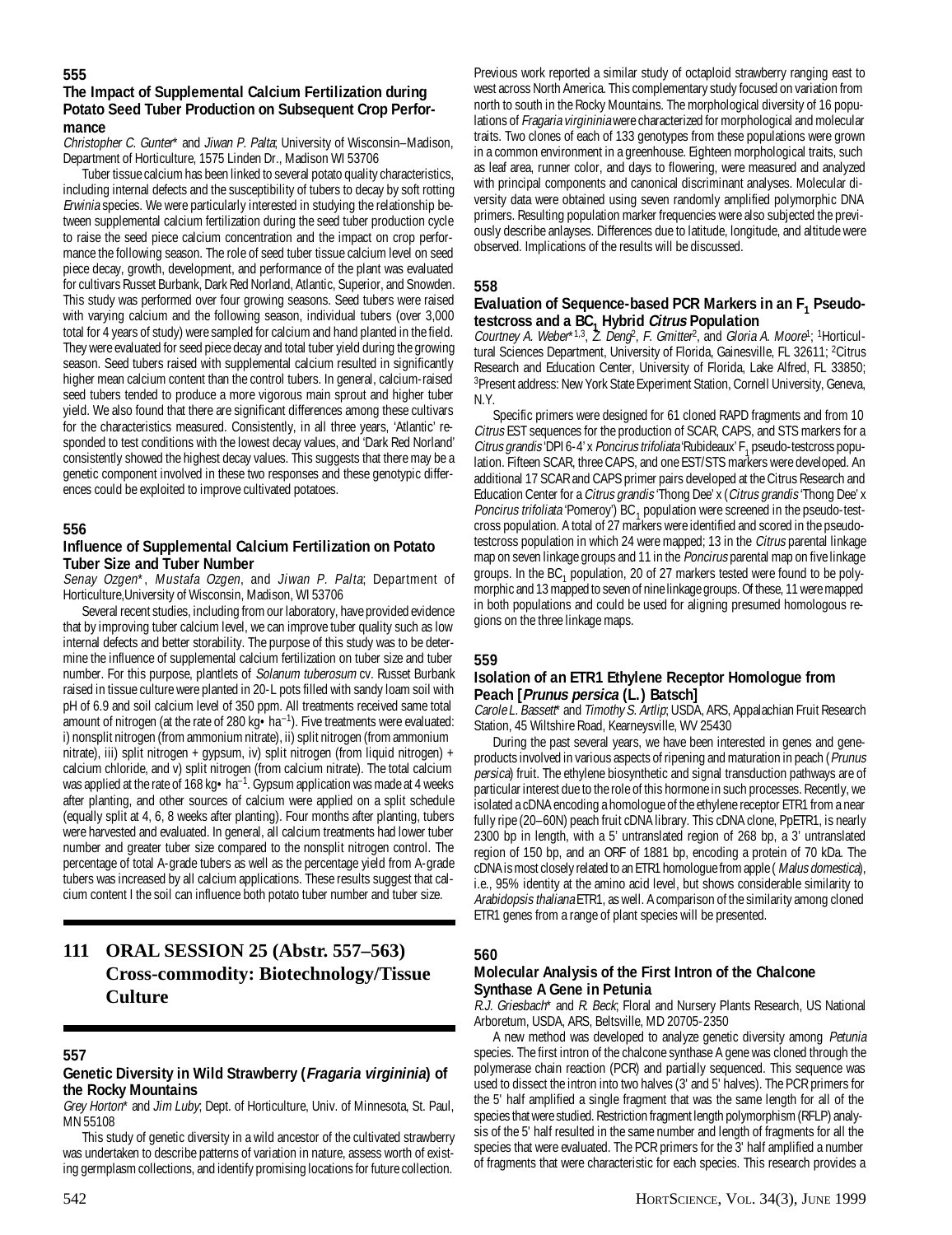## **555**

#### **The Impact of Supplemental Calcium Fertilization during Potato Seed Tuber Production on Subsequent Crop Performance**

Christopher C. Gunter\* and Jiwan P. Palta; University of Wisconsin–Madison, Department of Horticulture, 1575 Linden Dr., Madison WI 53706

Tuber tissue calcium has been linked to several potato quality characteristics, including internal defects and the susceptibility of tubers to decay by soft rotting Erwinia species. We were particularly interested in studying the relationship between supplemental calcium fertilization during the seed tuber production cycle to raise the seed piece calcium concentration and the impact on crop performance the following season. The role of seed tuber tissue calcium level on seed piece decay, growth, development, and performance of the plant was evaluated for cultivars Russet Burbank, Dark Red Norland, Atlantic, Superior, and Snowden. This study was performed over four growing seasons. Seed tubers were raised with varying calcium and the following season, individual tubers (over 3,000 total for 4 years of study) were sampled for calcium and hand planted in the field. They were evaluated for seed piece decay and total tuber yield during the growing season. Seed tubers raised with supplemental calcium resulted in significantly higher mean calcium content than the control tubers. In general, calcium-raised seed tubers tended to produce a more vigorous main sprout and higher tuber yield. We also found that there are significant differences among these cultivars for the characteristics measured. Consistently, in all three years, 'Atlantic' responded to test conditions with the lowest decay values, and 'Dark Red Norland' consistently showed the highest decay values. This suggests that there may be a genetic component involved in these two responses and these genotypic differences could be exploited to improve cultivated potatoes.

#### **556**

### **Influence of Supplemental Calcium Fertilization on Potato Tuber Size and Tuber Number**

Senay Ozgen\*, Mustafa Ozgen, and Jiwan P. Palta; Department of Horticulture,University of Wisconsin, Madison, WI 53706

Several recent studies, including from our laboratory, have provided evidence that by improving tuber calcium level, we can improve tuber quality such as low internal defects and better storability. The purpose of this study was to be determine the influence of supplemental calcium fertilization on tuber size and tuber number. For this purpose, plantlets of *Solanum tuberosum* cv. Russet Burbank raised in tissue culture were planted in 20-L pots filled with sandy loam soil with pH of 6.9 and soil calcium level of 350 ppm. All treatments received same total amount of nitrogen (at the rate of 280 kg $\cdot$  ha<sup>-1</sup>). Five treatments were evaluated: i) nonsplit nitrogen (from ammonium nitrate), ii) split nitrogen (from ammonium nitrate), iii) split nitrogen + gypsum, iv) split nitrogen (from liquid nitrogen) + calcium chloride, and v) split nitrogen (from calcium nitrate). The total calcium was applied at the rate of 168 kg $\bullet$  ha<sup>-1</sup>. Gypsum application was made at 4 weeks after planting, and other sources of calcium were applied on a split schedule (equally split at 4, 6, 8 weeks after planting). Four months after planting, tubers were harvested and evaluated. In general, all calcium treatments had lower tuber number and greater tuber size compared to the nonsplit nitrogen control. The percentage of total A-grade tubers as well as the percentage yield from A-grade tubers was increased by all calcium applications. These results suggest that calcium content I the soil can influence both potato tuber number and tuber size.

## **111 ORAL SESSION 25 (Abstr. 557–563) Cross-commodity: Biotechnology/Tissue Culture**

#### **557**

#### **Genetic Diversity in Wild Strawberry (Fragaria virgininia) of the Rocky Mountains**

Grey Horton<sup>\*</sup> and Jim Luby, Dept. of Horticulture, Univ. of Minnesota, St. Paul, MN 55108

This study of genetic diversity in a wild ancestor of the cultivated strawberry was undertaken to describe patterns of variation in nature, assess worth of existing germplasm collections, and identify promising locations for future collection.

Previous work reported a similar study of octaploid strawberry ranging east to west across North America. This complementary study focused on variation from north to south in the Rocky Mountains. The morphological diversity of 16 populations of Fragaria virgininia were characterized for morphological and molecular traits. Two clones of each of 133 genotypes from these populations were grown in a common environment in a greenhouse. Eighteen morphological traits, such as leaf area, runner color, and days to flowering, were measured and analyzed with principal components and canonical discriminant analyses. Molecular diversity data were obtained using seven randomly amplified polymorphic DNA primers. Resulting population marker frequencies were also subjected the previously describe anlayses. Differences due to latitude, longitude, and altitude were observed. Implications of the results will be discussed.

#### **558**

# Evaluation of Sequence-based PCR Markers in an F<sub>1</sub> Pseudo-

testcross and a BC<sub>1</sub> Hybrid *Citrus* Population<br>Courtney A. Weber\*<sup>1,3</sup>, Z. Deng<sup>2</sup>, F. Gmitter<sup>2</sup>, and Gloria A. Moore<sup>1</sup>; <sup>1</sup>Horticultural Sciences Department, University of Florida, Gainesville, FL 32611; <sup>2</sup>Citrus Research and Education Center, University of Florida, Lake Alfred, FL 33850; 3 Present address: New York State Experiment Station, Cornell University, Geneva, N.Y.

Specific primers were designed for 61 cloned RAPD fragments and from 10 Citrus EST sequences for the production of SCAR, CAPS, and STS markers for a Citrus grandis 'DPI 6-4' x Poncirus trifoliata 'Rubideaux' F<sub>1</sub> pseudo-testcross population. Fifteen SCAR, three CAPS, and one EST/STS markers were developed. An additional 17 SCAR and CAPS primer pairs developed at the Citrus Research and Education Center for a Citrus grandis 'Thong Dee' x (Citrus grandis 'Thong Dee' x Poncirus trifoliata 'Pomeroy') BC<sub>1</sub> population were screened in the pseudo-testcross population. A total of 27 markers were identified and scored in the pseudotestcross population in which 24 were mapped; 13 in the Citrus parental linkage map on seven linkage groups and 11 in the Poncirus parental map on five linkage groups. In the  $BC_1$  population, 20 of 27 markers tested were found to be polymorphic and 13 mapped to seven of nine linkage groups. Of these, 11 were mapped in both populations and could be used for aligning presumed homologous regions on the three linkage maps.

#### **559**

## **Isolation of an ETR1 Ethylene Receptor Homologue from Peach [Prunus persica (L.) Batsch]**

Carole L. Bassett\* and Timothy S. Artlip; USDA, ARS, Appalachian Fruit Research Station, 45 Wiltshire Road, Kearneysville, WV 25430

During the past several years, we have been interested in genes and geneproducts involved in various aspects of ripening and maturation in peach (Prunus persica) fruit. The ethylene biosynthetic and signal transduction pathways are of particular interest due to the role of this hormone in such processes. Recently, we isolated a cDNA encoding a homologue of the ethylene receptor ETR1 from a near fully ripe (20–60N) peach fruit cDNA library. This cDNA clone, PpETR1, is nearly 2300 bp in length, with a 5' untranslated region of 268 bp, a 3' untranslated region of 150 bp, and an ORF of 1881 bp, encoding a protein of 70 kDa. The cDNA is most closely related to an ETR1 homologue from apple ( Malus domestica), i.e., 95% identity at the amino acid level, but shows considerable similarity to Arabidopsis thaliana ETR1, as well. A comparison of the similarity among cloned ETR1 genes from a range of plant species will be presented.

## **560**

#### **Molecular Analysis of the First Intron of the Chalcone Synthase A Gene in Petunia**

R.J. Griesbach\* and R. Beck; Floral and Nursery Plants Research, US National Arboretum, USDA, ARS, Beltsville, MD 20705-2350

A new method was developed to analyze genetic diversity among Petunia species. The first intron of the chalcone synthase A gene was cloned through the polymerase chain reaction (PCR) and partially sequenced. This sequence was used to dissect the intron into two halves (3' and 5' halves). The PCR primers for the 5' half amplified a single fragment that was the same length for all of the species that were studied. Restriction fragment length polymorphism (RFLP) analysis of the 5' half resulted in the same number and length of fragments for all the species that were evaluated. The PCR primers for the 3' half amplified a number of fragments that were characteristic for each species. This research provides a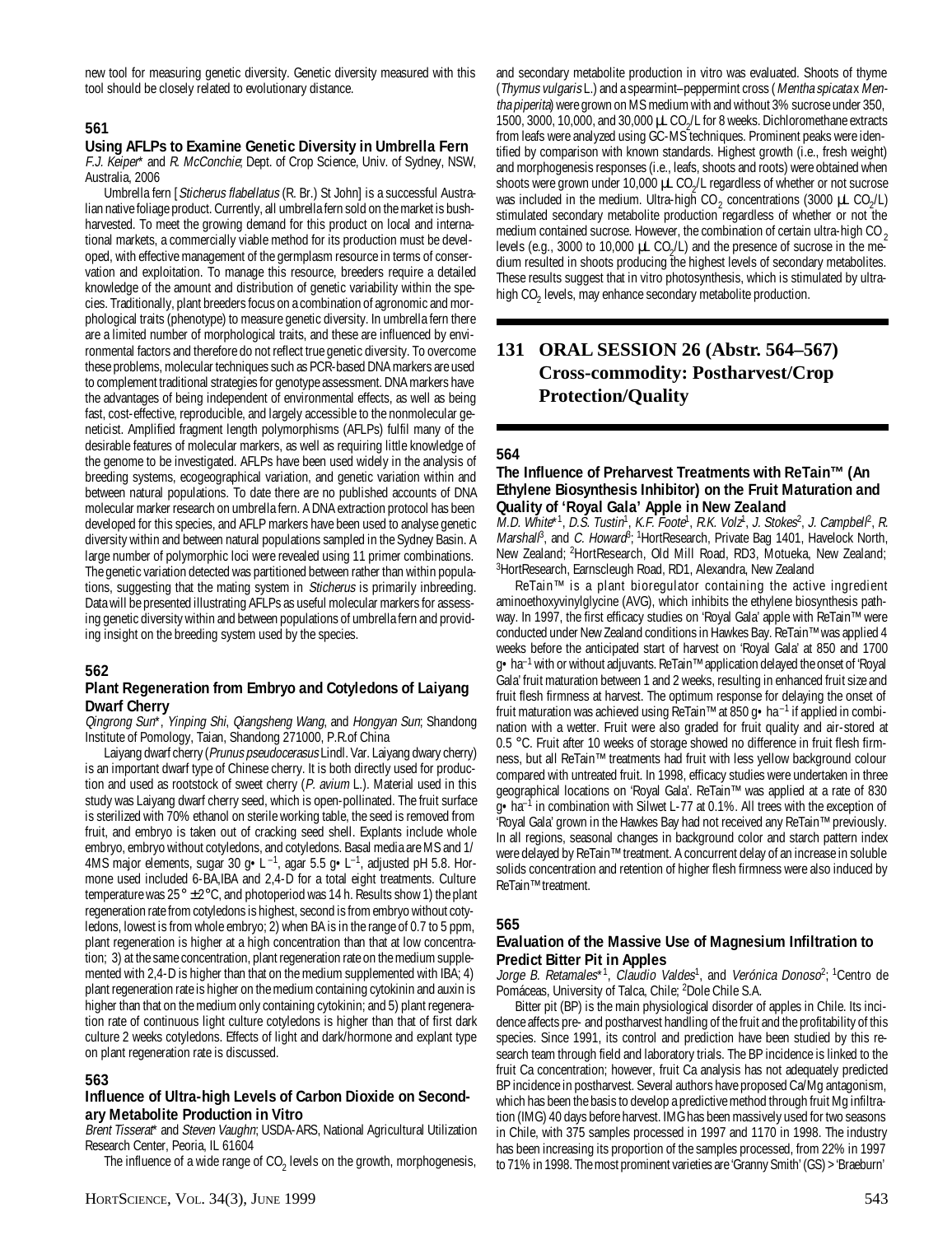new tool for measuring genetic diversity. Genetic diversity measured with this tool should be closely related to evolutionary distance.

## **561**

#### **Using AFLPs to Examine Genetic Diversity in Umbrella Fern**

F.J. Keiper\* and R. McConchie; Dept. of Crop Science, Univ. of Sydney, NSW, Australia, 2006

Umbrella fern [Sticherus flabellatus (R. Br.) St John] is a successful Australian native foliage product. Currently, all umbrella fern sold on the market is bushharvested. To meet the growing demand for this product on local and international markets, a commercially viable method for its production must be developed, with effective management of the germplasm resource in terms of conservation and exploitation. To manage this resource, breeders require a detailed knowledge of the amount and distribution of genetic variability within the species. Traditionally, plant breeders focus on a combination of agronomic and morphological traits (phenotype) to measure genetic diversity. In umbrella fern there are a limited number of morphological traits, and these are influenced by environmental factors and therefore do not reflect true genetic diversity. To overcome these problems, molecular techniques such as PCR-based DNA markers are used to complement traditional strategies for genotype assessment. DNA markers have the advantages of being independent of environmental effects, as well as being fast, cost-effective, reproducible, and largely accessible to the nonmolecular geneticist. Amplified fragment length polymorphisms (AFLPs) fulfil many of the desirable features of molecular markers, as well as requiring little knowledge of the genome to be investigated. AFLPs have been used widely in the analysis of breeding systems, ecogeographical variation, and genetic variation within and between natural populations. To date there are no published accounts of DNA molecular marker research on umbrella fern. A DNA extraction protocol has been developed for this species, and AFLP markers have been used to analyse genetic diversity within and between natural populations sampled in the Sydney Basin. A large number of polymorphic loci were revealed using 11 primer combinations. The genetic variation detected was partitioned between rather than within populations, suggesting that the mating system in Sticherus is primarily inbreeding. Data will be presented illustrating AFLPs as useful molecular markers for assessing genetic diversity within and between populations of umbrella fern and providing insight on the breeding system used by the species.

## **562**

#### **Plant Regeneration from Embryo and Cotyledons of Laiyang Dwarf Cherry**

Qingrong Sun\*, Yinping Shi, Qiangsheng Wang, and Hongyan Sun; Shandong Institute of Pomology, Taian, Shandong 271000, P.R.of China

Laiyang dwarf cherry (Prunus pseudocerasus Lindl. Var. Laiyang dwary cherry) is an important dwarf type of Chinese cherry. It is both directly used for production and used as rootstock of sweet cherry  $(P.$  avium  $L$ .). Material used in this study was Laiyang dwarf cherry seed, which is open-pollinated. The fruit surface is sterilized with 70% ethanol on sterile working table, the seed is removed from fruit, and embryo is taken out of cracking seed shell. Explants include whole embryo, embryo without cotyledons, and cotyledons. Basal media are MS and 1/ 4MS major elements, sugar 30 g · L<sup>-1</sup>, agar 5.5 g · L<sup>-1</sup>, adjusted pH 5.8. Hormone used included 6-BA,IBA and 2,4-D for a total eight treatments. Culture temperature was  $25^{\circ} \pm 2^{\circ}$ C, and photoperiod was 14 h. Results show 1) the plant regeneration rate from cotyledons is highest, second is from embryo without cotyledons, lowest is from whole embryo; 2) when BA is in the range of 0.7 to 5 ppm, plant regeneration is higher at a high concentration than that at low concentration; 3) at the same concentration, plant regeneration rate on the medium supplemented with 2,4-D is higher than that on the medium supplemented with IBA; 4) plant regeneration rate is higher on the medium containing cytokinin and auxin is higher than that on the medium only containing cytokinin; and 5) plant regeneration rate of continuous light culture cotyledons is higher than that of first dark culture 2 weeks cotyledons. Effects of light and dark/hormone and explant type on plant regeneration rate is discussed.

## **563**

## **Influence of Ultra-high Levels of Carbon Dioxide on Secondary Metabolite Production in Vitro**

Brent Tisserat\* and Steven Vaughn; USDA-ARS, National Agricultural Utilization Research Center, Peoria, IL 61604

The influence of a wide range of CO<sub>2</sub> levels on the growth, morphogenesis,

and secondary metabolite production in vitro was evaluated. Shoots of thyme (Thymus vulgaris L.) and a spearmint–peppermint cross (Mentha spicata x Mentha piperita) were grown on MS medium with and without 3% sucrose under 350, 1500, 3000, 10,000, and 30,000  $\mu$ L CO<sub>2</sub>/L for 8 weeks. Dichloromethane extracts from leafs were analyzed using GC-MS techniques. Prominent peaks were identified by comparison with known standards. Highest growth (i.e., fresh weight) and morphogenesis responses (i.e., leafs, shoots and roots) were obtained when shoots were grown under 10,000 µL CO<sub>2</sub>/L regardless of whether or not sucrose was included in the medium. Ultra-high CO<sub>2</sub> concentrations (3000  $\mu$ L CO<sub>2</sub>/L) stimulated secondary metabolite production regardless of whether or not the medium contained sucrose. However, the combination of certain ultra-high CO<sub>2</sub> levels (e.g., 3000 to 10,000  $\mu$ L CO<sub>2</sub>/L) and the presence of sucrose in the medium resulted in shoots producing the highest levels of secondary metabolites. These results suggest that in vitro photosynthesis, which is stimulated by ultrahigh CO $_2$  levels, may enhance secondary metabolite production.

## **131 ORAL SESSION 26 (Abstr. 564–567) Cross-commodity: Postharvest/Crop Protection/Quality**

#### **564**

#### **The Influence of Preharvest Treatments with ReTain™ (An Ethylene Biosynthesis Inhibitor) on the Fruit Maturation and Quality of 'Royal Gala' Apple in New Zealand**

M.D. White\*1, D.S. Tustin1, K.F. Foote1, R.K. Volz1, J. Stokes<sup>2</sup>, J. Campbell<sup>2</sup>, R. Marshal<sup>ß</sup>, and C. Howard<sup>8</sup>; <sup>1</sup>HortResearch, Private Bag 1401, Havelock North, New Zealand; 2HortResearch, Old Mill Road, RD3, Motueka, New Zealand; <sup>3</sup>HortResearch, Earnscleugh Road, RD1, Alexandra, New Zealand

ReTain™ is a plant bioregulator containing the active ingredient aminoethoxyvinylglycine (AVG), which inhibits the ethylene biosynthesis pathway. In 1997, the first efficacy studies on 'Royal Gala' apple with ReTain™ were conducted under New Zealand conditions in Hawkes Bay. ReTain™ was applied 4 weeks before the anticipated start of harvest on 'Royal Gala' at 850 and 1700 g•ha–1 with or without adjuvants. ReTain™ application delayed the onset of 'Royal Gala' fruit maturation between 1 and 2 weeks, resulting in enhanced fruit size and fruit flesh firmness at harvest. The optimum response for delaying the onset of fruit maturation was achieved using ReTain™ at 850 g  $\bullet$  ha<sup>-1</sup> if applied in combination with a wetter. Fruit were also graded for fruit quality and air-stored at 0.5 °C. Fruit after 10 weeks of storage showed no difference in fruit flesh firmness, but all ReTain™ treatments had fruit with less yellow background colour compared with untreated fruit. In 1998, efficacy studies were undertaken in three geographical locations on 'Royal Gala'. ReTain™ was applied at a rate of 830  $g \cdot ha^{-1}$  in combination with Silwet L-77 at 0.1%. All trees with the exception of 'Royal Gala' grown in the Hawkes Bay had not received any ReTain™ previously. In all regions, seasonal changes in background color and starch pattern index were delayed by ReTain™ treatment. A concurrent delay of an increase in soluble solids concentration and retention of higher flesh firmness were also induced by ReTain™ treatment.

#### **565**

#### **Evaluation of the Massive Use of Magnesium Infiltration to Predict Bitter Pit in Apples**

Jorge B. Retamales\*1, Claudio Valdes<sup>1</sup>, and Verónica Donoso<sup>2</sup>; <sup>1</sup>Centro de Pomáceas, University of Talca, Chile; 2Dole Chile S.A.

Bitter pit (BP) is the main physiological disorder of apples in Chile. Its incidence affects pre- and postharvest handling of the fruit and the profitability of this species. Since 1991, its control and prediction have been studied by this research team through field and laboratory trials. The BP incidence is linked to the fruit Ca concentration; however, fruit Ca analysis has not adequately predicted BP incidence in postharvest. Several authors have proposed Ca/Mg antagonism, which has been the basis to develop a predictive method through fruit Mg infiltration (IMG) 40 days before harvest. IMG has been massively used for two seasons in Chile, with 375 samples processed in 1997 and 1170 in 1998. The industry has been increasing its proportion of the samples processed, from 22% in 1997 to 71% in 1998. The most prominent varieties are 'Granny Smith' (GS) > 'Braeburn'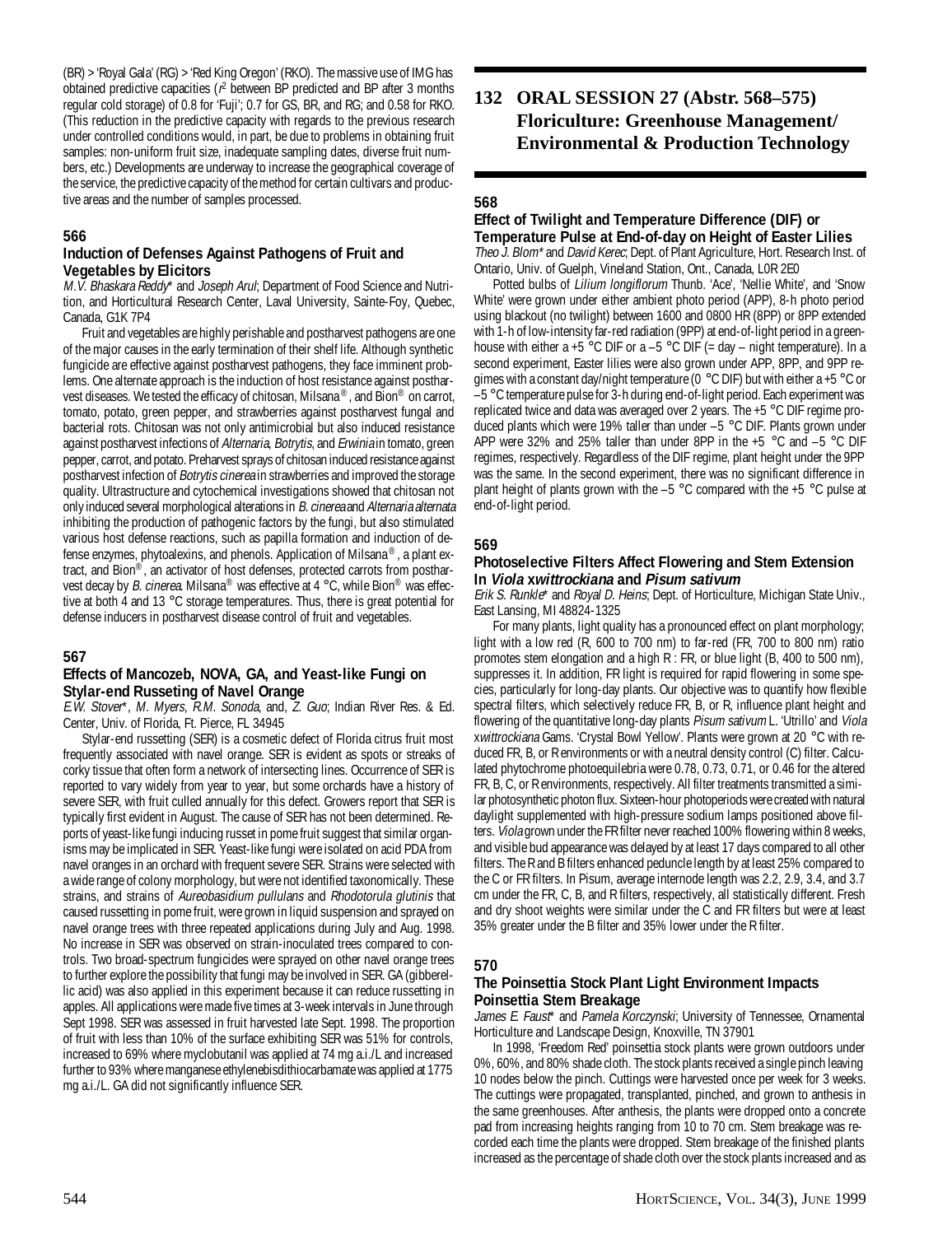(BR) > 'Royal Gala' (RG) > 'Red King Oregon' (RKO). The massive use of IMG has obtained predictive capacities ( $r^2$  between BP predicted and BP after 3 months regular cold storage) of 0.8 for 'Fuji'; 0.7 for GS, BR, and RG; and 0.58 for RKO. (This reduction in the predictive capacity with regards to the previous research under controlled conditions would, in part, be due to problems in obtaining fruit samples: non-uniform fruit size, inadequate sampling dates, diverse fruit numbers, etc.) Developments are underway to increase the geographical coverage of the service, the predictive capacity of the method for certain cultivars and productive areas and the number of samples processed.

## **566**

#### **Induction of Defenses Against Pathogens of Fruit and Vegetables by Elicitors**

M.V. Bhaskara Reddy\* and Joseph Arul; Department of Food Science and Nutrition, and Horticultural Research Center, Laval University, Sainte-Foy, Quebec, Canada, G1K 7P4

Fruit and vegetables are highly perishable and postharvest pathogens are one of the major causes in the early termination of their shelf life. Although synthetic fungicide are effective against postharvest pathogens, they face imminent problems. One alternate approach is the induction of host resistance against postharvest diseases. We tested the efficacy of chitosan, Milsana ®, and Bion® on carrot, tomato, potato, green pepper, and strawberries against postharvest fungal and bacterial rots. Chitosan was not only antimicrobial but also induced resistance against postharvest infections of Alternaria, Botrytis, and Erwinia in tomato, green pepper, carrot, and potato. Preharvest sprays of chitosan induced resistance against postharvest infection of Botrytis cinerea in strawberries and improved the storage quality. Ultrastructure and cytochemical investigations showed that chitosan not only induced several morphological alterations in B. cinerea and Alternaria alternata inhibiting the production of pathogenic factors by the fungi, but also stimulated various host defense reactions, such as papilla formation and induction of defense enzymes, phytoalexins, and phenols. Application of Milsana ®, a plant extract, and Bion®, an activator of host defenses, protected carrots from postharvest decay by B. cinerea. Milsana<sup>®</sup> was effective at 4 °C, while Bion<sup>®</sup> was effective at both 4 and 13 °C storage temperatures. Thus, there is great potential for defense inducers in postharvest disease control of fruit and vegetables.

## **567**

#### **Effects of Mancozeb, NOVA, GA, and Yeast-like Fungi on Stylar-end Russeting of Navel Orange**

E.W. Stover\*, M. Myers, R.M. Sonoda, and, Z. Guo; Indian River Res. & Ed. Center, Univ. of Florida, Ft. Pierce, FL 34945

Stylar-end russetting (SER) is a cosmetic defect of Florida citrus fruit most frequently associated with navel orange. SER is evident as spots or streaks of corky tissue that often form a network of intersecting lines. Occurrence of SER is reported to vary widely from year to year, but some orchards have a history of severe SER, with fruit culled annually for this defect. Growers report that SER is typically first evident in August. The cause of SER has not been determined. Reports of yeast-like fungi inducing russet in pome fruit suggest that similar organisms may be implicated in SER. Yeast-like fungi were isolated on acid PDA from navel oranges in an orchard with frequent severe SER. Strains were selected with a wide range of colony morphology, but were not identified taxonomically. These strains, and strains of Aureobasidium pullulans and Rhodotorula glutinis that caused russetting in pome fruit, were grown in liquid suspension and sprayed on navel orange trees with three repeated applications during July and Aug. 1998. No increase in SER was observed on strain-inoculated trees compared to controls. Two broad-spectrum fungicides were sprayed on other navel orange trees to further explore the possibility that fungi may be involved in SER. GA (gibberellic acid) was also applied in this experiment because it can reduce russetting in apples. All applications were made five times at 3-week intervals in June through Sept 1998. SER was assessed in fruit harvested late Sept. 1998. The proportion of fruit with less than 10% of the surface exhibiting SER was 51% for controls, increased to 69% where myclobutanil was applied at 74 mg a.i./L and increased further to 93% where manganese ethylenebisdithiocarbamate was applied at 1775 mg a.i./L. GA did not significantly influence SER.

## **132 ORAL SESSION 27 (Abstr. 568–575) Floriculture: Greenhouse Management/ Environmental & Production Technology**

### **568**

#### **Effect of Twilight and Temperature Difference (DIF) or Temperature Pulse at End-of-day on Height of Easter Lilies**

Theo J. Blom\* and David Kerec; Dept. of Plant Agriculture, Hort. Research Inst. of Ontario, Univ. of Guelph, Vineland Station, Ont., Canada, L0R 2E0

Potted bulbs of Lilium longiflorum Thunb. 'Ace', 'Nellie White', and 'Snow White' were grown under either ambient photo period (APP), 8-h photo period using blackout (no twilight) between 1600 and 0800 HR (8PP) or 8PP extended with 1-h of low-intensity far-red radiation (9PP) at end-of-light period in a greenhouse with either a +5  $\degree$ C DIF or a -5  $\degree$ C DIF (= day – night temperature). In a second experiment, Easter lilies were also grown under APP, 8PP, and 9PP regimes with a constant day/night temperature (0 °C DIF) but with either a +5 °C or  $-5$  °C temperature pulse for 3-h during end-of-light period. Each experiment was replicated twice and data was averaged over 2 years. The +5 °C DIF regime produced plants which were 19% taller than under –5 °C DIF. Plants grown under APP were 32% and 25% taller than under 8PP in the +5 °C and –5 °C DIF regimes, respectively. Regardless of the DIF regime, plant height under the 9PP was the same. In the second experiment, there was no significant difference in plant height of plants grown with the  $-5$  °C compared with the  $+5$  °C pulse at end-of-light period.

#### **569**

#### **Photoselective Filters Affect Flowering and Stem Extension In Viola xwittrockiana and Pisum sativum**

Erik S. Runkle\* and Royal D. Heins; Dept. of Horticulture, Michigan State Univ., East Lansing, MI 48824-1325

For many plants, light quality has a pronounced effect on plant morphology; light with a low red (R, 600 to 700 nm) to far-red (FR, 700 to 800 nm) ratio promotes stem elongation and a high R : FR, or blue light (B, 400 to 500 nm), suppresses it. In addition, FR light is required for rapid flowering in some species, particularly for long-day plants. Our objective was to quantify how flexible spectral filters, which selectively reduce FR, B, or R, influence plant height and flowering of the quantitative long-day plants Pisum sativum L. 'Utrillo' and Viola xwittrockiana Gams. 'Crystal Bowl Yellow'. Plants were grown at 20 °C with reduced FR, B, or R environments or with a neutral density control (C) filter. Calculated phytochrome photoequilebria were 0.78, 0.73, 0.71, or 0.46 for the altered FR, B, C, or R environments, respectively. All filter treatments transmitted a similar photosynthetic photon flux. Sixteen-hour photoperiods were created with natural daylight supplemented with high-pressure sodium lamps positioned above filters. Viola grown under the FR filter never reached 100% flowering within 8 weeks, and visible bud appearance was delayed by at least 17 days compared to all other filters. The R and B filters enhanced peduncle length by at least 25% compared to the C or FR filters. In Pisum, average internode length was 2.2, 2.9, 3.4, and 3.7 cm under the FR, C, B, and R filters, respectively, all statistically different. Fresh and dry shoot weights were similar under the C and FR filters but were at least 35% greater under the B filter and 35% lower under the R filter.

#### **570**

#### **The Poinsettia Stock Plant Light Environment Impacts Poinsettia Stem Breakage**

James E. Faust<sup>\*</sup> and Pamela Korczynski; University of Tennessee, Ornamental Horticulture and Landscape Design, Knoxville, TN 37901

In 1998, 'Freedom Red' poinsettia stock plants were grown outdoors under 0%, 60%, and 80% shade cloth. The stock plants received a single pinch leaving 10 nodes below the pinch. Cuttings were harvested once per week for 3 weeks. The cuttings were propagated, transplanted, pinched, and grown to anthesis in the same greenhouses. After anthesis, the plants were dropped onto a concrete pad from increasing heights ranging from 10 to 70 cm. Stem breakage was recorded each time the plants were dropped. Stem breakage of the finished plants increased as the percentage of shade cloth over the stock plants increased and as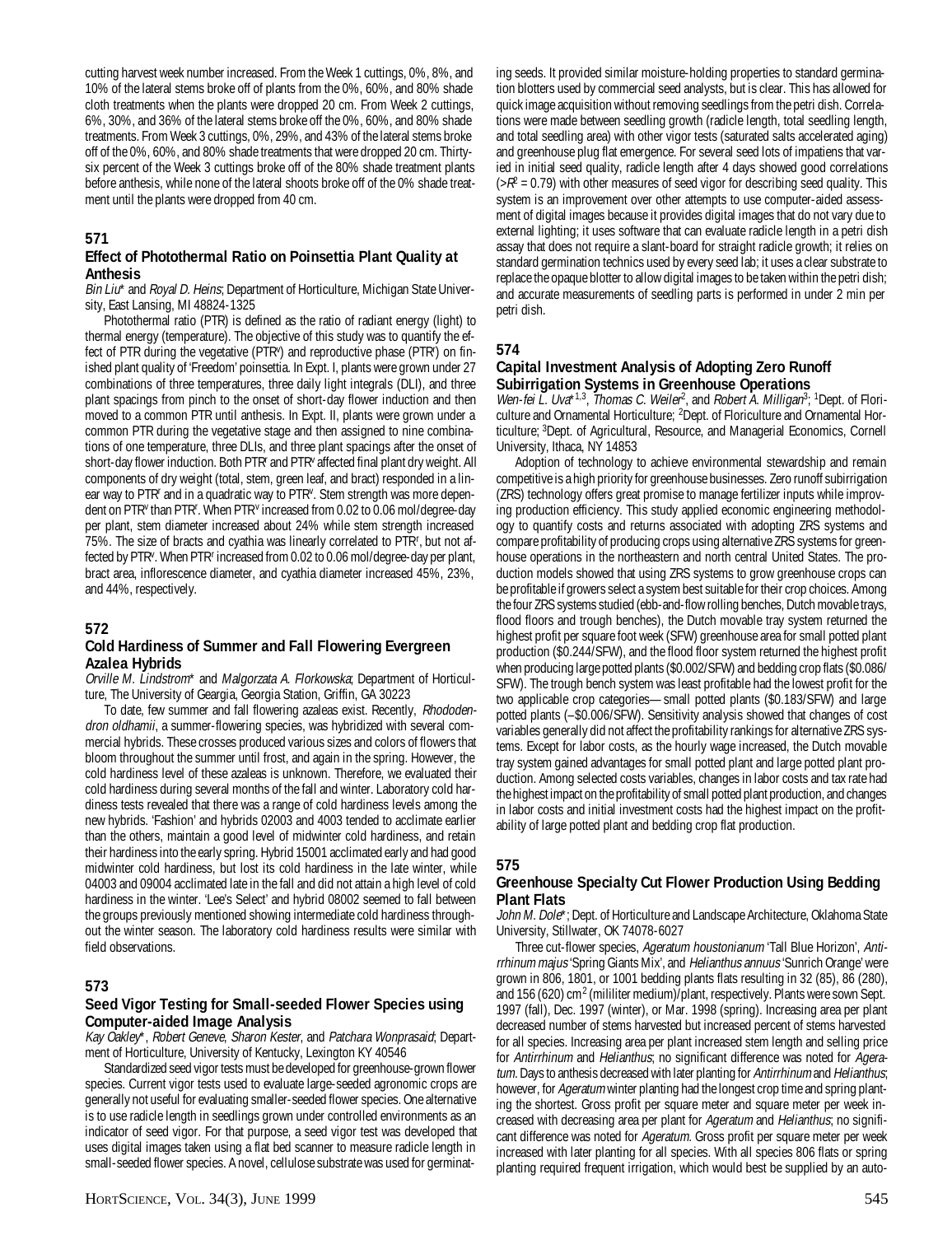cutting harvest week number increased. From the Week 1 cuttings, 0%, 8%, and 10% of the lateral stems broke off of plants from the 0%, 60%, and 80% shade cloth treatments when the plants were dropped 20 cm. From Week 2 cuttings, 6%, 30%, and 36% of the lateral stems broke off the 0%, 60%, and 80% shade treatments. From Week 3 cuttings, 0%, 29%, and 43% of the lateral stems broke off of the 0%, 60%, and 80% shade treatments that were dropped 20 cm. Thirtysix percent of the Week 3 cuttings broke off of the 80% shade treatment plants before anthesis, while none of the lateral shoots broke off of the 0% shade treatment until the plants were dropped from 40 cm.

## **571**

#### **Effect of Photothermal Ratio on Poinsettia Plant Quality at Anthesis**

Bin Liu\* and Royal D. Heins; Department of Horticulture, Michigan State University, East Lansing, MI 48824-1325

Photothermal ratio (PTR) is defined as the ratio of radiant energy (light) to thermal energy (temperature). The objective of this study was to quantify the effect of PTR during the vegetative (PTR<sup>v</sup>) and reproductive phase (PTR<sup>r</sup>) on finished plant quality of 'Freedom' poinsettia. In Expt. I, plants were grown under 27 combinations of three temperatures, three daily light integrals (DLI), and three plant spacings from pinch to the onset of short-day flower induction and then moved to a common PTR until anthesis. In Expt. II, plants were grown under a common PTR during the vegetative stage and then assigned to nine combinations of one temperature, three DLIs, and three plant spacings after the onset of short-day flower induction. Both PTR<sup>r</sup> and PTR<sup>v</sup> affected final plant dry weight. All components of dry weight (total, stem, green leaf, and bract) responded in a linear way to PTR<sup>r</sup> and in a quadratic way to PTR<sup>v</sup>. Stem strength was more dependent on PTR<sup>v</sup> than PTR<sup>r</sup>. When PTR<sup>v</sup> increased from 0.02 to 0.06 mol/degree-day per plant, stem diameter increased about 24% while stem strength increased 75%. The size of bracts and cyathia was linearly correlated to PTRr , but not affected by PTR<sup>v</sup>. When PTR<sup>r</sup> increased from 0.02 to 0.06 mol/degree-day per plant, bract area, inflorescence diameter, and cyathia diameter increased 45%, 23%, and 44%, respectively.

## **572**

#### **Cold Hardiness of Summer and Fall Flowering Evergreen Azalea Hybrids**

Orville M. Lindstrom\* and Malgorzata A. Florkowska; Department of Horticulture, The University of Geargia, Georgia Station, Griffin, GA 30223

To date, few summer and fall flowering azaleas exist. Recently, Rhododendron oldhamii, a summer-flowering species, was hybridized with several commercial hybrids. These crosses produced various sizes and colors of flowers that bloom throughout the summer until frost, and again in the spring. However, the cold hardiness level of these azaleas is unknown. Therefore, we evaluated their cold hardiness during several months of the fall and winter. Laboratory cold hardiness tests revealed that there was a range of cold hardiness levels among the new hybrids. 'Fashion' and hybrids 02003 and 4003 tended to acclimate earlier than the others, maintain a good level of midwinter cold hardiness, and retain their hardiness into the early spring. Hybrid 15001 acclimated early and had good midwinter cold hardiness, but lost its cold hardiness in the late winter, while 04003 and 09004 acclimated late in the fall and did not attain a high level of cold hardiness in the winter. 'Lee's Select' and hybrid 08002 seemed to fall between the groups previously mentioned showing intermediate cold hardiness throughout the winter season. The laboratory cold hardiness results were similar with field observations.

#### **573**

## **Seed Vigor Testing for Small-seeded Flower Species using Computer-aided Image Analysis**

Kay Oakley\*, Robert Geneve, Sharon Kester, and Patchara Wonprasaid; Department of Horticulture, University of Kentucky, Lexington KY 40546

Standardized seed vigor tests must be developed for greenhouse-grown flower species. Current vigor tests used to evaluate large-seeded agronomic crops are generally not useful for evaluating smaller-seeded flower species. One alternative is to use radicle length in seedlings grown under controlled environments as an indicator of seed vigor. For that purpose, a seed vigor test was developed that uses digital images taken using a flat bed scanner to measure radicle length in small-seeded flower species. A novel, cellulose substrate was used for germinat-

ing seeds. It provided similar moisture-holding properties to standard germination blotters used by commercial seed analysts, but is clear. This has allowed for quick image acquisition without removing seedlings from the petri dish. Correlations were made between seedling growth (radicle length, total seedling length, and total seedling area) with other vigor tests (saturated salts accelerated aging) and greenhouse plug flat emergence. For several seed lots of impatiens that varied in initial seed quality, radicle length after 4 days showed good correlations  $($ > $R$ <sup>2</sup> = 0.79) with other measures of seed vigor for describing seed quality. This system is an improvement over other attempts to use computer-aided assessment of digital images because it provides digital images that do not vary due to external lighting; it uses software that can evaluate radicle length in a petri dish assay that does not require a slant-board for straight radicle growth; it relies on standard germination technics used by every seed lab; it uses a clear substrate to replace the opaque blotter to allow digital images to be taken within the petri dish; and accurate measurements of seedling parts is performed in under 2 min per petri dish.

## **574**

## **Capital Investment Analysis of Adopting Zero Runoff Subirrigation Systems in Greenhouse Operations**

Wen-fei L. Uva<sup>\*1,3</sup>, Thomas C. Weiler<sup>2</sup>, and Robert A. Milligan<sup>3</sup>; <sup>1</sup>Dept. of Floriculture and Ornamental Horticulture; <sup>2</sup>Dept. of Floriculture and Ornamental Horticulture; 3Dept. of Agricultural, Resource, and Managerial Economics, Cornell University, Ithaca, NY 14853

Adoption of technology to achieve environmental stewardship and remain competitive is a high priority for greenhouse businesses. Zero runoff subirrigation (ZRS) technology offers great promise to manage fertilizer inputs while improving production efficiency. This study applied economic engineering methodology to quantify costs and returns associated with adopting ZRS systems and compare profitability of producing crops using alternative ZRS systems for greenhouse operations in the northeastern and north central United States. The production models showed that using ZRS systems to grow greenhouse crops can be profitable if growers select a system best suitable for their crop choices. Among the four ZRS systems studied (ebb-and-flow rolling benches, Dutch movable trays, flood floors and trough benches), the Dutch movable tray system returned the highest profit per square foot week (SFW) greenhouse area for small potted plant production (\$0.244/SFW), and the flood floor system returned the highest profit when producing large potted plants (\$0.002/SFW) and bedding crop flats (\$0.086/ SFW). The trough bench system was least profitable had the lowest profit for the two applicable crop categories—small potted plants (\$0.183/SFW) and large potted plants (–\$0.006/SFW). Sensitivity analysis showed that changes of cost variables generally did not affect the profitability rankings for alternative ZRS systems. Except for labor costs, as the hourly wage increased, the Dutch movable tray system gained advantages for small potted plant and large potted plant production. Among selected costs variables, changes in labor costs and tax rate had the highest impact on the profitability of small potted plant production, and changes in labor costs and initial investment costs had the highest impact on the profitability of large potted plant and bedding crop flat production.

## **575**

## **Greenhouse Specialty Cut Flower Production Using Bedding Plant Flats**

John M. Dole\*; Dept. of Horticulture and Landscape Architecture, Oklahoma State University, Stillwater, OK 74078-6027

Three cut-flower species, Ageratum houstonianum 'Tall Blue Horizon', Antirrhinum majus 'Spring Giants Mix', and Helianthus annuus 'Sunrich Orange' were grown in 806, 1801, or 1001 bedding plants flats resulting in 32 (85), 86 (280), and 156 (620) cm<sup>2</sup> (mililiter medium)/plant, respectively. Plants were sown Sept. 1997 (fall), Dec. 1997 (winter), or Mar. 1998 (spring). Increasing area per plant decreased number of stems harvested but increased percent of stems harvested for all species. Increasing area per plant increased stem length and selling price for Antirrhinum and Helianthus; no significant difference was noted for Ageratum. Days to anthesis decreased with later planting for Antirrhinum and Helianthus; however, for *Ageratum* winter planting had the longest crop time and spring planting the shortest. Gross profit per square meter and square meter per week increased with decreasing area per plant for Ageratum and Helianthus; no significant difference was noted for Ageratum. Gross profit per square meter per week increased with later planting for all species. With all species 806 flats or spring planting required frequent irrigation, which would best be supplied by an auto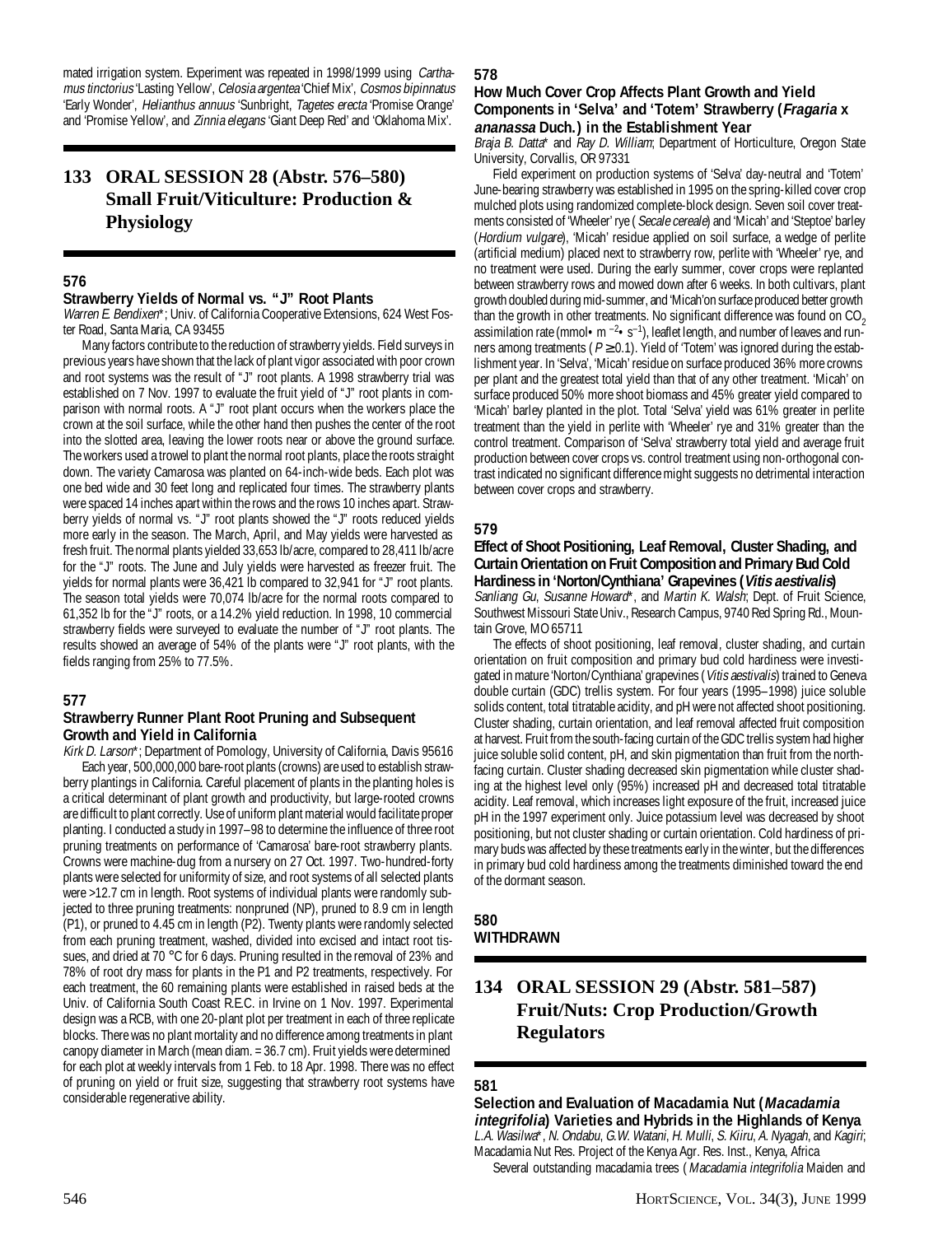mated irrigation system. Experiment was repeated in 1998/1999 using Carthamus tinctorius 'Lasting Yellow', Celosia argentea 'Chief Mix', Cosmos bipinnatus 'Early Wonder', Helianthus annuus 'Sunbright, Tagetes erecta 'Promise Orange' and 'Promise Yellow', and Zinnia elegans 'Giant Deep Red' and 'Oklahoma Mix'.

## **133 ORAL SESSION 28 (Abstr. 576–580) Small Fruit/Viticulture: Production & Physiology**

## **576**

## **Strawberry Yields of Normal vs. "J" Root Plants**

Warren E. Bendixen\*; Univ. of California Cooperative Extensions, 624 West Foster Road, Santa Maria, CA 93455

Many factors contribute to the reduction of strawberry yields. Field surveys in previous years have shown that the lack of plant vigor associated with poor crown and root systems was the result of "J" root plants. A 1998 strawberry trial was established on 7 Nov. 1997 to evaluate the fruit yield of "J" root plants in comparison with normal roots. A "J" root plant occurs when the workers place the crown at the soil surface, while the other hand then pushes the center of the root into the slotted area, leaving the lower roots near or above the ground surface. The workers used a trowel to plant the normal root plants, place the roots straight down. The variety Camarosa was planted on 64-inch-wide beds. Each plot was one bed wide and 30 feet long and replicated four times. The strawberry plants were spaced 14 inches apart within the rows and the rows 10 inches apart. Strawberry yields of normal vs. "J" root plants showed the "J" roots reduced yields more early in the season. The March, April, and May yields were harvested as fresh fruit. The normal plants yielded 33,653 lb/acre, compared to 28,411 lb/acre for the "J" roots. The June and July yields were harvested as freezer fruit. The yields for normal plants were 36,421 lb compared to 32,941 for "J" root plants. The season total yields were 70,074 lb/acre for the normal roots compared to 61,352 lb for the "J" roots, or a 14.2% yield reduction. In 1998, 10 commercial strawberry fields were surveyed to evaluate the number of "J" root plants. The results showed an average of 54% of the plants were "J" root plants, with the fields ranging from 25% to 77.5%.

## **577**

#### **Strawberry Runner Plant Root Pruning and Subsequent Growth and Yield in California**

Kirk D. Larson\*; Department of Pomology, University of California, Davis 95616 Each year, 500,000,000 bare-root plants (crowns) are used to establish strawberry plantings in California. Careful placement of plants in the planting holes is a critical determinant of plant growth and productivity, but large-rooted crowns are difficult to plant correctly. Use of uniform plant material would facilitate proper planting. I conducted a study in 1997–98 to determine the influence of three root pruning treatments on performance of 'Camarosa' bare-root strawberry plants. Crowns were machine-dug from a nursery on 27 Oct. 1997. Two-hundred-forty plants were selected for uniformity of size, and root systems of all selected plants were >12.7 cm in length. Root systems of individual plants were randomly subjected to three pruning treatments: nonpruned (NP), pruned to 8.9 cm in length (P1), or pruned to 4.45 cm in length (P2). Twenty plants were randomly selected from each pruning treatment, washed, divided into excised and intact root tissues, and dried at 70 °C for 6 days. Pruning resulted in the removal of 23% and 78% of root dry mass for plants in the P1 and P2 treatments, respectively. For each treatment, the 60 remaining plants were established in raised beds at the Univ. of California South Coast R.E.C. in Irvine on 1 Nov. 1997. Experimental design was a RCB, with one 20-plant plot per treatment in each of three replicate blocks. There was no plant mortality and no difference among treatments in plant canopy diameter in March (mean diam. = 36.7 cm). Fruit yields were determined for each plot at weekly intervals from 1 Feb. to 18 Apr. 1998. There was no effect of pruning on yield or fruit size, suggesting that strawberry root systems have considerable regenerative ability.

#### **578**

#### **How Much Cover Crop Affects Plant Growth and Yield Components in 'Selva' and 'Totem' Strawberry (Fragaria x ananassa Duch.) in the Establishment Year**

Braja B. Datta\* and Ray D. William; Department of Horticulture, Oregon State University, Corvallis, OR 97331

Field experiment on production systems of 'Selva' day-neutral and 'Totem' June-bearing strawberry was established in 1995 on the spring-killed cover crop mulched plots using randomized complete-block design. Seven soil cover treatments consisted of 'Wheeler' rye ( Secale cereale) and 'Micah' and 'Steptoe' barley (Hordium vulgare), 'Micah' residue applied on soil surface, a wedge of perlite (artificial medium) placed next to strawberry row, perlite with 'Wheeler' rye, and no treatment were used. During the early summer, cover crops were replanted between strawberry rows and mowed down after 6 weeks. In both cultivars, plant growth doubled during mid-summer, and 'Micah'on surface produced better growth than the growth in other treatments. No significant difference was found on  $CO<sub>2</sub>$ assimilation rate (mmol • m  $^{-2}$  • s<sup>-1</sup>), leaflet length, and number of leaves and runners among treatments ( $P \ge 0.1$ ). Yield of 'Totem' was ignored during the establishment year. In 'Selva', 'Micah' residue on surface produced 36% more crowns per plant and the greatest total yield than that of any other treatment. 'Micah' on surface produced 50% more shoot biomass and 45% greater yield compared to 'Micah' barley planted in the plot. Total 'Selva' yield was 61% greater in perlite treatment than the yield in perlite with 'Wheeler' rye and 31% greater than the control treatment. Comparison of 'Selva' strawberry total yield and average fruit production between cover crops vs. control treatment using non-orthogonal contrast indicated no significant difference might suggests no detrimental interaction between cover crops and strawberry.

## **579**

#### **Effect of Shoot Positioning, Leaf Removal, Cluster Shading, and Curtain Orientation on Fruit Composition and Primary Bud Cold Hardiness in 'Norton/Cynthiana' Grapevines (Vitis aestivalis)**

Sanliang Gu, Susanne Howard\*, and Martin K. Walsh; Dept. of Fruit Science, Southwest Missouri State Univ., Research Campus, 9740 Red Spring Rd., Mountain Grove, MO 65711

The effects of shoot positioning, leaf removal, cluster shading, and curtain orientation on fruit composition and primary bud cold hardiness were investigated in mature 'Norton/Cynthiana' grapevines (Vitis aestivalis) trained to Geneva double curtain (GDC) trellis system. For four years (1995–1998) juice soluble solids content, total titratable acidity, and pH were not affected shoot positioning. Cluster shading, curtain orientation, and leaf removal affected fruit composition at harvest. Fruit from the south-facing curtain of the GDC trellis system had higher juice soluble solid content, pH, and skin pigmentation than fruit from the northfacing curtain. Cluster shading decreased skin pigmentation while cluster shading at the highest level only (95%) increased pH and decreased total titratable acidity. Leaf removal, which increases light exposure of the fruit, increased juice pH in the 1997 experiment only. Juice potassium level was decreased by shoot positioning, but not cluster shading or curtain orientation. Cold hardiness of primary buds was affected by these treatments early in the winter, but the differences in primary bud cold hardiness among the treatments diminished toward the end of the dormant season.

#### **580 WITHDRAWN**

## **134 ORAL SESSION 29 (Abstr. 581–587) Fruit/Nuts: Crop Production/Growth Regulators**

## **581**

**Selection and Evaluation of Macadamia Nut (Macadamia integrifolia) Varieties and Hybrids in the Highlands of Kenya** L.A. Wasilwa\*, N. Ondabu, G.W. Watani, H. Mulli, S. Kiiru, A. Nyagah, and Kagiri; Macadamia Nut Res. Project of the Kenya Agr. Res. Inst., Kenya, Africa

Several outstanding macadamia trees (Macadamia integrifolia Maiden and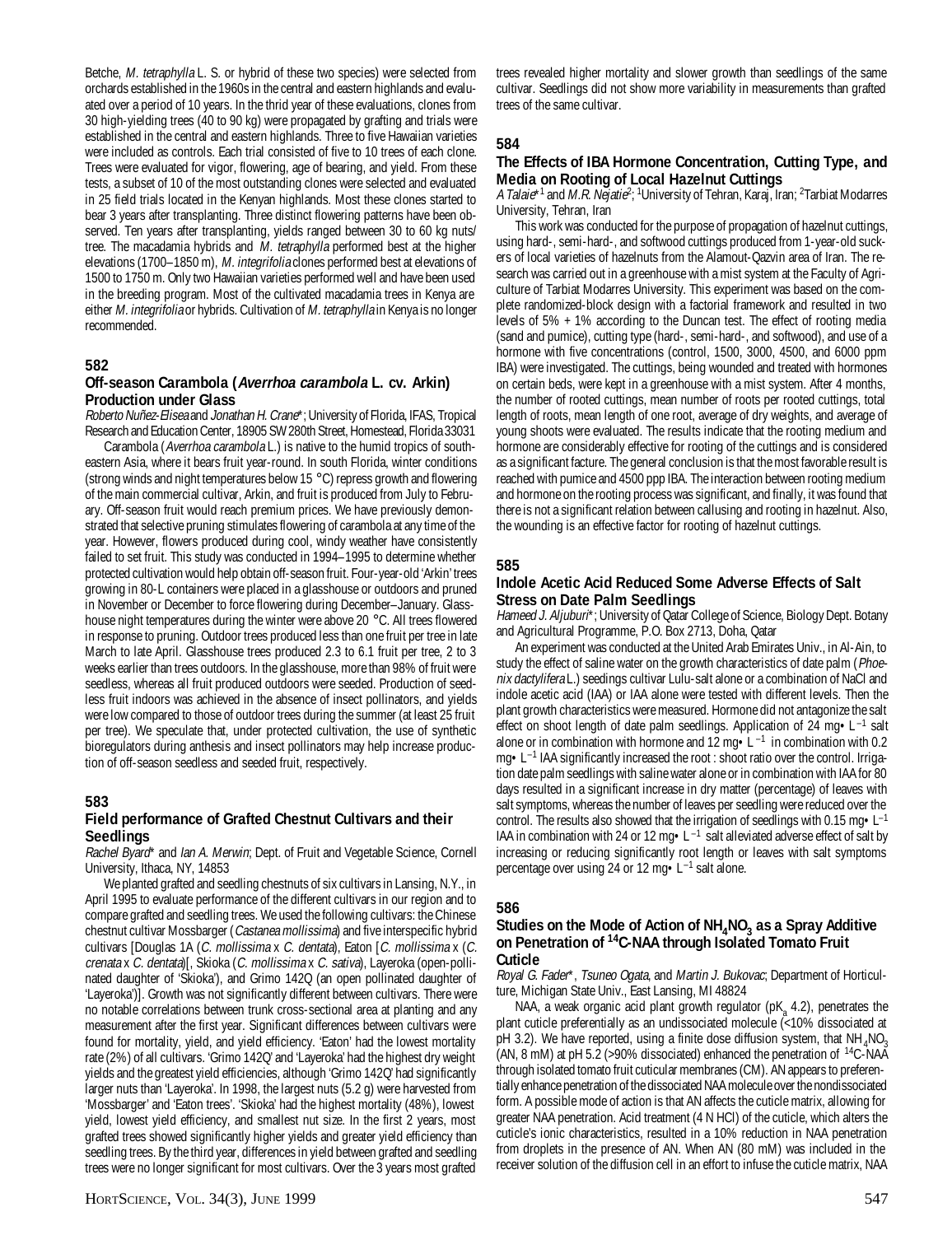Betche, M. tetraphylla L. S. or hybrid of these two species) were selected from orchards established in the 1960s in the central and eastern highlands and evaluated over a period of 10 years. In the thrid year of these evaluations, clones from 30 high-yielding trees (40 to 90 kg) were propagated by grafting and trials were established in the central and eastern highlands. Three to five Hawaiian varieties were included as controls. Each trial consisted of five to 10 trees of each clone. Trees were evaluated for vigor, flowering, age of bearing, and yield. From these tests, a subset of 10 of the most outstanding clones were selected and evaluated in 25 field trials located in the Kenyan highlands. Most these clones started to bear 3 years after transplanting. Three distinct flowering patterns have been observed. Ten years after transplanting, yields ranged between 30 to 60 kg nuts/ tree. The macadamia hybrids and M. tetraphylla performed best at the higher elevations (1700–1850 m), M. integrifolia clones performed best at elevations of 1500 to 1750 m. Only two Hawaiian varieties performed well and have been used in the breeding program. Most of the cultivated macadamia trees in Kenya are either M. integrifolia or hybrids. Cultivation of M. tetraphylla in Kenya is no longer recommended.

#### **582**

#### **Off-season Carambola (Averrhoa carambola L. cv. Arkin) Production under Glass**

Roberto Nuñez-Elisea and Jonathan H. Crane\*; University of Florida, IFAS, Tropical Research and Education Center, 18905 SW 280th Street, Homestead, Florida 33031

Carambola (Averrhoa carambola L.) is native to the humid tropics of southeastern Asia, where it bears fruit year-round. In south Florida, winter conditions (strong winds and night temperatures below 15 °C) repress growth and flowering of the main commercial cultivar, Arkin, and fruit is produced from July to February. Off-season fruit would reach premium prices. We have previously demonstrated that selective pruning stimulates flowering of carambola at any time of the year. However, flowers produced during cool, windy weather have consistently failed to set fruit. This study was conducted in 1994–1995 to determine whether protected cultivation would help obtain off-season fruit. Four-year-old 'Arkin' trees growing in 80-L containers were placed in a glasshouse or outdoors and pruned in November or December to force flowering during December–January. Glasshouse night temperatures during the winter were above 20 °C. All trees flowered in response to pruning. Outdoor trees produced less than one fruit per tree in late March to late April. Glasshouse trees produced 2.3 to 6.1 fruit per tree, 2 to 3 weeks earlier than trees outdoors. In the glasshouse, more than 98% of fruit were seedless, whereas all fruit produced outdoors were seeded. Production of seedless fruit indoors was achieved in the absence of insect pollinators, and yields were low compared to those of outdoor trees during the summer (at least 25 fruit per tree). We speculate that, under protected cultivation, the use of synthetic bioregulators during anthesis and insect pollinators may help increase production of off-season seedless and seeded fruit, respectively.

#### **583**

#### **Field performance of Grafted Chestnut Cultivars and their Seedlings**

Rachel Byard\* and Ian A. Merwin; Dept. of Fruit and Vegetable Science, Cornell University, Ithaca, NY, 14853

We planted grafted and seedling chestnuts of six cultivars in Lansing, N.Y., in April 1995 to evaluate performance of the different cultivars in our region and to compare grafted and seedling trees. We used the following cultivars: the Chinese chestnut cultivar Mossbarger (Castanea mollissima) and five interspecific hybrid cultivars [Douglas 1A (C. mollissima x C. dentata), Eaton [C. mollissima x (C. crenata x C. dentata)[, Skioka (C. mollissima x C. sativa), Layeroka (open-pollinated daughter of 'Skioka'), and Grimo 142Q (an open pollinated daughter of 'Layeroka')]. Growth was not significantly different between cultivars. There were no notable correlations between trunk cross-sectional area at planting and any measurement after the first year. Significant differences between cultivars were found for mortality, yield, and yield efficiency. 'Eaton' had the lowest mortality rate (2%) of all cultivars. 'Grimo 142Q' and 'Layeroka' had the highest dry weight yields and the greatest yield efficiencies, although 'Grimo 142Q' had significantly larger nuts than 'Layeroka'. In 1998, the largest nuts (5.2 g) were harvested from 'Mossbarger' and 'Eaton trees'. 'Skioka' had the highest mortality (48%), lowest yield, lowest yield efficiency, and smallest nut size. In the first 2 years, most grafted trees showed significantly higher yields and greater yield efficiency than seedling trees. By the third year, differences in yield between grafted and seedling trees were no longer significant for most cultivars. Over the 3 years most grafted

trees revealed higher mortality and slower growth than seedlings of the same cultivar. Seedlings did not show more variability in measurements than grafted trees of the same cultivar.

#### **584**

## **The Effects of IBA Hormone Concentration, Cutting Type, and Media on Rooting of Local Hazelnut Cuttings**

A *Talaie*\*1 and *M.R. Nejatie<sup>2</sup>;* <sup>1</sup>University of Tehran, Karaj, Iran; <sup>2</sup>Tarbiat Modarres University, Tehran, Iran

This work was conducted for the purpose of propagation of hazelnut cuttings, using hard-, semi-hard-, and softwood cuttings produced from 1-year-old suckers of local varieties of hazelnuts from the Alamout-Qazvin area of Iran. The research was carried out in a greenhouse with a mist system at the Faculty of Agriculture of Tarbiat Modarres University. This experiment was based on the complete randomized-block design with a factorial framework and resulted in two levels of 5% + 1% according to the Duncan test. The effect of rooting media (sand and pumice), cutting type (hard-, semi-hard-, and softwood), and use of a hormone with five concentrations (control, 1500, 3000, 4500, and 6000 ppm IBA) were investigated. The cuttings, being wounded and treated with hormones on certain beds, were kept in a greenhouse with a mist system. After 4 months, the number of rooted cuttings, mean number of roots per rooted cuttings, total length of roots, mean length of one root, average of dry weights, and average of young shoots were evaluated. The results indicate that the rooting medium and hormone are considerably effective for rooting of the cuttings and is considered as a significant facture. The general conclusion is that the most favorable result is reached with pumice and 4500 ppp IBA. The interaction between rooting medium and hormone on the rooting process was significant, and finally, it was found that there is not a significant relation between callusing and rooting in hazelnut. Also, the wounding is an effective factor for rooting of hazelnut cuttings.

#### **585**

#### **Indole Acetic Acid Reduced Some Adverse Effects of Salt Stress on Date Palm Seedlings**

Hameed J. Aljuburi\*; University of Qatar College of Science, Biology Dept. Botany and Agricultural Programme, P.O. Box 2713, Doha, Qatar

An experiment was conducted at the United Arab Emirates Univ., in Al-Ain, to study the effect of saline water on the growth characteristics of date palm (Phoenix dactylifera L.) seedings cultivar Lulu-salt alone or a combination of NaCl and indole acetic acid (IAA) or IAA alone were tested with different levels. Then the plant growth characteristics were measured. Hormone did not antagonize the salt effect on shoot length of date palm seedlings. Application of 24 mg $\cdot$ L<sup>-1</sup> salt alone or in combination with hormone and 12 mg $\cdot$  L<sup>-1</sup> in combination with 0.2 mg•L–1 IAA significantly increased the root : shoot ratio over the control. Irrigation date palm seedlings with saline water alone or in combination with IAA for 80 days resulted in a significant increase in dry matter (percentage) of leaves with salt symptoms, whereas the number of leaves per seedling were reduced over the control. The results also showed that the irrigation of seedlings with 0.15 mg $\cdot L^{-1}$ IAA in combination with 24 or 12 mg $\cdot L^{-1}$  salt alleviated adverse effect of salt by increasing or reducing significantly root length or leaves with salt symptoms percentage over using 24 or 12 mg $\cdot L^{-1}$  salt alone.

#### **586**

#### Studies on the Mode of Action of NH<sub>4</sub>NO<sub>3</sub> as a Spray Additive **on Penetration of 14C-NAA through Isolated Tomato Fruit Cuticle**

Royal G. Fader\*, Tsuneo Ogata, and Martin J. Bukovac; Department of Horticulture, Michigan State Univ., East Lansing, MI 48824

NAA, a weak organic acid plant growth regulator (pK<sub>a</sub> 4.2), penetrates the plant cuticle preferentially as an undissociated molecule (<10% dissociated at pH 3.2). We have reported, using a finite dose diffusion system, that  $NH<sub>4</sub>NO<sub>3</sub>$ (AN, 8 mM) at pH 5.2 (>90% dissociated) enhanced the penetration of  ${}^{14}C$ -NAA through isolated tomato fruit cuticular membranes (CM). AN appears to preferentially enhance penetration of the dissociated NAA molecule over the nondissociated form. A possible mode of action is that AN affects the cuticle matrix, allowing for greater NAA penetration. Acid treatment (4 N HCl) of the cuticle, which alters the cuticle's ionic characteristics, resulted in a 10% reduction in NAA penetration from droplets in the presence of AN. When AN (80 mM) was included in the receiver solution of the diffusion cell in an effort to infuse the cuticle matrix, NAA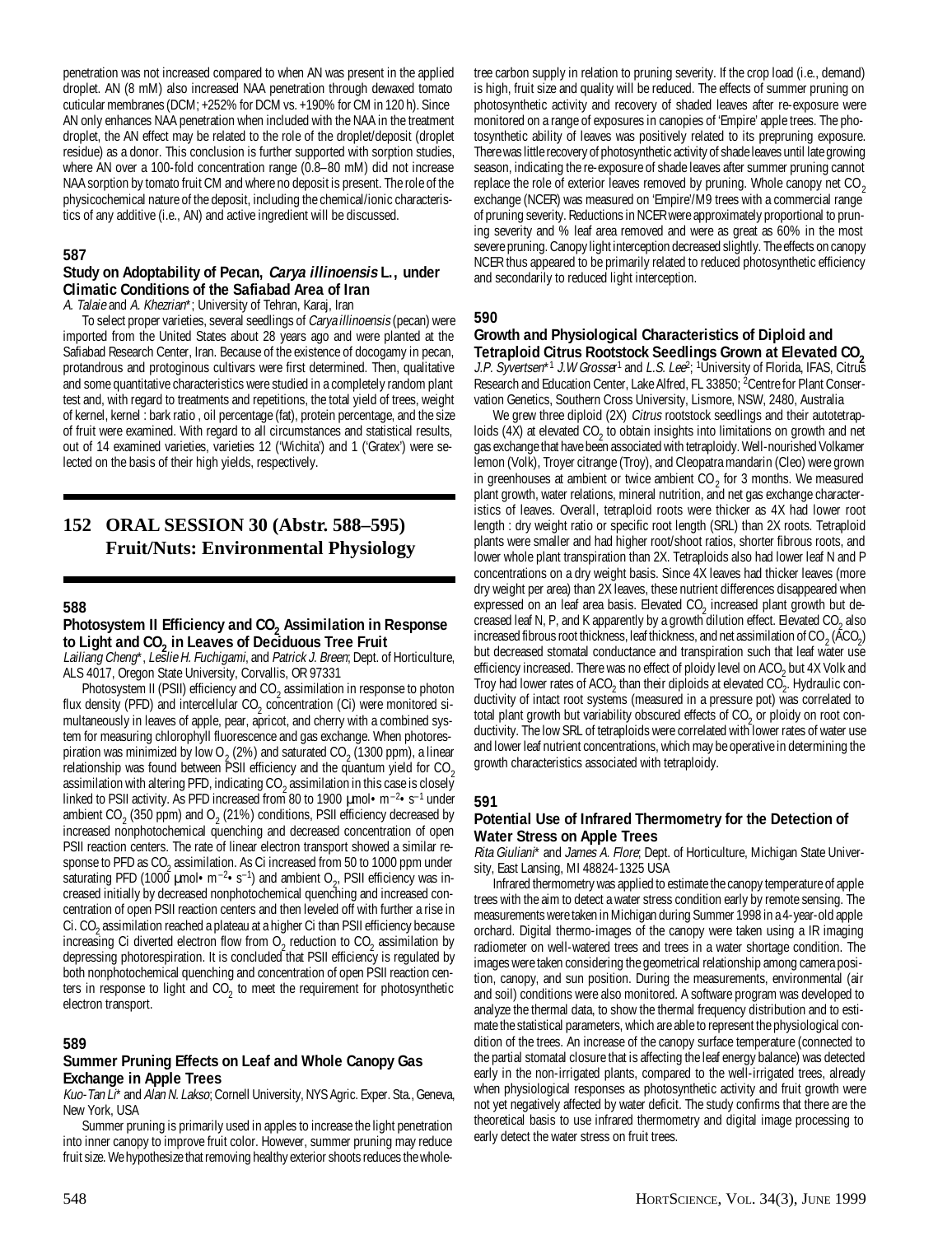penetration was not increased compared to when AN was present in the applied droplet. AN (8 mM) also increased NAA penetration through dewaxed tomato cuticular membranes (DCM; +252% for DCM vs. +190% for CM in 120 h). Since AN only enhances NAA penetration when included with the NAA in the treatment droplet, the AN effect may be related to the role of the droplet/deposit (droplet residue) as a donor. This conclusion is further supported with sorption studies, where AN over a 100-fold concentration range (0.8–80 mM) did not increase NAA sorption by tomato fruit CM and where no deposit is present. The role of the physicochemical nature of the deposit, including the chemical/ionic characteristics of any additive (i.e., AN) and active ingredient will be discussed.

#### **587**

#### **Study on Adoptability of Pecan, Carya illinoensis L., under Climatic Conditions of the Safiabad Area of Iran**

A. Talaie and A. Khezrian\*; University of Tehran, Karaj, Iran

To select proper varieties, several seedlings of Carya illinoensis (pecan) were imported from the United States about 28 years ago and were planted at the Safiabad Research Center, Iran. Because of the existence of docogamy in pecan, protandrous and protoginous cultivars were first determined. Then, qualitative and some quantitative characteristics were studied in a completely random plant test and, with regard to treatments and repetitions, the total yield of trees, weight of kernel, kernel : bark ratio , oil percentage (fat), protein percentage, and the size of fruit were examined. With regard to all circumstances and statistical results, out of 14 examined varieties, varieties 12 ('Wichita') and 1 ('Gratex') were selected on the basis of their high yields, respectively.

## **152 ORAL SESSION 30 (Abstr. 588–595) Fruit/Nuts: Environmental Physiology**

#### **588**

#### Photosystem II Efficiency and CO<sub>2</sub> Assimilation in Response to Light and CO<sub>2</sub> in Leaves of Deciduous Tree Fruit

Lailiang Cheng\*, Leslie H. Fuchigami, and Patrick J. Breen; Dept. of Horticulture, ALS 4017, Oregon State University, Corvallis, OR 97331

Photosystem II (PSII) efficiency and  $CO_2$  assimilation in response to photon flux density (PFD) and intercellular  $CO_2$  concentration (Ci) were monitored simultaneously in leaves of apple, pear, apricot, and cherry with a combined system for measuring chlorophyll fluorescence and gas exchange. When photorespiration was minimized by low O<sub>2</sub> (2%) and saturated CO<sub>2</sub> (1300 ppm), a linear relationship was found between PSII efficiency and the quantum yield for  $CO<sub>2</sub>$ assimilation with altering PFD, indicating  $CO_2$  assimilation in this case is closely linked to PSII activity. As PFD increased from 80 to 1900 µmol•m–2•s–1 under ambient CO<sub>2</sub> (350 ppm) and O<sub>2</sub> (21%) conditions, PSII efficiency decreased by increased nonphotochemical quenching and decreased concentration of open PSII reaction centers. The rate of linear electron transport showed a similar response to PFD as CO<sub>2</sub> assimilation. As Ci increased from 50 to 1000 ppm under saturating PFD (1000  $\mu$ mol • m<sup>-2</sup>•s<sup>-1</sup>) and ambient O<sub>2</sub>, PSII efficiency was increased initially by decreased nonphotochemical quenching and increased concentration of open PSII reaction centers and then leveled off with further a rise in Ci. CO<sub>2</sub> assimilation reached a plateau at a higher Ci than PSII efficiency because increasing Ci diverted electron flow from  $O_2$  reduction to  $CO_2$  assimilation by depressing photorespiration. It is concluded that PSII efficiency is regulated by both nonphotochemical quenching and concentration of open PSII reaction centers in response to light and  $\mathtt{CO}_2$  to meet the requirement for photosynthetic electron transport.

#### **589**

#### **Summer Pruning Effects on Leaf and Whole Canopy Gas Exchange in Apple Trees**

Kuo-Tan Li\* and Alan N. Lakso; Cornell University, NYS Agric. Exper. Sta., Geneva, New York, USA

Summer pruning is primarily used in apples to increase the light penetration into inner canopy to improve fruit color. However, summer pruning may reduce fruit size. We hypothesize that removing healthy exterior shoots reduces the wholetree carbon supply in relation to pruning severity. If the crop load (i.e., demand) is high, fruit size and quality will be reduced. The effects of summer pruning on photosynthetic activity and recovery of shaded leaves after re-exposure were monitored on a range of exposures in canopies of 'Empire' apple trees. The photosynthetic ability of leaves was positively related to its prepruning exposure. There was little recovery of photosynthetic activity of shade leaves until late growing season, indicating the re-exposure of shade leaves after summer pruning cannot replace the role of exterior leaves removed by pruning. Whole canopy net  $CO<sub>2</sub>$ exchange (NCER) was measured on 'Empire'/M9 trees with a commercial range of pruning severity. Reductions in NCER were approximately proportional to pruning severity and % leaf area removed and were as great as 60% in the most severe pruning. Canopy light interception decreased slightly. The effects on canopy NCER thus appeared to be primarily related to reduced photosynthetic efficiency and secondarily to reduced light interception.

#### **590**

# **Growth and Physiological Characteristics of Diploid and**

Tetraploid Citrus Rootstock Seedlings Grown at Elevated CO<sub>2</sub><br>J.P. Syvertsen\*<sup>1</sup> J.W Grosser<sup>1</sup> and *L.S. Lee*<sup>2</sup>; <sup>1</sup>University of Florida, IFAS, Citrus Research and Education Center, Lake Alfred, FL 33850; <sup>2</sup>Centre for Plant Conservation Genetics, Southern Cross University, Lismore, NSW, 2480, Australia

We grew three diploid (2X) Citrus rootstock seedlings and their autotetraploids (4X) at elevated  $CO_2$  to obtain insights into limitations on growth and net gas exchange that have been associated with tetraploidy. Well-nourished Volkamer lemon (Volk), Troyer citrange (Troy), and Cleopatra mandarin (Cleo) were grown in greenhouses at ambient or twice ambient  $CO_2$  for 3 months. We measured plant growth, water relations, mineral nutrition, and net gas exchange characteristics of leaves. Overall, tetraploid roots were thicker as 4X had lower root length : dry weight ratio or specific root length (SRL) than 2X roots. Tetraploid plants were smaller and had higher root/shoot ratios, shorter fibrous roots, and lower whole plant transpiration than 2X. Tetraploids also had lower leaf N and P concentrations on a dry weight basis. Since 4X leaves had thicker leaves (more dry weight per area) than 2X leaves, these nutrient differences disappeared when expressed on an leaf area basis. Elevated  $CO<sub>2</sub>$  increased plant growth but decreased leaf N, P, and K apparently by a growth dilution effect. Elevated CO<sub>2</sub> also increased fibrous root thickness, leaf thickness, and net assimilation of CO  $_2$  (ACO<sub>2</sub>) but decreased stomatal conductance and transpiration such that leaf water use efficiency increased. There was no effect of ploidy level on  $\mathsf{ACO}_2$  but 4X Volk and Troy had lower rates of ACO<sub>2</sub> than their diploids at elevated CO<sub>2</sub>. Hydraulic conductivity of intact root systems (measured in a pressure pot) was correlated to total plant growth but variability obscured effects of  $CO<sub>2</sub>$  or ploidy on root conductivity. The low SRL of tetraploids were correlated with lower rates of water use and lower leaf nutrient concentrations, which may be operative in determining the growth characteristics associated with tetraploidy.

#### **591**

## **Potential Use of Infrared Thermometry for the Detection of Water Stress on Apple Trees**

Rita Giuliani\* and James A. Flore; Dept. of Horticulture, Michigan State University, East Lansing, MI 48824-1325 USA

Infrared thermometry was applied to estimate the canopy temperature of apple trees with the aim to detect a water stress condition early by remote sensing. The measurements were taken in Michigan during Summer 1998 in a 4-year-old apple orchard. Digital thermo-images of the canopy were taken using a IR imaging radiometer on well-watered trees and trees in a water shortage condition. The images were taken considering the geometrical relationship among camera position, canopy, and sun position. During the measurements, environmental (air and soil) conditions were also monitored. A software program was developed to analyze the thermal data, to show the thermal frequency distribution and to estimate the statistical parameters, which are able to represent the physiological condition of the trees. An increase of the canopy surface temperature (connected to the partial stomatal closure that is affecting the leaf energy balance) was detected early in the non-irrigated plants, compared to the well-irrigated trees, already when physiological responses as photosynthetic activity and fruit growth were not yet negatively affected by water deficit. The study confirms that there are the theoretical basis to use infrared thermometry and digital image processing to early detect the water stress on fruit trees.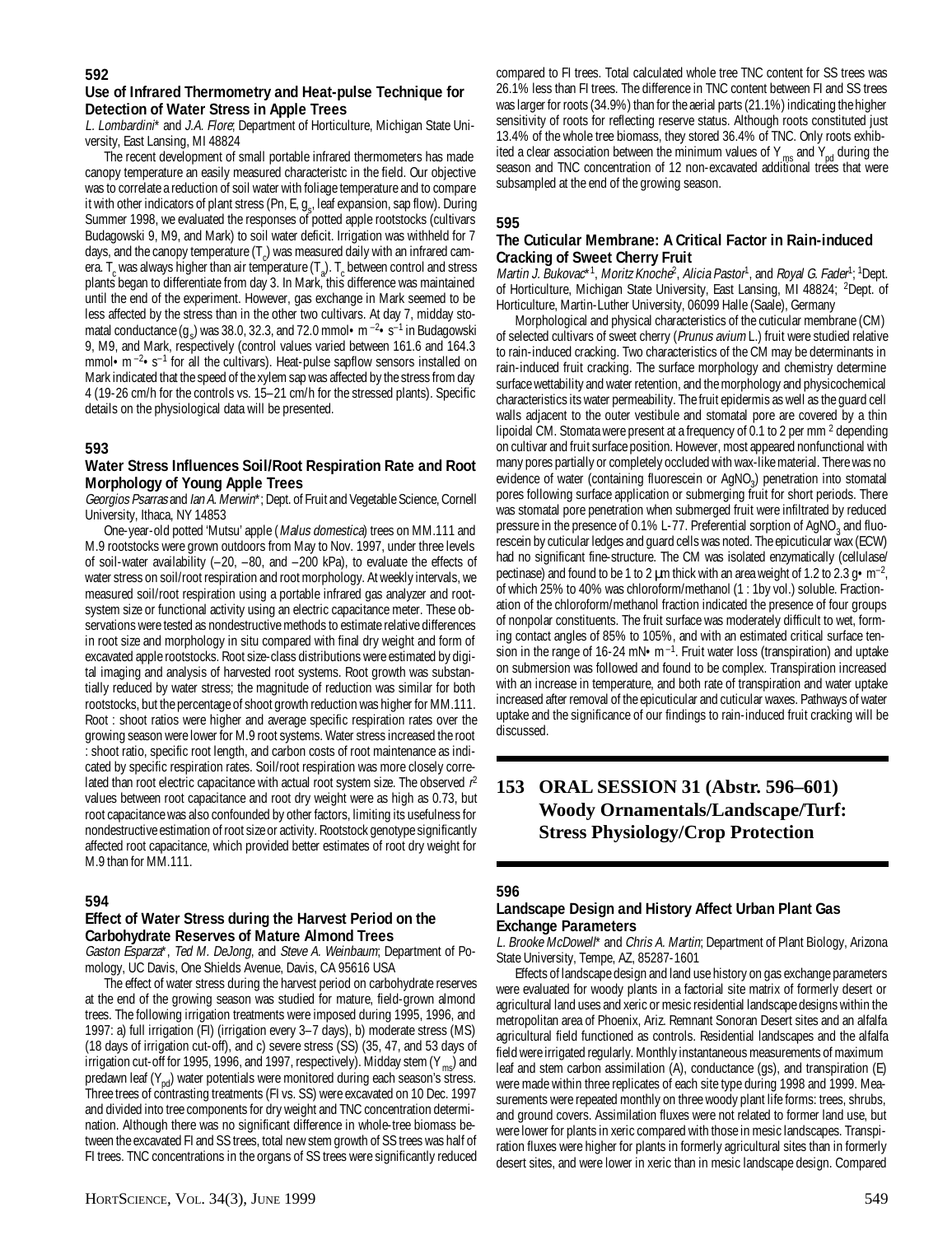## **Use of Infrared Thermometry and Heat-pulse Technique for Detection of Water Stress in Apple Trees**

L. Lombardini\* and J.A. Flore; Department of Horticulture, Michigan State University, East Lansing, MI 48824

The recent development of small portable infrared thermometers has made canopy temperature an easily measured characteristc in the field. Our objective was to correlate a reduction of soil water with foliage temperature and to compare it with other indicators of plant stress (Pn, E,  $g_{s}$ , leaf expansion, sap flow). During Summer 1998, we evaluated the responses of potted apple rootstocks (cultivars Budagowski 9, M9, and Mark) to soil water deficit. Irrigation was withheld for 7 days, and the canopy temperature  $(T_c)$  was measured daily with an infrared camera. T<sub>c</sub> was always higher than air temperature (T<sub>a</sub>). T<sub>c</sub> between control and stress plants began to differentiate from day 3. In Mark, this difference was maintained until the end of the experiment. However, gas exchange in Mark seemed to be less affected by the stress than in the other two cultivars. At day 7, midday stomatal conductance  $(g_s)$  was 38.0, 32.3, and 72.0 mmol • m  $^{-2}$  • s $^{-1}$  in Budagowski 9, M9, and Mark, respectively (control values varied between 161.6 and 164.3 mmol $\cdot$ m $^{-2}$  $\cdot$ s $^{-1}$  for all the cultivars). Heat-pulse sapflow sensors installed on Mark indicated that the speed of the xylem sap was affected by the stress from day 4 (19-26 cm/h for the controls vs. 15–21 cm/h for the stressed plants). Specific details on the physiological data will be presented.

## **593**

### **Water Stress Influences Soil/Root Respiration Rate and Root Morphology of Young Apple Trees**

Georgios Psarras and Ian A. Merwin\*; Dept. of Fruit and Vegetable Science, Cornell University, Ithaca, NY 14853

One-year-old potted 'Mutsu' apple (Malus domestica) trees on MM.111 and M.9 rootstocks were grown outdoors from May to Nov. 1997, under three levels of soil-water availability (–20, –80, and –200 kPa), to evaluate the effects of water stress on soil/root respiration and root morphology. At weekly intervals, we measured soil/root respiration using a portable infrared gas analyzer and rootsystem size or functional activity using an electric capacitance meter. These observations were tested as nondestructive methods to estimate relative differences in root size and morphology in situ compared with final dry weight and form of excavated apple rootstocks. Root size-class distributions were estimated by digital imaging and analysis of harvested root systems. Root growth was substantially reduced by water stress; the magnitude of reduction was similar for both rootstocks, but the percentage of shoot growth reduction was higher for MM.111. Root : shoot ratios were higher and average specific respiration rates over the growing season were lower for M.9 root systems. Water stress increased the root : shoot ratio, specific root length, and carbon costs of root maintenance as indicated by specific respiration rates. Soil/root respiration was more closely correlated than root electric capacitance with actual root system size. The observed  $r^2$ values between root capacitance and root dry weight were as high as 0.73, but root capacitance was also confounded by other factors, limiting its usefulness for nondestructive estimation of root size or activity. Rootstock genotype significantly affected root capacitance, which provided better estimates of root dry weight for M.9 than for MM.111.

## **594**

#### **Effect of Water Stress during the Harvest Period on the Carbohydrate Reserves of Mature Almond Trees**

Gaston Esparza\*, Ted M. DeJong, and Steve A. Weinbaum; Department of Pomology, UC Davis, One Shields Avenue, Davis, CA 95616 USA

The effect of water stress during the harvest period on carbohydrate reserves at the end of the growing season was studied for mature, field-grown almond trees. The following irrigation treatments were imposed during 1995, 1996, and 1997: a) full irrigation (FI) (irrigation every 3–7 days), b) moderate stress (MS) (18 days of irrigation cut-off), and c) severe stress (SS) (35, 47, and 53 days of irrigation cut-off for 1995, 1996, and 1997, respectively). Midday stem  $(Y_{mg})$  and predawn leaf  $(Y_{\text{nd}})$  water potentials were monitored during each season's stress. Three trees of contrasting treatments (FI vs. SS) were excavated on 10 Dec. 1997 and divided into tree components for dry weight and TNC concentration determination. Although there was no significant difference in whole-tree biomass between the excavated FI and SS trees, total new stem growth of SS trees was half of FI trees. TNC concentrations in the organs of SS trees were significantly reduced

compared to FI trees. Total calculated whole tree TNC content for SS trees was 26.1% less than FI trees. The difference in TNC content between FI and SS trees was larger for roots (34.9%) than for the aerial parts (21.1%) indicating the higher sensitivity of roots for reflecting reserve status. Although roots constituted just 13.4% of the whole tree biomass, they stored 36.4% of TNC. Only roots exhibited a clear association between the minimum values of Y  $_{\text{ms}}$  and Y<sub>nd</sub> during the season and TNC concentration of 12 non-excavated additional trees that were subsampled at the end of the growing season.

## **595**

## **The Cuticular Membrane: A Critical Factor in Rain-induced Cracking of Sweet Cherry Fruit**

Martin J. B̃ukovac\*1, Moritz Knoche<sup>2</sup>, Alicia Pastor<sup>1</sup>, and Royal G. Fader<sup>1</sup>; <sup>1</sup>Dept. of Horticulture, Michigan State University, East Lansing, MI 48824; <sup>2</sup>Dept. of Horticulture, Martin-Luther University, 06099 Halle (Saale), Germany

Morphological and physical characteristics of the cuticular membrane (CM) of selected cultivars of sweet cherry (Prunus avium L.) fruit were studied relative to rain-induced cracking. Two characteristics of the CM may be determinants in rain-induced fruit cracking. The surface morphology and chemistry determine surface wettability and water retention, and the morphology and physicochemical characteristics its water permeability. The fruit epidermis as well as the guard cell walls adjacent to the outer vestibule and stomatal pore are covered by a thin lipoidal CM. Stomata were present at a frequency of 0.1 to 2 per mm  $^2$  depending on cultivar and fruit surface position. However, most appeared nonfunctional with many pores partially or completely occluded with wax-like material. There was no evidence of water (containing fluorescein or AgNO<sub>3</sub>) penetration into stomatal pores following surface application or submerging fruit for short periods. There was stomatal pore penetration when submerged fruit were infiltrated by reduced pressure in the presence of 0.1% L-77. Preferential sorption of AgNO<sub>3</sub> and fluorescein by cuticular ledges and guard cells was noted. The epicuticular wax (ECW) had no significant fine-structure. The CM was isolated enzymatically (cellulase/ pectinase) and found to be 1 to 2  $\mu$ m thick with an area weight of 1.2 to 2.3 g  $\cdot$  m<sup>-2</sup>, of which 25% to 40% was chloroform/methanol (1 : 1by vol.) soluble. Fractionation of the chloroform/methanol fraction indicated the presence of four groups of nonpolar constituents. The fruit surface was moderately difficult to wet, forming contact angles of 85% to 105%, and with an estimated critical surface tension in the range of 16-24 mN $\bullet$ m<sup>-1</sup>. Fruit water loss (transpiration) and uptake on submersion was followed and found to be complex. Transpiration increased with an increase in temperature, and both rate of transpiration and water uptake increased after removal of the epicuticular and cuticular waxes. Pathways of water uptake and the significance of our findings to rain-induced fruit cracking will be discussed.

## **153 ORAL SESSION 31 (Abstr. 596–601) Woody Ornamentals/Landscape/Turf: Stress Physiology/Crop Protection**

## **596**

## **Landscape Design and History Affect Urban Plant Gas Exchange Parameters**

L. Brooke McDowell\* and Chris A. Martin; Department of Plant Biology, Arizona State University, Tempe, AZ, 85287-1601

Effects of landscape design and land use history on gas exchange parameters were evaluated for woody plants in a factorial site matrix of formerly desert or agricultural land uses and xeric or mesic residential landscape designs within the metropolitan area of Phoenix, Ariz. Remnant Sonoran Desert sites and an alfalfa agricultural field functioned as controls. Residential landscapes and the alfalfa field were irrigated regularly. Monthly instantaneous measurements of maximum leaf and stem carbon assimilation (A), conductance (gs), and transpiration (E) were made within three replicates of each site type during 1998 and 1999. Measurements were repeated monthly on three woody plant life forms: trees, shrubs, and ground covers. Assimilation fluxes were not related to former land use, but were lower for plants in xeric compared with those in mesic landscapes. Transpiration fluxes were higher for plants in formerly agricultural sites than in formerly desert sites, and were lower in xeric than in mesic landscape design. Compared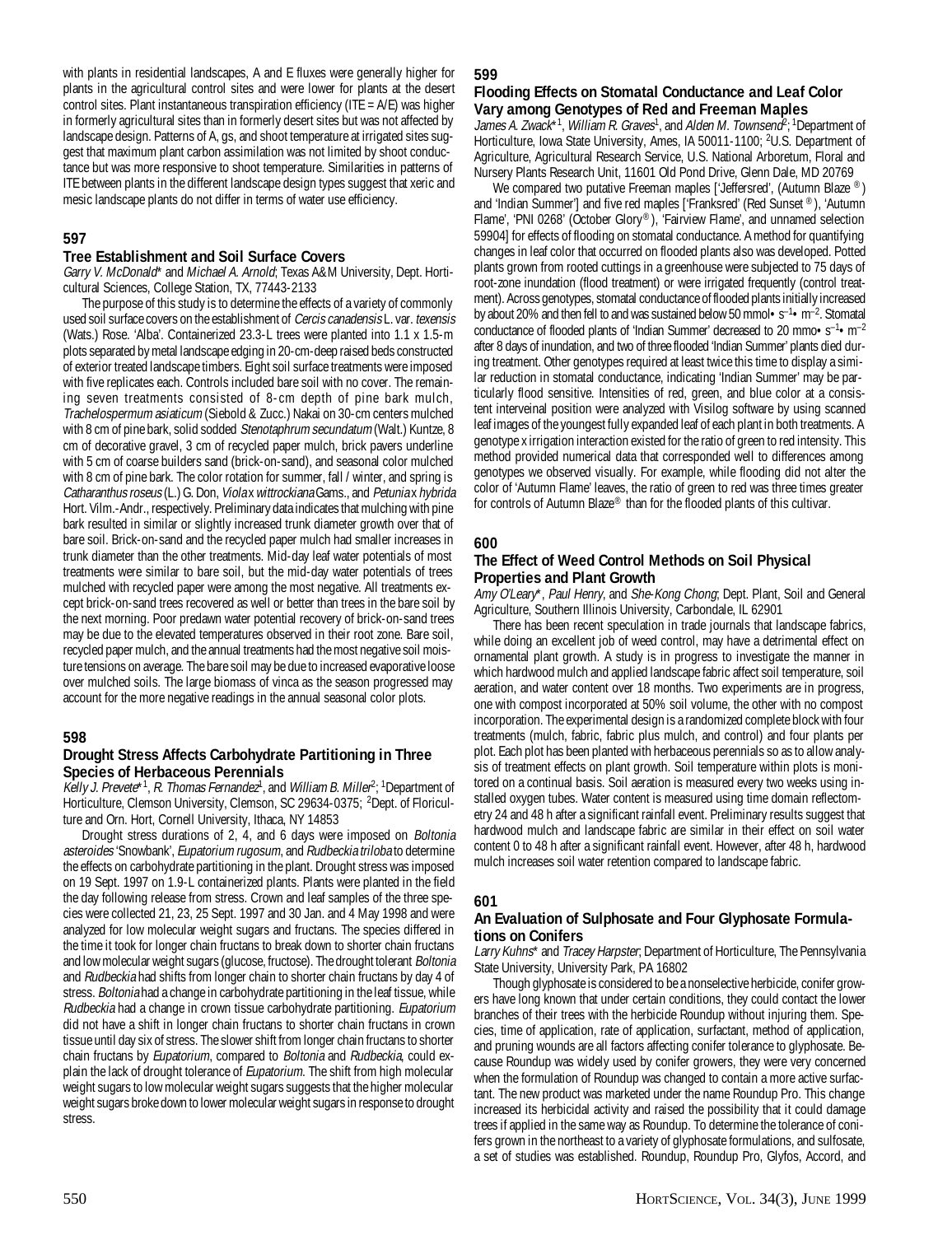with plants in residential landscapes, A and E fluxes were generally higher for plants in the agricultural control sites and were lower for plants at the desert control sites. Plant instantaneous transpiration efficiency (ITE = A/E) was higher in formerly agricultural sites than in formerly desert sites but was not affected by landscape design. Patterns of A, gs, and shoot temperature at irrigated sites suggest that maximum plant carbon assimilation was not limited by shoot conductance but was more responsive to shoot temperature. Similarities in patterns of ITE between plants in the different landscape design types suggest that xeric and mesic landscape plants do not differ in terms of water use efficiency.

## **597**

#### **Tree Establishment and Soil Surface Covers**

Garry V. McDonald\* and Michael A. Arnold; Texas A&M University, Dept. Horticultural Sciences, College Station, TX, 77443-2133

The purpose of this study is to determine the effects of a variety of commonly used soil surface covers on the establishment of Cercis canadensis L. var. texensis (Wats.) Rose. 'Alba'. Containerized 23.3-L trees were planted into 1.1 x 1.5-m plots separated by metal landscape edging in 20-cm-deep raised beds constructed of exterior treated landscape timbers. Eight soil surface treatments were imposed with five replicates each. Controls included bare soil with no cover. The remaining seven treatments consisted of 8-cm depth of pine bark mulch, Trachelospermum asiaticum (Siebold & Zucc.) Nakai on 30-cm centers mulched with 8 cm of pine bark, solid sodded Stenotaphrum secundatum (Walt.) Kuntze, 8 cm of decorative gravel, 3 cm of recycled paper mulch, brick pavers underline with 5 cm of coarse builders sand (brick-on-sand), and seasonal color mulched with 8 cm of pine bark. The color rotation for summer, fall / winter, and spring is Catharanthus roseus (L.) G. Don, Viola x wittrockiana Gams., and Petunia x hybrida Hort. Vilm.-Andr., respectively. Preliminary data indicates that mulching with pine bark resulted in similar or slightly increased trunk diameter growth over that of bare soil. Brick-on-sand and the recycled paper mulch had smaller increases in trunk diameter than the other treatments. Mid-day leaf water potentials of most treatments were similar to bare soil, but the mid-day water potentials of trees mulched with recycled paper were among the most negative. All treatments except brick-on-sand trees recovered as well or better than trees in the bare soil by the next morning. Poor predawn water potential recovery of brick-on-sand trees may be due to the elevated temperatures observed in their root zone. Bare soil, recycled paper mulch, and the annual treatments had the most negative soil moisture tensions on average. The bare soil may be due to increased evaporative loose over mulched soils. The large biomass of vinca as the season progressed may account for the more negative readings in the annual seasonal color plots.

#### **598**

#### **Drought Stress Affects Carbohydrate Partitioning in Three Species of Herbaceous Perennials**

Kelly J. Prevete\*<sup>1</sup>, R. Thomas Fernandez<sup>1</sup>, and William B. Miller<sup>2</sup>; <sup>1</sup>Department of Horticulture, Clemson University, Clemson, SC 29634-0375; <sup>2</sup>Dept. of Floriculture and Orn. Hort, Cornell University, Ithaca, NY 14853

Drought stress durations of 2, 4, and 6 days were imposed on *Boltonia* asteroides 'Snowbank', Eupatorium rugosum, and Rudbeckia triloba to determine the effects on carbohydrate partitioning in the plant. Drought stress was imposed on 19 Sept. 1997 on 1.9-L containerized plants. Plants were planted in the field the day following release from stress. Crown and leaf samples of the three species were collected 21, 23, 25 Sept. 1997 and 30 Jan. and 4 May 1998 and were analyzed for low molecular weight sugars and fructans. The species differed in the time it took for longer chain fructans to break down to shorter chain fructans and low molecular weight sugars (glucose, fructose). The drought tolerant *Boltonia* and Rudbeckia had shifts from longer chain to shorter chain fructans by day 4 of stress. Boltonia had a change in carbohydrate partitioning in the leaf tissue, while Rudbeckia had a change in crown tissue carbohydrate partitioning. Eupatorium did not have a shift in longer chain fructans to shorter chain fructans in crown tissue until day six of stress. The slower shift from longer chain fructans to shorter chain fructans by Eupatorium, compared to Boltonia and Rudbeckia, could explain the lack of drought tolerance of *Eupatorium*. The shift from high molecular weight sugars to low molecular weight sugars suggests that the higher molecular weight sugars broke down to lower molecular weight sugars in response to drought stress.

#### **599**

### **Flooding Effects on Stomatal Conductance and Leaf Color Vary among Genotypes of Red and Freeman Maples**

James A. Zwack\*1, William R. Graves<sup>1</sup>, and Alden M. Townsend<sup>2</sup>; <sup>1</sup>Department of Horticulture, Iowa State University, Ames, IA 50011-1100; 2U.S. Department of Agriculture, Agricultural Research Service, U.S. National Arboretum, Floral and Nursery Plants Research Unit, 11601 Old Pond Drive, Glenn Dale, MD 20769

We compared two putative Freeman maples ['Jeffersred', (Autumn Blaze ®) and 'Indian Summer'] and five red maples ['Franksred' (Red Sunset ®), 'Autumn Flame', 'PNI 0268' (October Glory®), 'Fairview Flame', and unnamed selection 59904] for effects of flooding on stomatal conductance. A method for quantifying changes in leaf color that occurred on flooded plants also was developed. Potted plants grown from rooted cuttings in a greenhouse were subjected to 75 days of root-zone inundation (flood treatment) or were irrigated frequently (control treatment). Across genotypes, stomatal conductance of flooded plants initially increased by about 20% and then fell to and was sustained below 50 mmol  $\cdot$  s<sup>-1</sup>  $\cdot$  m<sup>-2</sup>. Stomatal conductance of flooded plants of 'Indian Summer' decreased to 20 mmo $\cdot$ s<sup>-1</sup> $\cdot$ m<sup>-2</sup> after 8 days of inundation, and two of three flooded 'Indian Summer' plants died during treatment. Other genotypes required at least twice this time to display a similar reduction in stomatal conductance, indicating 'Indian Summer' may be particularly flood sensitive. Intensities of red, green, and blue color at a consistent interveinal position were analyzed with Visilog software by using scanned leaf images of the youngest fully expanded leaf of each plant in both treatments. A genotype x irrigation interaction existed for the ratio of green to red intensity. This method provided numerical data that corresponded well to differences among genotypes we observed visually. For example, while flooding did not alter the color of 'Autumn Flame' leaves, the ratio of green to red was three times greater for controls of Autumn Blaze® than for the flooded plants of this cultivar.

#### **600**

#### **The Effect of Weed Control Methods on Soil Physical Properties and Plant Growth**

Amy O'Leary\*, Paul Henry, and She-Kong Chong; Dept. Plant, Soil and General Agriculture, Southern Illinois University, Carbondale, IL 62901

There has been recent speculation in trade journals that landscape fabrics, while doing an excellent job of weed control, may have a detrimental effect on ornamental plant growth. A study is in progress to investigate the manner in which hardwood mulch and applied landscape fabric affect soil temperature, soil aeration, and water content over 18 months. Two experiments are in progress, one with compost incorporated at 50% soil volume, the other with no compost incorporation. The experimental design is a randomized complete block with four treatments (mulch, fabric, fabric plus mulch, and control) and four plants per plot. Each plot has been planted with herbaceous perennials so as to allow analysis of treatment effects on plant growth. Soil temperature within plots is monitored on a continual basis. Soil aeration is measured every two weeks using installed oxygen tubes. Water content is measured using time domain reflectometry 24 and 48 h after a significant rainfall event. Preliminary results suggest that hardwood mulch and landscape fabric are similar in their effect on soil water content 0 to 48 h after a significant rainfall event. However, after 48 h, hardwood mulch increases soil water retention compared to landscape fabric.

#### **601**

#### **An Evaluation of Sulphosate and Four Glyphosate Formulations on Conifers**

Larry Kuhns\* and Tracey Harpster; Department of Horticulture, The Pennsylvania State University, University Park, PA 16802

Though glyphosate is considered to be a nonselective herbicide, conifer growers have long known that under certain conditions, they could contact the lower branches of their trees with the herbicide Roundup without injuring them. Species, time of application, rate of application, surfactant, method of application, and pruning wounds are all factors affecting conifer tolerance to glyphosate. Because Roundup was widely used by conifer growers, they were very concerned when the formulation of Roundup was changed to contain a more active surfactant. The new product was marketed under the name Roundup Pro. This change increased its herbicidal activity and raised the possibility that it could damage trees if applied in the same way as Roundup. To determine the tolerance of conifers grown in the northeast to a variety of glyphosate formulations, and sulfosate, a set of studies was established. Roundup, Roundup Pro, Glyfos, Accord, and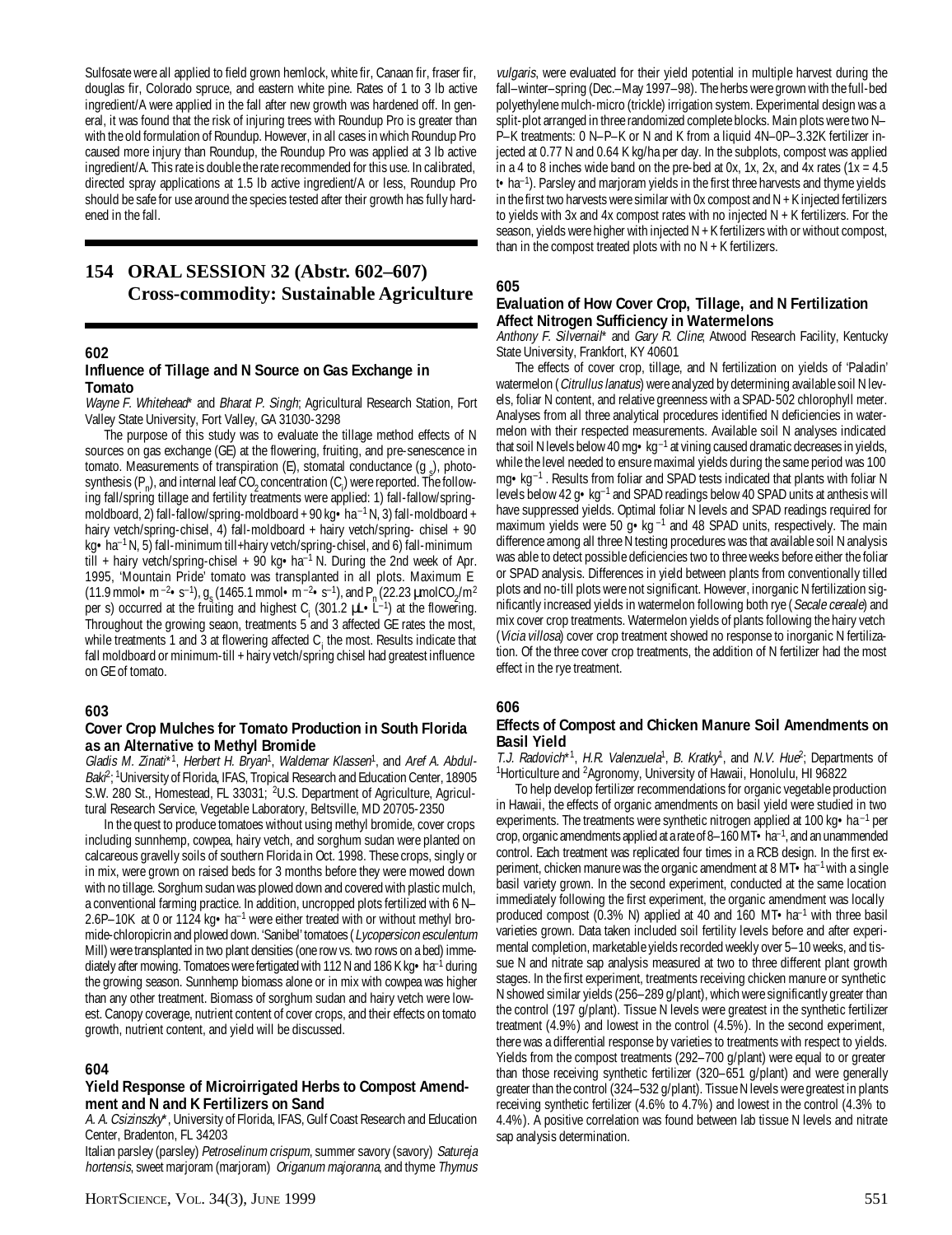Sulfosate were all applied to field grown hemlock, white fir, Canaan fir, fraser fir, douglas fir, Colorado spruce, and eastern white pine. Rates of 1 to 3 lb active ingredient/A were applied in the fall after new growth was hardened off. In general, it was found that the risk of injuring trees with Roundup Pro is greater than with the old formulation of Roundup. However, in all cases in which Roundup Pro caused more injury than Roundup, the Roundup Pro was applied at 3 lb active ingredient/A. This rate is double the rate recommended for this use. In calibrated, directed spray applications at 1.5 lb active ingredient/A or less, Roundup Pro should be safe for use around the species tested after their growth has fully hardened in the fall.

## **154 ORAL SESSION 32 (Abstr. 602–607) Cross-commodity: Sustainable Agriculture**

#### **602**

#### **Influence of Tillage and N Source on Gas Exchange in Tomato**

Wayne F. Whitehead\* and Bharat P. Singh; Agricultural Research Station, Fort Valley State University, Fort Valley, GA 31030-3298

The purpose of this study was to evaluate the tillage method effects of N sources on gas exchange (GE) at the flowering, fruiting, and pre-senescence in tomato. Measurements of transpiration (E), stomatal conductance  $(g_s)$ , photosynthesis  $(P_n)$ , and internal leaf  $CO_2$  concentration  $(C_i)$  were reported. The following fall/spring tillage and fertility treatments were applied: 1) fall-fallow/springmoldboard, 2) fall-fallow/spring-moldboard + 90 kg • ha<sup>-1</sup> N, 3) fall-moldboard + hairy vetch/spring-chisel, 4) fall-moldboard + hairy vetch/spring- chisel + 90 kg•ha<sup>–1</sup> N, 5) fall-minimum till+hairy vetch/spring-chisel, and 6) fall-minimum till + hairy vetch/spring-chisel +  $90 \text{ kg} \cdot \text{ha}^{-1}$  N. During the 2nd week of Apr. 1995, 'Mountain Pride' tomato was transplanted in all plots. Maximum E (11.9 mmol • m<sup>-2</sup>• s<sup>-1</sup>),  $g_s$  (1465.1 mmol • m<sup>-2</sup>• s<sup>-1</sup>), and P<sub>n</sub> (22.23 µmolCO<sub>2</sub>/m<sup>2</sup> per s) occurred at the fruiting and highest  $C_i$  (301.2  $\mu L \cdot L^{-1}$ ) at the flowering. Throughout the growing seaon, treatments 5 and 3 affected GE rates the most, while treatments 1 and 3 at flowering affected  $C_i$  the most. Results indicate that fall moldboard or minimum-till + hairy vetch/spring chisel had greatest influence on GE of tomato.

#### **603**

#### **Cover Crop Mulches for Tomato Production in South Florida as an Alternative to Methyl Bromide**

Gladis M. Zinati\*<sup>1</sup>, Herbert H. Bryan<sup>1</sup>, Waldemar Klassen<sup>1</sup>, and Aref A. Abdul-Bak $^{\rho,1}$ University of Florida, IFAS, Tropical Research and Education Center, 18905 S.W. 280 St., Homestead, FL 33031; <sup>2</sup>U.S. Department of Agriculture, Agricultural Research Service, Vegetable Laboratory, Beltsville, MD 20705-2350

In the quest to produce tomatoes without using methyl bromide, cover crops including sunnhemp, cowpea, hairy vetch, and sorghum sudan were planted on calcareous gravelly soils of southern Florida in Oct. 1998. These crops, singly or in mix, were grown on raised beds for 3 months before they were mowed down with no tillage. Sorghum sudan was plowed down and covered with plastic mulch, a conventional farming practice. In addition, uncropped plots fertilized with 6 N– 2.6P–10K at 0 or 1124 kg•ha–1 were either treated with or without methyl bromide-chloropicrin and plowed down. 'Sanibel' tomatoes (Lycopersicon esculentum Mill) were transplanted in two plant densities (one row vs. two rows on a bed) immediately after mowing. Tomatoes were fertigated with 112 N and 186 K kg  $\bullet$  ha<sup>-1</sup> during the growing season. Sunnhemp biomass alone or in mix with cowpea was higher than any other treatment. Biomass of sorghum sudan and hairy vetch were lowest. Canopy coverage, nutrient content of cover crops, and their effects on tomato growth, nutrient content, and yield will be discussed.

## **604**

#### **Yield Response of Microirrigated Herbs to Compost Amendment and N and K Fertilizers on Sand**

A. A. Csizinszky\*, University of Florida, IFAS, Gulf Coast Research and Education Center, Bradenton, FL 34203

Italian parsley (parsley) Petroselinum crispum, summer savory (savory) Satureja hortensis, sweet marjoram (marjoram) Origanum majoranna, and thyme Thymus

vulgaris, were evaluated for their yield potential in multiple harvest during the fall–winter–spring (Dec.–May 1997–98). The herbs were grown with the full-bed polyethylene mulch-micro (trickle) irrigation system. Experimental design was a split-plot arranged in three randomized complete blocks. Main plots were two N– P–K treatments: 0 N–P–K or N and K from a liquid 4N–0P–3.32K fertilizer injected at 0.77 N and 0.64 K kg/ha per day. In the subplots, compost was applied in a 4 to 8 inches wide band on the pre-bed at 0x, 1x, 2x, and 4x rates  $(1x = 4.5$ t•ha–1). Parsley and marjoram yields in the first three harvests and thyme yields in the first two harvests were similar with 0x compost and  $N + K$  injected fertilizers to yields with 3x and 4x compost rates with no injected N + K fertilizers. For the season, yields were higher with injected N + K fertilizers with or without compost, than in the compost treated plots with no  $N + K$  fertilizers.

### **605**

### **Evaluation of How Cover Crop, Tillage, and N Fertilization Affect Nitrogen Sufficiency in Watermelons**

Anthony F. Silvernail\* and Gary R. Cline; Atwood Research Facility, Kentucky State University, Frankfort, KY 40601

The effects of cover crop, tillage, and N fertilization on yields of 'Paladin' watermelon (Citrullus lanatus) were analyzed by determining available soil N levels, foliar N content, and relative greenness with a SPAD-502 chlorophyll meter. Analyses from all three analytical procedures identified N deficiencies in watermelon with their respected measurements. Available soil N analyses indicated that soil N levels below 40 mg $\cdot$ kg<sup>-1</sup> at vining caused dramatic decreases in yields, while the level needed to ensure maximal yields during the same period was 100 mg•kg–1 . Results from foliar and SPAD tests indicated that plants with foliar N levels below 42 g•kg–1 and SPAD readings below 40 SPAD units at anthesis will have suppressed yields. Optimal foliar N levels and SPAD readings required for maximum yields were 50 g $\bullet$ kg<sup>-1</sup> and 48 SPAD units, respectively. The main difference among all three N testing procedures was that available soil N analysis was able to detect possible deficiencies two to three weeks before either the foliar or SPAD analysis. Differences in yield between plants from conventionally tilled plots and no-till plots were not significant. However, inorganic N fertilization significantly increased yields in watermelon following both rye (Secale cereale) and mix cover crop treatments. Watermelon yields of plants following the hairy vetch (Vicia villosa) cover crop treatment showed no response to inorganic N fertilization. Of the three cover crop treatments, the addition of N fertilizer had the most effect in the rye treatment.

## **606**

## **Effects of Compost and Chicken Manure Soil Amendments on Basil Yield**

T.J. Radovich<sup>\*1</sup>, H.R. Valenzuela<sup>1</sup>, B. Kratky<sup>1</sup>, and N.V. Hue<sup>2</sup>; Departments of <sup>1</sup>Horticulture and <sup>2</sup>Agronomy, University of Hawaii, Honolulu, HI 96822

To help develop fertilizer recommendations for organic vegetable production in Hawaii, the effects of organic amendments on basil yield were studied in two experiments. The treatments were synthetic nitrogen applied at 100 kg • ha<sup>-1</sup> per crop, organic amendments applied at a rate of 8–160 MT $\cdot$  ha<sup>-1</sup>, and an unammended control. Each treatment was replicated four times in a RCB design. In the first experiment, chicken manure was the organic amendment at  $8 \text{ MT} \cdot \text{ha}^{-1}$  with a single basil variety grown. In the second experiment, conducted at the same location immediately following the first experiment, the organic amendment was locally produced compost (0.3% N) applied at 40 and 160 MT $\cdot$ ha<sup>-1</sup> with three basil varieties grown. Data taken included soil fertility levels before and after experimental completion, marketable yields recorded weekly over 5–10 weeks, and tissue N and nitrate sap analysis measured at two to three different plant growth stages. In the first experiment, treatments receiving chicken manure or synthetic N showed similar yields (256–289 g/plant), which were significantly greater than the control (197 g/plant). Tissue N levels were greatest in the synthetic fertilizer treatment (4.9%) and lowest in the control (4.5%). In the second experiment, there was a differential response by varieties to treatments with respect to yields. Yields from the compost treatments (292–700 g/plant) were equal to or greater than those receiving synthetic fertilizer (320–651 g/plant) and were generally greater than the control (324–532 g/plant). Tissue N levels were greatest in plants receiving synthetic fertilizer (4.6% to 4.7%) and lowest in the control (4.3% to 4.4%). A positive correlation was found between lab tissue N levels and nitrate sap analysis determination.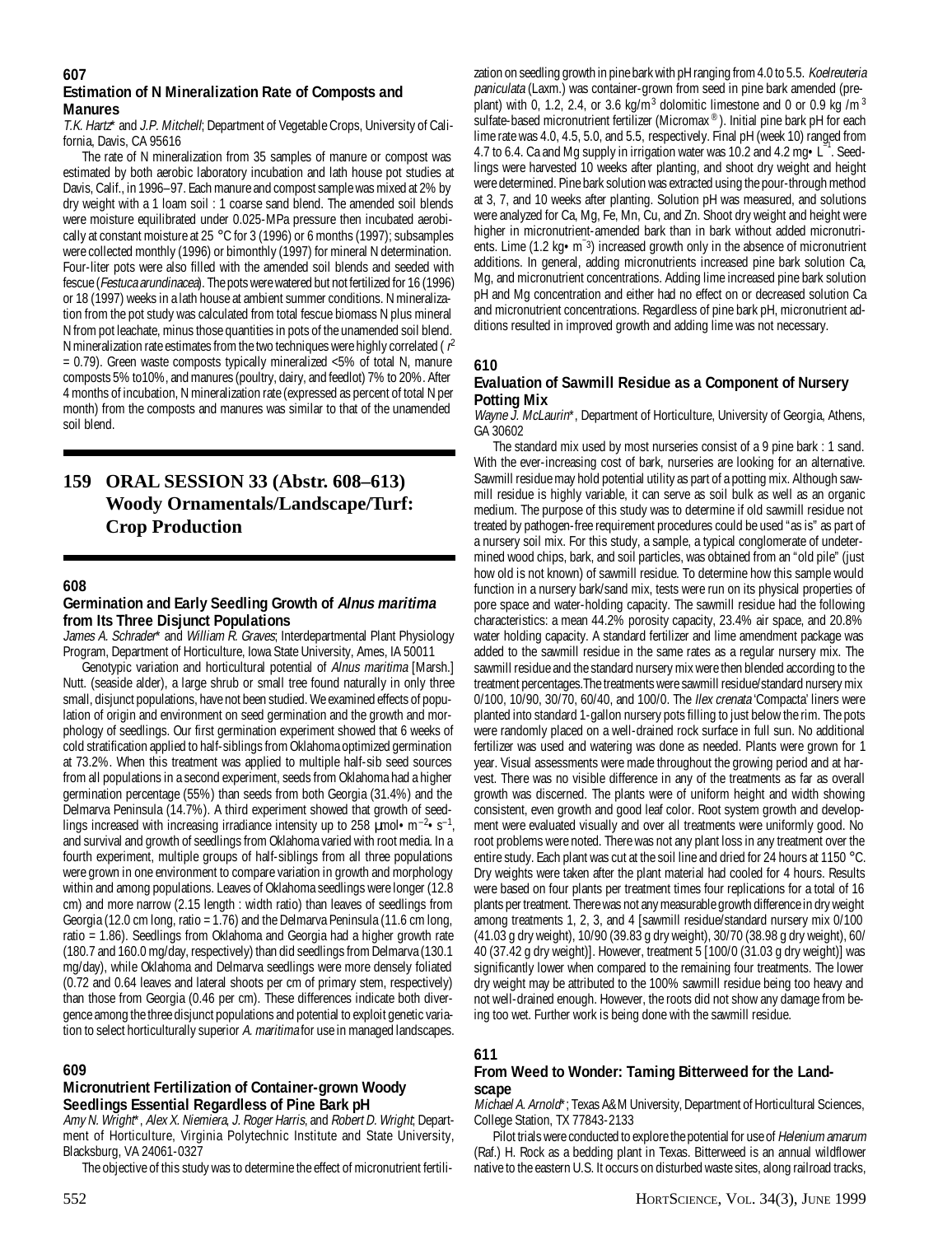#### **607 Estimation of N Mineralization Rate of Composts and Manures**

T.K. Hartz\* and J.P. Mitchell; Department of Vegetable Crops, University of California, Davis, CA 95616

The rate of N mineralization from 35 samples of manure or compost was estimated by both aerobic laboratory incubation and lath house pot studies at Davis, Calif., in 1996–97. Each manure and compost sample was mixed at 2% by dry weight with a 1 loam soil : 1 coarse sand blend. The amended soil blends were moisture equilibrated under 0.025-MPa pressure then incubated aerobically at constant moisture at 25 °C for 3 (1996) or 6 months (1997); subsamples were collected monthly (1996) or bimonthly (1997) for mineral N determination. Four-liter pots were also filled with the amended soil blends and seeded with fescue (Festuca arundinacea). The pots were watered but not fertilized for 16 (1996) or 18 (1997) weeks in a lath house at ambient summer conditions. N mineralization from the pot study was calculated from total fescue biomass N plus mineral N from pot leachate, minus those quantities in pots of the unamended soil blend. N mineralization rate estimates from the two techniques were highly correlated ( $r^2$ = 0.79). Green waste composts typically mineralized <5% of total N, manure composts 5% to10%, and manures (poultry, dairy, and feedlot) 7% to 20%. After 4 months of incubation, N mineralization rate (expressed as percent of total N per month) from the composts and manures was similar to that of the unamended soil blend.

## **159 ORAL SESSION 33 (Abstr. 608–613) Woody Ornamentals/Landscape/Turf: Crop Production**

## **608**

### **Germination and Early Seedling Growth of Alnus maritima from Its Three Disjunct Populations**

James A. Schrader\* and William R. Graves; Interdepartmental Plant Physiology Program, Department of Horticulture, Iowa State University, Ames, IA 50011

Genotypic variation and horticultural potential of Alnus maritima [Marsh.] Nutt. (seaside alder), a large shrub or small tree found naturally in only three small, disjunct populations, have not been studied. We examined effects of population of origin and environment on seed germination and the growth and morphology of seedlings. Our first germination experiment showed that 6 weeks of cold stratification applied to half-siblings from Oklahoma optimized germination at 73.2%. When this treatment was applied to multiple half-sib seed sources from all populations in a second experiment, seeds from Oklahoma had a higher germination percentage (55%) than seeds from both Georgia (31.4%) and the Delmarva Peninsula (14.7%). A third experiment showed that growth of seedlings increased with increasing irradiance intensity up to 258  $\mu$ mol $\cdot$ m<sup>-2</sup> $\cdot$ s<sup>-1</sup>, and survival and growth of seedlings from Oklahoma varied with root media. In a fourth experiment, multiple groups of half-siblings from all three populations were grown in one environment to compare variation in growth and morphology within and among populations. Leaves of Oklahoma seedlings were longer (12.8 cm) and more narrow (2.15 length : width ratio) than leaves of seedlings from Georgia (12.0 cm long, ratio = 1.76) and the Delmarva Peninsula (11.6 cm long, ratio = 1.86). Seedlings from Oklahoma and Georgia had a higher growth rate (180.7 and 160.0 mg/day, respectively) than did seedlings from Delmarva (130.1 mg/day), while Oklahoma and Delmarva seedlings were more densely foliated (0.72 and 0.64 leaves and lateral shoots per cm of primary stem, respectively) than those from Georgia (0.46 per cm). These differences indicate both divergence among the three disjunct populations and potential to exploit genetic variation to select horticulturally superior A. maritima for use in managed landscapes.

## **609**

## **Micronutrient Fertilization of Container-grown Woody Seedlings Essential Regardless of Pine Bark pH**

Amy N. Wright\*, Alex X. Niemiera, J. Roger Harris, and Robert D. Wright; Department of Horticulture, Virginia Polytechnic Institute and State University, Blacksburg, VA 24061-0327

The objective of this study was to determine the effect of micronutrient fertili-

zation on seedling growth in pine bark with pH ranging from 4.0 to 5.5. Koelreuteria paniculata (Laxm.) was container-grown from seed in pine bark amended (preplant) with 0, 1.2, 2.4, or 3.6 kg/m<sup>3</sup> dolomitic limestone and 0 or 0.9 kg /m<sup>3</sup> sulfate-based micronutrient fertilizer (Micromax ®). Initial pine bark pH for each lime rate was 4.0, 4.5, 5.0, and 5.5, respectively. Final pH (week 10) ranged from 4.7 to 6.4. Ca and Mg supply in irrigation water was 10.2 and 4.2 mg . L<sup>-1</sup>. Seedlings were harvested 10 weeks after planting, and shoot dry weight and height were determined. Pine bark solution was extracted using the pour-through method at 3, 7, and 10 weeks after planting. Solution pH was measured, and solutions were analyzed for Ca, Mg, Fe, Mn, Cu, and Zn. Shoot dry weight and height were higher in micronutrient-amended bark than in bark without added micronutrients. Lime (1.2 kg•m– 3) increased growth only in the absence of micronutrient additions. In general, adding micronutrients increased pine bark solution Ca, Mg, and micronutrient concentrations. Adding lime increased pine bark solution pH and Mg concentration and either had no effect on or decreased solution Ca and micronutrient concentrations. Regardless of pine bark pH, micronutrient additions resulted in improved growth and adding lime was not necessary.

#### **610**

#### **Evaluation of Sawmill Residue as a Component of Nursery Potting Mix**

Wayne J. McLaurin<sup>\*</sup>, Department of Horticulture, University of Georgia, Athens, GA 30602

The standard mix used by most nurseries consist of a 9 pine bark : 1 sand. With the ever-increasing cost of bark, nurseries are looking for an alternative. Sawmill residue may hold potential utility as part of a potting mix. Although sawmill residue is highly variable, it can serve as soil bulk as well as an organic medium. The purpose of this study was to determine if old sawmill residue not treated by pathogen-free requirement procedures could be used "as is" as part of a nursery soil mix. For this study, a sample, a typical conglomerate of undetermined wood chips, bark, and soil particles, was obtained from an "old pile" (just how old is not known) of sawmill residue. To determine how this sample would function in a nursery bark/sand mix, tests were run on its physical properties of pore space and water-holding capacity. The sawmill residue had the following characteristics: a mean 44.2% porosity capacity, 23.4% air space, and 20.8% water holding capacity. A standard fertilizer and lime amendment package was added to the sawmill residue in the same rates as a regular nursery mix. The sawmill residue and the standard nursery mix were then blended according to the treatment percentages.The treatments were sawmill residue/standard nursery mix 0/100, 10/90, 30/70, 60/40, and 100/0. The Ilex crenata 'Compacta' liners were planted into standard 1-gallon nursery pots filling to just below the rim. The pots were randomly placed on a well-drained rock surface in full sun. No additional fertilizer was used and watering was done as needed. Plants were grown for 1 year. Visual assessments were made throughout the growing period and at harvest. There was no visible difference in any of the treatments as far as overall growth was discerned. The plants were of uniform height and width showing consistent, even growth and good leaf color. Root system growth and development were evaluated visually and over all treatments were uniformly good. No root problems were noted. There was not any plant loss in any treatment over the entire study. Each plant was cut at the soil line and dried for 24 hours at 1150 °C. Dry weights were taken after the plant material had cooled for 4 hours. Results were based on four plants per treatment times four replications for a total of 16 plants per treatment. There was not any measurable growth difference in dry weight among treatments 1, 2, 3, and 4 [sawmill residue/standard nursery mix 0/100 (41.03 g dry weight), 10/90 (39.83 g dry weight), 30/70 (38.98 g dry weight), 60/ 40 (37.42 g dry weight)]. However, treatment 5 [100/0 (31.03 g dry weight)] was significantly lower when compared to the remaining four treatments. The lower dry weight may be attributed to the 100% sawmill residue being too heavy and not well-drained enough. However, the roots did not show any damage from being too wet. Further work is being done with the sawmill residue.

#### **611**

#### **From Weed to Wonder: Taming Bitterweed for the Landscape**

Michael A. Arnold\*; Texas A&M University, Department of Horticultural Sciences, College Station, TX 77843-2133

Pilot trials were conducted to explore the potential for use of Helenium amarum (Raf.) H. Rock as a bedding plant in Texas. Bitterweed is an annual wildflower native to the eastern U.S. It occurs on disturbed waste sites, along railroad tracks,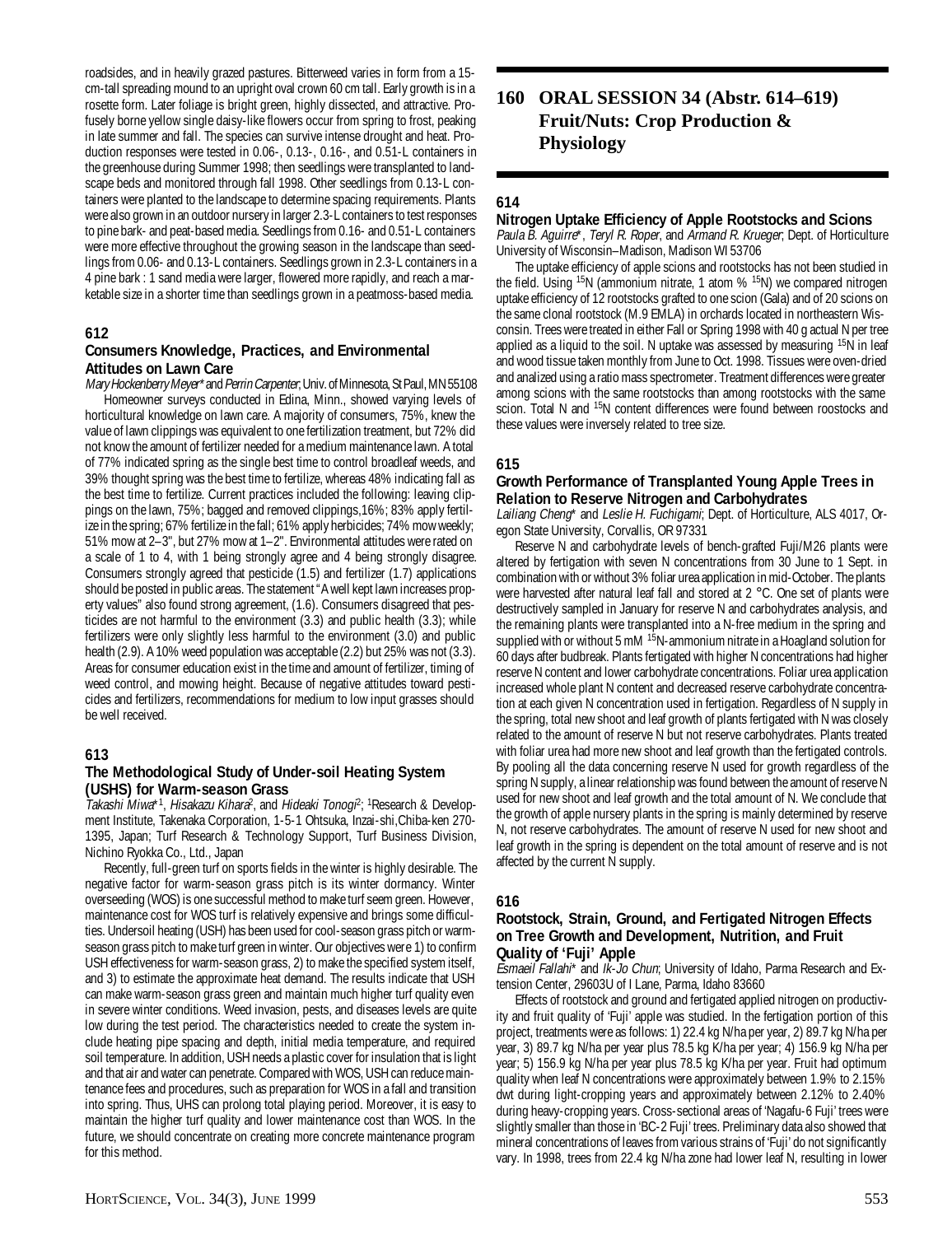roadsides, and in heavily grazed pastures. Bitterweed varies in form from a 15 cm-tall spreading mound to an upright oval crown 60 cm tall. Early growth is in a rosette form. Later foliage is bright green, highly dissected, and attractive. Profusely borne yellow single daisy-like flowers occur from spring to frost, peaking in late summer and fall. The species can survive intense drought and heat. Production responses were tested in 0.06-, 0.13-, 0.16-, and 0.51-L containers in the greenhouse during Summer 1998; then seedlings were transplanted to landscape beds and monitored through fall 1998. Other seedlings from 0.13-L containers were planted to the landscape to determine spacing requirements. Plants were also grown in an outdoor nursery in larger 2.3-L containers to test responses to pine bark- and peat-based media. Seedlings from 0.16- and 0.51-L containers were more effective throughout the growing season in the landscape than seedlings from 0.06- and 0.13-L containers. Seedlings grown in 2.3-L containers in a 4 pine bark : 1 sand media were larger, flowered more rapidly, and reach a marketable size in a shorter time than seedlings grown in a peatmoss-based media.

#### **612**

### **Consumers Knowledge, Practices, and Environmental Attitudes on Lawn Care**

Mary Hockenberry Meyer\* and Perrin Carpenter; Univ. of Minnesota, St Paul, MN 55108 Homeowner surveys conducted in Edina, Minn., showed varying levels of horticultural knowledge on lawn care. A majority of consumers, 75%, knew the value of lawn clippings was equivalent to one fertilization treatment, but 72% did not know the amount of fertilizer needed for a medium maintenance lawn. A total of 77% indicated spring as the single best time to control broadleaf weeds, and 39% thought spring was the best time to fertilize, whereas 48% indicating fall as the best time to fertilize. Current practices included the following: leaving clippings on the lawn, 75%; bagged and removed clippings,16%; 83% apply fertilize in the spring; 67% fertilize in the fall; 61% apply herbicides; 74% mow weekly; 51% mow at 2–3", but 27% mow at 1–2". Environmental attitudes were rated on a scale of 1 to 4, with 1 being strongly agree and 4 being strongly disagree. Consumers strongly agreed that pesticide (1.5) and fertilizer (1.7) applications should be posted in public areas. The statement "A well kept lawn increases property values" also found strong agreement, (1.6). Consumers disagreed that pesticides are not harmful to the environment (3.3) and public health (3.3); while fertilizers were only slightly less harmful to the environment (3.0) and public health (2.9). A 10% weed population was acceptable (2.2) but 25% was not (3.3). Areas for consumer education exist in the time and amount of fertilizer, timing of weed control, and mowing height. Because of negative attitudes toward pesticides and fertilizers, recommendations for medium to low input grasses should be well received.

#### **613**

## **The Methodological Study of Under-soil Heating System (USHS) for Warm-season Grass**

 $\hat{I}$ akashi Miwa\*<sup>1</sup>, Hisakazu Kihara<sup>2</sup>, and Hideaki Tonogi<sup>2</sup>; <sup>1</sup>Research & Development Institute, Takenaka Corporation, 1-5-1 Ohtsuka, Inzai-shi,Chiba-ken 270- 1395, Japan; Turf Research & Technology Support, Turf Business Division, Nichino Ryokka Co., Ltd., Japan

Recently, full-green turf on sports fields in the winter is highly desirable. The negative factor for warm-season grass pitch is its winter dormancy. Winter overseeding (WOS) is one successful method to make turf seem green. However, maintenance cost for WOS turf is relatively expensive and brings some difficulties. Undersoil heating (USH) has been used for cool-season grass pitch or warmseason grass pitch to make turf green in winter. Our objectives were 1) to confirm USH effectiveness for warm-season grass, 2) to make the specified system itself, and 3) to estimate the approximate heat demand. The results indicate that USH can make warm-season grass green and maintain much higher turf quality even in severe winter conditions. Weed invasion, pests, and diseases levels are quite low during the test period. The characteristics needed to create the system include heating pipe spacing and depth, initial media temperature, and required soil temperature. In addition, USH needs a plastic cover for insulation that is light and that air and water can penetrate. Compared with WOS, USH can reduce maintenance fees and procedures, such as preparation for WOS in a fall and transition into spring. Thus, UHS can prolong total playing period. Moreover, it is easy to maintain the higher turf quality and lower maintenance cost than WOS. In the future, we should concentrate on creating more concrete maintenance program for this method.

## **160 ORAL SESSION 34 (Abstr. 614–619) Fruit/Nuts: Crop Production & Physiology**

## **614**

### **Nitrogen Uptake Efficiency of Apple Rootstocks and Scions**

Paula B. Aguirre\*, Teryl R. Roper, and Armand R. Krueger, Dept. of Horticulture University of Wisconsin–Madison, Madison WI 53706

The uptake efficiency of apple scions and rootstocks has not been studied in the field. Using <sup>15</sup>N (ammonium nitrate, 1 atom % <sup>15</sup>N) we compared nitrogen uptake efficiency of 12 rootstocks grafted to one scion (Gala) and of 20 scions on the same clonal rootstock (M.9 EMLA) in orchards located in northeastern Wisconsin. Trees were treated in either Fall or Spring 1998 with 40 g actual N per tree applied as a liquid to the soil. N uptake was assessed by measuring  $15N$  in leaf and wood tissue taken monthly from June to Oct. 1998. Tissues were oven-dried and analized using a ratio mass spectrometer. Treatment differences were greater among scions with the same rootstocks than among rootstocks with the same scion. Total N and <sup>15</sup>N content differences were found between roostocks and these values were inversely related to tree size.

## **615**

#### **Growth Performance of Transplanted Young Apple Trees in Relation to Reserve Nitrogen and Carbohydrates**

Lailiang Cheng\* and Leslie H. Fuchigami; Dept. of Horticulture, ALS 4017, Oregon State University, Corvallis, OR 97331

Reserve N and carbohydrate levels of bench-grafted Fuji/M26 plants were altered by fertigation with seven N concentrations from 30 June to 1 Sept. in combination with or without 3% foliar urea application in mid-October. The plants were harvested after natural leaf fall and stored at 2 °C. One set of plants were destructively sampled in January for reserve N and carbohydrates analysis, and the remaining plants were transplanted into a N-free medium in the spring and supplied with or without 5 mM <sup>15</sup>N-ammonium nitrate in a Hoagland solution for 60 days after budbreak. Plants fertigated with higher N concentrations had higher reserve N content and lower carbohydrate concentrations. Foliar urea application increased whole plant N content and decreased reserve carbohydrate concentration at each given N concentration used in fertigation. Regardless of N supply in the spring, total new shoot and leaf growth of plants fertigated with N was closely related to the amount of reserve N but not reserve carbohydrates. Plants treated with foliar urea had more new shoot and leaf growth than the fertigated controls. By pooling all the data concerning reserve N used for growth regardless of the spring N supply, a linear relationship was found between the amount of reserve N used for new shoot and leaf growth and the total amount of N. We conclude that the growth of apple nursery plants in the spring is mainly determined by reserve N, not reserve carbohydrates. The amount of reserve N used for new shoot and leaf growth in the spring is dependent on the total amount of reserve and is not affected by the current N supply.

#### **616**

#### **Rootstock, Strain, Ground, and Fertigated Nitrogen Effects on Tree Growth and Development, Nutrition, and Fruit Quality of 'Fuji' Apple**

Esmaeil Fallahi\* and Ik-Jo Chun; University of Idaho, Parma Research and Extension Center, 29603U of I Lane, Parma, Idaho 83660

Effects of rootstock and ground and fertigated applied nitrogen on productivity and fruit quality of 'Fuji' apple was studied. In the fertigation portion of this project, treatments were as follows: 1) 22.4 kg N/ha per year, 2) 89.7 kg N/ha per year, 3) 89.7 kg N/ha per year plus 78.5 kg K/ha per year; 4) 156.9 kg N/ha per year; 5) 156.9 kg N/ha per year plus 78.5 kg K/ha per year. Fruit had optimum quality when leaf N concentrations were approximately between 1.9% to 2.15% dwt during light-cropping years and approximately between 2.12% to 2.40% during heavy-cropping years. Cross-sectional areas of 'Nagafu-6 Fuji' trees were slightly smaller than those in 'BC-2 Fuji' trees. Preliminary data also showed that mineral concentrations of leaves from various strains of 'Fuji' do not significantly vary. In 1998, trees from 22.4 kg N/ha zone had lower leaf N, resulting in lower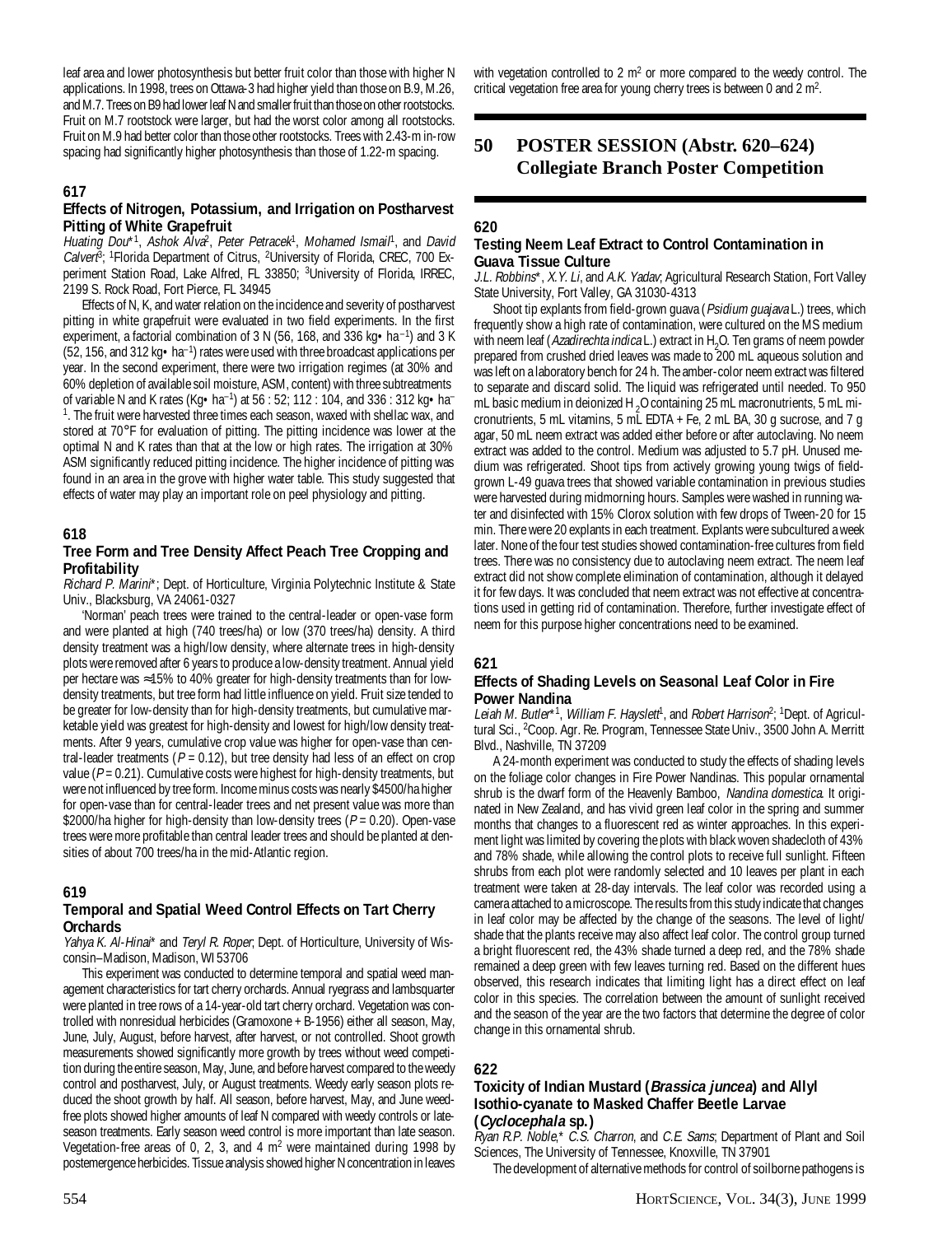leaf area and lower photosynthesis but better fruit color than those with higher N applications. In 1998, trees on Ottawa-3 had higher yield than those on B.9, M.26, and M.7. Trees on B9 had lower leaf N and smaller fruit than those on other rootstocks. Fruit on M.7 rootstock were larger, but had the worst color among all rootstocks. Fruit on M.9 had better color than those other rootstocks. Trees with 2.43-m in-row spacing had significantly higher photosynthesis than those of 1.22-m spacing.

## **617**

#### **Effects of Nitrogen, Potassium, and Irrigation on Postharvest Pitting of White Grapefruit**

Huating Dou\*<sup>1</sup>, Ashok Alva<sup>2</sup>, Peter Petracek<sup>1</sup>, Mohamed Ismail<sup>1</sup>, and David Calver<sup>8</sup>; <sup>1</sup>Florida Department of Citrus, <sup>2</sup>University of Florida, CREC, 700 Experiment Station Road, Lake Alfred, FL 33850; <sup>3</sup>University of Florida, IRREC, 2199 S. Rock Road, Fort Pierce, FL 34945

Effects of N, K, and water relation on the incidence and severity of postharvest pitting in white grapefruit were evaluated in two field experiments. In the first experiment, a factorial combination of 3 N (56, 168, and 336 kg $\bullet$  ha<sup>-1</sup>) and 3 K  $(52, 156,$  and 312 kg  $\bullet$  ha<sup>-1</sup>) rates were used with three broadcast applications per year. In the second experiment, there were two irrigation regimes (at 30% and 60% depletion of available soil moisture, ASM, content) with three subtreatments of variable N and K rates (Kg•ha–1) at 56 : 52; 112 : 104, and 336 : 312 kg•ha– <sup>1</sup>. The fruit were harvested three times each season, waxed with shellac wax, and stored at 70°F for evaluation of pitting. The pitting incidence was lower at the optimal N and K rates than that at the low or high rates. The irrigation at 30% ASM significantly reduced pitting incidence. The higher incidence of pitting was found in an area in the grove with higher water table. This study suggested that effects of water may play an important role on peel physiology and pitting.

#### **618**

### **Tree Form and Tree Density Affect Peach Tree Cropping and Profitability**

Richard P. Marini\*; Dept. of Horticulture, Virginia Polytechnic Institute & State Univ., Blacksburg, VA 24061-0327

'Norman' peach trees were trained to the central-leader or open-vase form and were planted at high (740 trees/ha) or low (370 trees/ha) density. A third density treatment was a high/low density, where alternate trees in high-density plots were removed after 6 years to produce a low-density treatment. Annual yield per hectare was ≈15% to 40% greater for high-density treatments than for lowdensity treatments, but tree form had little influence on yield. Fruit size tended to be greater for low-density than for high-density treatments, but cumulative marketable yield was greatest for high-density and lowest for high/low density treatments. After 9 years, cumulative crop value was higher for open-vase than central-leader treatments ( $P = 0.12$ ), but tree density had less of an effect on crop value ( $P = 0.21$ ). Cumulative costs were highest for high-density treatments, but were not influenced by tree form. Income minus costs was nearly \$4500/ha higher for open-vase than for central-leader trees and net present value was more than \$2000/ha higher for high-density than low-density trees ( $P = 0.20$ ). Open-vase trees were more profitable than central leader trees and should be planted at densities of about 700 trees/ha in the mid-Atlantic region.

#### **619**

## **Temporal and Spatial Weed Control Effects on Tart Cherry Orchards**

Yahya K. Al-Hinai\* and Teryl R. Roper, Dept. of Horticulture, University of Wisconsin–Madison, Madison, WI 53706

This experiment was conducted to determine temporal and spatial weed management characteristics for tart cherry orchards. Annual ryegrass and lambsquarter were planted in tree rows of a 14-year-old tart cherry orchard. Vegetation was controlled with nonresidual herbicides (Gramoxone + B-1956) either all season, May, June, July, August, before harvest, after harvest, or not controlled. Shoot growth measurements showed significantly more growth by trees without weed competition during the entire season, May, June, and before harvest compared to the weedy control and postharvest, July, or August treatments. Weedy early season plots reduced the shoot growth by half. All season, before harvest, May, and June weedfree plots showed higher amounts of leaf N compared with weedy controls or lateseason treatments. Early season weed control is more important than late season. Vegetation-free areas of 0, 2, 3, and 4  $m<sup>2</sup>$  were maintained during 1998 by postemergence herbicides. Tissue analysis showed higher N concentration in leaves

with vegetation controlled to 2  $m<sup>2</sup>$  or more compared to the weedy control. The critical vegetation free area for young cherry trees is between 0 and  $2 \text{ m}^2$ .

## **50 POSTER SESSION (Abstr. 620–624) Collegiate Branch Poster Competition**

### **620**

## **Testing Neem Leaf Extract to Control Contamination in Guava Tissue Culture**

J.L. Robbins\*, X.Y. Li, and A.K. Yadav, Agricultural Research Station, Fort Valley State University, Fort Valley, GA 31030-4313

Shoot tip explants from field-grown guava (Psidium guajava L.) trees, which frequently show a high rate of contamination, were cultured on the MS medium with neem leaf (*Azadirechta indica* L.) extract in H<sub>2</sub>O. Ten grams of neem powder prepared from crushed dried leaves was made to 200 mL aqueous solution and was left on a laboratory bench for 24 h. The amber-color neem extract was filtered to separate and discard solid. The liquid was refrigerated until needed. To 950 mL basic medium in deionized H<sub>2</sub>O containing 25 mL macronutrients, 5 mL micronutrients, 5 mL vitamins, 5 mL EDTA + Fe, 2 mL BA, 30 g sucrose, and 7 g agar, 50 mL neem extract was added either before or after autoclaving. No neem extract was added to the control. Medium was adjusted to 5.7 pH. Unused medium was refrigerated. Shoot tips from actively growing young twigs of fieldgrown L-49 guava trees that showed variable contamination in previous studies were harvested during midmorning hours. Samples were washed in running water and disinfected with 15% Clorox solution with few drops of Tween-20 for 15 min. There were 20 explants in each treatment. Explants were subcultured a week later. None of the four test studies showed contamination-free cultures from field trees. There was no consistency due to autoclaving neem extract. The neem leaf extract did not show complete elimination of contamination, although it delayed it for few days. It was concluded that neem extract was not effective at concentrations used in getting rid of contamination. Therefore, further investigate effect of neem for this purpose higher concentrations need to be examined.

#### **621**

#### **Effects of Shading Levels on Seasonal Leaf Color in Fire Power Nandina**

Leiah M. Butler\*<sup>1</sup>, William F. Hayslett<sup>i</sup>, and Robert Harrison<sup>2</sup>; <sup>1</sup>Dept. of Agricultural Sci., 2 Coop. Agr. Re. Program, Tennessee State Univ., 3500 John A. Merritt Blvd., Nashville, TN 37209

A 24-month experiment was conducted to study the effects of shading levels on the foliage color changes in Fire Power Nandinas. This popular ornamental shrub is the dwarf form of the Heavenly Bamboo, Nandina domestica. It originated in New Zealand, and has vivid green leaf color in the spring and summer months that changes to a fluorescent red as winter approaches. In this experiment light was limited by covering the plots with black woven shadecloth of 43% and 78% shade, while allowing the control plots to receive full sunlight. Fifteen shrubs from each plot were randomly selected and 10 leaves per plant in each treatment were taken at 28-day intervals. The leaf color was recorded using a camera attached to a microscope. The results from this study indicate that changes in leaf color may be affected by the change of the seasons. The level of light/ shade that the plants receive may also affect leaf color. The control group turned a bright fluorescent red, the 43% shade turned a deep red, and the 78% shade remained a deep green with few leaves turning red. Based on the different hues observed, this research indicates that limiting light has a direct effect on leaf color in this species. The correlation between the amount of sunlight received and the season of the year are the two factors that determine the degree of color change in this ornamental shrub.

#### **622**

## **Toxicity of Indian Mustard (Brassica juncea) and Allyl Isothio-cyanate to Masked Chaffer Beetle Larvae (Cyclocephala sp.)**

Ryan R.P. Noble,\* C.S. Charron, and C.E. Sams; Department of Plant and Soil Sciences, The University of Tennessee, Knoxville, TN 37901

The development of alternative methods for control of soilborne pathogens is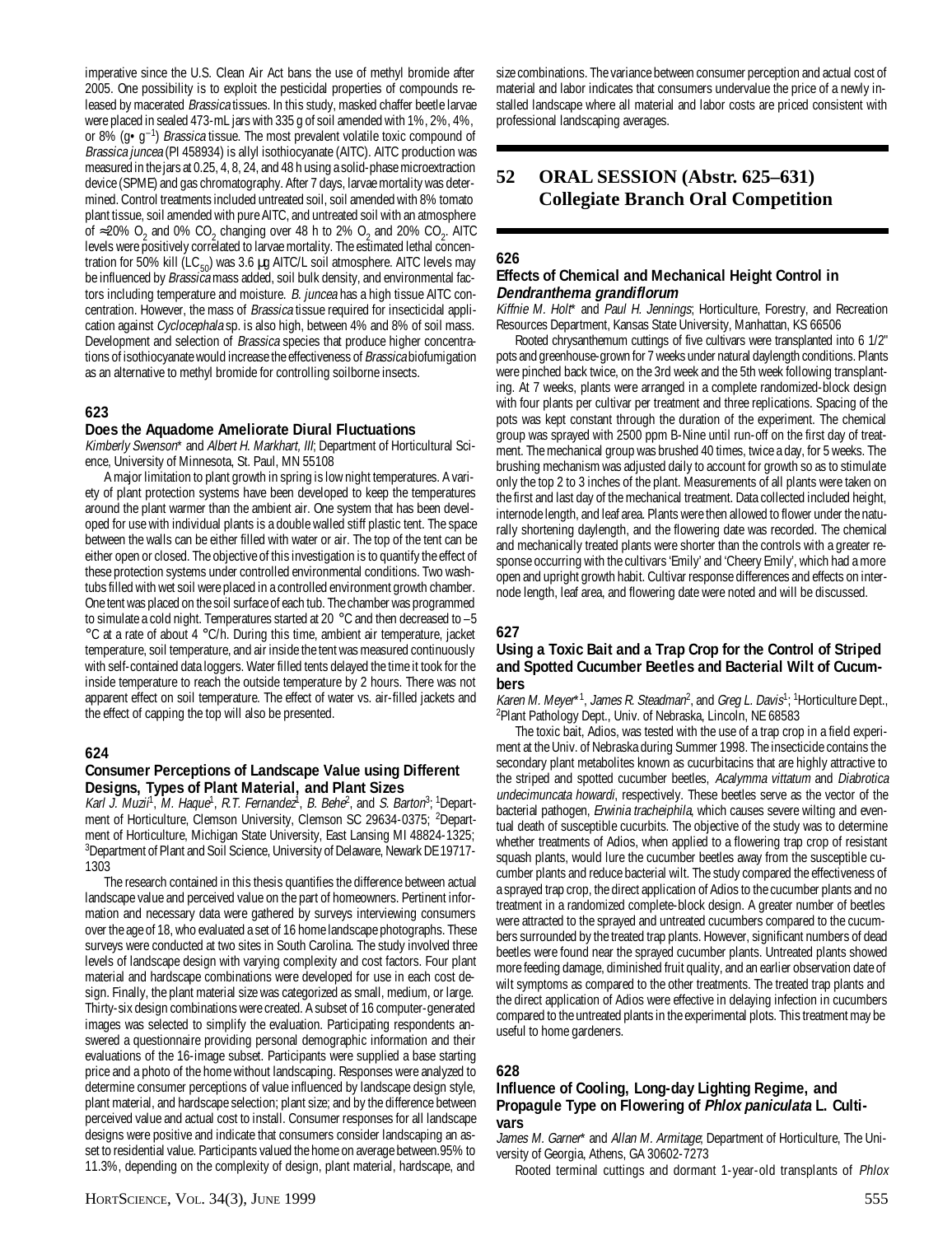imperative since the U.S. Clean Air Act bans the use of methyl bromide after 2005. One possibility is to exploit the pesticidal properties of compounds released by macerated *Brassica* tissues. In this study, masked chaffer beetle larvae were placed in sealed 473-mL jars with 335 g of soil amended with 1%, 2%, 4%, or 8% ( $g \cdot g^{-1}$ ) *Brassica* tissue. The most prevalent volatile toxic compound of Brassica juncea (PI 458934) is allyl isothiocyanate (AITC). AITC production was measured in the jars at 0.25, 4, 8, 24, and 48 h using a solid-phase microextraction device (SPME) and gas chromatography. After 7 days, larvae mortality was determined. Control treatments included untreated soil, soil amended with 8% tomato plant tissue, soil amended with pure AITC, and untreated soil with an atmosphere of ≈20% O<sub>2</sub> and 0% CO<sub>2</sub> changing over 48 h to 2% O<sub>2</sub> and 20% CO<sub>2</sub>. AITC levels were positively correlated to larvae mortality. The estimated lethal concentration for 50% kill (LC $_{50}$ ) was 3.6 µg AITC/L soil atmosphere. AITC levels may be influenced by *Brassica* mass added, soil bulk density, and environmental factors including temperature and moisture. B. juncea has a high tissue AITC concentration. However, the mass of Brassica tissue required for insecticidal application against Cyclocephala sp. is also high, between 4% and 8% of soil mass. Development and selection of *Brassica* species that produce higher concentrations of isothiocyanate would increase the effectiveness of Brassica biofumigation as an alternative to methyl bromide for controlling soilborne insects.

## **623**

#### **Does the Aquadome Ameliorate Diural Fluctuations**

Kimberly Swenson\* and Albert H. Markhart, III; Department of Horticultural Science, University of Minnesota, St. Paul, MN 55108

A major limitation to plant growth in spring is low night temperatures. A variety of plant protection systems have been developed to keep the temperatures around the plant warmer than the ambient air. One system that has been developed for use with individual plants is a double walled stiff plastic tent. The space between the walls can be either filled with water or air. The top of the tent can be either open or closed. The objective of this investigation is to quantify the effect of these protection systems under controlled environmental conditions. Two washtubs filled with wet soil were placed in a controlled environment growth chamber. One tent was placed on the soil surface of each tub. The chamber was programmed to simulate a cold night. Temperatures started at 20 °C and then decreased to -5 °C at a rate of about 4 °C/h. During this time, ambient air temperature, jacket temperature, soil temperature, and air inside the tent was measured continuously with self-contained data loggers. Water filled tents delayed the time it took for the inside temperature to reach the outside temperature by 2 hours. There was not apparent effect on soil temperature. The effect of water vs. air-filled jackets and the effect of capping the top will also be presented.

#### **624**

## **Consumer Perceptions of Landscape Value using Different Designs, Types of Plant Material, and Plant Sizes**

Karl J. Muzii<sup>1</sup>, M. Haque<sup>1</sup>, R.T. Fernandez<sup>1</sup>, B. Behe<sup>2</sup>, and S. Barton<sup>3</sup>; <sup>1</sup>Department of Horticulture, Clemson University, Clemson SC 29634-0375; <sup>2</sup>Department of Horticulture, Michigan State University, East Lansing MI 48824-1325; <sup>3</sup>Department of Plant and Soil Science, University of Delaware, Newark DE 19717-1303

The research contained in this thesis quantifies the difference between actual landscape value and perceived value on the part of homeowners. Pertinent information and necessary data were gathered by surveys interviewing consumers over the age of 18, who evaluated a set of 16 home landscape photographs. These surveys were conducted at two sites in South Carolina. The study involved three levels of landscape design with varying complexity and cost factors. Four plant material and hardscape combinations were developed for use in each cost design. Finally, the plant material size was categorized as small, medium, or large. Thirty-six design combinations were created. A subset of 16 computer-generated images was selected to simplify the evaluation. Participating respondents answered a questionnaire providing personal demographic information and their evaluations of the 16-image subset. Participants were supplied a base starting price and a photo of the home without landscaping. Responses were analyzed to determine consumer perceptions of value influenced by landscape design style, plant material, and hardscape selection; plant size; and by the difference between perceived value and actual cost to install. Consumer responses for all landscape designs were positive and indicate that consumers consider landscaping an asset to residential value. Participants valued the home on average between.95% to 11.3%, depending on the complexity of design, plant material, hardscape, and

size combinations. The variance between consumer perception and actual cost of material and labor indicates that consumers undervalue the price of a newly installed landscape where all material and labor costs are priced consistent with professional landscaping averages.

## **52 ORAL SESSION (Abstr. 625–631) Collegiate Branch Oral Competition**

## **626**

#### **Effects of Chemical and Mechanical Height Control in Dendranthema grandiflorum**

Kiffnie M. Holt\* and Paul H. Jennings; Horticulture, Forestry, and Recreation Resources Department, Kansas State University, Manhattan, KS 66506

Rooted chrysanthemum cuttings of five cultivars were transplanted into 6 1/2" pots and greenhouse-grown for 7 weeks under natural daylength conditions. Plants were pinched back twice, on the 3rd week and the 5th week following transplanting. At 7 weeks, plants were arranged in a complete randomized-block design with four plants per cultivar per treatment and three replications. Spacing of the pots was kept constant through the duration of the experiment. The chemical group was sprayed with 2500 ppm B-Nine until run-off on the first day of treatment. The mechanical group was brushed 40 times, twice a day, for 5 weeks. The brushing mechanism was adjusted daily to account for growth so as to stimulate only the top 2 to 3 inches of the plant. Measurements of all plants were taken on the first and last day of the mechanical treatment. Data collected included height, internode length, and leaf area. Plants were then allowed to flower under the naturally shortening daylength, and the flowering date was recorded. The chemical and mechanically treated plants were shorter than the controls with a greater response occurring with the cultivars 'Emily' and 'Cheery Emily', which had a more open and upright growth habit. Cultivar response differences and effects on internode length, leaf area, and flowering date were noted and will be discussed.

## **627**

## **Using a Toxic Bait and a Trap Crop for the Control of Striped and Spotted Cucumber Beetles and Bacterial Wilt of Cucumbers**

Karen M. Meyer\*1, James R. Steadman<sup>2</sup>, and Greg L. Davis<sup>1</sup>; <sup>1</sup>Horticulture Dept., 2 Plant Pathology Dept., Univ. of Nebraska, Lincoln, NE 68583

The toxic bait, Adios, was tested with the use of a trap crop in a field experiment at the Univ. of Nebraska during Summer 1998. The insecticide contains the secondary plant metabolites known as cucurbitacins that are highly attractive to the striped and spotted cucumber beetles, Acalymma vittatum and Diabrotica undecimuncata howardi, respectively. These beetles serve as the vector of the bacterial pathogen, Erwinia tracheiphila, which causes severe wilting and eventual death of susceptible cucurbits. The objective of the study was to determine whether treatments of Adios, when applied to a flowering trap crop of resistant squash plants, would lure the cucumber beetles away from the susceptible cucumber plants and reduce bacterial wilt. The study compared the effectiveness of a sprayed trap crop, the direct application of Adios to the cucumber plants and no treatment in a randomized complete-block design. A greater number of beetles were attracted to the sprayed and untreated cucumbers compared to the cucumbers surrounded by the treated trap plants. However, significant numbers of dead beetles were found near the sprayed cucumber plants. Untreated plants showed more feeding damage, diminished fruit quality, and an earlier observation date of wilt symptoms as compared to the other treatments. The treated trap plants and the direct application of Adios were effective in delaying infection in cucumbers compared to the untreated plants in the experimental plots. This treatment may be useful to home gardeners.

## **628**

## **Influence of Cooling, Long-day Lighting Regime, and Propagule Type on Flowering of Phlox paniculata L. Cultivars**

James M. Garner\* and Allan M. Armitage; Department of Horticulture, The University of Georgia, Athens, GA 30602-7273

Rooted terminal cuttings and dormant 1-year-old transplants of Phlox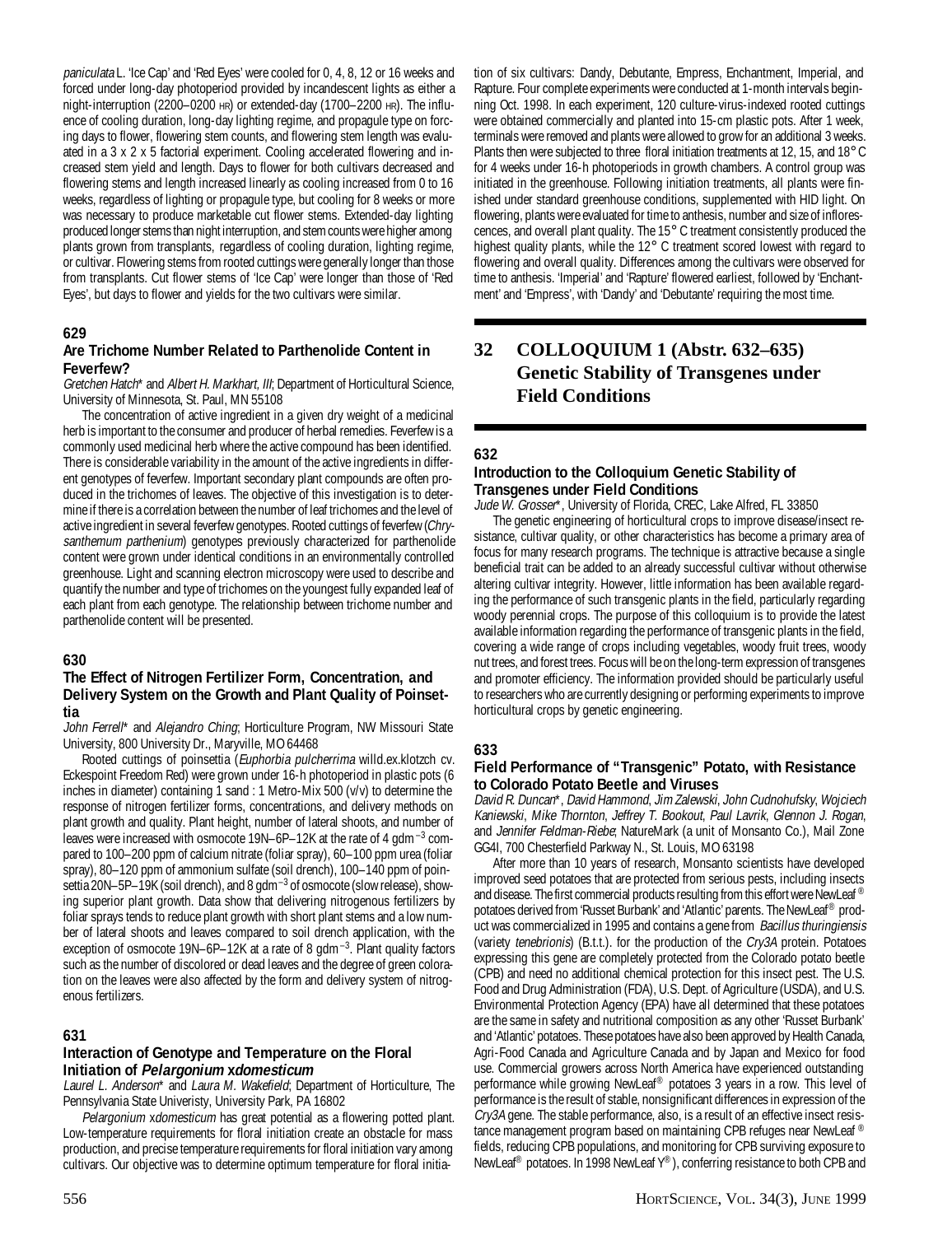paniculata L. 'Ice Cap' and 'Red Eyes' were cooled for 0, 4, 8, 12 or 16 weeks and forced under long-day photoperiod provided by incandescent lights as either a night-interruption (2200–0200 HR) or extended-day (1700–2200 HR). The influence of cooling duration, long-day lighting regime, and propagule type on forcing days to flower, flowering stem counts, and flowering stem length was evaluated in a 3 x 2 x 5 factorial experiment. Cooling accelerated flowering and increased stem yield and length. Days to flower for both cultivars decreased and flowering stems and length increased linearly as cooling increased from 0 to 16 weeks, regardless of lighting or propagule type, but cooling for 8 weeks or more was necessary to produce marketable cut flower stems. Extended-day lighting produced longer stems than night interruption, and stem counts were higher among plants grown from transplants, regardless of cooling duration, lighting regime, or cultivar. Flowering stems from rooted cuttings were generally longer than those from transplants. Cut flower stems of 'Ice Cap' were longer than those of 'Red Eyes', but days to flower and yields for the two cultivars were similar.

#### **629**

#### **Are Trichome Number Related to Parthenolide Content in Feverfew?**

Gretchen Hatch\* and Albert H. Markhart, III; Department of Horticultural Science, University of Minnesota, St. Paul, MN 55108

The concentration of active ingredient in a given dry weight of a medicinal herb is important to the consumer and producer of herbal remedies. Feverfew is a commonly used medicinal herb where the active compound has been identified. There is considerable variability in the amount of the active ingredients in different genotypes of feverfew. Important secondary plant compounds are often produced in the trichomes of leaves. The objective of this investigation is to determine if there is a correlation between the number of leaf trichomes and the level of active ingredient in several feverfew genotypes. Rooted cuttings of feverfew (Chrysanthemum parthenium) genotypes previously characterized for parthenolide content were grown under identical conditions in an environmentally controlled greenhouse. Light and scanning electron microscopy were used to describe and quantify the number and type of trichomes on the youngest fully expanded leaf of each plant from each genotype. The relationship between trichome number and parthenolide content will be presented.

#### **630**

#### **The Effect of Nitrogen Fertilizer Form, Concentration, and Delivery System on the Growth and Plant Quality of Poinsettia**

John Ferrell\* and Alejandro Ching; Horticulture Program, NW Missouri State University, 800 University Dr., Maryville, MO 64468

Rooted cuttings of poinsettia (Euphorbia pulcherrima willd.ex.klotzch cv. Eckespoint Freedom Red) were grown under 16-h photoperiod in plastic pots (6 inches in diameter) containing  $\overline{1}$  sand : 1 Metro-Mix 500 (v/v) to determine the response of nitrogen fertilizer forms, concentrations, and delivery methods on plant growth and quality. Plant height, number of lateral shoots, and number of leaves were increased with osmocote 19N–6P–12K at the rate of 4 gdm<sup>-3</sup> compared to 100–200 ppm of calcium nitrate (foliar spray), 60–100 ppm urea (foliar spray), 80–120 ppm of ammonium sulfate (soil drench), 100–140 ppm of poinsettia 20N–5P–19K (soil drench), and 8 gdm<sup>-3</sup> of osmocote (slow release), showing superior plant growth. Data show that delivering nitrogenous fertilizers by foliar sprays tends to reduce plant growth with short plant stems and a low number of lateral shoots and leaves compared to soil drench application, with the exception of osmocote 19N–6P–12K at a rate of 8 gdm<sup>-3</sup>. Plant quality factors such as the number of discolored or dead leaves and the degree of green coloration on the leaves were also affected by the form and delivery system of nitrogenous fertilizers.

#### **631**

#### **Interaction of Genotype and Temperature on the Floral Initiation of Pelargonium xdomesticum**

Laurel L. Anderson<sup>\*</sup> and Laura M. Wakefield; Department of Horticulture, The Pennsylvania State Univeristy, University Park, PA 16802

Pelargonium xdomesticum has great potential as a flowering potted plant. Low-temperature requirements for floral initiation create an obstacle for mass production, and precise temperature requirements for floral initiation vary among cultivars. Our objective was to determine optimum temperature for floral initia-

tion of six cultivars: Dandy, Debutante, Empress, Enchantment, Imperial, and Rapture. Four complete experiments were conducted at 1-month intervals beginning Oct. 1998. In each experiment, 120 culture-virus-indexed rooted cuttings were obtained commercially and planted into 15-cm plastic pots. After 1 week, terminals were removed and plants were allowed to grow for an additional 3 weeks. Plants then were subjected to three floral initiation treatments at 12, 15, and 18° C for 4 weeks under 16-h photoperiods in growth chambers. A control group was initiated in the greenhouse. Following initiation treatments, all plants were finished under standard greenhouse conditions, supplemented with HID light. On flowering, plants were evaluated for time to anthesis, number and size of inflorescences, and overall plant quality. The 15° C treatment consistently produced the highest quality plants, while the 12° C treatment scored lowest with regard to flowering and overall quality. Differences among the cultivars were observed for time to anthesis. 'Imperial' and 'Rapture' flowered earliest, followed by 'Enchantment' and 'Empress', with 'Dandy' and 'Debutante' requiring the most time.

## **32 COLLOQUIUM 1 (Abstr. 632–635) Genetic Stability of Transgenes under Field Conditions**

#### **632**

#### **Introduction to the Colloquium Genetic Stability of Transgenes under Field Conditions**

Jude W. Grosser\*, University of Florida, CREC, Lake Alfred, FL 33850

The genetic engineering of horticultural crops to improve disease/insect resistance, cultivar quality, or other characteristics has become a primary area of focus for many research programs. The technique is attractive because a single beneficial trait can be added to an already successful cultivar without otherwise altering cultivar integrity. However, little information has been available regarding the performance of such transgenic plants in the field, particularly regarding woody perennial crops. The purpose of this colloquium is to provide the latest available information regarding the performance of transgenic plants in the field, covering a wide range of crops including vegetables, woody fruit trees, woody nut trees, and forest trees. Focus will be on the long-term expression of transgenes and promoter efficiency. The information provided should be particularly useful to researchers who are currently designing or performing experiments to improve horticultural crops by genetic engineering.

#### **633**

#### **Field Performance of "Transgenic" Potato, with Resistance to Colorado Potato Beetle and Viruses**

David R. Duncan\*, David Hammond, Jim Zalewski, John Cudnohufsky, Wojciech Kaniewski, Mike Thornton, Jeffrey T. Bookout, Paul Lavrik, Glennon J. Rogan, and Jennifer Feldman-Riebe; NatureMark (a unit of Monsanto Co.), Mail Zone GG4I, 700 Chesterfield Parkway N., St. Louis, MO 63198

After more than 10 years of research, Monsanto scientists have developed improved seed potatoes that are protected from serious pests, including insects and disease. The first commercial products resulting from this effort were NewLeaf ® potatoes derived from 'Russet Burbank' and 'Atlantic' parents. The NewLeaf® product was commercialized in 1995 and contains a gene from Bacillus thuringiensis (variety tenebrionis) (B.t.t.). for the production of the Cry3A protein. Potatoes expressing this gene are completely protected from the Colorado potato beetle (CPB) and need no additional chemical protection for this insect pest. The U.S. Food and Drug Administration (FDA), U.S. Dept. of Agriculture (USDA), and U.S. Environmental Protection Agency (EPA) have all determined that these potatoes are the same in safety and nutritional composition as any other 'Russet Burbank' and 'Atlantic' potatoes. These potatoes have also been approved by Health Canada, Agri-Food Canada and Agriculture Canada and by Japan and Mexico for food use. Commercial growers across North America have experienced outstanding performance while growing NewLeaf® potatoes 3 years in a row. This level of performance is the result of stable, nonsignificant differences in expression of the Cry3A gene. The stable performance, also, is a result of an effective insect resistance management program based on maintaining CPB refuges near NewLeaf ® fields, reducing CPB populations, and monitoring for CPB surviving exposure to NewLeaf® potatoes. In 1998 NewLeaf Y®), conferring resistance to both CPB and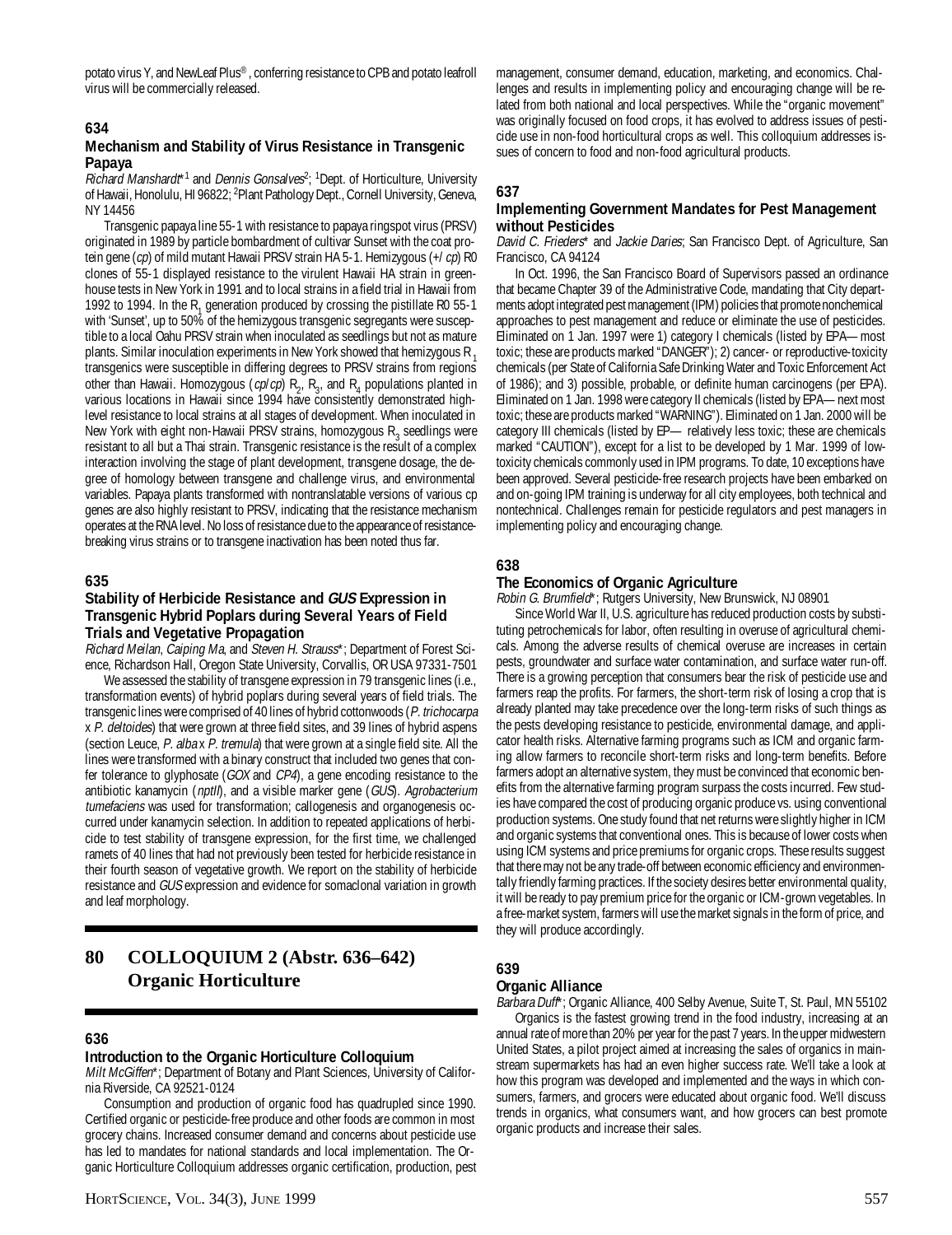potato virus Y, and NewLeaf Plus®, conferring resistance to CPB and potato leafroll virus will be commercially released.

## **634**

#### **Mechanism and Stability of Virus Resistance in Transgenic Papaya**

Richard Manshardt<sup>\*1</sup> and Dennis Gonsalves<sup>2</sup>; <sup>1</sup>Dept. of Horticulture, University of Hawaii, Honolulu, HI 96822; <sup>2</sup>Plant Pathology Dept., Cornell University, Geneva, NY 14456

Transgenic papaya line 55-1 with resistance to papaya ringspot virus (PRSV) originated in 1989 by particle bombardment of cultivar Sunset with the coat protein gene (cp) of mild mutant Hawaii PRSV strain HA 5-1. Hemizygous (+/cp) R0 clones of 55-1 displayed resistance to the virulent Hawaii HA strain in greenhouse tests in New York in 1991 and to local strains in a field trial in Hawaii from 1992 to 1994. In the  $R_1$  generation produced by crossing the pistillate R0 55-1 with 'Sunset', up to 50% of the hemizygous transgenic segregants were susceptible to a local Oahu PRSV strain when inoculated as seedlings but not as mature plants. Similar inoculation experiments in New York showed that hemizygous R<sub>1</sub> transgenics were susceptible in differing degrees to PRSV strains from regions other than Hawaii. Homozygous (*cp/cp*)  $R_2$ ,  $R_3$ , and  $R_4$  populations planted in various locations in Hawaii since 1994 have consistently demonstrated highlevel resistance to local strains at all stages of development. When inoculated in New York with eight non-Hawaii PRSV strains, homozygous  $R_3$  seedlings were resistant to all but a Thai strain. Transgenic resistance is the result of a complex interaction involving the stage of plant development, transgene dosage, the degree of homology between transgene and challenge virus, and environmental variables. Papaya plants transformed with nontranslatable versions of various cp genes are also highly resistant to PRSV, indicating that the resistance mechanism operates at the RNA level. No loss of resistance due to the appearance of resistancebreaking virus strains or to transgene inactivation has been noted thus far.

#### **635**

#### **Stability of Herbicide Resistance and GUS Expression in Transgenic Hybrid Poplars during Several Years of Field Trials and Vegetative Propagation**

Richard Meilan, Caiping Ma, and Steven H. Strauss\*; Department of Forest Science, Richardson Hall, Oregon State University, Corvallis, OR USA 97331-7501

We assessed the stability of transgene expression in 79 transgenic lines (i.e., transformation events) of hybrid poplars during several years of field trials. The transgenic lines were comprised of 40 lines of hybrid cottonwoods (P. trichocarpa x P. deltoides) that were grown at three field sites, and 39 lines of hybrid aspens (section Leuce, P. alba x P. tremula) that were grown at a single field site. All the lines were transformed with a binary construct that included two genes that confer tolerance to glyphosate (GOX and CP4), a gene encoding resistance to the antibiotic kanamycin (nptll), and a visible marker gene (GUS). Agrobacterium tumefaciens was used for transformation; callogenesis and organogenesis occurred under kanamycin selection. In addition to repeated applications of herbicide to test stability of transgene expression, for the first time, we challenged ramets of 40 lines that had not previously been tested for herbicide resistance in their fourth season of vegetative growth. We report on the stability of herbicide resistance and GUS expression and evidence for somaclonal variation in growth and leaf morphology.

## **80 COLLOQUIUM 2 (Abstr. 636–642) Organic Horticulture**

#### **636**

#### **Introduction to the Organic Horticulture Colloquium**

Milt McGiffen\*; Department of Botany and Plant Sciences, University of California Riverside, CA 92521-0124

Consumption and production of organic food has quadrupled since 1990. Certified organic or pesticide-free produce and other foods are common in most grocery chains. Increased consumer demand and concerns about pesticide use has led to mandates for national standards and local implementation. The Organic Horticulture Colloquium addresses organic certification, production, pest management, consumer demand, education, marketing, and economics. Challenges and results in implementing policy and encouraging change will be related from both national and local perspectives. While the "organic movement" was originally focused on food crops, it has evolved to address issues of pesticide use in non-food horticultural crops as well. This colloquium addresses issues of concern to food and non-food agricultural products.

## **637**

#### **Implementing Government Mandates for Pest Management without Pesticides**

David C. Frieders\* and Jackie Daries; San Francisco Dept. of Agriculture, San Francisco, CA 94124

In Oct. 1996, the San Francisco Board of Supervisors passed an ordinance that became Chapter 39 of the Administrative Code, mandating that City departments adopt integrated pest management (IPM) policies that promote nonchemical approaches to pest management and reduce or eliminate the use of pesticides. Eliminated on 1 Jan. 1997 were 1) category I chemicals (listed by EPA—most toxic; these are products marked "DANGER"); 2) cancer- or reproductive-toxicity chemicals (per State of California Safe Drinking Water and Toxic Enforcement Act of 1986); and 3) possible, probable, or definite human carcinogens (per EPA). Eliminated on 1 Jan. 1998 were category II chemicals (listed by EPA—next most toxic; these are products marked "WARNING"). Eliminated on 1 Jan. 2000 will be category III chemicals (listed by EP— relatively less toxic; these are chemicals marked "CAUTION"), except for a list to be developed by 1 Mar. 1999 of lowtoxicity chemicals commonly used in IPM programs. To date, 10 exceptions have been approved. Several pesticide-free research projects have been embarked on and on-going IPM training is underway for all city employees, both technical and nontechnical. Challenges remain for pesticide regulators and pest managers in implementing policy and encouraging change.

## **638**

#### **The Economics of Organic Agriculture**

Robin G. Brumfield\*; Rutgers University, New Brunswick, NJ 08901

Since World War II, U.S. agriculture has reduced production costs by substituting petrochemicals for labor, often resulting in overuse of agricultural chemicals. Among the adverse results of chemical overuse are increases in certain pests, groundwater and surface water contamination, and surface water run-off. There is a growing perception that consumers bear the risk of pesticide use and farmers reap the profits. For farmers, the short-term risk of losing a crop that is already planted may take precedence over the long-term risks of such things as the pests developing resistance to pesticide, environmental damage, and applicator health risks. Alternative farming programs such as ICM and organic farming allow farmers to reconcile short-term risks and long-term benefits. Before farmers adopt an alternative system, they must be convinced that economic benefits from the alternative farming program surpass the costs incurred. Few studies have compared the cost of producing organic produce vs. using conventional production systems. One study found that net returns were slightly higher in ICM and organic systems that conventional ones. This is because of lower costs when using ICM systems and price premiums for organic crops. These results suggest that there may not be any trade-off between economic efficiency and environmentally friendly farming practices. If the society desires better environmental quality, it will be ready to pay premium price for the organic or ICM-grown vegetables. In a free-market system, farmers will use the market signals in the form of price, and they will produce accordingly.

#### **639**

#### **Organic Alliance**

Barbara Duff\*; Organic Alliance, 400 Selby Avenue, Suite T, St. Paul, MN 55102 Organics is the fastest growing trend in the food industry, increasing at an annual rate of more than 20% per year for the past 7 years. In the upper midwestern United States, a pilot project aimed at increasing the sales of organics in mainstream supermarkets has had an even higher success rate. We'll take a look at how this program was developed and implemented and the ways in which consumers, farmers, and grocers were educated about organic food. We'll discuss trends in organics, what consumers want, and how grocers can best promote organic products and increase their sales.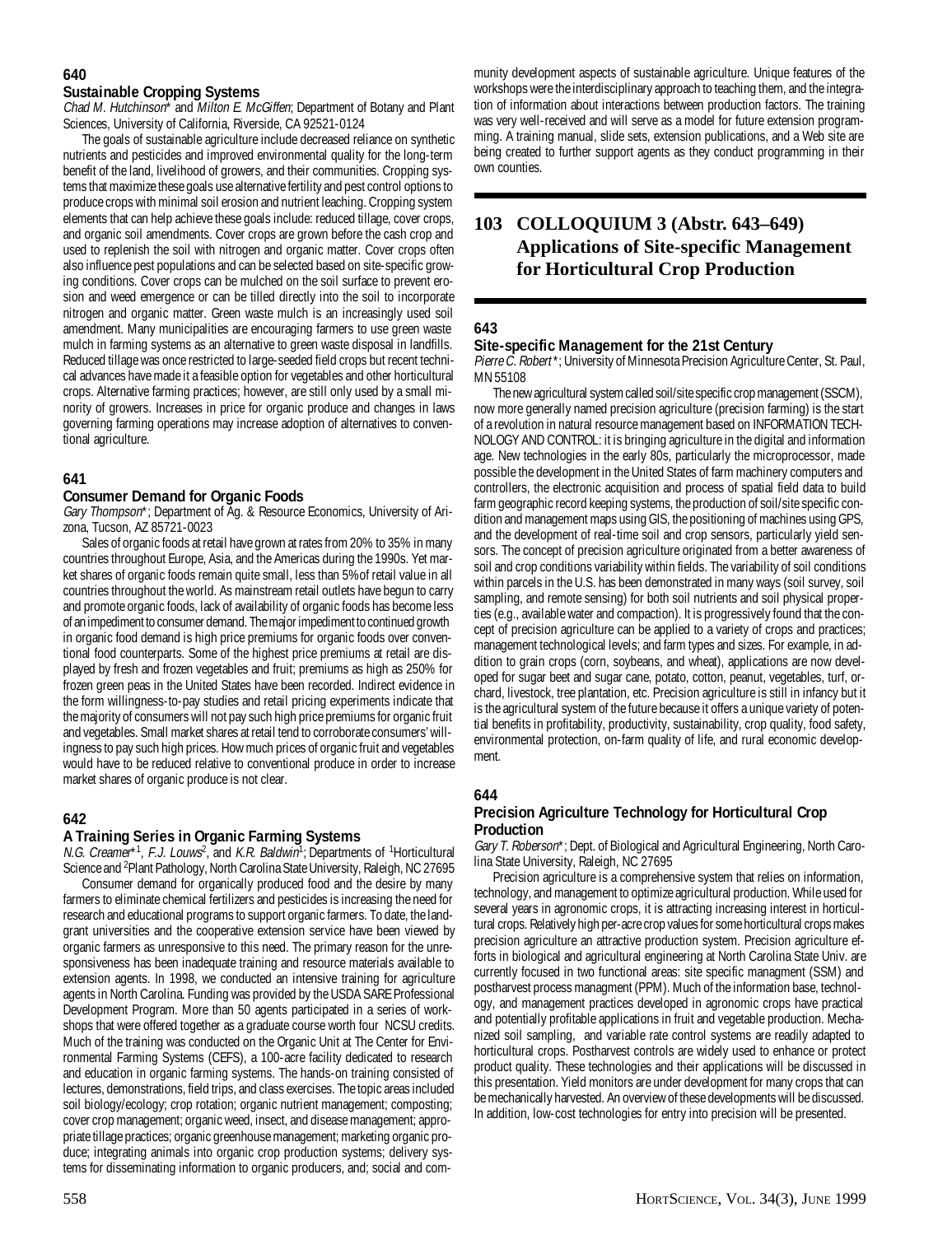## **640**

## **Sustainable Cropping Systems**

Chad M. Hutchinson<sup>\*</sup> and Milton E. McGiffen; Department of Botany and Plant Sciences, University of California, Riverside, CA 92521-0124

The goals of sustainable agriculture include decreased reliance on synthetic nutrients and pesticides and improved environmental quality for the long-term benefit of the land, livelihood of growers, and their communities. Cropping systems that maximize these goals use alternative fertility and pest control options to produce crops with minimal soil erosion and nutrient leaching. Cropping system elements that can help achieve these goals include: reduced tillage, cover crops, and organic soil amendments. Cover crops are grown before the cash crop and used to replenish the soil with nitrogen and organic matter. Cover crops often also influence pest populations and can be selected based on site-specific growing conditions. Cover crops can be mulched on the soil surface to prevent erosion and weed emergence or can be tilled directly into the soil to incorporate nitrogen and organic matter. Green waste mulch is an increasingly used soil amendment. Many municipalities are encouraging farmers to use green waste mulch in farming systems as an alternative to green waste disposal in landfills. Reduced tillage was once restricted to large-seeded field crops but recent technical advances have made it a feasible option for vegetables and other horticultural crops. Alternative farming practices; however, are still only used by a small minority of growers. Increases in price for organic produce and changes in laws governing farming operations may increase adoption of alternatives to conventional agriculture.

## **641**

## **Consumer Demand for Organic Foods**

Gary Thompson\*; Department of Ag. & Resource Economics, University of Arizona, Tucson, AZ 85721-0023

Sales of organic foods at retail have grown at rates from 20% to 35% in many countries throughout Europe, Asia, and the Americas during the 1990s. Yet market shares of organic foods remain quite small, less than 5%of retail value in all countries throughout the world. As mainstream retail outlets have begun to carry and promote organic foods, lack of availability of organic foods has become less of an impediment to consumer demand. The major impediment to continued growth in organic food demand is high price premiums for organic foods over conventional food counterparts. Some of the highest price premiums at retail are displayed by fresh and frozen vegetables and fruit; premiums as high as 250% for frozen green peas in the United States have been recorded. Indirect evidence in the form willingness-to-pay studies and retail pricing experiments indicate that the majority of consumers will not pay such high price premiums for organic fruit and vegetables. Small market shares at retail tend to corroborate consumers' willingness to pay such high prices. How much prices of organic fruit and vegetables would have to be reduced relative to conventional produce in order to increase market shares of organic produce is not clear.

## **642**

## **A Training Series in Organic Farming Systems**

N.G. Creamer\*1, F.J. Louws<sup>2</sup>, and K.R. Baldwin<sup>1</sup>; Departments of <sup>1</sup>Horticultural Science and <sup>2</sup>Plant Pathology, North Carolina State University, Raleigh, NC 27695

Consumer demand for organically produced food and the desire by many farmers to eliminate chemical fertilizers and pesticides is increasing the need for research and educational programs to support organic farmers. To date, the landgrant universities and the cooperative extension service have been viewed by organic farmers as unresponsive to this need. The primary reason for the unresponsiveness has been inadequate training and resource materials available to extension agents. In 1998, we conducted an intensive training for agriculture agents in North Carolina. Funding was provided by the USDA SARE Professional Development Program. More than 50 agents participated in a series of workshops that were offered together as a graduate course worth four NCSU credits. Much of the training was conducted on the Organic Unit at The Center for Environmental Farming Systems (CEFS), a 100-acre facility dedicated to research and education in organic farming systems. The hands-on training consisted of lectures, demonstrations, field trips, and class exercises. The topic areas included soil biology/ecology; crop rotation; organic nutrient management; composting; cover crop management; organic weed, insect, and disease management; appropriate tillage practices; organic greenhouse management; marketing organic produce; integrating animals into organic crop production systems; delivery systems for disseminating information to organic producers, and; social and com-

munity development aspects of sustainable agriculture. Unique features of the workshops were the interdisciplinary approach to teaching them, and the integration of information about interactions between production factors. The training was very well-received and will serve as a model for future extension programming. A training manual, slide sets, extension publications, and a Web site are being created to further support agents as they conduct programming in their own counties.

## **103 COLLOQUIUM 3 (Abstr. 643–649) Applications of Site-specific Management for Horticultural Crop Production**

## **643**

## **Site-specific Management for the 21st Century**

Pierre C. Robert\*; University of Minnesota Precision Agriculture Center, St. Paul, MN 55108

The new agricultural system called soil/site specific crop management (SSCM), now more generally named precision agriculture (precision farming) is the start of a revolution in natural resource management based on INFORMATION TECH-NOLOGY AND CONTROL: it is bringing agriculture in the digital and information age. New technologies in the early 80s, particularly the microprocessor, made possible the development in the United States of farm machinery computers and controllers, the electronic acquisition and process of spatial field data to build farm geographic record keeping systems, the production of soil/site specific condition and management maps using GIS, the positioning of machines using GPS, and the development of real-time soil and crop sensors, particularly yield sensors. The concept of precision agriculture originated from a better awareness of soil and crop conditions variability within fields. The variability of soil conditions within parcels in the U.S. has been demonstrated in many ways (soil survey, soil sampling, and remote sensing) for both soil nutrients and soil physical properties (e.g., available water and compaction). It is progressively found that the concept of precision agriculture can be applied to a variety of crops and practices; management technological levels; and farm types and sizes. For example, in addition to grain crops (corn, soybeans, and wheat), applications are now developed for sugar beet and sugar cane, potato, cotton, peanut, vegetables, turf, orchard, livestock, tree plantation, etc. Precision agriculture is still in infancy but it is the agricultural system of the future because it offers a unique variety of potential benefits in profitability, productivity, sustainability, crop quality, food safety, environmental protection, on-farm quality of life, and rural economic development.

## **644**

## **Precision Agriculture Technology for Horticultural Crop Production**

Gary T. Roberson\*; Dept. of Biological and Agricultural Engineering, North Carolina State University, Raleigh, NC 27695

Precision agriculture is a comprehensive system that relies on information, technology, and management to optimize agricultural production. While used for several years in agronomic crops, it is attracting increasing interest in horticultural crops. Relatively high per-acre crop values for some horticultural crops makes precision agriculture an attractive production system. Precision agriculture efforts in biological and agricultural engineering at North Carolina State Univ. are currently focused in two functional areas: site specific managment (SSM) and postharvest process managment (PPM). Much of the information base, technology, and management practices developed in agronomic crops have practical and potentially profitable applications in fruit and vegetable production. Mechanized soil sampling, and variable rate control systems are readily adapted to horticultural crops. Postharvest controls are widely used to enhance or protect product quality. These technologies and their applications will be discussed in this presentation. Yield monitors are under development for many crops that can be mechanically harvested. An overview of these developments will be discussed. In addition, low-cost technologies for entry into precision will be presented.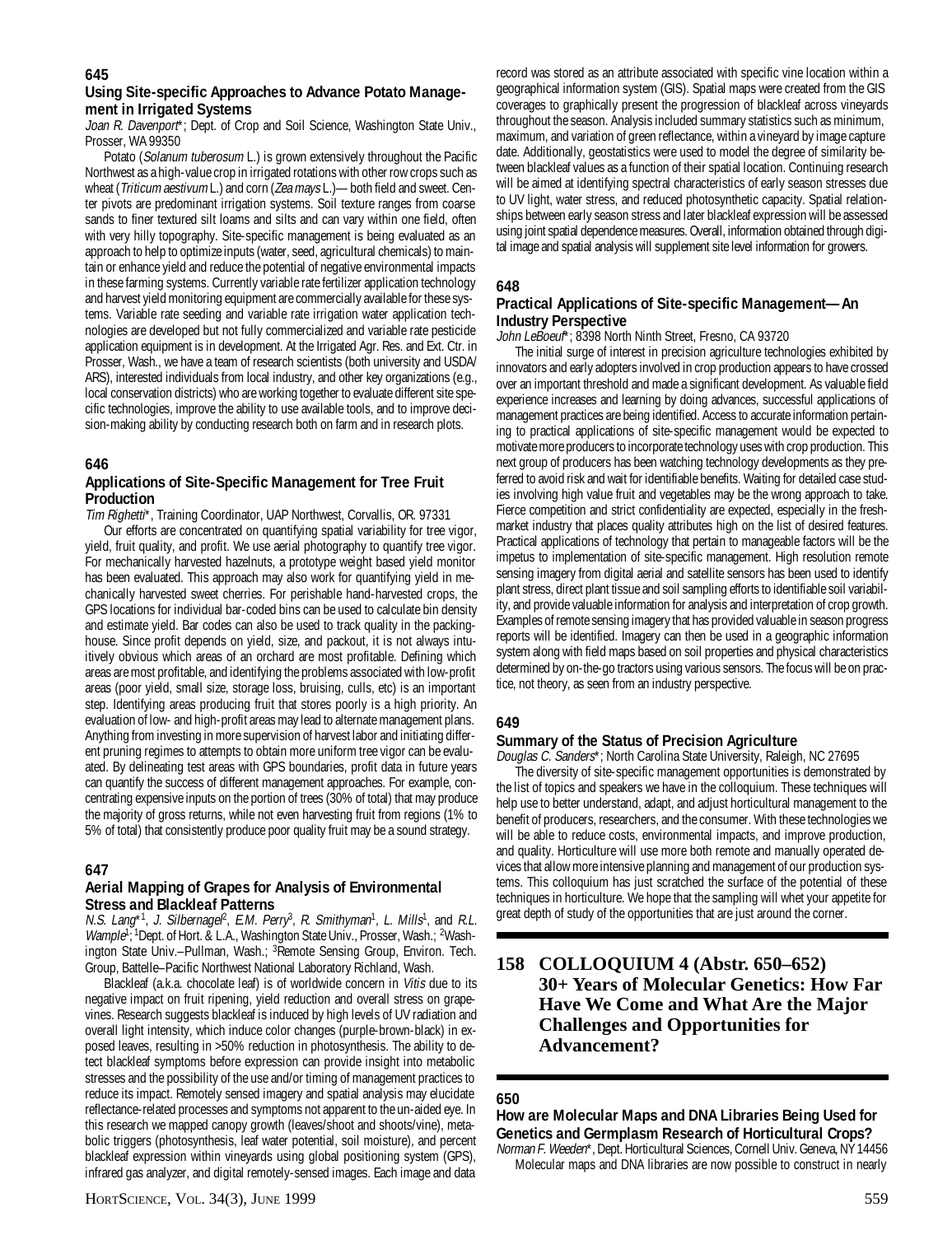## **Using Site-specific Approaches to Advance Potato Management in Irrigated Systems**

Joan R. Davenport\*; Dept. of Crop and Soil Science, Washington State Univ., Prosser, WA 99350

Potato (Solanum tuberosum L.) is grown extensively throughout the Pacific Northwest as a high-value crop in irrigated rotations with other row crops such as wheat (Triticum aestivum L.) and corn (Zea mays L.)—both field and sweet. Center pivots are predominant irrigation systems. Soil texture ranges from coarse sands to finer textured silt loams and silts and can vary within one field, often with very hilly topography. Site-specific management is being evaluated as an approach to help to optimize inputs (water, seed, agricultural chemicals) to maintain or enhance yield and reduce the potential of negative environmental impacts in these farming systems. Currently variable rate fertilizer application technology and harvest yield monitoring equipment are commercially available for these systems. Variable rate seeding and variable rate irrigation water application technologies are developed but not fully commercialized and variable rate pesticide application equipment is in development. At the Irrigated Agr. Res. and Ext. Ctr. in Prosser, Wash., we have a team of research scientists (both university and USDA/ ARS), interested individuals from local industry, and other key organizations (e.g., local conservation districts) who are working together to evaluate different site specific technologies, improve the ability to use available tools, and to improve decision-making ability by conducting research both on farm and in research plots.

## **646**

#### **Applications of Site-Specific Management for Tree Fruit Production**

Tim Righetti\*, Training Coordinator, UAP Northwest, Corvallis, OR. 97331

Our efforts are concentrated on quantifying spatial variability for tree vigor, yield, fruit quality, and profit. We use aerial photography to quantify tree vigor. For mechanically harvested hazelnuts, a prototype weight based yield monitor has been evaluated. This approach may also work for quantifying yield in mechanically harvested sweet cherries. For perishable hand-harvested crops, the GPS locations for individual bar-coded bins can be used to calculate bin density and estimate yield. Bar codes can also be used to track quality in the packinghouse. Since profit depends on yield, size, and packout, it is not always intuitively obvious which areas of an orchard are most profitable. Defining which areas are most profitable, and identifying the problems associated with low-profit areas (poor yield, small size, storage loss, bruising, culls, etc) is an important step. Identifying areas producing fruit that stores poorly is a high priority. An evaluation of low- and high-profit areas may lead to alternate management plans. Anything from investing in more supervision of harvest labor and initiating different pruning regimes to attempts to obtain more uniform tree vigor can be evaluated. By delineating test areas with GPS boundaries, profit data in future years can quantify the success of different management approaches. For example, concentrating expensive inputs on the portion of trees (30% of total) that may produce the majority of gross returns, while not even harvesting fruit from regions (1% to 5% of total) that consistently produce poor quality fruit may be a sound strategy.

## **647**

#### **Aerial Mapping of Grapes for Analysis of Environmental Stress and Blackleaf Patterns**

N.S. Lang\*1, J. Silbernagel<sup>2</sup>, E.M. Perry<sup>3</sup>, R. Smithyman<sup>1</sup>, L. Mills<sup>1</sup>, and R.L. Wample<sup>1, 1</sup>Dept. of Hort. & L.A., Washington State Univ., Prosser, Wash.; <sup>2</sup>Washington State Univ.–Pullman, Wash.; <sup>3</sup>Remote Sensing Group, Environ. Tech. Group, Battelle–Pacific Northwest National Laboratory Richland, Wash.

Blackleaf (a.k.a. chocolate leaf) is of worldwide concern in Vitis due to its negative impact on fruit ripening, yield reduction and overall stress on grapevines. Research suggests blackleaf is induced by high levels of UV radiation and overall light intensity, which induce color changes (purple-brown-black) in exposed leaves, resulting in >50% reduction in photosynthesis. The ability to detect blackleaf symptoms before expression can provide insight into metabolic stresses and the possibility of the use and/or timing of management practices to reduce its impact. Remotely sensed imagery and spatial analysis may elucidate reflectance-related processes and symptoms not apparent to the un-aided eye. In this research we mapped canopy growth (leaves/shoot and shoots/vine), metabolic triggers (photosynthesis, leaf water potential, soil moisture), and percent blackleaf expression within vineyards using global positioning system (GPS), infrared gas analyzer, and digital remotely-sensed images. Each image and data

record was stored as an attribute associated with specific vine location within a geographical information system (GIS). Spatial maps were created from the GIS coverages to graphically present the progression of blackleaf across vineyards throughout the season. Analysis included summary statistics such as minimum, maximum, and variation of green reflectance, within a vineyard by image capture date. Additionally, geostatistics were used to model the degree of similarity between blackleaf values as a function of their spatial location. Continuing research will be aimed at identifying spectral characteristics of early season stresses due to UV light, water stress, and reduced photosynthetic capacity. Spatial relationships between early season stress and later blackleaf expression will be assessed using joint spatial dependence measures. Overall, information obtained through digital image and spatial analysis will supplement site level information for growers.

## **648**

## **Practical Applications of Site-specific Management—An Industry Perspective**

John LeBoeuf\*; 8398 North Ninth Street, Fresno, CA 93720

The initial surge of interest in precision agriculture technologies exhibited by innovators and early adopters involved in crop production appears to have crossed over an important threshold and made a significant development. As valuable field experience increases and learning by doing advances, successful applications of management practices are being identified. Access to accurate information pertaining to practical applications of site-specific management would be expected to motivate more producers to incorporate technology uses with crop production. This next group of producers has been watching technology developments as they preferred to avoid risk and wait for identifiable benefits. Waiting for detailed case studies involving high value fruit and vegetables may be the wrong approach to take. Fierce competition and strict confidentiality are expected, especially in the freshmarket industry that places quality attributes high on the list of desired features. Practical applications of technology that pertain to manageable factors will be the impetus to implementation of site-specific management. High resolution remote sensing imagery from digital aerial and satellite sensors has been used to identify plant stress, direct plant tissue and soil sampling efforts to identifiable soil variability, and provide valuable information for analysis and interpretation of crop growth. Examples of remote sensing imagery that has provided valuable in season progress reports will be identified. Imagery can then be used in a geographic information system along with field maps based on soil properties and physical characteristics determined by on-the-go tractors using various sensors. The focus will be on practice, not theory, as seen from an industry perspective.

## **649**

## **Summary of the Status of Precision Agriculture**

Douglas C. Sanders\*; North Carolina State University, Raleigh, NC 27695 The diversity of site-specific management opportunities is demonstrated by the list of topics and speakers we have in the colloquium. These techniques will help use to better understand, adapt, and adjust horticultural management to the benefit of producers, researchers, and the consumer. With these technologies we will be able to reduce costs, environmental impacts, and improve production, and quality. Horticulture will use more both remote and manually operated devices that allow more intensive planning and management of our production systems. This colloquium has just scratched the surface of the potential of these techniques in horticulture. We hope that the sampling will whet your appetite for great depth of study of the opportunities that are just around the corner.

## **158 COLLOQUIUM 4 (Abstr. 650–652) 30+ Years of Molecular Genetics: How Far Have We Come and What Are the Major Challenges and Opportunities for Advancement?**

## **650**

**How are Molecular Maps and DNA Libraries Being Used for Genetics and Germplasm Research of Horticultural Crops?** Norman F. Weeden\*, Dept. Horticultural Sciences, Cornell Univ. Geneva, NY 14456

Molecular maps and DNA libraries are now possible to construct in nearly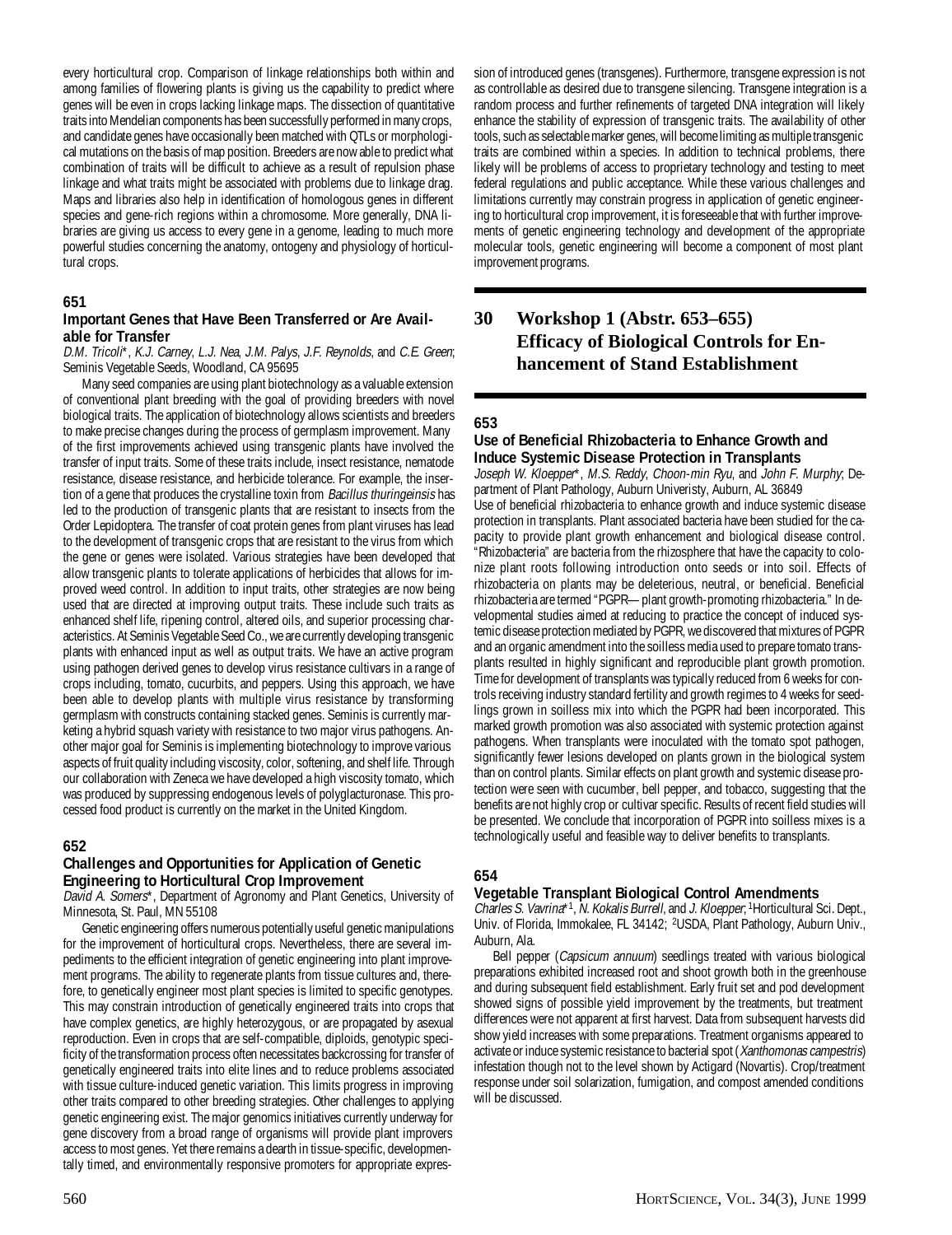every horticultural crop. Comparison of linkage relationships both within and among families of flowering plants is giving us the capability to predict where genes will be even in crops lacking linkage maps. The dissection of quantitative traits into Mendelian components has been successfully performed in many crops, and candidate genes have occasionally been matched with QTLs or morphological mutations on the basis of map position. Breeders are now able to predict what combination of traits will be difficult to achieve as a result of repulsion phase linkage and what traits might be associated with problems due to linkage drag. Maps and libraries also help in identification of homologous genes in different species and gene-rich regions within a chromosome. More generally, DNA libraries are giving us access to every gene in a genome, leading to much more powerful studies concerning the anatomy, ontogeny and physiology of horticultural crops.

#### **651**

#### **Important Genes that Have Been Transferred or Are Available for Transfer**

D.M. Tricoli\*, K.J. Carney, L.J. Nea, J.M. Palys, J.F. Reynolds, and C.E. Green; Seminis Vegetable Seeds, Woodland, CA 95695

Many seed companies are using plant biotechnology as a valuable extension of conventional plant breeding with the goal of providing breeders with novel biological traits. The application of biotechnology allows scientists and breeders to make precise changes during the process of germplasm improvement. Many of the first improvements achieved using transgenic plants have involved the transfer of input traits. Some of these traits include, insect resistance, nematode resistance, disease resistance, and herbicide tolerance. For example, the insertion of a gene that produces the crystalline toxin from Bacillus thuringeinsis has led to the production of transgenic plants that are resistant to insects from the Order Lepidoptera. The transfer of coat protein genes from plant viruses has lead to the development of transgenic crops that are resistant to the virus from which the gene or genes were isolated. Various strategies have been developed that allow transgenic plants to tolerate applications of herbicides that allows for improved weed control. In addition to input traits, other strategies are now being used that are directed at improving output traits. These include such traits as enhanced shelf life, ripening control, altered oils, and superior processing characteristics. At Seminis Vegetable Seed Co., we are currently developing transgenic plants with enhanced input as well as output traits. We have an active program using pathogen derived genes to develop virus resistance cultivars in a range of crops including, tomato, cucurbits, and peppers. Using this approach, we have been able to develop plants with multiple virus resistance by transforming germplasm with constructs containing stacked genes. Seminis is currently marketing a hybrid squash variety with resistance to two major virus pathogens. Another major goal for Seminis is implementing biotechnology to improve various aspects of fruit quality including viscosity, color, softening, and shelf life. Through our collaboration with Zeneca we have developed a high viscosity tomato, which was produced by suppressing endogenous levels of polyglacturonase. This processed food product is currently on the market in the United Kingdom.

#### **652**

#### **Challenges and Opportunities for Application of Genetic Engineering to Horticultural Crop Improvement**

David A. Somers<sup>\*</sup>, Department of Agronomy and Plant Genetics, University of Minnesota, St. Paul, MN 55108

Genetic engineering offers numerous potentially useful genetic manipulations for the improvement of horticultural crops. Nevertheless, there are several impediments to the efficient integration of genetic engineering into plant improvement programs. The ability to regenerate plants from tissue cultures and, therefore, to genetically engineer most plant species is limited to specific genotypes. This may constrain introduction of genetically engineered traits into crops that have complex genetics, are highly heterozygous, or are propagated by asexual reproduction. Even in crops that are self-compatible, diploids, genotypic specificity of the transformation process often necessitates backcrossing for transfer of genetically engineered traits into elite lines and to reduce problems associated with tissue culture-induced genetic variation. This limits progress in improving other traits compared to other breeding strategies. Other challenges to applying genetic engineering exist. The major genomics initiatives currently underway for gene discovery from a broad range of organisms will provide plant improvers access to most genes. Yet there remains a dearth in tissue-specific, developmentally timed, and environmentally responsive promoters for appropriate expression of introduced genes (transgenes). Furthermore, transgene expression is not as controllable as desired due to transgene silencing. Transgene integration is a random process and further refinements of targeted DNA integration will likely enhance the stability of expression of transgenic traits. The availability of other tools, such as selectable marker genes, will become limiting as multiple transgenic traits are combined within a species. In addition to technical problems, there likely will be problems of access to proprietary technology and testing to meet federal regulations and public acceptance. While these various challenges and limitations currently may constrain progress in application of genetic engineering to horticultural crop improvement, it is foreseeable that with further improvements of genetic engineering technology and development of the appropriate molecular tools, genetic engineering will become a component of most plant improvement programs.

## **30 Workshop 1 (Abstr. 653–655) Efficacy of Biological Controls for Enhancement of Stand Establishment**

#### **653**

#### **Use of Beneficial Rhizobacteria to Enhance Growth and Induce Systemic Disease Protection in Transplants**

Joseph W. Kloepper\*, M.S. Reddy, Choon-min Ryu, and John F. Murphy; Department of Plant Pathology, Auburn Univeristy, Auburn, AL 36849 Use of beneficial rhizobacteria to enhance growth and induce systemic disease protection in transplants. Plant associated bacteria have been studied for the capacity to provide plant growth enhancement and biological disease control. "Rhizobacteria" are bacteria from the rhizosphere that have the capacity to colonize plant roots following introduction onto seeds or into soil. Effects of rhizobacteria on plants may be deleterious, neutral, or beneficial. Beneficial rhizobacteria are termed "PGPR—plant growth-promoting rhizobacteria." In developmental studies aimed at reducing to practice the concept of induced systemic disease protection mediated by PGPR, we discovered that mixtures of PGPR and an organic amendment into the soilless media used to prepare tomato transplants resulted in highly significant and reproducible plant growth promotion. Time for development of transplants was typically reduced from 6 weeks for controls receiving industry standard fertility and growth regimes to 4 weeks for seedlings grown in soilless mix into which the PGPR had been incorporated. This marked growth promotion was also associated with systemic protection against pathogens. When transplants were inoculated with the tomato spot pathogen, significantly fewer lesions developed on plants grown in the biological system than on control plants. Similar effects on plant growth and systemic disease protection were seen with cucumber, bell pepper, and tobacco, suggesting that the benefits are not highly crop or cultivar specific. Results of recent field studies will be presented. We conclude that incorporation of PGPR into soilless mixes is a technologically useful and feasible way to deliver benefits to transplants.

#### **654**

## **Vegetable Transplant Biological Control Amendments**

Charles S. Vavrina\*1, N. Kokalis Burrell, and J. Kloepper, <sup>1</sup>Horticultural Sci. Dept., Univ. of Florida, Immokalee, FL 34142; <sup>2</sup>USDA, Plant Pathology, Auburn Univ., Auburn, Ala.

Bell pepper (Capsicum annuum) seedlings treated with various biological preparations exhibited increased root and shoot growth both in the greenhouse and during subsequent field establishment. Early fruit set and pod development showed signs of possible yield improvement by the treatments, but treatment differences were not apparent at first harvest. Data from subsequent harvests did show yield increases with some preparations. Treatment organisms appeared to activate or induce systemic resistance to bacterial spot (Xanthomonas campestris) infestation though not to the level shown by Actigard (Novartis). Crop/treatment response under soil solarization, fumigation, and compost amended conditions will be discussed.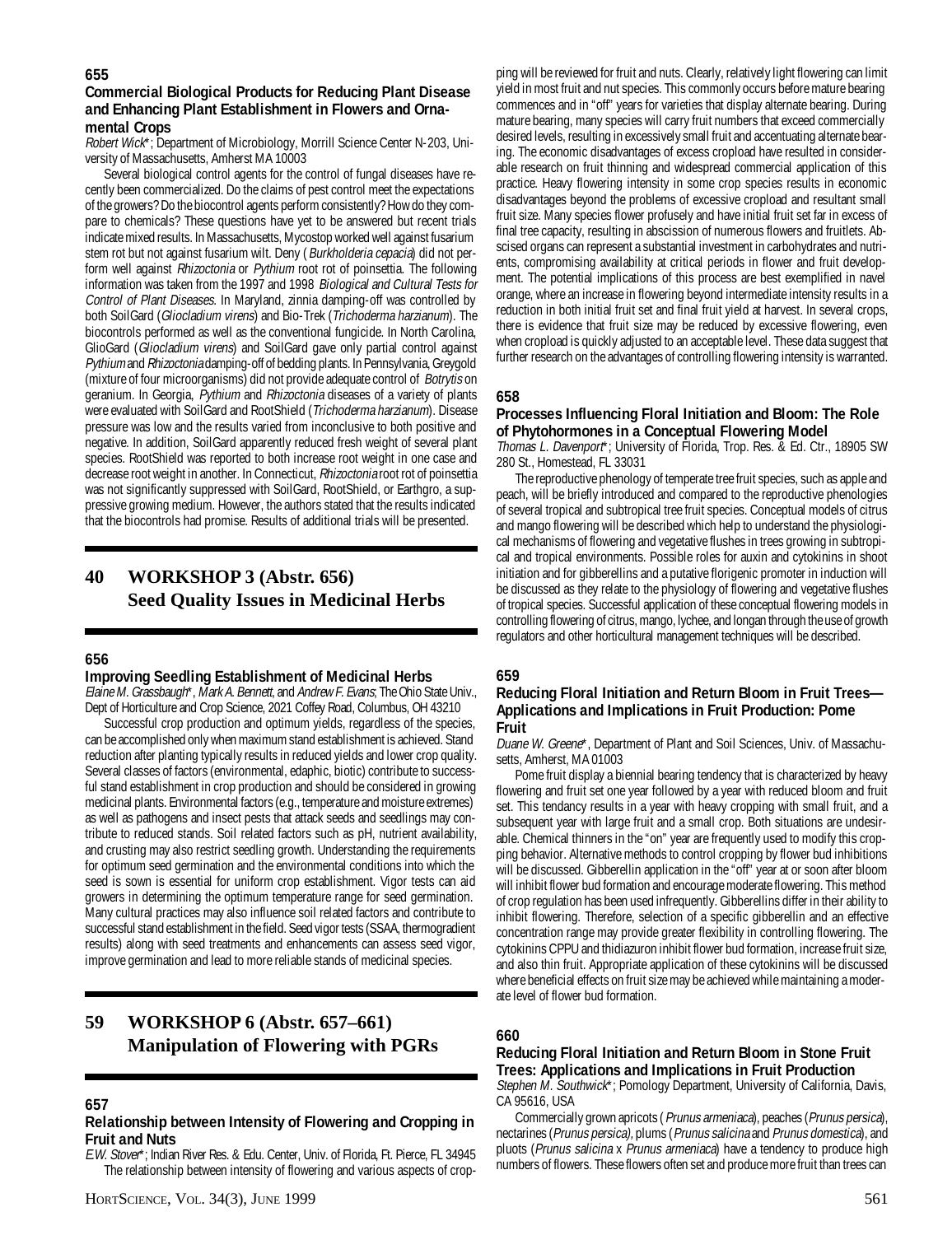## **Commercial Biological Products for Reducing Plant Disease and Enhancing Plant Establishment in Flowers and Ornamental Crops**

Robert Wick\*; Department of Microbiology, Morrill Science Center N-203, University of Massachusetts, Amherst MA 10003

Several biological control agents for the control of fungal diseases have recently been commercialized. Do the claims of pest control meet the expectations of the growers? Do the biocontrol agents perform consistently? How do they compare to chemicals? These questions have yet to be answered but recent trials indicate mixed results. In Massachusetts, Mycostop worked well against fusarium stem rot but not against fusarium wilt. Deny (Burkholderia cepacia) did not perform well against Rhizoctonia or Pythium root rot of poinsettia. The following information was taken from the 1997 and 1998 Biological and Cultural Tests for Control of Plant Diseases. In Maryland, zinnia damping-off was controlled by both SoilGard (Gliocladium virens) and Bio-Trek (Trichoderma harzianum). The biocontrols performed as well as the conventional fungicide. In North Carolina, GlioGard (Gliocladium virens) and SoilGard gave only partial control against Pythium and Rhizoctonia damping-off of bedding plants. In Pennsylvania, Greygold (mixture of four microorganisms) did not provide adequate control of Botrytis on geranium. In Georgia, Pythium and Rhizoctonia diseases of a variety of plants were evaluated with SoilGard and RootShield (Trichoderma harzianum). Disease pressure was low and the results varied from inconclusive to both positive and negative. In addition, SoilGard apparently reduced fresh weight of several plant species. RootShield was reported to both increase root weight in one case and decrease root weight in another. In Connecticut, Rhizoctonia root rot of poinsettia was not significantly suppressed with SoilGard, RootShield, or Earthgro, a suppressive growing medium. However, the authors stated that the results indicated that the biocontrols had promise. Results of additional trials will be presented.

## **40 WORKSHOP 3 (Abstr. 656) Seed Quality Issues in Medicinal Herbs**

#### **656**

#### **Improving Seedling Establishment of Medicinal Herbs**

Elaine M. Grassbaugh\*, Mark A. Bennett, and Andrew F. Evans; The Ohio State Univ., Dept of Horticulture and Crop Science, 2021 Coffey Road, Columbus, OH 43210

Successful crop production and optimum yields, regardless of the species, can be accomplished only when maximum stand establishment is achieved. Stand reduction after planting typically results in reduced yields and lower crop quality. Several classes of factors (environmental, edaphic, biotic) contribute to successful stand establishment in crop production and should be considered in growing medicinal plants. Environmental factors (e.g., temperature and moisture extremes) as well as pathogens and insect pests that attack seeds and seedlings may contribute to reduced stands. Soil related factors such as pH, nutrient availability, and crusting may also restrict seedling growth. Understanding the requirements for optimum seed germination and the environmental conditions into which the seed is sown is essential for uniform crop establishment. Vigor tests can aid growers in determining the optimum temperature range for seed germination. Many cultural practices may also influence soil related factors and contribute to successful stand establishment in the field. Seed vigor tests (SSAA, thermogradient results) along with seed treatments and enhancements can assess seed vigor, improve germination and lead to more reliable stands of medicinal species.

## **59 WORKSHOP 6 (Abstr. 657–661) Manipulation of Flowering with PGRs**

#### **657**

#### **Relationship between Intensity of Flowering and Cropping in Fruit and Nuts**

E.W. Stover\*; Indian River Res. & Edu. Center, Univ. of Florida, Ft. Pierce, FL 34945 The relationship between intensity of flowering and various aspects of crop-

ping will be reviewed for fruit and nuts. Clearly, relatively light flowering can limit yield in most fruit and nut species. This commonly occurs before mature bearing commences and in "off" years for varieties that display alternate bearing. During mature bearing, many species will carry fruit numbers that exceed commercially desired levels, resulting in excessively small fruit and accentuating alternate bearing. The economic disadvantages of excess cropload have resulted in considerable research on fruit thinning and widespread commercial application of this practice. Heavy flowering intensity in some crop species results in economic disadvantages beyond the problems of excessive cropload and resultant small fruit size. Many species flower profusely and have initial fruit set far in excess of final tree capacity, resulting in abscission of numerous flowers and fruitlets. Abscised organs can represent a substantial investment in carbohydrates and nutrients, compromising availability at critical periods in flower and fruit development. The potential implications of this process are best exemplified in navel orange, where an increase in flowering beyond intermediate intensity results in a reduction in both initial fruit set and final fruit yield at harvest. In several crops, there is evidence that fruit size may be reduced by excessive flowering, even when cropload is quickly adjusted to an acceptable level. These data suggest that further research on the advantages of controlling flowering intensity is warranted.

## **658**

#### **Processes Influencing Floral Initiation and Bloom: The Role of Phytohormones in a Conceptual Flowering Model**

Thomas L. Davenport\*; University of Florida, Trop. Res. & Ed. Ctr., 18905 SW 280 St., Homestead, FL 33031

The reproductive phenology of temperate tree fruit species, such as apple and peach, will be briefly introduced and compared to the reproductive phenologies of several tropical and subtropical tree fruit species. Conceptual models of citrus and mango flowering will be described which help to understand the physiological mechanisms of flowering and vegetative flushes in trees growing in subtropical and tropical environments. Possible roles for auxin and cytokinins in shoot initiation and for gibberellins and a putative florigenic promoter in induction will be discussed as they relate to the physiology of flowering and vegetative flushes of tropical species. Successful application of these conceptual flowering models in controlling flowering of citrus, mango, lychee, and longan through the use of growth regulators and other horticultural management techniques will be described.

#### **659**

#### **Reducing Floral Initiation and Return Bloom in Fruit Trees— Applications and Implications in Fruit Production: Pome Fruit**

Duane W. Greene\*, Department of Plant and Soil Sciences, Univ. of Massachusetts, Amherst, MA 01003

Pome fruit display a biennial bearing tendency that is characterized by heavy flowering and fruit set one year followed by a year with reduced bloom and fruit set. This tendancy results in a year with heavy cropping with small fruit, and a subsequent year with large fruit and a small crop. Both situations are undesirable. Chemical thinners in the "on" year are frequently used to modify this cropping behavior. Alternative methods to control cropping by flower bud inhibitions will be discussed. Gibberellin application in the "off" year at or soon after bloom will inhibit flower bud formation and encourage moderate flowering. This method of crop regulation has been used infrequently. Gibberellins differ in their ability to inhibit flowering. Therefore, selection of a specific gibberellin and an effective concentration range may provide greater flexibility in controlling flowering. The cytokinins CPPU and thidiazuron inhibit flower bud formation, increase fruit size, and also thin fruit. Appropriate application of these cytokinins will be discussed where beneficial effects on fruit size may be achieved while maintaining a moderate level of flower bud formation.

#### **660**

#### **Reducing Floral Initiation and Return Bloom in Stone Fruit Trees: Applications and Implications in Fruit Production**

Stephen M. Southwick<sup>\*</sup>; Pomology Department, University of California, Davis, CA 95616, USA

Commercially grown apricots (Prunus armeniaca), peaches (Prunus persica), nectarines (Prunus persica), plums (Prunus salicina and Prunus domestica), and pluots (Prunus salicina x Prunus armeniaca) have a tendency to produce high numbers of flowers. These flowers often set and produce more fruit than trees can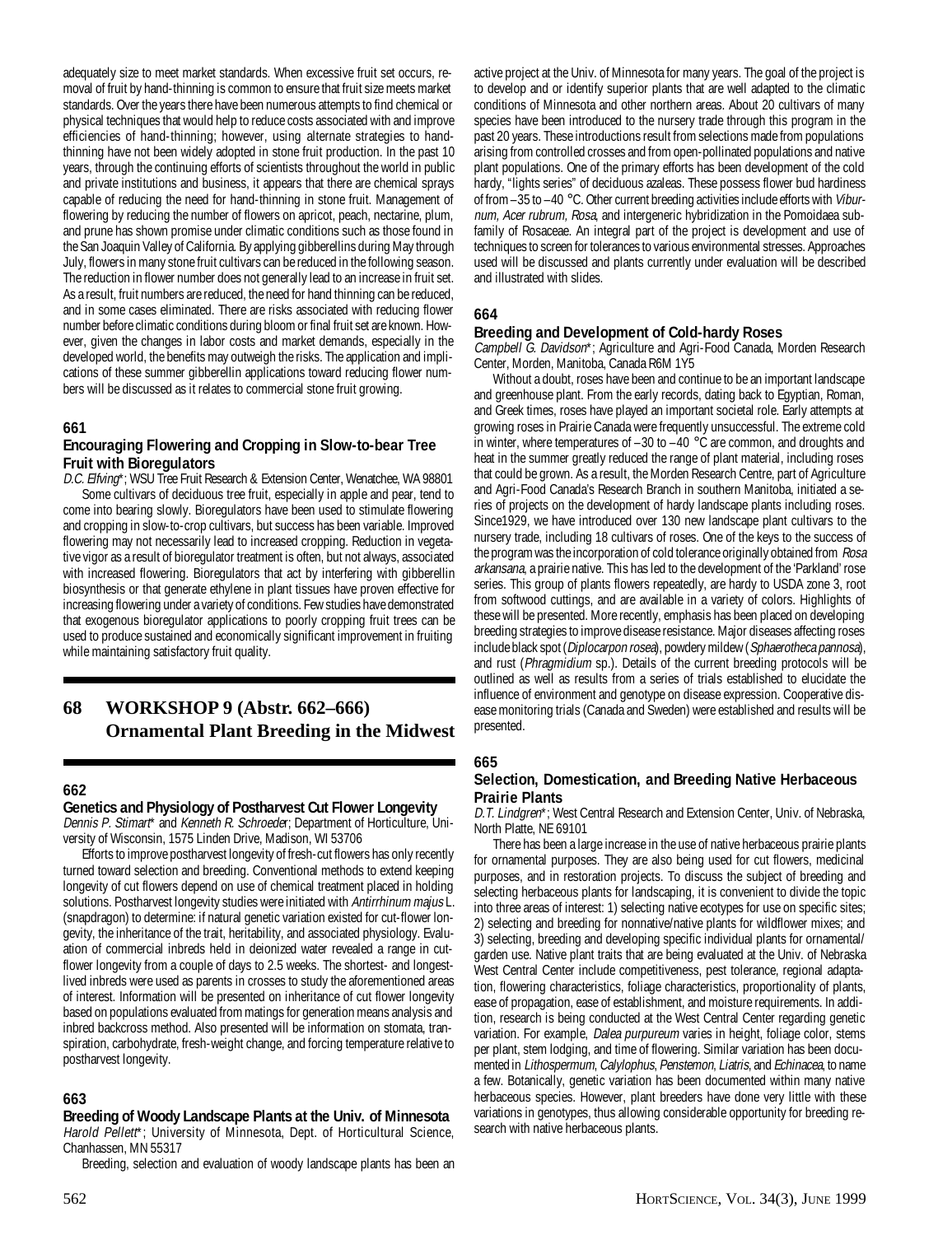adequately size to meet market standards. When excessive fruit set occurs, removal of fruit by hand-thinning is common to ensure that fruit size meets market standards. Over the years there have been numerous attempts to find chemical or physical techniques that would help to reduce costs associated with and improve efficiencies of hand-thinning; however, using alternate strategies to handthinning have not been widely adopted in stone fruit production. In the past 10 years, through the continuing efforts of scientists throughout the world in public and private institutions and business, it appears that there are chemical sprays capable of reducing the need for hand-thinning in stone fruit. Management of flowering by reducing the number of flowers on apricot, peach, nectarine, plum, and prune has shown promise under climatic conditions such as those found in the San Joaquin Valley of California. By applying gibberellins during May through July, flowers in many stone fruit cultivars can be reduced in the following season. The reduction in flower number does not generally lead to an increase in fruit set. As a result, fruit numbers are reduced, the need for hand thinning can be reduced, and in some cases eliminated. There are risks associated with reducing flower number before climatic conditions during bloom or final fruit set are known. However, given the changes in labor costs and market demands, especially in the developed world, the benefits may outweigh the risks. The application and implications of these summer gibberellin applications toward reducing flower numbers will be discussed as it relates to commercial stone fruit growing.

#### **661**

### **Encouraging Flowering and Cropping in Slow-to-bear Tree Fruit with Bioregulators**

D.C. Elfving\*; WSU Tree Fruit Research & Extension Center, Wenatchee, WA 98801 Some cultivars of deciduous tree fruit, especially in apple and pear, tend to come into bearing slowly. Bioregulators have been used to stimulate flowering and cropping in slow-to-crop cultivars, but success has been variable. Improved flowering may not necessarily lead to increased cropping. Reduction in vegetative vigor as a result of bioregulator treatment is often, but not always, associated with increased flowering. Bioregulators that act by interfering with gibberellin biosynthesis or that generate ethylene in plant tissues have proven effective for increasing flowering under a variety of conditions. Few studies have demonstrated that exogenous bioregulator applications to poorly cropping fruit trees can be used to produce sustained and economically significant improvement in fruiting while maintaining satisfactory fruit quality.

## **68 WORKSHOP 9 (Abstr. 662–666) Ornamental Plant Breeding in the Midwest**

#### **662**

## **Genetics and Physiology of Postharvest Cut Flower Longevity**

Dennis P. Stimart\* and Kenneth R. Schroeder; Department of Horticulture, University of Wisconsin, 1575 Linden Drive, Madison, WI 53706

Efforts to improve postharvest longevity of fresh-cut flowers has only recently turned toward selection and breeding. Conventional methods to extend keeping longevity of cut flowers depend on use of chemical treatment placed in holding solutions. Postharvest longevity studies were initiated with Antirrhinum majus L. (snapdragon) to determine: if natural genetic variation existed for cut-flower longevity, the inheritance of the trait, heritability, and associated physiology. Evaluation of commercial inbreds held in deionized water revealed a range in cutflower longevity from a couple of days to 2.5 weeks. The shortest- and longestlived inbreds were used as parents in crosses to study the aforementioned areas of interest. Information will be presented on inheritance of cut flower longevity based on populations evaluated from matings for generation means analysis and inbred backcross method. Also presented will be information on stomata, transpiration, carbohydrate, fresh-weight change, and forcing temperature relative to postharvest longevity.

#### **663**

#### **Breeding of Woody Landscape Plants at the Univ. of Minnesota** Harold Pellett\*; University of Minnesota, Dept. of Horticultural Science, Chanhassen, MN 55317

Breeding, selection and evaluation of woody landscape plants has been an

active project at the Univ. of Minnesota for many years. The goal of the project is to develop and or identify superior plants that are well adapted to the climatic conditions of Minnesota and other northern areas. About 20 cultivars of many species have been introduced to the nursery trade through this program in the past 20 years. These introductions result from selections made from populations arising from controlled crosses and from open-pollinated populations and native plant populations. One of the primary efforts has been development of the cold hardy, "lights series" of deciduous azaleas. These possess flower bud hardiness of from –35 to –40 °C. Other current breeding activities include efforts with Viburnum, Acer rubrum, Rosa, and intergeneric hybridization in the Pomoidaea subfamily of Rosaceae. An integral part of the project is development and use of techniques to screen for tolerances to various environmental stresses. Approaches used will be discussed and plants currently under evaluation will be described and illustrated with slides.

#### **664**

#### **Breeding and Development of Cold-hardy Roses**

Campbell G. Davidson\*; Agriculture and Agri-Food Canada, Morden Research Center, Morden, Manitoba, Canada R6M 1Y5

Without a doubt, roses have been and continue to be an important landscape and greenhouse plant. From the early records, dating back to Egyptian, Roman, and Greek times, roses have played an important societal role. Early attempts at growing roses in Prairie Canada were frequently unsuccessful. The extreme cold in winter, where temperatures of  $-30$  to  $-40$  °C are common, and droughts and heat in the summer greatly reduced the range of plant material, including roses that could be grown. As a result, the Morden Research Centre, part of Agriculture and Agri-Food Canada's Research Branch in southern Manitoba, initiated a series of projects on the development of hardy landscape plants including roses. Since1929, we have introduced over 130 new landscape plant cultivars to the nursery trade, including 18 cultivars of roses. One of the keys to the success of the program was the incorporation of cold tolerance originally obtained from Rosa arkansana, a prairie native. This has led to the development of the 'Parkland' rose series. This group of plants flowers repeatedly, are hardy to USDA zone 3, root from softwood cuttings, and are available in a variety of colors. Highlights of these will be presented. More recently, emphasis has been placed on developing breeding strategies to improve disease resistance. Major diseases affecting roses include black spot (Diplocarpon rosea), powdery mildew (Sphaerotheca pannosa), and rust (Phragmidium sp.). Details of the current breeding protocols will be outlined as well as results from a series of trials established to elucidate the influence of environment and genotype on disease expression. Cooperative disease monitoring trials (Canada and Sweden) were established and results will be presented.

#### **665**

#### **Selection, Domestication, and Breeding Native Herbaceous Prairie Plants**

D.T. Lindgren\*; West Central Research and Extension Center, Univ. of Nebraska, North Platte, NE 69101

There has been a large increase in the use of native herbaceous prairie plants for ornamental purposes. They are also being used for cut flowers, medicinal purposes, and in restoration projects. To discuss the subject of breeding and selecting herbaceous plants for landscaping, it is convenient to divide the topic into three areas of interest: 1) selecting native ecotypes for use on specific sites; 2) selecting and breeding for nonnative/native plants for wildflower mixes; and 3) selecting, breeding and developing specific individual plants for ornamental/ garden use. Native plant traits that are being evaluated at the Univ. of Nebraska West Central Center include competitiveness, pest tolerance, regional adaptation, flowering characteristics, foliage characteristics, proportionality of plants, ease of propagation, ease of establishment, and moisture requirements. In addition, research is being conducted at the West Central Center regarding genetic variation. For example, Dalea purpureum varies in height, foliage color, stems per plant, stem lodging, and time of flowering. Similar variation has been documented in Lithospermum, Calylophus, Penstemon, Liatris, and Echinacea, to name a few. Botanically, genetic variation has been documented within many native herbaceous species. However, plant breeders have done very little with these variations in genotypes, thus allowing considerable opportunity for breeding research with native herbaceous plants.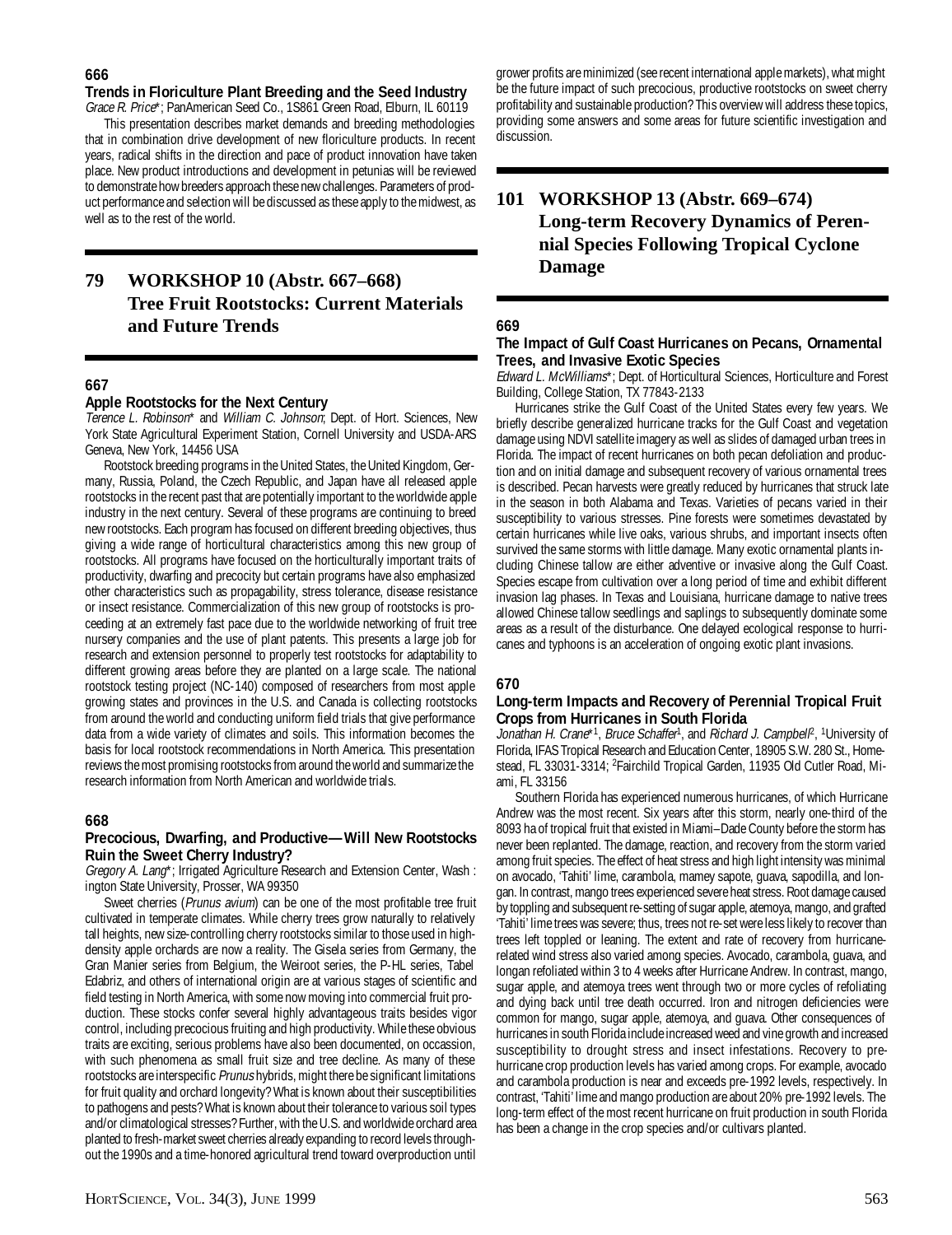## **Trends in Floriculture Plant Breeding and the Seed Industry**

Grace R. Price\*; PanAmerican Seed Co., 1S861 Green Road, Elburn, IL 60119

This presentation describes market demands and breeding methodologies that in combination drive development of new floriculture products. In recent years, radical shifts in the direction and pace of product innovation have taken place. New product introductions and development in petunias will be reviewed to demonstrate how breeders approach these new challenges. Parameters of product performance and selection will be discussed as these apply to the midwest, as well as to the rest of the world.

## **79 WORKSHOP 10 (Abstr. 667–668) Tree Fruit Rootstocks: Current Materials and Future Trends**

## **667**

## **Apple Rootstocks for the Next Century**

Terence L. Robinson\* and William C. Johnson; Dept. of Hort. Sciences, New York State Agricultural Experiment Station, Cornell University and USDA-ARS Geneva, New York, 14456 USA

Rootstock breeding programs in the United States, the United Kingdom, Germany, Russia, Poland, the Czech Republic, and Japan have all released apple rootstocks in the recent past that are potentially important to the worldwide apple industry in the next century. Several of these programs are continuing to breed new rootstocks. Each program has focused on different breeding objectives, thus giving a wide range of horticultural characteristics among this new group of rootstocks. All programs have focused on the horticulturally important traits of productivity, dwarfing and precocity but certain programs have also emphasized other characteristics such as propagability, stress tolerance, disease resistance or insect resistance. Commercialization of this new group of rootstocks is proceeding at an extremely fast pace due to the worldwide networking of fruit tree nursery companies and the use of plant patents. This presents a large job for research and extension personnel to properly test rootstocks for adaptability to different growing areas before they are planted on a large scale. The national rootstock testing project (NC-140) composed of researchers from most apple growing states and provinces in the U.S. and Canada is collecting rootstocks from around the world and conducting uniform field trials that give performance data from a wide variety of climates and soils. This information becomes the basis for local rootstock recommendations in North America. This presentation reviews the most promising rootstocks from around the world and summarize the research information from North American and worldwide trials.

## **668**

#### **Precocious, Dwarfing, and Productive—Will New Rootstocks Ruin the Sweet Cherry Industry?**

Gregory A. Lang\*; Irrigated Agriculture Research and Extension Center, Wash : ington State University, Prosser, WA 99350

Sweet cherries (Prunus avium) can be one of the most profitable tree fruit cultivated in temperate climates. While cherry trees grow naturally to relatively tall heights, new size-controlling cherry rootstocks similar to those used in highdensity apple orchards are now a reality. The Gisela series from Germany, the Gran Manier series from Belgium, the Weiroot series, the P-HL series, Tabel Edabriz, and others of international origin are at various stages of scientific and field testing in North America, with some now moving into commercial fruit production. These stocks confer several highly advantageous traits besides vigor control, including precocious fruiting and high productivity. While these obvious traits are exciting, serious problems have also been documented, on occassion, with such phenomena as small fruit size and tree decline. As many of these rootstocks are interspecific Prunus hybrids, might there be significant limitations for fruit quality and orchard longevity? What is known about their susceptibilities to pathogens and pests? What is known about their tolerance to various soil types and/or climatological stresses? Further, with the U.S. and worldwide orchard area planted to fresh-market sweet cherries already expanding to record levels throughout the 1990s and a time-honored agricultural trend toward overproduction until

grower profits are minimized (see recent international apple markets), what might be the future impact of such precocious, productive rootstocks on sweet cherry profitability and sustainable production? This overview will address these topics, providing some answers and some areas for future scientific investigation and discussion.

## **101 WORKSHOP 13 (Abstr. 669–674) Long-term Recovery Dynamics of Perennial Species Following Tropical Cyclone Damage**

#### **669**

#### **The Impact of Gulf Coast Hurricanes on Pecans, Ornamental Trees, and Invasive Exotic Species**

Edward L. McWilliams\*; Dept. of Horticultural Sciences, Horticulture and Forest Building, College Station, TX 77843-2133

Hurricanes strike the Gulf Coast of the United States every few years. We briefly describe generalized hurricane tracks for the Gulf Coast and vegetation damage using NDVI satellite imagery as well as slides of damaged urban trees in Florida. The impact of recent hurricanes on both pecan defoliation and production and on initial damage and subsequent recovery of various ornamental trees is described. Pecan harvests were greatly reduced by hurricanes that struck late in the season in both Alabama and Texas. Varieties of pecans varied in their susceptibility to various stresses. Pine forests were sometimes devastated by certain hurricanes while live oaks, various shrubs, and important insects often survived the same storms with little damage. Many exotic ornamental plants including Chinese tallow are either adventive or invasive along the Gulf Coast. Species escape from cultivation over a long period of time and exhibit different invasion lag phases. In Texas and Louisiana, hurricane damage to native trees allowed Chinese tallow seedlings and saplings to subsequently dominate some areas as a result of the disturbance. One delayed ecological response to hurricanes and typhoons is an acceleration of ongoing exotic plant invasions.

## **670**

#### **Long-term Impacts and Recovery of Perennial Tropical Fruit Crops from Hurricanes in South Florida**

Jonathan H. Crane\*<sup>1</sup>, Bruce Schaffer<sup>1</sup>, and Richard J. Campbell<sup>p</sup>, <sup>1</sup>University of Florida, IFAS Tropical Research and Education Center, 18905 S.W. 280 St., Homestead, FL 33031-3314; <sup>2</sup>Fairchild Tropical Garden, 11935 Old Cutler Road, Miami, FL 33156

Southern Florida has experienced numerous hurricanes, of which Hurricane Andrew was the most recent. Six years after this storm, nearly one-third of the 8093 ha of tropical fruit that existed in Miami–Dade County before the storm has never been replanted. The damage, reaction, and recovery from the storm varied among fruit species. The effect of heat stress and high light intensity was minimal on avocado, 'Tahiti' lime, carambola, mamey sapote, guava, sapodilla, and longan. In contrast, mango trees experienced severe heat stress. Root damage caused by toppling and subsequent re-setting of sugar apple, atemoya, mango, and grafted 'Tahiti' lime trees was severe; thus, trees not re-set were less likely to recover than trees left toppled or leaning. The extent and rate of recovery from hurricanerelated wind stress also varied among species. Avocado, carambola, guava, and longan refoliated within 3 to 4 weeks after Hurricane Andrew. In contrast, mango, sugar apple, and atemoya trees went through two or more cycles of refoliating and dying back until tree death occurred. Iron and nitrogen deficiencies were common for mango, sugar apple, atemoya, and guava. Other consequences of hurricanes in south Florida include increased weed and vine growth and increased susceptibility to drought stress and insect infestations. Recovery to prehurricane crop production levels has varied among crops. For example, avocado and carambola production is near and exceeds pre-1992 levels, respectively. In contrast, 'Tahiti' lime and mango production are about 20% pre-1992 levels. The long-term effect of the most recent hurricane on fruit production in south Florida has been a change in the crop species and/or cultivars planted.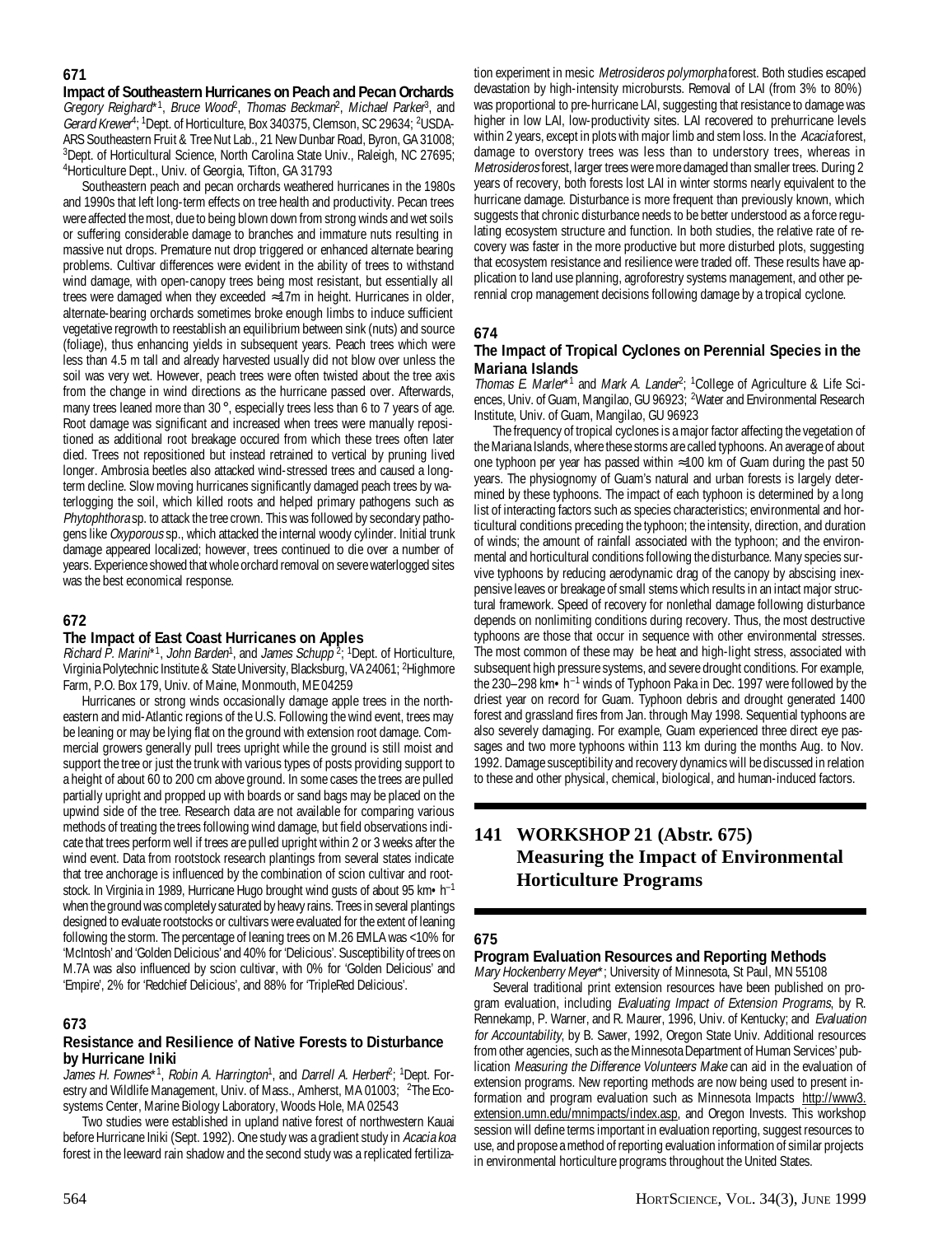## **671**

**Impact of Southeastern Hurricanes on Peach and Pecan Orchards** Gregory Reighard\*1, Bruce Wood<sup>2</sup>, Thomas Beckman<sup>2</sup>, Michael Parker<sup>3</sup>, and Gerard Krewer<sup>4</sup>; <sup>1</sup>Dept. of Horticulture, Box 340375, Clemson, SC 29634; <sup>2</sup>USDA-ARS Southeastern Fruit & Tree Nut Lab., 21 New Dunbar Road, Byron, GA 31008; <sup>3</sup>Dept. of Horticultural Science, North Carolina State Univ., Raleigh, NC 27695; 4 Horticulture Dept., Univ. of Georgia, Tifton, GA 31793

Southeastern peach and pecan orchards weathered hurricanes in the 1980s and 1990s that left long-term effects on tree health and productivity. Pecan trees were affected the most, due to being blown down from strong winds and wet soils or suffering considerable damage to branches and immature nuts resulting in massive nut drops. Premature nut drop triggered or enhanced alternate bearing problems. Cultivar differences were evident in the ability of trees to withstand wind damage, with open-canopy trees being most resistant, but essentially all trees were damaged when they exceeded ≈17m in height. Hurricanes in older, alternate-bearing orchards sometimes broke enough limbs to induce sufficient vegetative regrowth to reestablish an equilibrium between sink (nuts) and source (foliage), thus enhancing yields in subsequent years. Peach trees which were less than 4.5 m tall and already harvested usually did not blow over unless the soil was very wet. However, peach trees were often twisted about the tree axis from the change in wind directions as the hurricane passed over. Afterwards, many trees leaned more than 30°, especially trees less than 6 to 7 years of age. Root damage was significant and increased when trees were manually repositioned as additional root breakage occured from which these trees often later died. Trees not repositioned but instead retrained to vertical by pruning lived longer. Ambrosia beetles also attacked wind-stressed trees and caused a longterm decline. Slow moving hurricanes significantly damaged peach trees by waterlogging the soil, which killed roots and helped primary pathogens such as Phytophthora sp. to attack the tree crown. This was followed by secondary pathogens like Oxyporous sp., which attacked the internal woody cylinder. Initial trunk damage appeared localized; however, trees continued to die over a number of years. Experience showed that whole orchard removal on severe waterlogged sites was the best economical response.

### **672**

#### **The Impact of East Coast Hurricanes on Apples**

*Richard P. Marini*\*1, John Barden<sup>1</sup>, and James Schupp<sup>2</sup>; <sup>1</sup>Dept. of Horticulture, Virginia Polytechnic Institute & State University, Blacksburg, VA 24061; 2 Highmore Farm, P.O. Box 179, Univ. of Maine, Monmouth, ME 04259

Hurricanes or strong winds occasionally damage apple trees in the northeastern and mid-Atlantic regions of the U.S. Following the wind event, trees may be leaning or may be lying flat on the ground with extension root damage. Commercial growers generally pull trees upright while the ground is still moist and support the tree or just the trunk with various types of posts providing support to a height of about 60 to 200 cm above ground. In some cases the trees are pulled partially upright and propped up with boards or sand bags may be placed on the upwind side of the tree. Research data are not available for comparing various methods of treating the trees following wind damage, but field observations indicate that trees perform well if trees are pulled upright within 2 or 3 weeks after the wind event. Data from rootstock research plantings from several states indicate that tree anchorage is influenced by the combination of scion cultivar and rootstock. In Virginia in 1989, Hurricane Hugo brought wind gusts of about 95 km • h<sup>-1</sup> when the ground was completely saturated by heavy rains. Trees in several plantings designed to evaluate rootstocks or cultivars were evaluated for the extent of leaning following the storm. The percentage of leaning trees on M.26 EMLA was <10% for 'McIntosh' and 'Golden Delicious' and 40% for 'Delicious'. Susceptibility of trees on M.7A was also influenced by scion cultivar, with 0% for 'Golden Delicious' and 'Empire', 2% for 'Redchief Delicious', and 88% for 'TripleRed Delicious'.

#### **673**

### **Resistance and Resilience of Native Forests to Disturbance by Hurricane Iniki**

James H. Fownes\*1, Robin A. Harrington<sup>1</sup>, and Darrell A. Herber<sup>g</sup>; <sup>1</sup>Dept. Forestry and Wildlife Management, Univ. of Mass., Amherst, MA 01003; <sup>2</sup>The Ecosystems Center, Marine Biology Laboratory, Woods Hole, MA 02543

Two studies were established in upland native forest of northwestern Kauai before Hurricane Iniki (Sept. 1992). One study was a gradient study in Acacia koa forest in the leeward rain shadow and the second study was a replicated fertiliza-

tion experiment in mesic Metrosideros polymorpha forest. Both studies escaped devastation by high-intensity microbursts. Removal of LAI (from 3% to 80%) was proportional to pre-hurricane LAI, suggesting that resistance to damage was higher in low LAI, low-productivity sites. LAI recovered to prehurricane levels within 2 years, except in plots with major limb and stem loss. In the Acacia forest, damage to overstory trees was less than to understory trees, whereas in Metrosideros forest, larger trees were more damaged than smaller trees. During 2 years of recovery, both forests lost LAI in winter storms nearly equivalent to the hurricane damage. Disturbance is more frequent than previously known, which suggests that chronic disturbance needs to be better understood as a force regulating ecosystem structure and function. In both studies, the relative rate of recovery was faster in the more productive but more disturbed plots, suggesting that ecosystem resistance and resilience were traded off. These results have application to land use planning, agroforestry systems management, and other perennial crop management decisions following damage by a tropical cyclone.

#### **674**

#### **The Impact of Tropical Cyclones on Perennial Species in the Mariana Islands**

Thomas E. Marler<sup>\*1</sup> and Mark A. Lander<sup>2</sup>; <sup>1</sup>College of Agriculture & Life Sciences, Univ. of Guam, Mangilao, GU 96923; <sup>2</sup>Water and Environmental Research Institute, Univ. of Guam, Mangilao, GU 96923

The frequency of tropical cyclones is a major factor affecting the vegetation of the Mariana Islands, where these storms are called typhoons. An average of about one typhoon per year has passed within ≈100 km of Guam during the past 50 years. The physiognomy of Guam's natural and urban forests is largely determined by these typhoons. The impact of each typhoon is determined by a long list of interacting factors such as species characteristics; environmental and horticultural conditions preceding the typhoon; the intensity, direction, and duration of winds; the amount of rainfall associated with the typhoon; and the environmental and horticultural conditions following the disturbance. Many species survive typhoons by reducing aerodynamic drag of the canopy by abscising inexpensive leaves or breakage of small stems which results in an intact major structural framework. Speed of recovery for nonlethal damage following disturbance depends on nonlimiting conditions during recovery. Thus, the most destructive typhoons are those that occur in sequence with other environmental stresses. The most common of these may be heat and high-light stress, associated with subsequent high pressure systems, and severe drought conditions. For example, the 230–298 km•h–1 winds of Typhoon Paka in Dec. 1997 were followed by the driest year on record for Guam. Typhoon debris and drought generated 1400 forest and grassland fires from Jan. through May 1998. Sequential typhoons are also severely damaging. For example, Guam experienced three direct eye passages and two more typhoons within 113 km during the months Aug. to Nov. 1992. Damage susceptibility and recovery dynamics will be discussed in relation to these and other physical, chemical, biological, and human-induced factors.

## **141 WORKSHOP 21 (Abstr. 675) Measuring the Impact of Environmental Horticulture Programs**

#### **675**

## **Program Evaluation Resources and Reporting Methods**

Mary Hockenberry Meyer\*; University of Minnesota, St Paul, MN 55108 Several traditional print extension resources have been published on program evaluation, including *Evaluating Impact of Extension Programs*, by R. Rennekamp, P. Warner, and R. Maurer, 1996, Univ. of Kentucky; and Evaluation for Accountability, by B. Sawer, 1992, Oregon State Univ. Additional resources from other agencies, such as the Minnesota Department of Human Services' publication Measuring the Difference Volunteers Make can aid in the evaluation of extension programs. New reporting methods are now being used to present information and program evaluation such as Minnesota Impacts http://www3. extension.umn.edu/mnimpacts/index.asp, and Oregon Invests. This workshop session will define terms important in evaluation reporting, suggest resources to use, and propose a method of reporting evaluation information of similar projects in environmental horticulture programs throughout the United States.